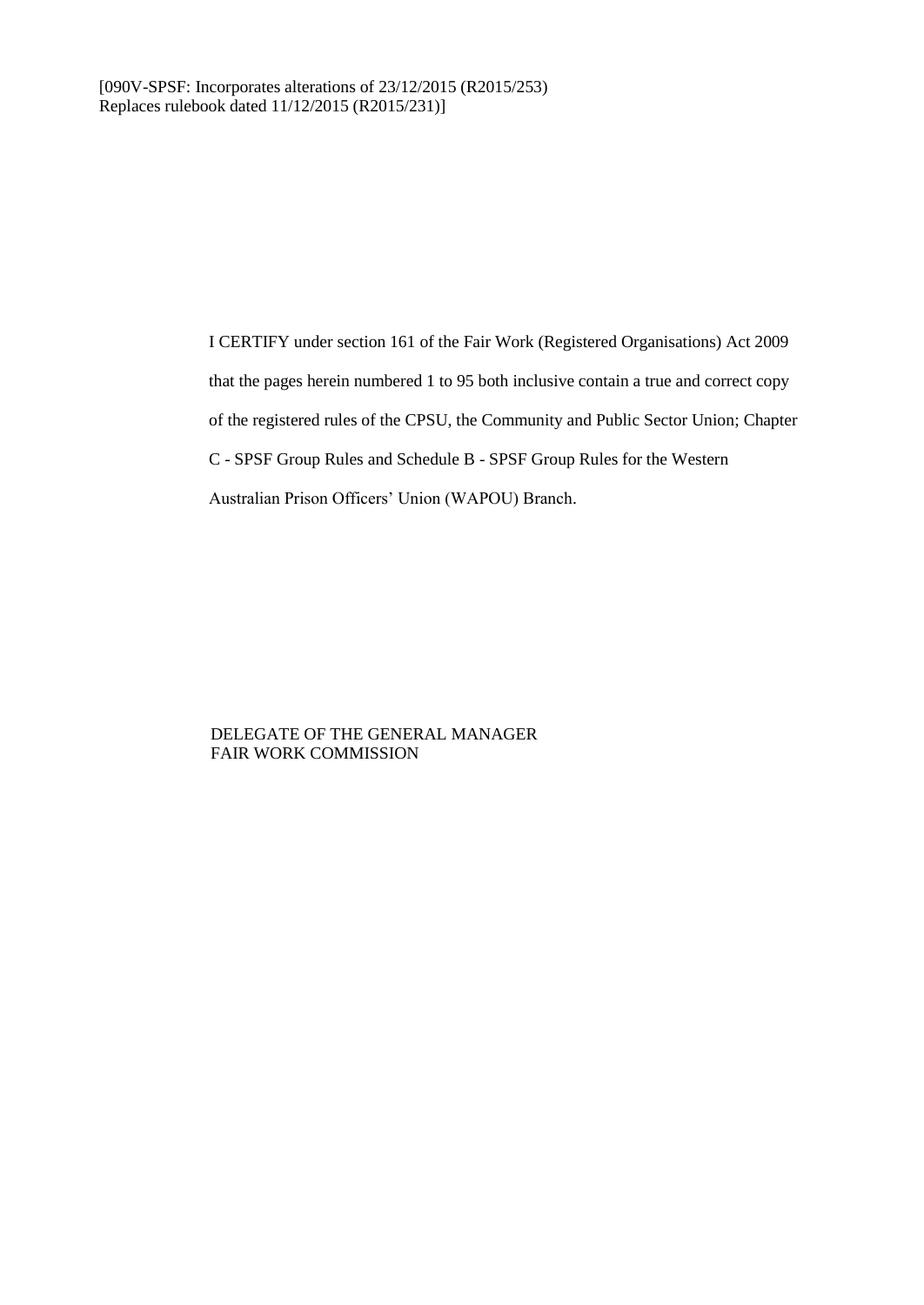I CERTIFY under section 161 of the Fair Work (Registered Organisations) Act 2009 that the pages herein numbered 1 to 95 both inclusive contain a true and correct copy of the registered rules of the CPSU, the Community and Public Sector Union; Chapter C - SPSF Group Rules and Schedule B - SPSF Group Rules for the Western Australian Prison Officers' Union (WAPOU) Branch.

#### DELEGATE OF THE GENERAL MANAGER FAIR WORK COMMISSION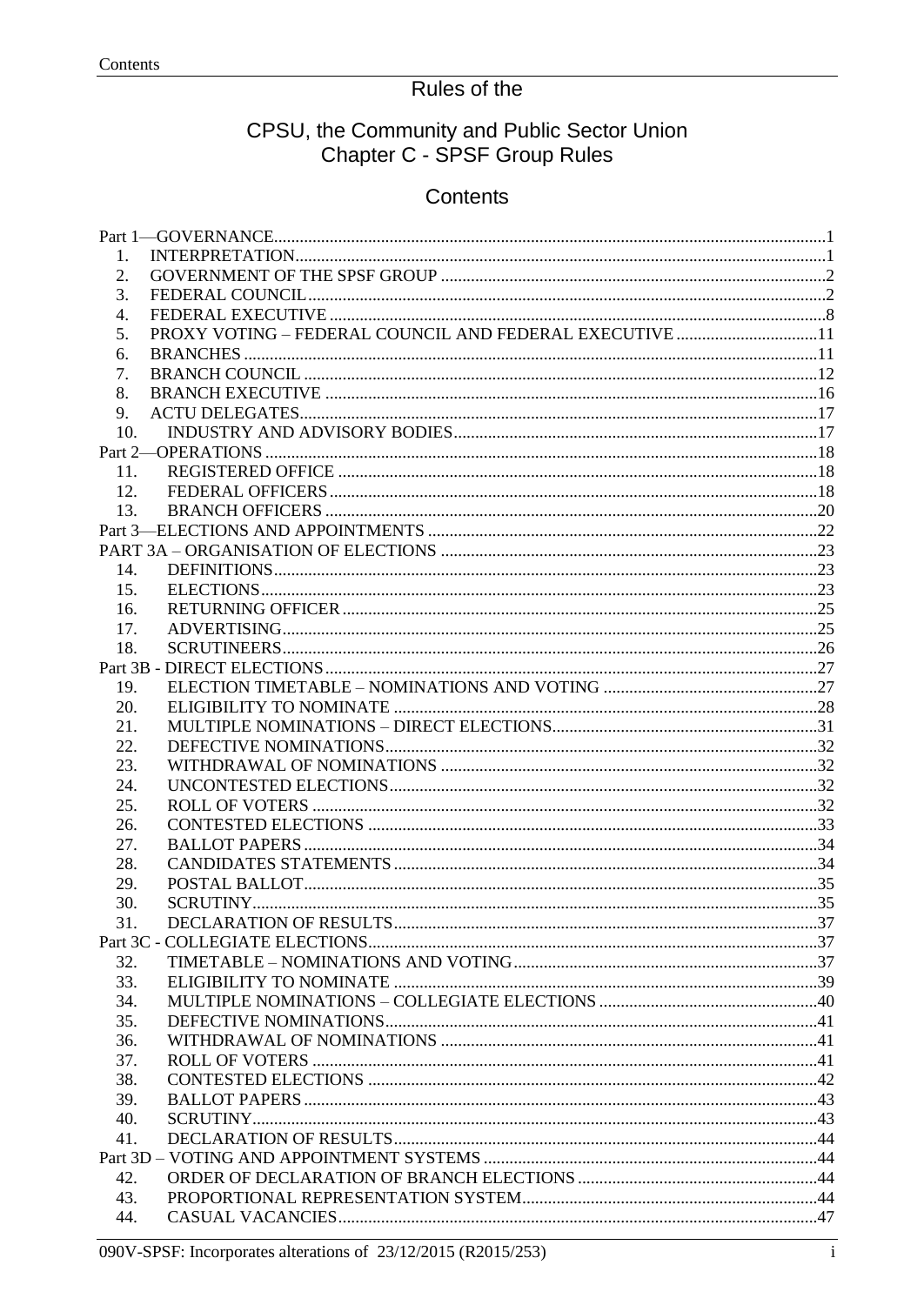# Rules of the

# CPSU, the Community and Public Sector Union<br>Chapter C - SPSF Group Rules

## Contents

| 1.         |                                                         |  |
|------------|---------------------------------------------------------|--|
| 2.         |                                                         |  |
| 3.         |                                                         |  |
| 4.         |                                                         |  |
| 5.         | PROXY VOTING - FEDERAL COUNCIL AND FEDERAL EXECUTIVE 11 |  |
| 6.         |                                                         |  |
| 7.         |                                                         |  |
| 8.         |                                                         |  |
| 9.         |                                                         |  |
| 10.        |                                                         |  |
|            |                                                         |  |
| 11.        |                                                         |  |
| 12.        |                                                         |  |
| 13.        |                                                         |  |
|            |                                                         |  |
|            |                                                         |  |
| 14.        |                                                         |  |
| 15.        |                                                         |  |
| 16.        |                                                         |  |
| 17.        |                                                         |  |
| 18.        |                                                         |  |
|            |                                                         |  |
| 19.        |                                                         |  |
| 20.        |                                                         |  |
| 21.        |                                                         |  |
| 22.        |                                                         |  |
| 23.        |                                                         |  |
| 24.        |                                                         |  |
| 25.        |                                                         |  |
| 26.        |                                                         |  |
| 27.        |                                                         |  |
| 28.        |                                                         |  |
| 29.        |                                                         |  |
| 30.        |                                                         |  |
| 31.        |                                                         |  |
|            |                                                         |  |
| 32.        |                                                         |  |
| 33.        |                                                         |  |
| 34.        |                                                         |  |
| 35.        |                                                         |  |
| 36.        |                                                         |  |
| 37.        |                                                         |  |
| 38.<br>39. |                                                         |  |
| 40.        |                                                         |  |
| 41.        |                                                         |  |
|            |                                                         |  |
| 42.        |                                                         |  |
| 43.        |                                                         |  |
| 44.        |                                                         |  |
|            |                                                         |  |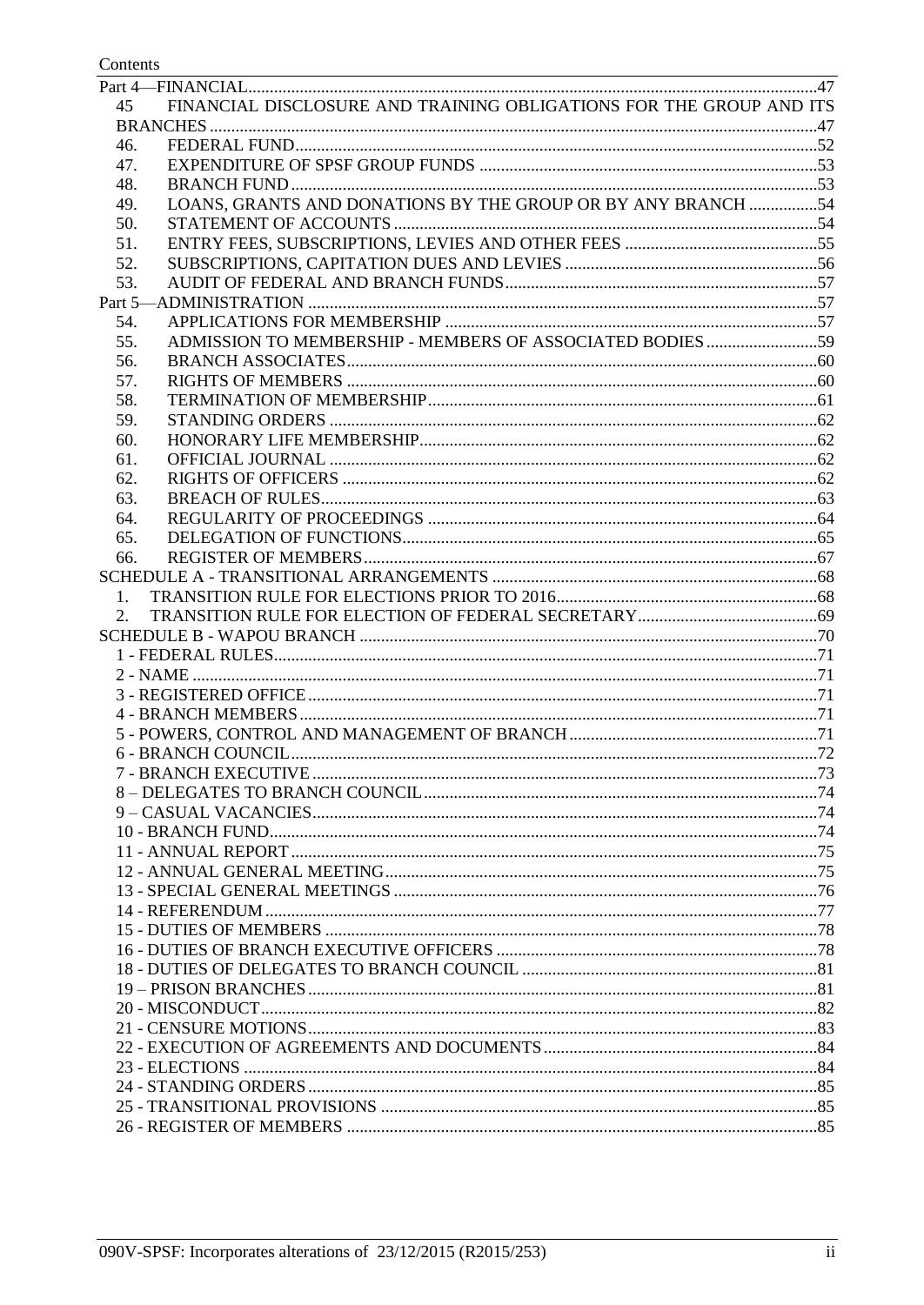## Contents

| FINANCIAL DISCLOSURE AND TRAINING OBLIGATIONS FOR THE GROUP AND ITS<br>45 |  |
|---------------------------------------------------------------------------|--|
|                                                                           |  |
| 46.                                                                       |  |
| 47.                                                                       |  |
| 48.                                                                       |  |
| LOANS, GRANTS AND DONATIONS BY THE GROUP OR BY ANY BRANCH 54<br>49.       |  |
| 50.                                                                       |  |
| 51.                                                                       |  |
| 52.                                                                       |  |
| 53.                                                                       |  |
|                                                                           |  |
| 54.                                                                       |  |
| ADMISSION TO MEMBERSHIP - MEMBERS OF ASSOCIATED BODIES 59<br>55.          |  |
| 56.                                                                       |  |
| 57.                                                                       |  |
| 58.                                                                       |  |
| 59.                                                                       |  |
| 60.                                                                       |  |
| 61.                                                                       |  |
| 62.                                                                       |  |
| 63.                                                                       |  |
| 64.                                                                       |  |
| 65.                                                                       |  |
| 66.                                                                       |  |
|                                                                           |  |
| 1.                                                                        |  |
| 2.                                                                        |  |
|                                                                           |  |
|                                                                           |  |
|                                                                           |  |
|                                                                           |  |
|                                                                           |  |
|                                                                           |  |
|                                                                           |  |
|                                                                           |  |
|                                                                           |  |
|                                                                           |  |
|                                                                           |  |
|                                                                           |  |
|                                                                           |  |
|                                                                           |  |
|                                                                           |  |
|                                                                           |  |
|                                                                           |  |
|                                                                           |  |
|                                                                           |  |
|                                                                           |  |
|                                                                           |  |
|                                                                           |  |
|                                                                           |  |
|                                                                           |  |
|                                                                           |  |
|                                                                           |  |
|                                                                           |  |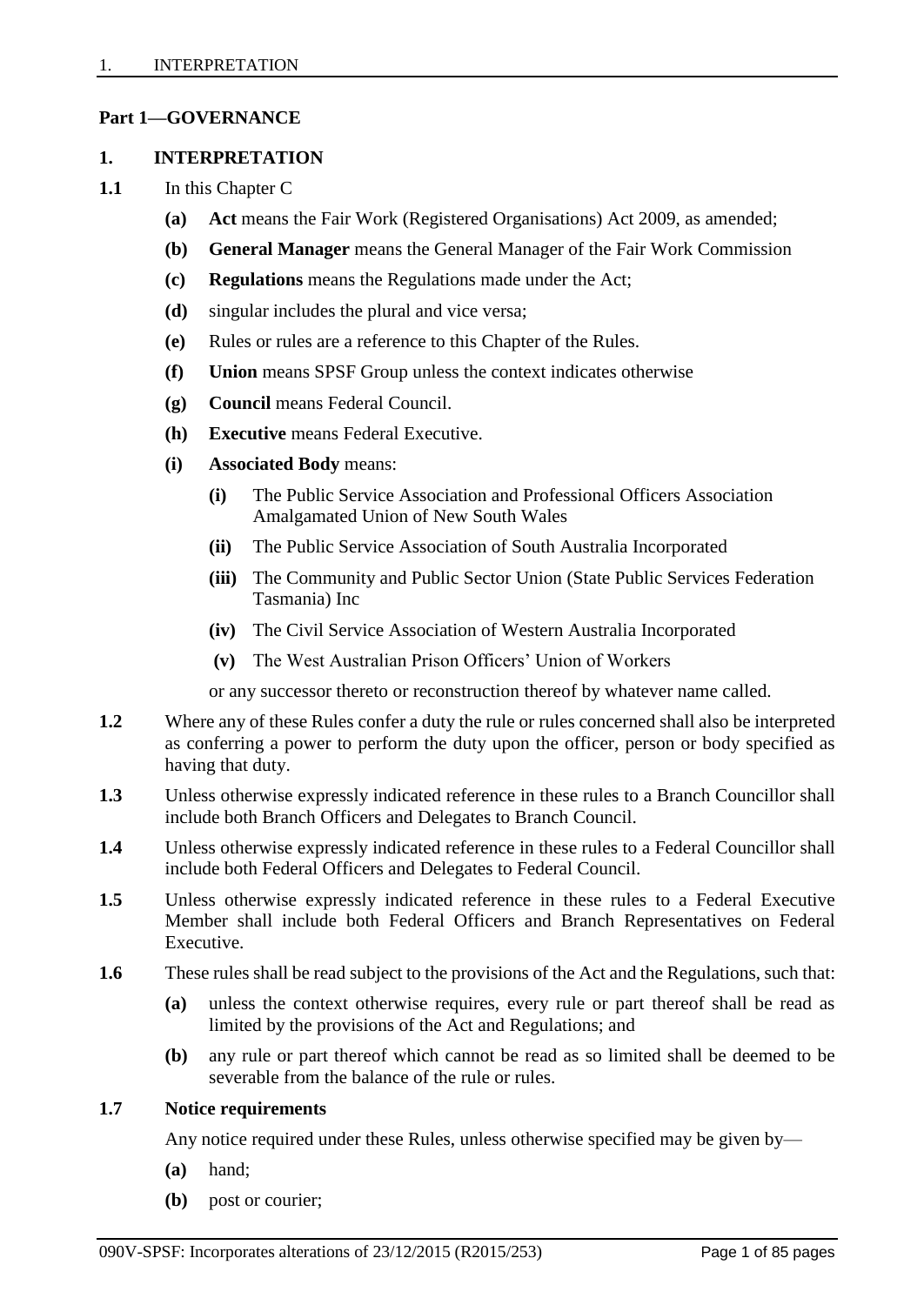## <span id="page-3-0"></span>**Part 1—GOVERNANCE**

#### <span id="page-3-1"></span>**1. INTERPRETATION**

- **1.1** In this Chapter C
	- **(a) Act** means the Fair Work (Registered Organisations) Act 2009, as amended;
	- **(b) General Manager** means the General Manager of the Fair Work Commission
	- **(c) Regulations** means the Regulations made under the Act;
	- **(d)** singular includes the plural and vice versa;
	- **(e)** Rules or rules are a reference to this Chapter of the Rules.
	- **(f) Union** means SPSF Group unless the context indicates otherwise
	- **(g) Council** means Federal Council.
	- **(h) Executive** means Federal Executive.
	- **(i) Associated Body** means:
		- **(i)** The Public Service Association and Professional Officers Association Amalgamated Union of New South Wales
		- **(ii)** The Public Service Association of South Australia Incorporated
		- **(iii)** The Community and Public Sector Union (State Public Services Federation Tasmania) Inc
		- **(iv)** The Civil Service Association of Western Australia Incorporated
		- **(v)** The West Australian Prison Officers' Union of Workers

or any successor thereto or reconstruction thereof by whatever name called.

- **1.2** Where any of these Rules confer a duty the rule or rules concerned shall also be interpreted as conferring a power to perform the duty upon the officer, person or body specified as having that duty.
- **1.3** Unless otherwise expressly indicated reference in these rules to a Branch Councillor shall include both Branch Officers and Delegates to Branch Council.
- **1.4** Unless otherwise expressly indicated reference in these rules to a Federal Councillor shall include both Federal Officers and Delegates to Federal Council.
- **1.5** Unless otherwise expressly indicated reference in these rules to a Federal Executive Member shall include both Federal Officers and Branch Representatives on Federal Executive.
- **1.6** These rules shall be read subject to the provisions of the Act and the Regulations, such that:
	- **(a)** unless the context otherwise requires, every rule or part thereof shall be read as limited by the provisions of the Act and Regulations; and
	- **(b)** any rule or part thereof which cannot be read as so limited shall be deemed to be severable from the balance of the rule or rules.

#### **1.7 Notice requirements**

Any notice required under these Rules, unless otherwise specified may be given by—

- **(a)** hand;
- **(b)** post or courier;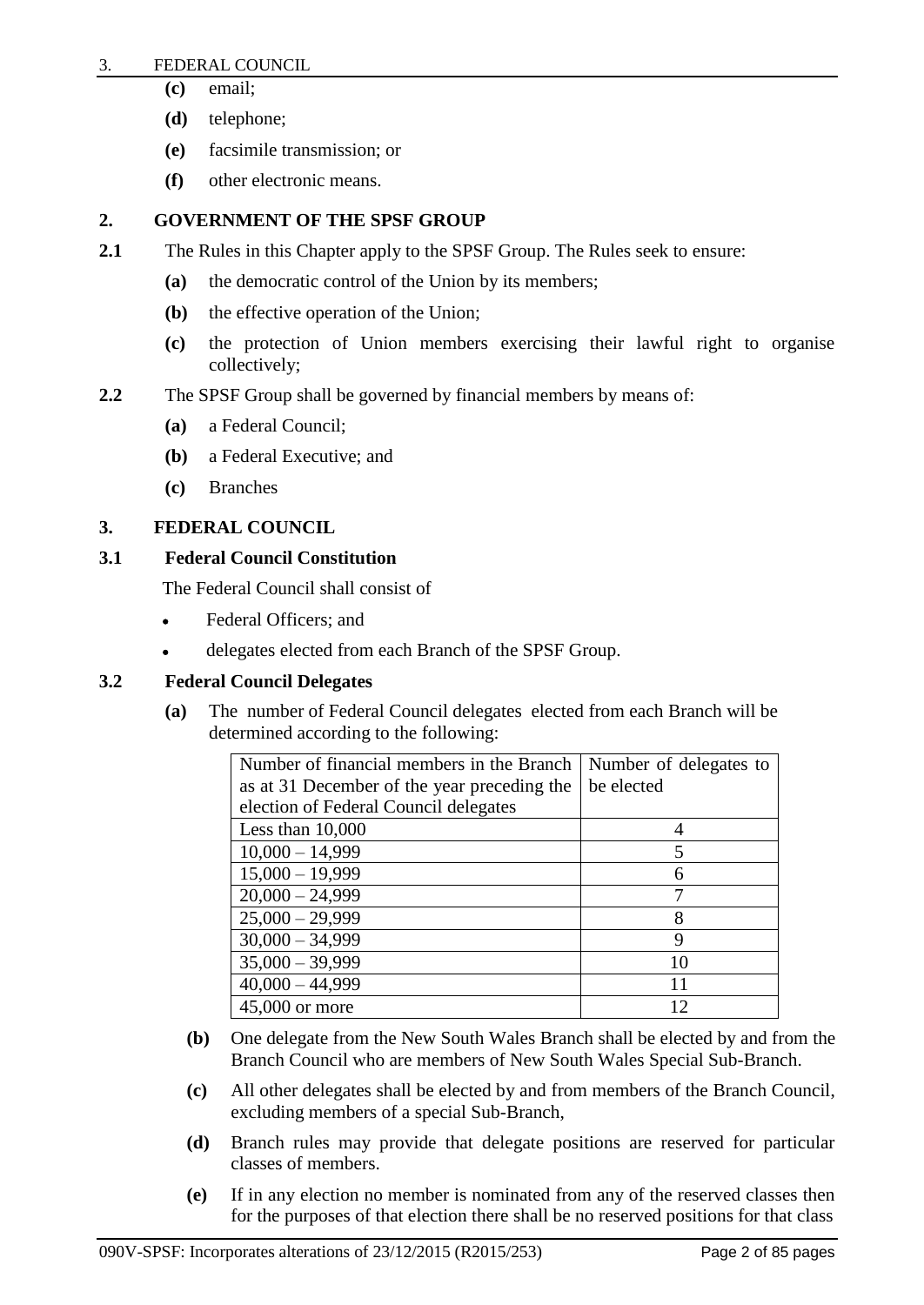#### 3. FEDERAL COUNCIL

- **(c)** email;
- **(d)** telephone;
- **(e)** facsimile transmission; or
- **(f)** other electronic means.

## <span id="page-4-0"></span>**2. GOVERNMENT OF THE SPSF GROUP**

- **2.1** The Rules in this Chapter apply to the SPSF Group. The Rules seek to ensure:
	- **(a)** the democratic control of the Union by its members;
	- **(b)** the effective operation of the Union;
	- **(c)** the protection of Union members exercising their lawful right to organise collectively;
- **2.2** The SPSF Group shall be governed by financial members by means of:
	- **(a)** a Federal Council;
	- **(b)** a Federal Executive; and
	- **(c)** Branches

## <span id="page-4-1"></span>**3. FEDERAL COUNCIL**

## **3.1 Federal Council Constitution**

The Federal Council shall consist of

- Federal Officers; and
- delegates elected from each Branch of the SPSF Group.

## **3.2 Federal Council Delegates**

**(a)** The number of Federal Council delegates elected from each Branch will be determined according to the following:

| Number of financial members in the Branch   | Number of delegates to |
|---------------------------------------------|------------------------|
| as at 31 December of the year preceding the | be elected             |
| election of Federal Council delegates       |                        |
| Less than $10,000$                          |                        |
| $10,000 - 14,999$                           | 5                      |
| $15,000 - 19,999$                           |                        |
| $20,000 - 24,999$                           |                        |
| $25,000 - 29,999$                           | 8                      |
| $30,000 - 34,999$                           | 9                      |
| $35,000 - 39,999$                           | 10                     |
| $40,000 - 44,999$                           | 11                     |
| 45,000 or more                              |                        |

- **(b)** One delegate from the New South Wales Branch shall be elected by and from the Branch Council who are members of New South Wales Special Sub-Branch.
- **(c)** All other delegates shall be elected by and from members of the Branch Council, excluding members of a special Sub-Branch,
- **(d)** Branch rules may provide that delegate positions are reserved for particular classes of members.
- **(e)** If in any election no member is nominated from any of the reserved classes then for the purposes of that election there shall be no reserved positions for that class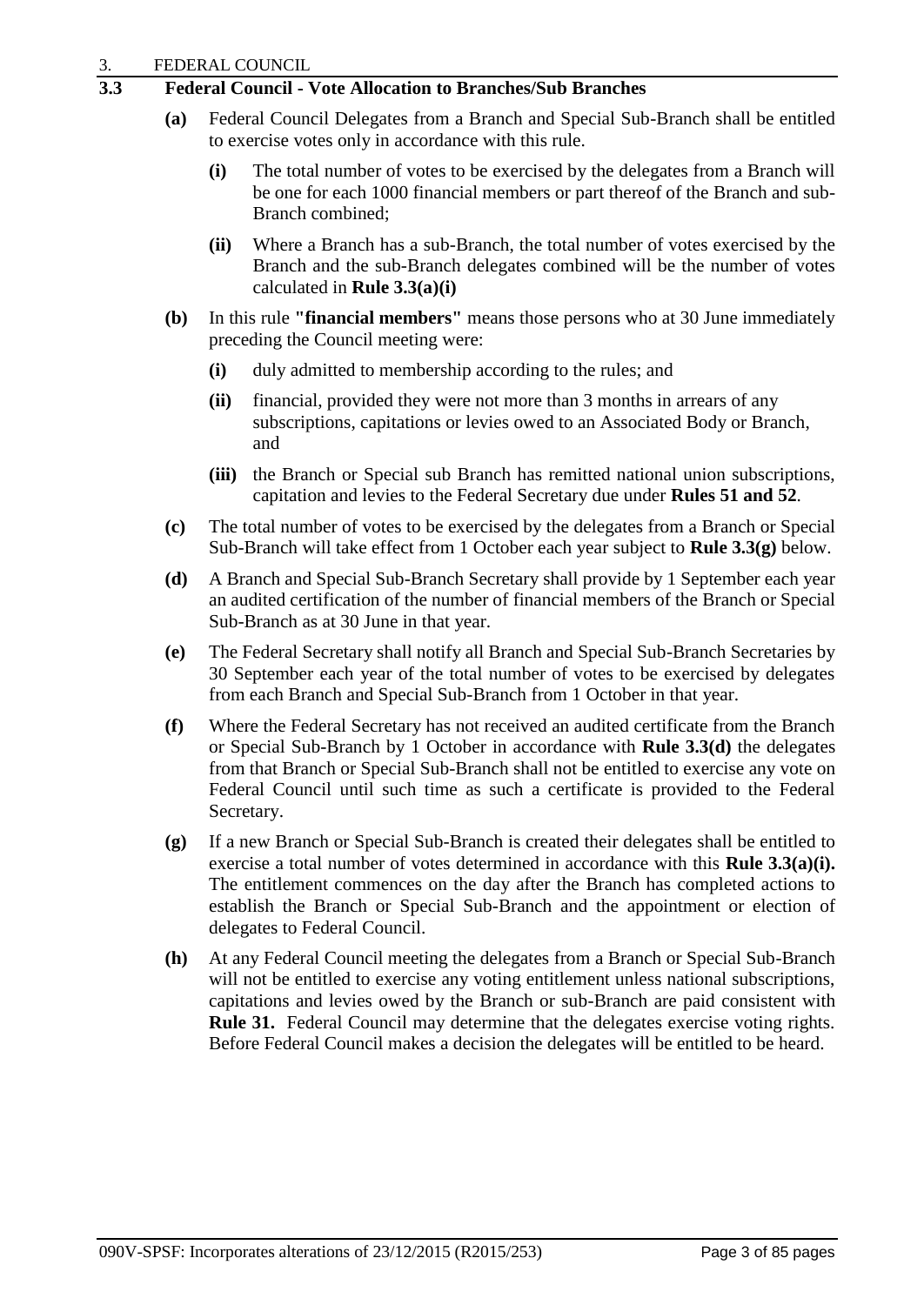## **3.3 Federal Council - Vote Allocation to Branches/Sub Branches**

- **(a)** Federal Council Delegates from a Branch and Special Sub-Branch shall be entitled to exercise votes only in accordance with this rule.
	- **(i)** The total number of votes to be exercised by the delegates from a Branch will be one for each 1000 financial members or part thereof of the Branch and sub-Branch combined;
	- **(ii)** Where a Branch has a sub-Branch, the total number of votes exercised by the Branch and the sub-Branch delegates combined will be the number of votes calculated in **Rule 3.3(a)(i)**
- **(b)** In this rule **"financial members"** means those persons who at 30 June immediately preceding the Council meeting were:
	- **(i)** duly admitted to membership according to the rules; and
	- **(ii)** financial, provided they were not more than 3 months in arrears of any subscriptions, capitations or levies owed to an Associated Body or Branch, and
	- **(iii)** the Branch or Special sub Branch has remitted national union subscriptions, capitation and levies to the Federal Secretary due under **Rules 51 and 52**.
- **(c)** The total number of votes to be exercised by the delegates from a Branch or Special Sub-Branch will take effect from 1 October each year subject to **Rule 3.3(g)** below.
- **(d)** A Branch and Special Sub-Branch Secretary shall provide by 1 September each year an audited certification of the number of financial members of the Branch or Special Sub-Branch as at 30 June in that year.
- **(e)** The Federal Secretary shall notify all Branch and Special Sub-Branch Secretaries by 30 September each year of the total number of votes to be exercised by delegates from each Branch and Special Sub-Branch from 1 October in that year.
- **(f)** Where the Federal Secretary has not received an audited certificate from the Branch or Special Sub-Branch by 1 October in accordance with **Rule 3.3(d)** the delegates from that Branch or Special Sub-Branch shall not be entitled to exercise any vote on Federal Council until such time as such a certificate is provided to the Federal Secretary.
- **(g)** If a new Branch or Special Sub-Branch is created their delegates shall be entitled to exercise a total number of votes determined in accordance with this **Rule 3.3(a)(i).** The entitlement commences on the day after the Branch has completed actions to establish the Branch or Special Sub-Branch and the appointment or election of delegates to Federal Council.
- **(h)** At any Federal Council meeting the delegates from a Branch or Special Sub-Branch will not be entitled to exercise any voting entitlement unless national subscriptions, capitations and levies owed by the Branch or sub-Branch are paid consistent with **Rule 31.** Federal Council may determine that the delegates exercise voting rights. Before Federal Council makes a decision the delegates will be entitled to be heard.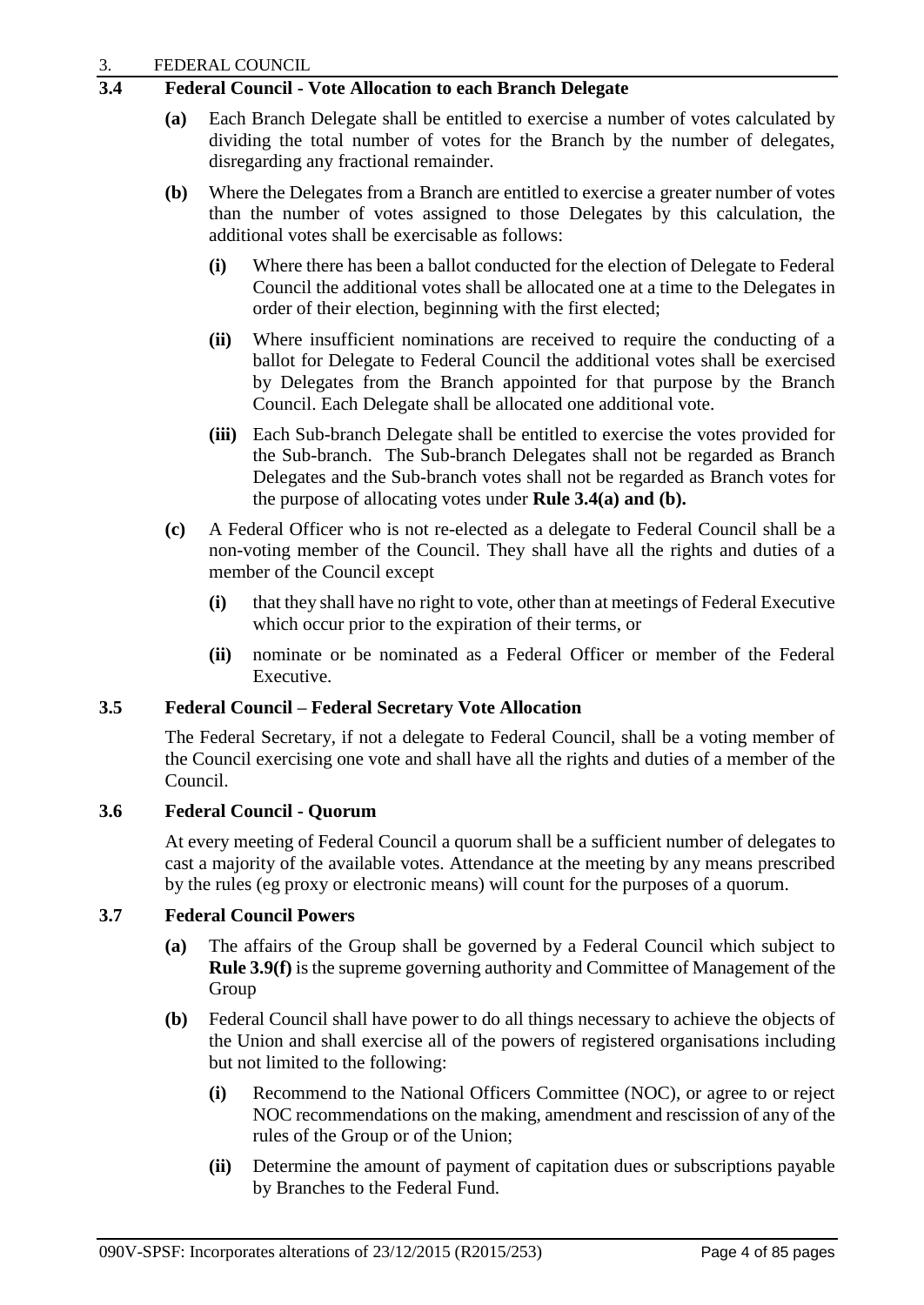## **3.4 Federal Council - Vote Allocation to each Branch Delegate**

- **(a)** Each Branch Delegate shall be entitled to exercise a number of votes calculated by dividing the total number of votes for the Branch by the number of delegates, disregarding any fractional remainder.
- **(b)** Where the Delegates from a Branch are entitled to exercise a greater number of votes than the number of votes assigned to those Delegates by this calculation, the additional votes shall be exercisable as follows:
	- **(i)** Where there has been a ballot conducted for the election of Delegate to Federal Council the additional votes shall be allocated one at a time to the Delegates in order of their election, beginning with the first elected;
	- **(ii)** Where insufficient nominations are received to require the conducting of a ballot for Delegate to Federal Council the additional votes shall be exercised by Delegates from the Branch appointed for that purpose by the Branch Council. Each Delegate shall be allocated one additional vote.
	- **(iii)** Each Sub-branch Delegate shall be entitled to exercise the votes provided for the Sub-branch. The Sub-branch Delegates shall not be regarded as Branch Delegates and the Sub-branch votes shall not be regarded as Branch votes for the purpose of allocating votes under **Rule 3.4(a) and (b).**
- **(c)** A Federal Officer who is not re-elected as a delegate to Federal Council shall be a non-voting member of the Council. They shall have all the rights and duties of a member of the Council except
	- **(i)** that they shall have no right to vote, other than at meetings of Federal Executive which occur prior to the expiration of their terms, or
	- **(ii)** nominate or be nominated as a Federal Officer or member of the Federal Executive.

## **3.5 Federal Council – Federal Secretary Vote Allocation**

The Federal Secretary, if not a delegate to Federal Council, shall be a voting member of the Council exercising one vote and shall have all the rights and duties of a member of the Council.

## **3.6 Federal Council - Quorum**

At every meeting of Federal Council a quorum shall be a sufficient number of delegates to cast a majority of the available votes. Attendance at the meeting by any means prescribed by the rules (eg proxy or electronic means) will count for the purposes of a quorum.

## **3.7 Federal Council Powers**

- **(a)** The affairs of the Group shall be governed by a Federal Council which subject to **Rule 3.9(f)** is the supreme governing authority and Committee of Management of the Group
- **(b)** Federal Council shall have power to do all things necessary to achieve the objects of the Union and shall exercise all of the powers of registered organisations including but not limited to the following:
	- **(i)** Recommend to the National Officers Committee (NOC), or agree to or reject NOC recommendations on the making, amendment and rescission of any of the rules of the Group or of the Union;
	- **(ii)** Determine the amount of payment of capitation dues or subscriptions payable by Branches to the Federal Fund.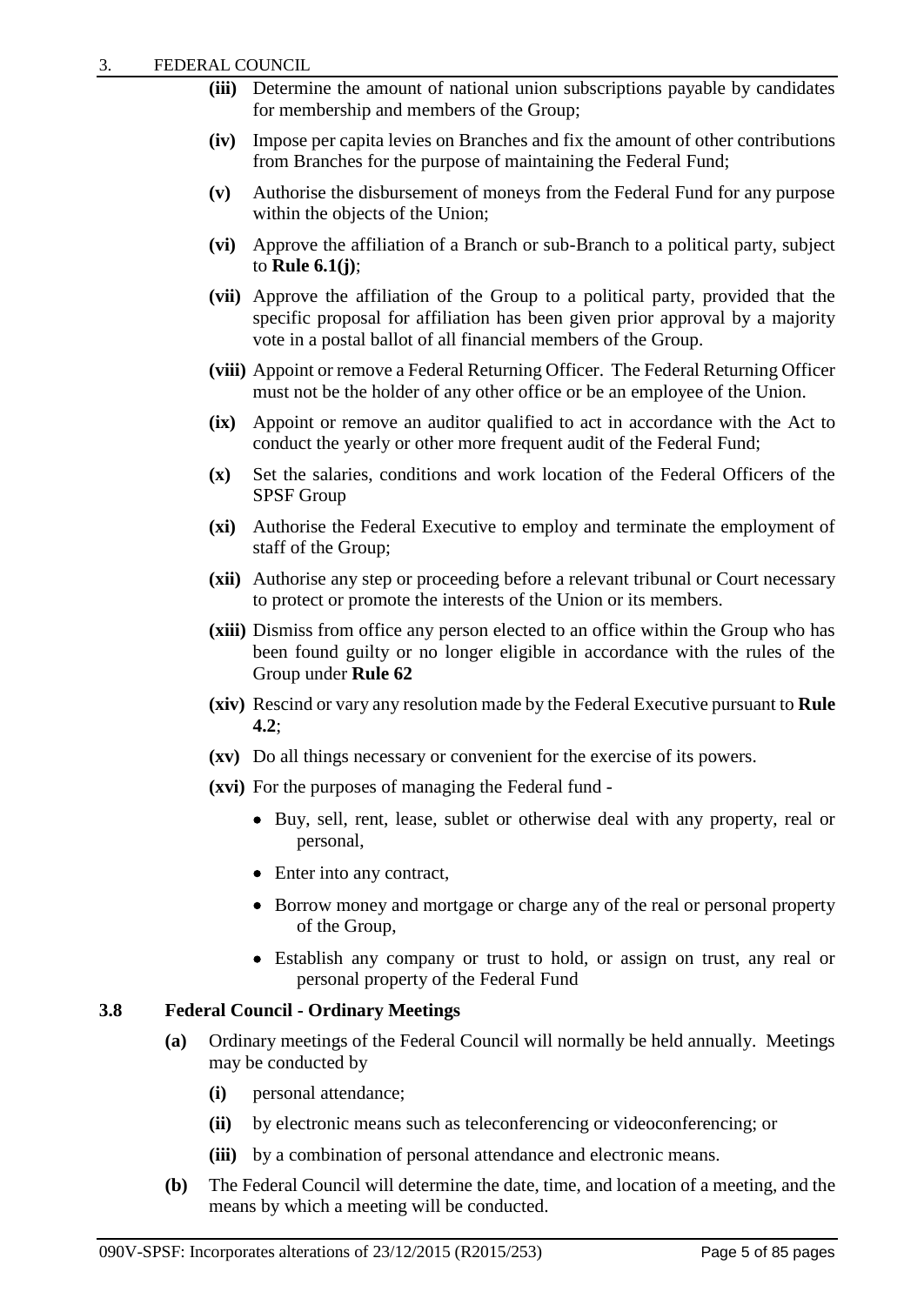- **(iii)** Determine the amount of national union subscriptions payable by candidates for membership and members of the Group;
- **(iv)** Impose per capita levies on Branches and fix the amount of other contributions from Branches for the purpose of maintaining the Federal Fund;
- **(v)** Authorise the disbursement of moneys from the Federal Fund for any purpose within the objects of the Union;
- **(vi)** Approve the affiliation of a Branch or sub-Branch to a political party, subject to **Rule 6.1(j)**;
- **(vii)** Approve the affiliation of the Group to a political party, provided that the specific proposal for affiliation has been given prior approval by a majority vote in a postal ballot of all financial members of the Group.
- **(viii)** Appoint or remove a Federal Returning Officer. The Federal Returning Officer must not be the holder of any other office or be an employee of the Union.
- **(ix)** Appoint or remove an auditor qualified to act in accordance with the Act to conduct the yearly or other more frequent audit of the Federal Fund;
- **(x)** Set the salaries, conditions and work location of the Federal Officers of the SPSF Group
- **(xi)** Authorise the Federal Executive to employ and terminate the employment of staff of the Group;
- **(xii)** Authorise any step or proceeding before a relevant tribunal or Court necessary to protect or promote the interests of the Union or its members.
- **(xiii)** Dismiss from office any person elected to an office within the Group who has been found guilty or no longer eligible in accordance with the rules of the Group under **Rule 62**
- **(xiv)** Rescind or vary any resolution made by the Federal Executive pursuant to **Rule 4.2**;
- **(xv)** Do all things necessary or convenient for the exercise of its powers.
- **(xvi)** For the purposes of managing the Federal fund
	- Buy, sell, rent, lease, sublet or otherwise deal with any property, real or personal,
	- Enter into any contract,
	- Borrow money and mortgage or charge any of the real or personal property of the Group,
	- Establish any company or trust to hold, or assign on trust, any real or personal property of the Federal Fund

## **3.8 Federal Council - Ordinary Meetings**

- **(a)** Ordinary meetings of the Federal Council will normally be held annually. Meetings may be conducted by
	- **(i)** personal attendance;
	- **(ii)** by electronic means such as teleconferencing or videoconferencing; or
	- **(iii)** by a combination of personal attendance and electronic means.
- **(b)** The Federal Council will determine the date, time, and location of a meeting, and the means by which a meeting will be conducted.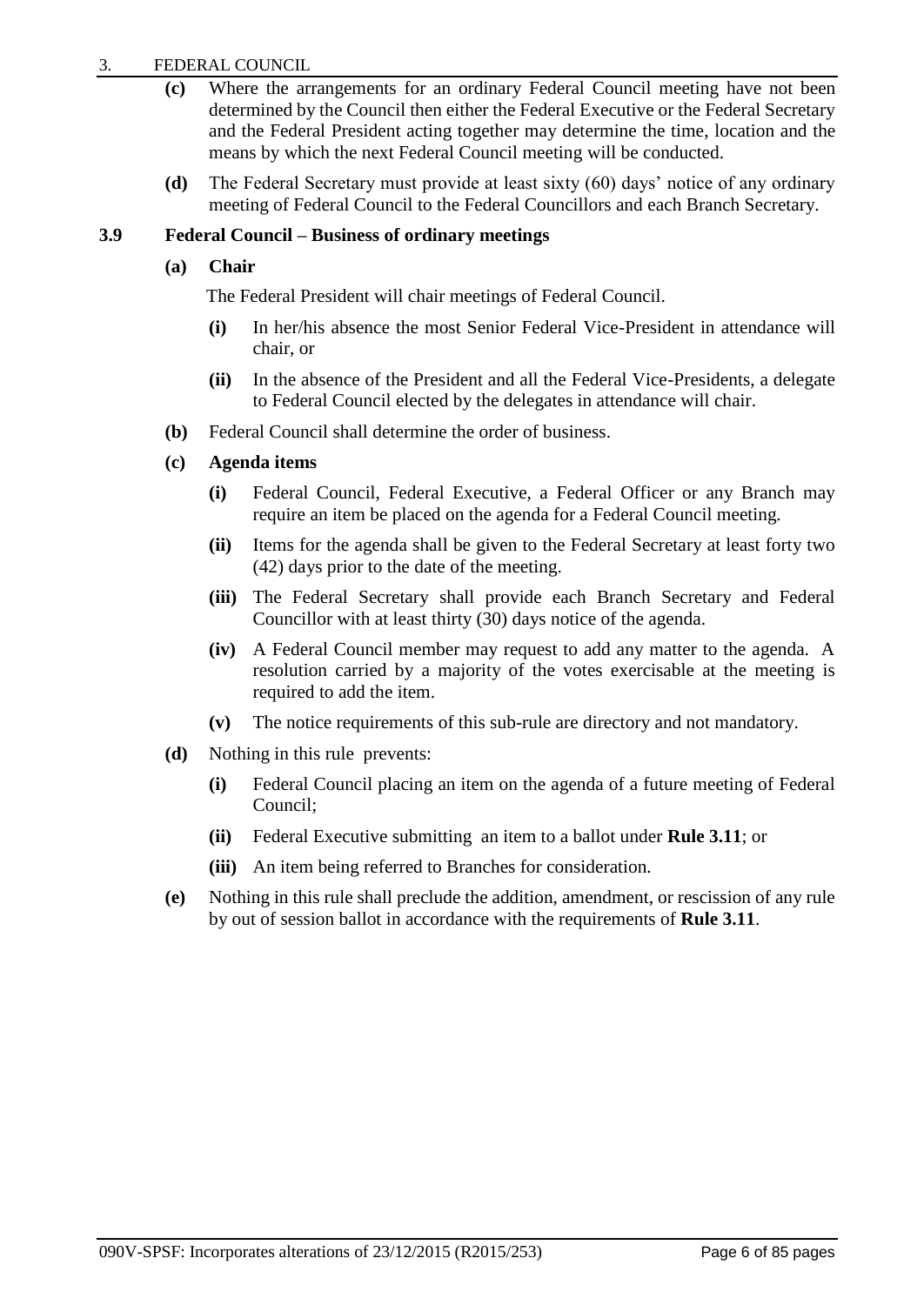#### 3. FEDERAL COUNCIL

- **(c)** Where the arrangements for an ordinary Federal Council meeting have not been determined by the Council then either the Federal Executive or the Federal Secretary and the Federal President acting together may determine the time, location and the means by which the next Federal Council meeting will be conducted.
- **(d)** The Federal Secretary must provide at least sixty (60) days' notice of any ordinary meeting of Federal Council to the Federal Councillors and each Branch Secretary.

#### **3.9 Federal Council – Business of ordinary meetings**

#### **(a) Chair**

The Federal President will chair meetings of Federal Council.

- **(i)** In her/his absence the most Senior Federal Vice-President in attendance will chair, or
- **(ii)** In the absence of the President and all the Federal Vice-Presidents, a delegate to Federal Council elected by the delegates in attendance will chair.
- **(b)** Federal Council shall determine the order of business.

## **(c) Agenda items**

- **(i)** Federal Council, Federal Executive, a Federal Officer or any Branch may require an item be placed on the agenda for a Federal Council meeting.
- **(ii)** Items for the agenda shall be given to the Federal Secretary at least forty two (42) days prior to the date of the meeting.
- **(iii)** The Federal Secretary shall provide each Branch Secretary and Federal Councillor with at least thirty (30) days notice of the agenda.
- **(iv)** A Federal Council member may request to add any matter to the agenda. A resolution carried by a majority of the votes exercisable at the meeting is required to add the item.
- **(v)** The notice requirements of this sub-rule are directory and not mandatory.
- **(d)** Nothing in this rule prevents:
	- **(i)** Federal Council placing an item on the agenda of a future meeting of Federal Council;
	- **(ii)** Federal Executive submitting an item to a ballot under **Rule 3.11**; or
	- **(iii)** An item being referred to Branches for consideration.
- **(e)** Nothing in this rule shall preclude the addition, amendment, or rescission of any rule by out of session ballot in accordance with the requirements of **Rule 3.11**.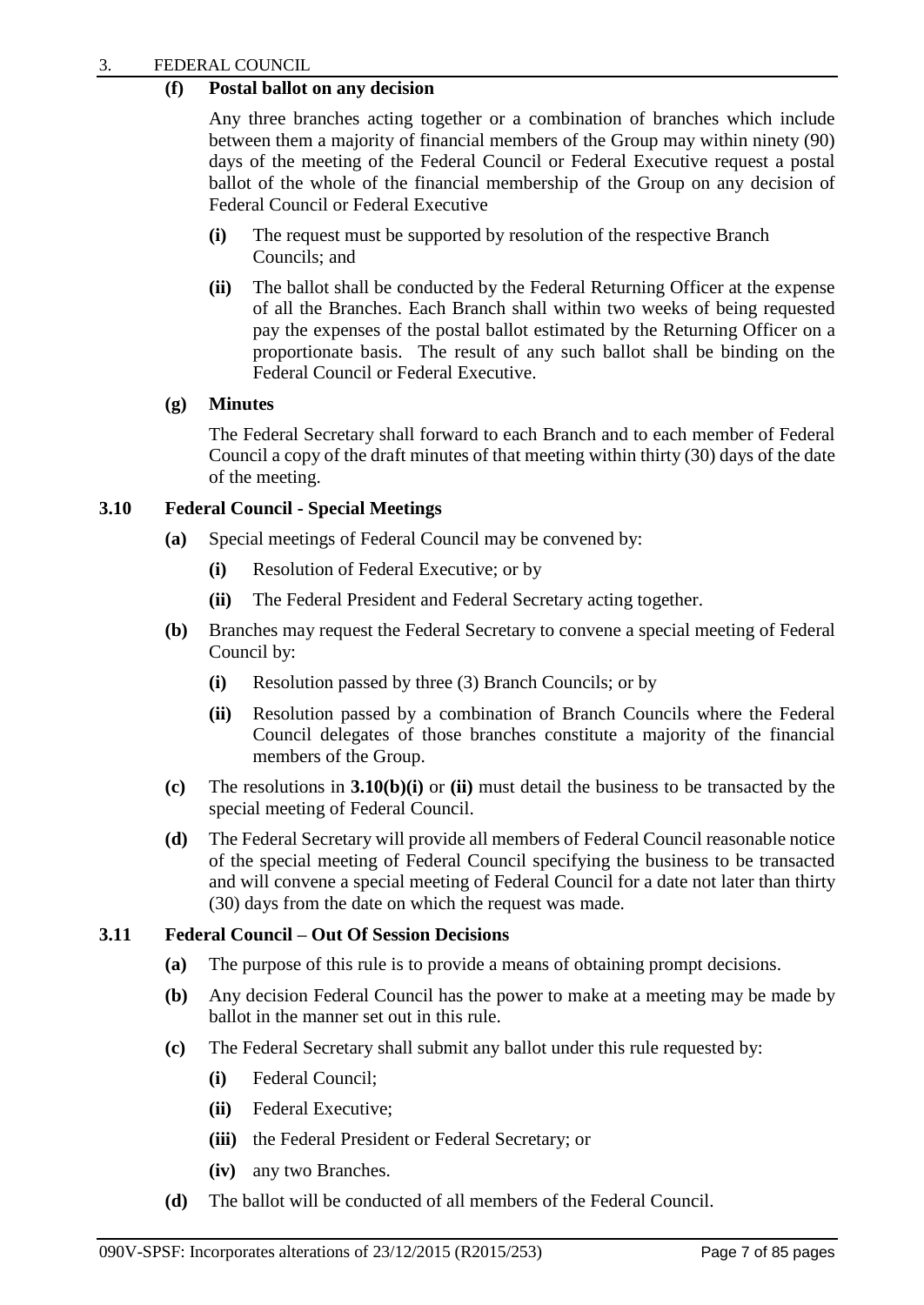## **(f) Postal ballot on any decision**

Any three branches acting together or a combination of branches which include between them a majority of financial members of the Group may within ninety (90) days of the meeting of the Federal Council or Federal Executive request a postal ballot of the whole of the financial membership of the Group on any decision of Federal Council or Federal Executive

- **(i)** The request must be supported by resolution of the respective Branch Councils; and
- **(ii)** The ballot shall be conducted by the Federal Returning Officer at the expense of all the Branches. Each Branch shall within two weeks of being requested pay the expenses of the postal ballot estimated by the Returning Officer on a proportionate basis. The result of any such ballot shall be binding on the Federal Council or Federal Executive.

## **(g) Minutes**

The Federal Secretary shall forward to each Branch and to each member of Federal Council a copy of the draft minutes of that meeting within thirty (30) days of the date of the meeting.

## **3.10 Federal Council - Special Meetings**

- **(a)** Special meetings of Federal Council may be convened by:
	- **(i)** Resolution of Federal Executive; or by
	- **(ii)** The Federal President and Federal Secretary acting together.
- **(b)** Branches may request the Federal Secretary to convene a special meeting of Federal Council by:
	- **(i)** Resolution passed by three (3) Branch Councils; or by
	- **(ii)** Resolution passed by a combination of Branch Councils where the Federal Council delegates of those branches constitute a majority of the financial members of the Group.
- **(c)** The resolutions in **3.10(b)(i)** or **(ii)** must detail the business to be transacted by the special meeting of Federal Council.
- **(d)** The Federal Secretary will provide all members of Federal Council reasonable notice of the special meeting of Federal Council specifying the business to be transacted and will convene a special meeting of Federal Council for a date not later than thirty (30) days from the date on which the request was made.

## **3.11 Federal Council – Out Of Session Decisions**

- **(a)** The purpose of this rule is to provide a means of obtaining prompt decisions.
- **(b)** Any decision Federal Council has the power to make at a meeting may be made by ballot in the manner set out in this rule.
- **(c)** The Federal Secretary shall submit any ballot under this rule requested by:
	- **(i)** Federal Council;
	- **(ii)** Federal Executive;
	- **(iii)** the Federal President or Federal Secretary; or
	- **(iv)** any two Branches.
- **(d)** The ballot will be conducted of all members of the Federal Council.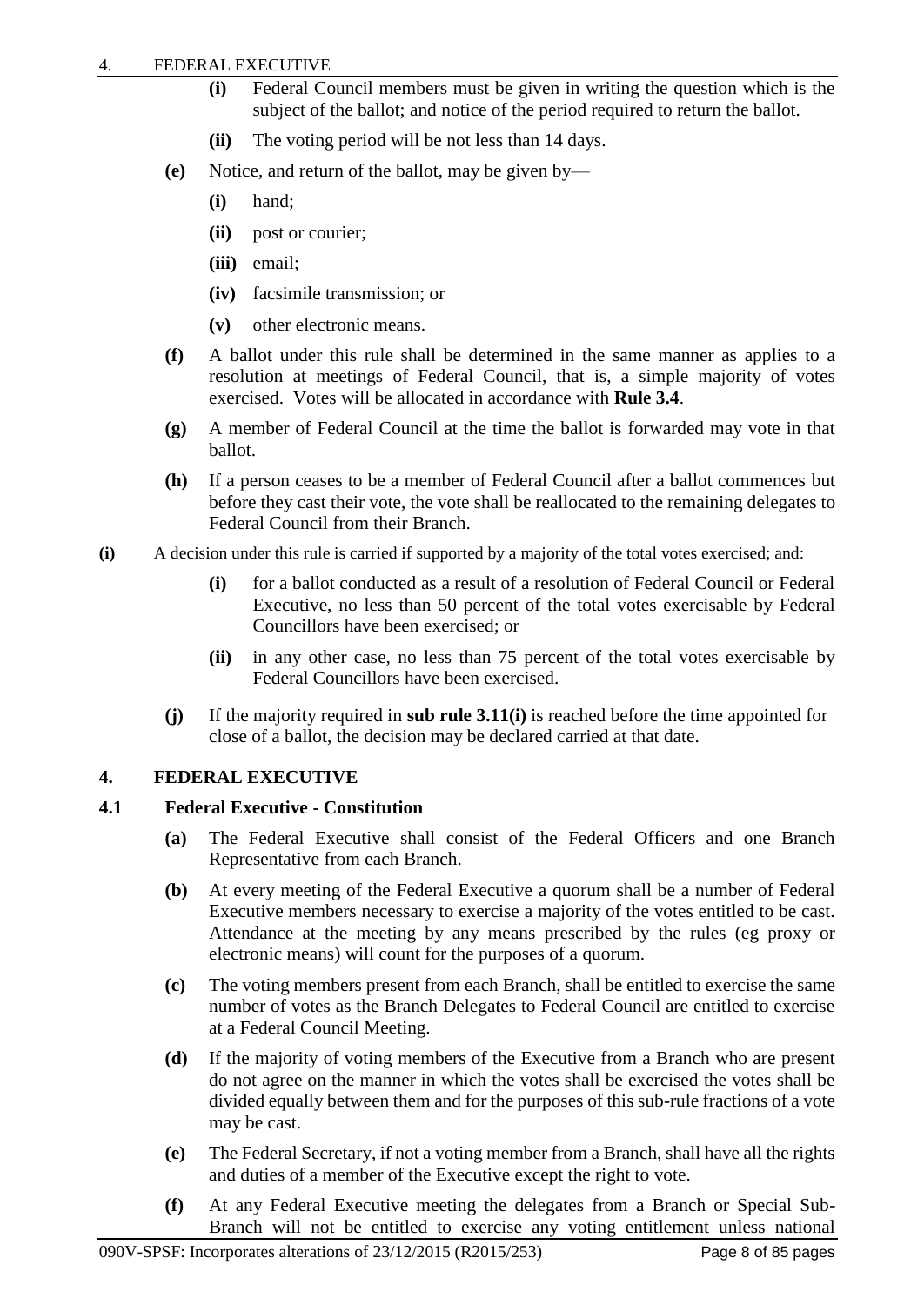- **(i)** Federal Council members must be given in writing the question which is the subject of the ballot; and notice of the period required to return the ballot.
- **(ii)** The voting period will be not less than 14 days.
- **(e)** Notice, and return of the ballot, may be given by—
	- **(i)** hand;
	- **(ii)** post or courier;
	- **(iii)** email;
	- **(iv)** facsimile transmission; or
	- **(v)** other electronic means.
- **(f)** A ballot under this rule shall be determined in the same manner as applies to a resolution at meetings of Federal Council, that is, a simple majority of votes exercised. Votes will be allocated in accordance with **Rule 3.4**.
- **(g)** A member of Federal Council at the time the ballot is forwarded may vote in that ballot.
- **(h)** If a person ceases to be a member of Federal Council after a ballot commences but before they cast their vote, the vote shall be reallocated to the remaining delegates to Federal Council from their Branch.
- **(i)** A decision under this rule is carried if supported by a majority of the total votes exercised; and:
	- **(i)** for a ballot conducted as a result of a resolution of Federal Council or Federal Executive, no less than 50 percent of the total votes exercisable by Federal Councillors have been exercised; or
	- **(ii)** in any other case, no less than 75 percent of the total votes exercisable by Federal Councillors have been exercised.
	- **(j)** If the majority required in **sub rule 3.11(i)** is reached before the time appointed for close of a ballot, the decision may be declared carried at that date.

## <span id="page-10-0"></span>**4. FEDERAL EXECUTIVE**

## **4.1 Federal Executive - Constitution**

- **(a)** The Federal Executive shall consist of the Federal Officers and one Branch Representative from each Branch.
- **(b)** At every meeting of the Federal Executive a quorum shall be a number of Federal Executive members necessary to exercise a majority of the votes entitled to be cast. Attendance at the meeting by any means prescribed by the rules (eg proxy or electronic means) will count for the purposes of a quorum.
- **(c)** The voting members present from each Branch, shall be entitled to exercise the same number of votes as the Branch Delegates to Federal Council are entitled to exercise at a Federal Council Meeting.
- **(d)** If the majority of voting members of the Executive from a Branch who are present do not agree on the manner in which the votes shall be exercised the votes shall be divided equally between them and for the purposes of this sub-rule fractions of a vote may be cast.
- **(e)** The Federal Secretary, if not a voting member from a Branch, shall have all the rights and duties of a member of the Executive except the right to vote.
- **(f)** At any Federal Executive meeting the delegates from a Branch or Special Sub-Branch will not be entitled to exercise any voting entitlement unless national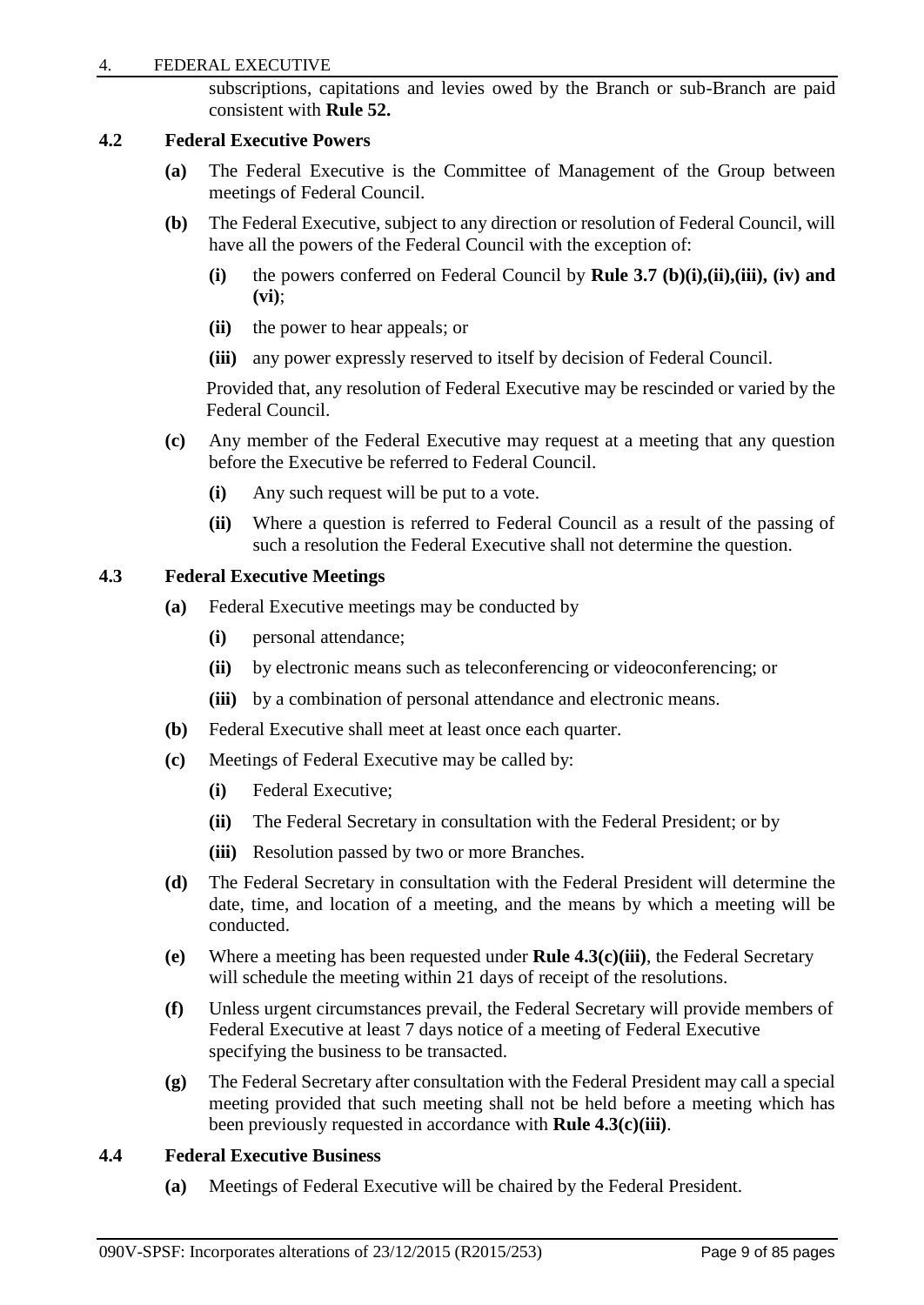#### 4. FEDERAL EXECUTIVE

subscriptions, capitations and levies owed by the Branch or sub-Branch are paid consistent with **Rule 52.**

#### **4.2 Federal Executive Powers**

- **(a)** The Federal Executive is the Committee of Management of the Group between meetings of Federal Council.
- **(b)** The Federal Executive, subject to any direction or resolution of Federal Council, will have all the powers of the Federal Council with the exception of:
	- **(i)** the powers conferred on Federal Council by **Rule 3.7 (b)(i),(ii),(iii), (iv) and (vi)**;
	- **(ii)** the power to hear appeals; or
	- **(iii)** any power expressly reserved to itself by decision of Federal Council.

Provided that, any resolution of Federal Executive may be rescinded or varied by the Federal Council.

- **(c)** Any member of the Federal Executive may request at a meeting that any question before the Executive be referred to Federal Council.
	- **(i)** Any such request will be put to a vote.
	- **(ii)** Where a question is referred to Federal Council as a result of the passing of such a resolution the Federal Executive shall not determine the question.

## **4.3 Federal Executive Meetings**

- **(a)** Federal Executive meetings may be conducted by
	- **(i)** personal attendance;
	- **(ii)** by electronic means such as teleconferencing or videoconferencing; or
	- **(iii)** by a combination of personal attendance and electronic means.
- **(b)** Federal Executive shall meet at least once each quarter.
- **(c)** Meetings of Federal Executive may be called by:
	- **(i)** Federal Executive;
	- **(ii)** The Federal Secretary in consultation with the Federal President; or by
	- **(iii)** Resolution passed by two or more Branches.
- **(d)** The Federal Secretary in consultation with the Federal President will determine the date, time, and location of a meeting, and the means by which a meeting will be conducted.
- **(e)** Where a meeting has been requested under **Rule 4.3(c)(iii)**, the Federal Secretary will schedule the meeting within 21 days of receipt of the resolutions.
- **(f)** Unless urgent circumstances prevail, the Federal Secretary will provide members of Federal Executive at least 7 days notice of a meeting of Federal Executive specifying the business to be transacted.
- **(g)** The Federal Secretary after consultation with the Federal President may call a special meeting provided that such meeting shall not be held before a meeting which has been previously requested in accordance with **Rule 4.3(c)(iii)**.

## **4.4 Federal Executive Business**

**(a)** Meetings of Federal Executive will be chaired by the Federal President.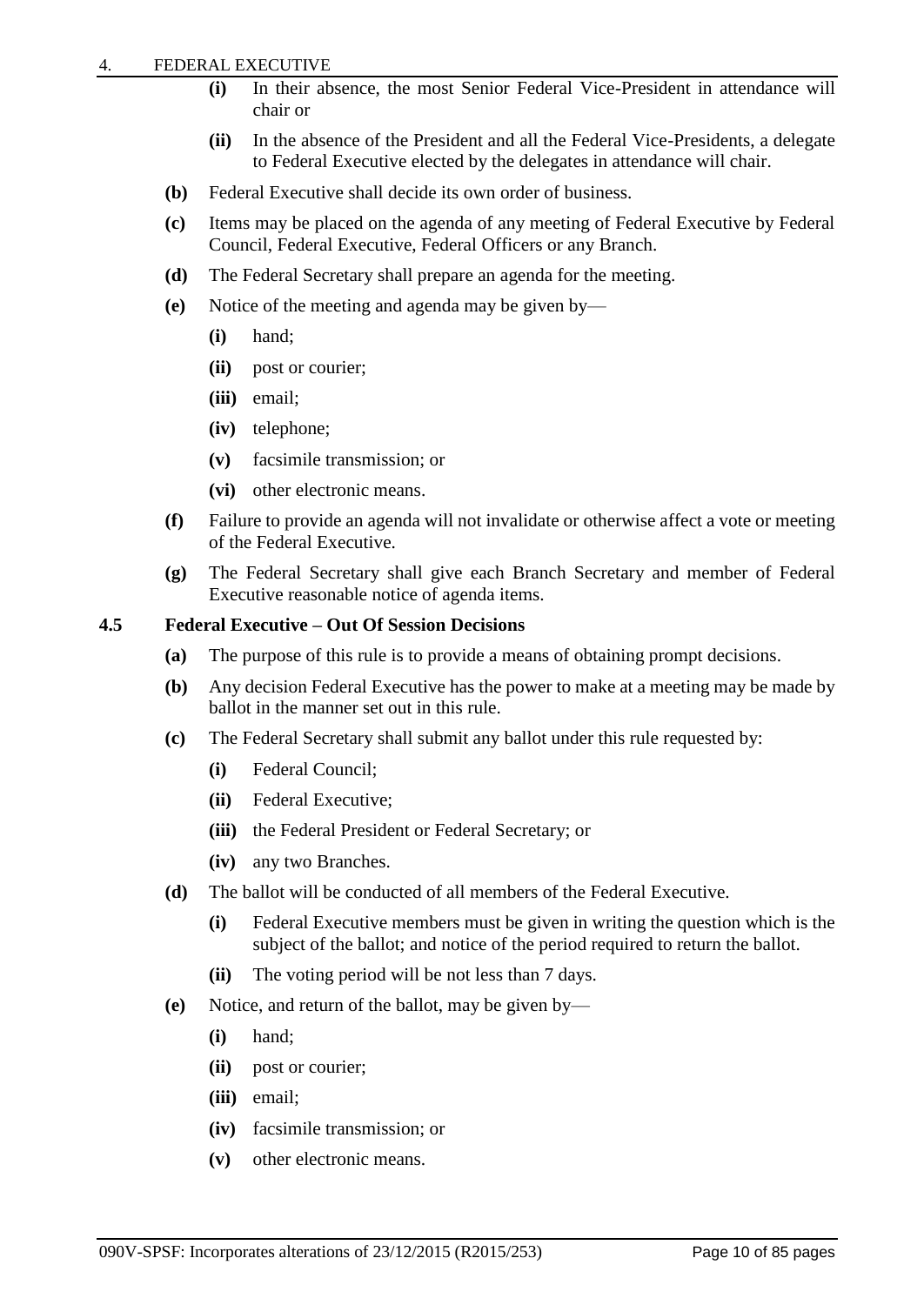- **(i)** In their absence, the most Senior Federal Vice-President in attendance will chair or
- **(ii)** In the absence of the President and all the Federal Vice-Presidents, a delegate to Federal Executive elected by the delegates in attendance will chair.
- **(b)** Federal Executive shall decide its own order of business.
- **(c)** Items may be placed on the agenda of any meeting of Federal Executive by Federal Council, Federal Executive, Federal Officers or any Branch.
- **(d)** The Federal Secretary shall prepare an agenda for the meeting.
- **(e)** Notice of the meeting and agenda may be given by—
	- **(i)** hand;
	- **(ii)** post or courier;
	- **(iii)** email;
	- **(iv)** telephone;
	- **(v)** facsimile transmission; or
	- **(vi)** other electronic means.
- **(f)** Failure to provide an agenda will not invalidate or otherwise affect a vote or meeting of the Federal Executive.
- **(g)** The Federal Secretary shall give each Branch Secretary and member of Federal Executive reasonable notice of agenda items.

**4.5 Federal Executive – Out Of Session Decisions**

- **(a)** The purpose of this rule is to provide a means of obtaining prompt decisions.
- **(b)** Any decision Federal Executive has the power to make at a meeting may be made by ballot in the manner set out in this rule.
- **(c)** The Federal Secretary shall submit any ballot under this rule requested by:
	- **(i)** Federal Council;
	- **(ii)** Federal Executive;
	- **(iii)** the Federal President or Federal Secretary; or
	- **(iv)** any two Branches.
- **(d)** The ballot will be conducted of all members of the Federal Executive.
	- **(i)** Federal Executive members must be given in writing the question which is the subject of the ballot; and notice of the period required to return the ballot.
	- **(ii)** The voting period will be not less than 7 days.
- **(e)** Notice, and return of the ballot, may be given by—
	- **(i)** hand;
	- **(ii)** post or courier;
	- **(iii)** email;
	- **(iv)** facsimile transmission; or
	- **(v)** other electronic means.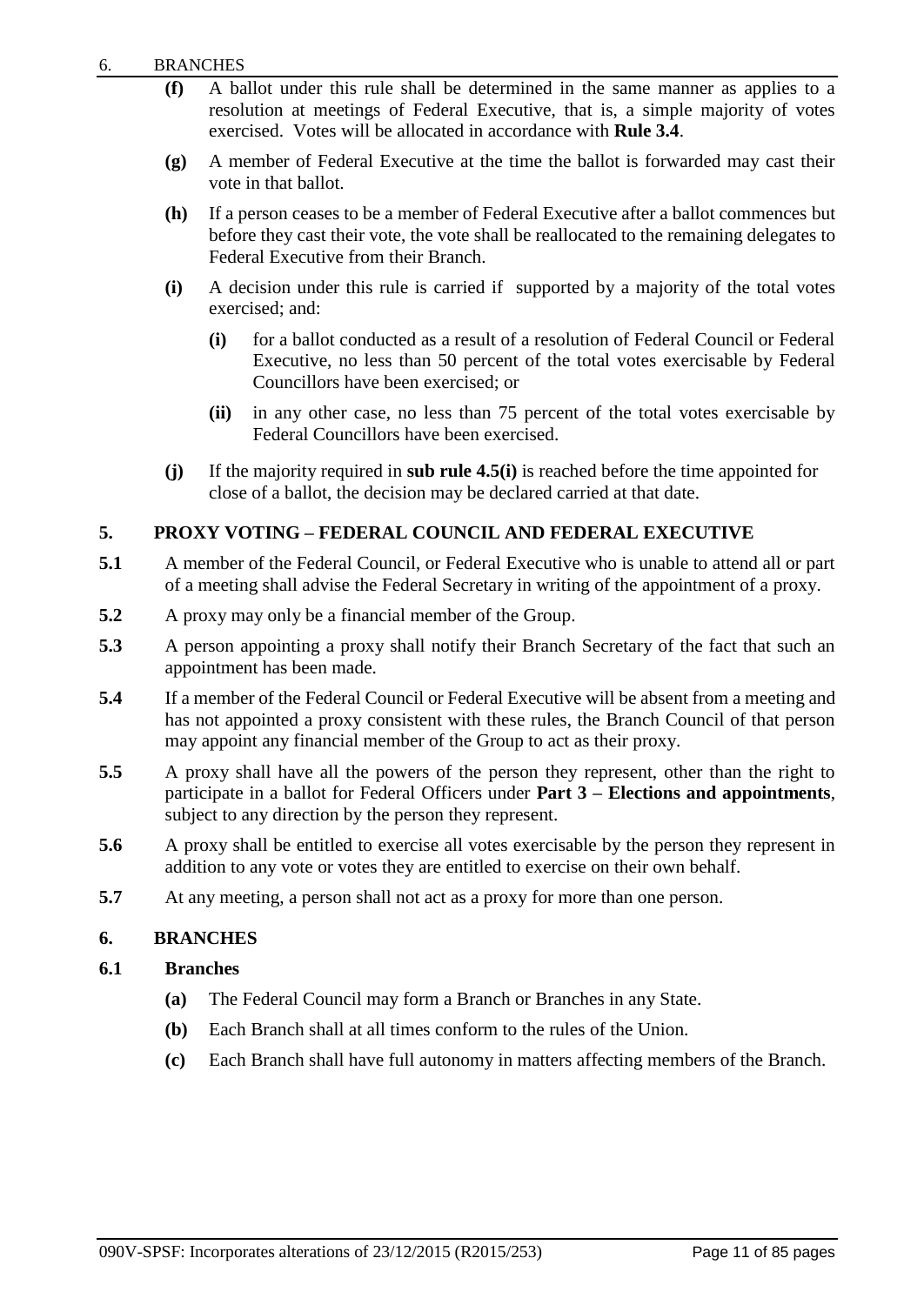- **(f)** A ballot under this rule shall be determined in the same manner as applies to a resolution at meetings of Federal Executive, that is, a simple majority of votes exercised. Votes will be allocated in accordance with **Rule 3.4**.
- **(g)** A member of Federal Executive at the time the ballot is forwarded may cast their vote in that ballot.
- **(h)** If a person ceases to be a member of Federal Executive after a ballot commences but before they cast their vote, the vote shall be reallocated to the remaining delegates to Federal Executive from their Branch.
- **(i)** A decision under this rule is carried if supported by a majority of the total votes exercised; and:
	- **(i)** for a ballot conducted as a result of a resolution of Federal Council or Federal Executive, no less than 50 percent of the total votes exercisable by Federal Councillors have been exercised; or
	- **(ii)** in any other case, no less than 75 percent of the total votes exercisable by Federal Councillors have been exercised.
- **(j)** If the majority required in **sub rule 4.5(i)** is reached before the time appointed for close of a ballot, the decision may be declared carried at that date.

## <span id="page-13-0"></span>**5. PROXY VOTING – FEDERAL COUNCIL AND FEDERAL EXECUTIVE**

- **5.1** A member of the Federal Council, or Federal Executive who is unable to attend all or part of a meeting shall advise the Federal Secretary in writing of the appointment of a proxy.
- **5.2** A proxy may only be a financial member of the Group.
- **5.3** A person appointing a proxy shall notify their Branch Secretary of the fact that such an appointment has been made.
- **5.4** If a member of the Federal Council or Federal Executive will be absent from a meeting and has not appointed a proxy consistent with these rules, the Branch Council of that person may appoint any financial member of the Group to act as their proxy.
- **5.5** A proxy shall have all the powers of the person they represent, other than the right to participate in a ballot for Federal Officers under **Part 3 – Elections and appointments**, subject to any direction by the person they represent.
- 5.6 A proxy shall be entitled to exercise all votes exercisable by the person they represent in addition to any vote or votes they are entitled to exercise on their own behalf.
- **5.7** At any meeting, a person shall not act as a proxy for more than one person.

#### <span id="page-13-1"></span>**6. BRANCHES**

## **6.1 Branches**

- **(a)** The Federal Council may form a Branch or Branches in any State.
- **(b)** Each Branch shall at all times conform to the rules of the Union.
- **(c)** Each Branch shall have full autonomy in matters affecting members of the Branch.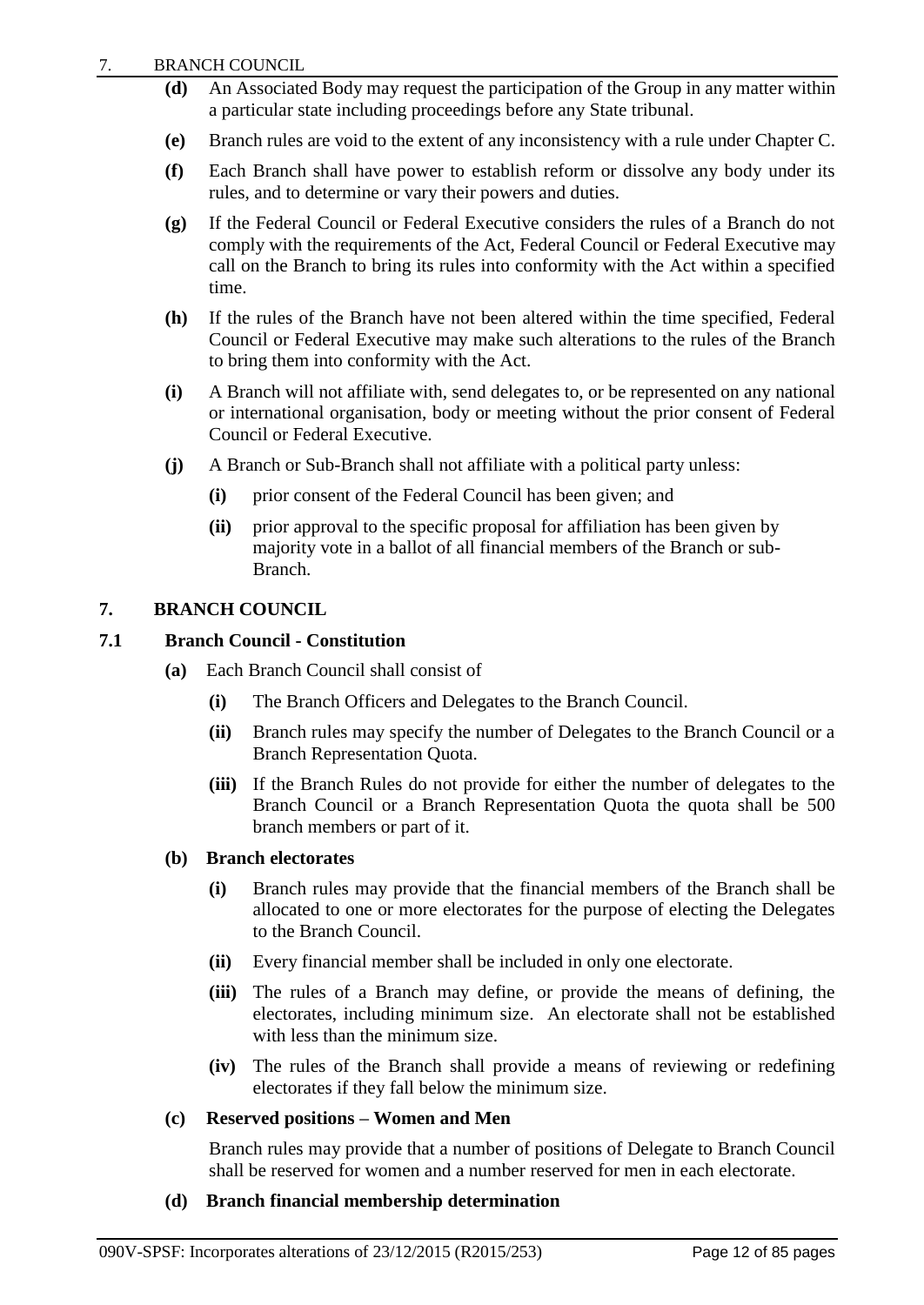- **(d)** An Associated Body may request the participation of the Group in any matter within a particular state including proceedings before any State tribunal.
- **(e)** Branch rules are void to the extent of any inconsistency with a rule under Chapter C.
- **(f)** Each Branch shall have power to establish reform or dissolve any body under its rules, and to determine or vary their powers and duties.
- **(g)** If the Federal Council or Federal Executive considers the rules of a Branch do not comply with the requirements of the Act, Federal Council or Federal Executive may call on the Branch to bring its rules into conformity with the Act within a specified time.
- **(h)** If the rules of the Branch have not been altered within the time specified, Federal Council or Federal Executive may make such alterations to the rules of the Branch to bring them into conformity with the Act.
- **(i)** A Branch will not affiliate with, send delegates to, or be represented on any national or international organisation, body or meeting without the prior consent of Federal Council or Federal Executive.
- **(j)** A Branch or Sub-Branch shall not affiliate with a political party unless:
	- **(i)** prior consent of the Federal Council has been given; and
	- **(ii)** prior approval to the specific proposal for affiliation has been given by majority vote in a ballot of all financial members of the Branch or sub-Branch.

## <span id="page-14-0"></span>**7. BRANCH COUNCIL**

## **7.1 Branch Council - Constitution**

- **(a)** Each Branch Council shall consist of
	- **(i)** The Branch Officers and Delegates to the Branch Council.
	- **(ii)** Branch rules may specify the number of Delegates to the Branch Council or a Branch Representation Quota.
	- **(iii)** If the Branch Rules do not provide for either the number of delegates to the Branch Council or a Branch Representation Quota the quota shall be 500 branch members or part of it.

#### **(b) Branch electorates**

- **(i)** Branch rules may provide that the financial members of the Branch shall be allocated to one or more electorates for the purpose of electing the Delegates to the Branch Council.
- **(ii)** Every financial member shall be included in only one electorate.
- **(iii)** The rules of a Branch may define, or provide the means of defining, the electorates, including minimum size. An electorate shall not be established with less than the minimum size.
- **(iv)** The rules of the Branch shall provide a means of reviewing or redefining electorates if they fall below the minimum size.

#### **(c) Reserved positions – Women and Men**

Branch rules may provide that a number of positions of Delegate to Branch Council shall be reserved for women and a number reserved for men in each electorate.

#### **(d) Branch financial membership determination**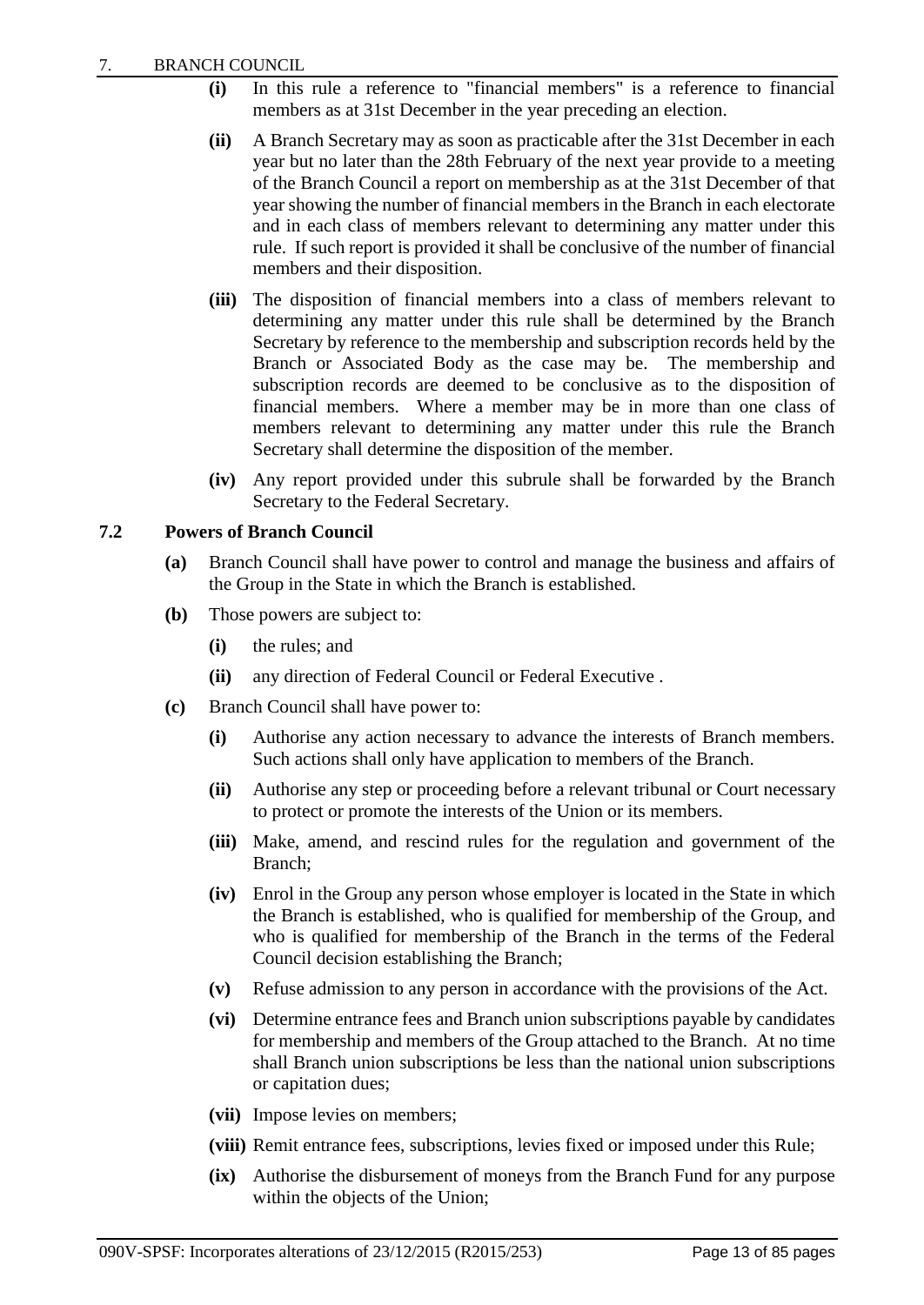- **(i)** In this rule a reference to "financial members" is a reference to financial members as at 31st December in the year preceding an election.
- **(ii)** A Branch Secretary may as soon as practicable after the 31st December in each year but no later than the 28th February of the next year provide to a meeting of the Branch Council a report on membership as at the 31st December of that year showing the number of financial members in the Branch in each electorate and in each class of members relevant to determining any matter under this rule. If such report is provided it shall be conclusive of the number of financial members and their disposition.
- **(iii)** The disposition of financial members into a class of members relevant to determining any matter under this rule shall be determined by the Branch Secretary by reference to the membership and subscription records held by the Branch or Associated Body as the case may be. The membership and subscription records are deemed to be conclusive as to the disposition of financial members. Where a member may be in more than one class of members relevant to determining any matter under this rule the Branch Secretary shall determine the disposition of the member.
- **(iv)** Any report provided under this subrule shall be forwarded by the Branch Secretary to the Federal Secretary.

## **7.2 Powers of Branch Council**

- **(a)** Branch Council shall have power to control and manage the business and affairs of the Group in the State in which the Branch is established.
- **(b)** Those powers are subject to:
	- **(i)** the rules; and
	- **(ii)** any direction of Federal Council or Federal Executive .
- **(c)** Branch Council shall have power to:
	- **(i)** Authorise any action necessary to advance the interests of Branch members. Such actions shall only have application to members of the Branch.
	- **(ii)** Authorise any step or proceeding before a relevant tribunal or Court necessary to protect or promote the interests of the Union or its members.
	- **(iii)** Make, amend, and rescind rules for the regulation and government of the Branch;
	- **(iv)** Enrol in the Group any person whose employer is located in the State in which the Branch is established, who is qualified for membership of the Group, and who is qualified for membership of the Branch in the terms of the Federal Council decision establishing the Branch;
	- **(v)** Refuse admission to any person in accordance with the provisions of the Act.
	- **(vi)** Determine entrance fees and Branch union subscriptions payable by candidates for membership and members of the Group attached to the Branch. At no time shall Branch union subscriptions be less than the national union subscriptions or capitation dues;
	- **(vii)** Impose levies on members;
	- **(viii)** Remit entrance fees, subscriptions, levies fixed or imposed under this Rule;
	- **(ix)** Authorise the disbursement of moneys from the Branch Fund for any purpose within the objects of the Union;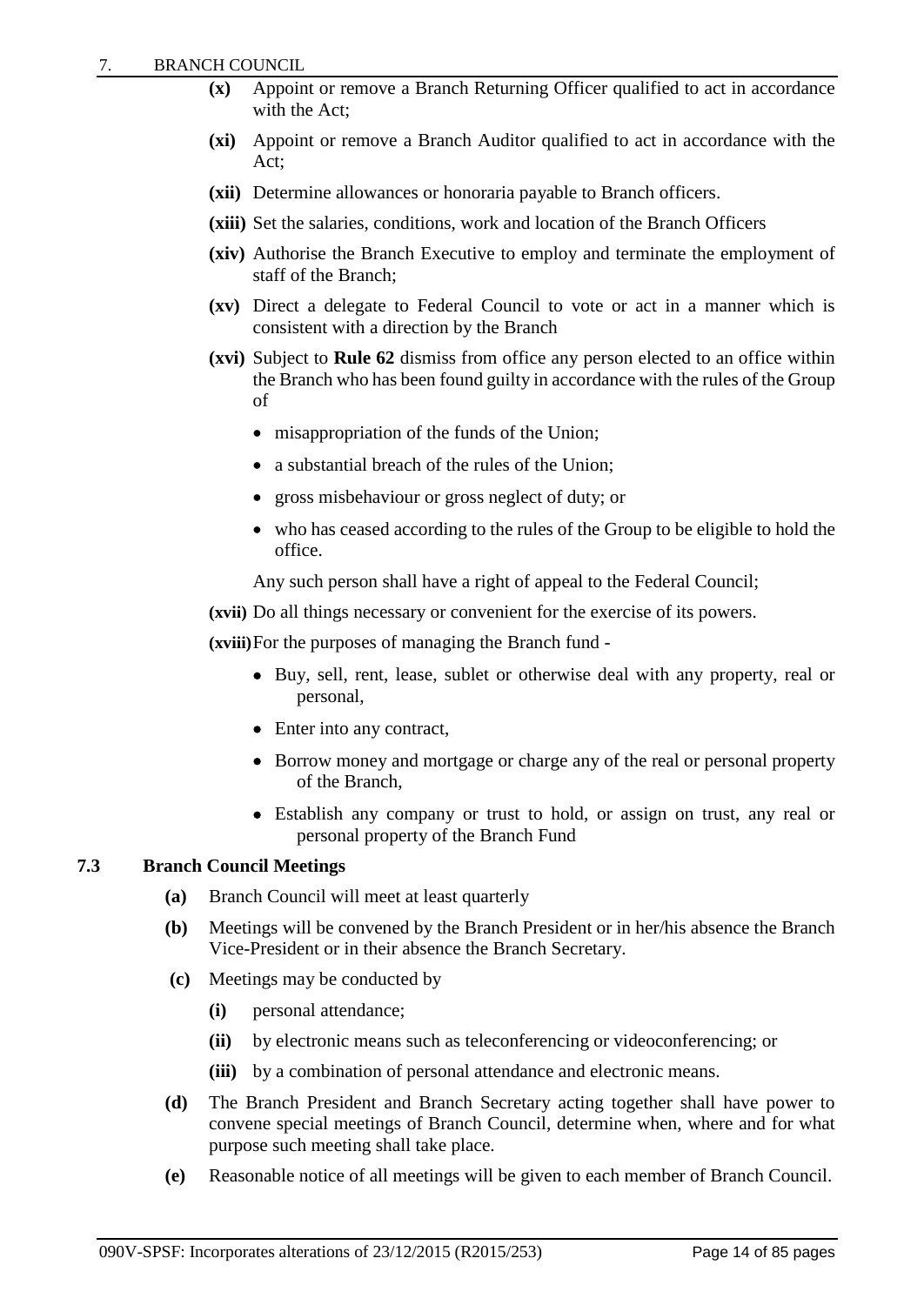- **(x)** Appoint or remove a Branch Returning Officer qualified to act in accordance with the Act;
- **(xi)** Appoint or remove a Branch Auditor qualified to act in accordance with the Act;
- **(xii)** Determine allowances or honoraria payable to Branch officers.
- **(xiii)** Set the salaries, conditions, work and location of the Branch Officers
- **(xiv)** Authorise the Branch Executive to employ and terminate the employment of staff of the Branch;
- **(xv)** Direct a delegate to Federal Council to vote or act in a manner which is consistent with a direction by the Branch
- **(xvi)** Subject to **Rule 62** dismiss from office any person elected to an office within the Branch who has been found guilty in accordance with the rules of the Group of
	- misappropriation of the funds of the Union;
	- a substantial breach of the rules of the Union:
	- gross misbehaviour or gross neglect of duty; or
	- who has ceased according to the rules of the Group to be eligible to hold the office.
	- Any such person shall have a right of appeal to the Federal Council;
- **(xvii)** Do all things necessary or convenient for the exercise of its powers.

**(xviii)**For the purposes of managing the Branch fund -

- Buy, sell, rent, lease, sublet or otherwise deal with any property, real or personal,
- Enter into any contract,
- Borrow money and mortgage or charge any of the real or personal property of the Branch,
- Establish any company or trust to hold, or assign on trust, any real or personal property of the Branch Fund

## **7.3 Branch Council Meetings**

- **(a)** Branch Council will meet at least quarterly
- **(b)** Meetings will be convened by the Branch President or in her/his absence the Branch Vice-President or in their absence the Branch Secretary.
- **(c)** Meetings may be conducted by
	- **(i)** personal attendance;
	- **(ii)** by electronic means such as teleconferencing or videoconferencing; or
	- **(iii)** by a combination of personal attendance and electronic means.
- **(d)** The Branch President and Branch Secretary acting together shall have power to convene special meetings of Branch Council, determine when, where and for what purpose such meeting shall take place.
- **(e)** Reasonable notice of all meetings will be given to each member of Branch Council.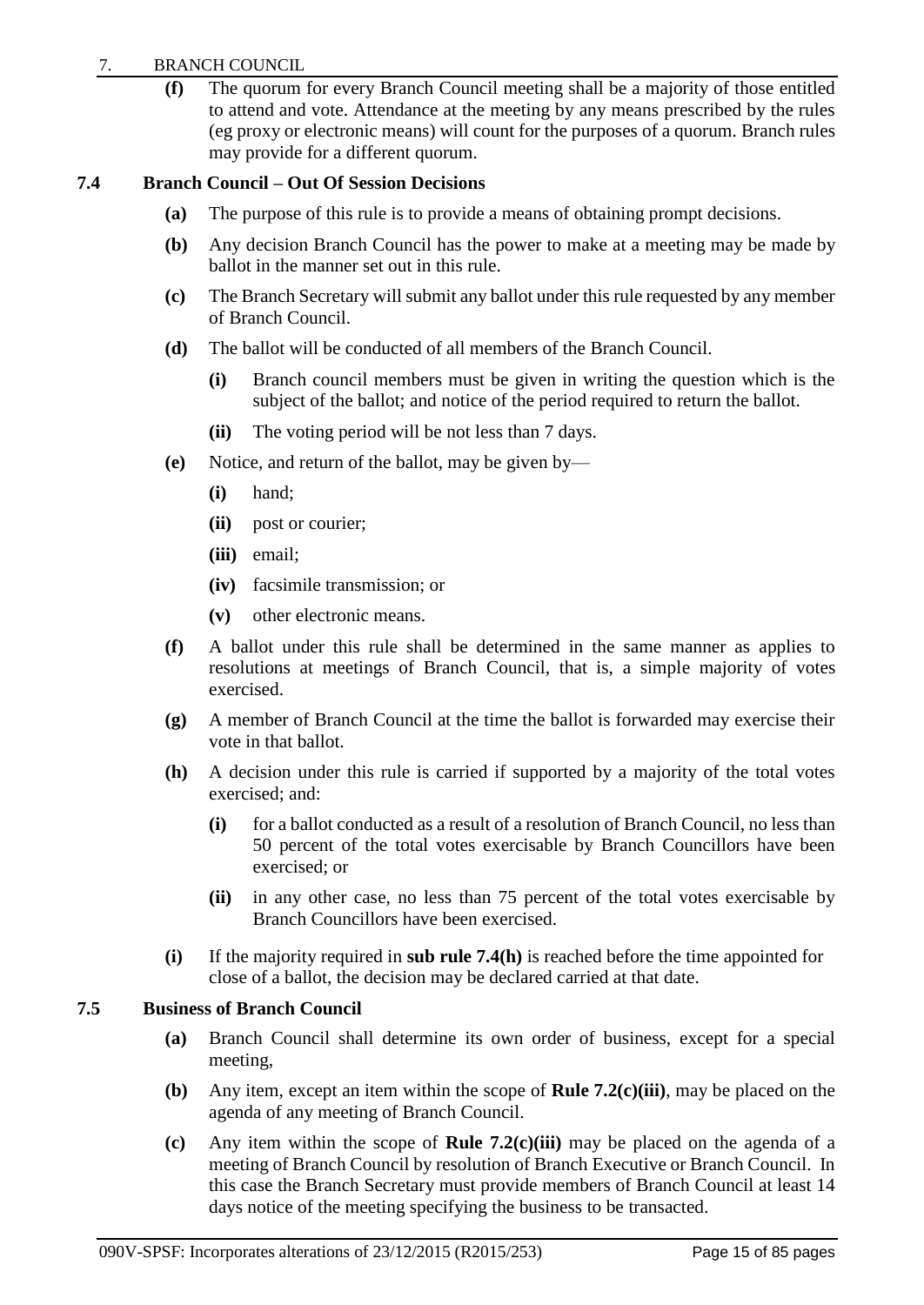## 7. BRANCH COUNCIL

**(f)** The quorum for every Branch Council meeting shall be a majority of those entitled to attend and vote. Attendance at the meeting by any means prescribed by the rules (eg proxy or electronic means) will count for the purposes of a quorum. Branch rules may provide for a different quorum.

## **7.4 Branch Council – Out Of Session Decisions**

- **(a)** The purpose of this rule is to provide a means of obtaining prompt decisions.
- **(b)** Any decision Branch Council has the power to make at a meeting may be made by ballot in the manner set out in this rule.
- **(c)** The Branch Secretary will submit any ballot under this rule requested by any member of Branch Council.
- **(d)** The ballot will be conducted of all members of the Branch Council.
	- **(i)** Branch council members must be given in writing the question which is the subject of the ballot; and notice of the period required to return the ballot.
	- **(ii)** The voting period will be not less than 7 days.
- **(e)** Notice, and return of the ballot, may be given by—
	- **(i)** hand;
	- **(ii)** post or courier;
	- **(iii)** email;
	- **(iv)** facsimile transmission; or
	- **(v)** other electronic means.
- **(f)** A ballot under this rule shall be determined in the same manner as applies to resolutions at meetings of Branch Council, that is, a simple majority of votes exercised.
- **(g)** A member of Branch Council at the time the ballot is forwarded may exercise their vote in that ballot.
- **(h)** A decision under this rule is carried if supported by a majority of the total votes exercised; and:
	- **(i)** for a ballot conducted as a result of a resolution of Branch Council, no less than 50 percent of the total votes exercisable by Branch Councillors have been exercised; or
	- **(ii)** in any other case, no less than 75 percent of the total votes exercisable by Branch Councillors have been exercised.
- **(i)** If the majority required in **sub rule 7.4(h)** is reached before the time appointed for close of a ballot, the decision may be declared carried at that date.

## **7.5 Business of Branch Council**

- **(a)** Branch Council shall determine its own order of business, except for a special meeting,
- **(b)** Any item, except an item within the scope of **Rule 7.2(c)(iii)**, may be placed on the agenda of any meeting of Branch Council.
- **(c)** Any item within the scope of **Rule 7.2(c)(iii)** may be placed on the agenda of a meeting of Branch Council by resolution of Branch Executive or Branch Council. In this case the Branch Secretary must provide members of Branch Council at least 14 days notice of the meeting specifying the business to be transacted.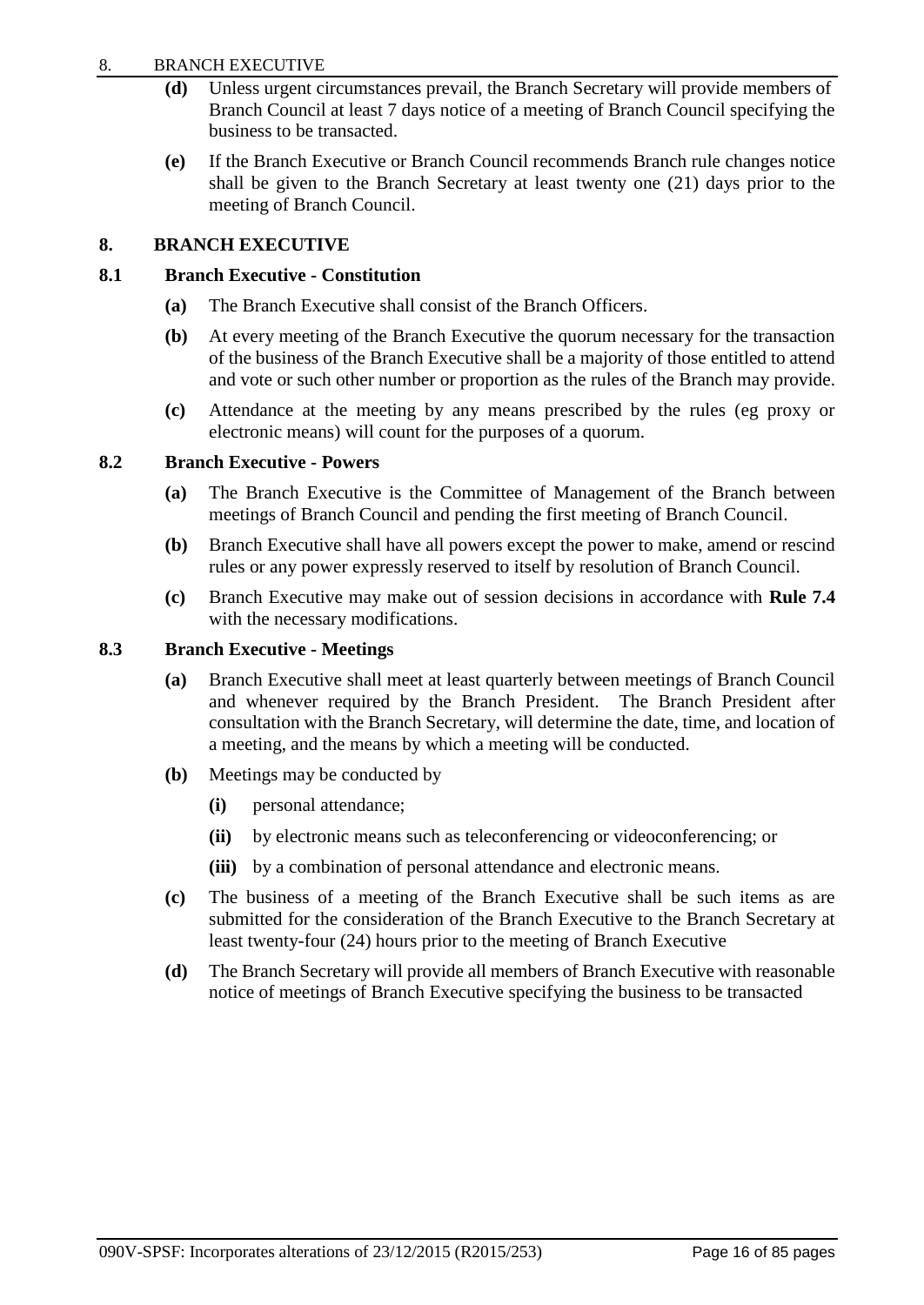#### 8. BRANCH EXECUTIVE

- **(d)** Unless urgent circumstances prevail, the Branch Secretary will provide members of Branch Council at least 7 days notice of a meeting of Branch Council specifying the business to be transacted.
- **(e)** If the Branch Executive or Branch Council recommends Branch rule changes notice shall be given to the Branch Secretary at least twenty one (21) days prior to the meeting of Branch Council.

## <span id="page-18-0"></span>**8. BRANCH EXECUTIVE**

#### **8.1 Branch Executive - Constitution**

- **(a)** The Branch Executive shall consist of the Branch Officers.
- **(b)** At every meeting of the Branch Executive the quorum necessary for the transaction of the business of the Branch Executive shall be a majority of those entitled to attend and vote or such other number or proportion as the rules of the Branch may provide.
- **(c)** Attendance at the meeting by any means prescribed by the rules (eg proxy or electronic means) will count for the purposes of a quorum.

#### **8.2 Branch Executive - Powers**

- **(a)** The Branch Executive is the Committee of Management of the Branch between meetings of Branch Council and pending the first meeting of Branch Council.
- **(b)** Branch Executive shall have all powers except the power to make, amend or rescind rules or any power expressly reserved to itself by resolution of Branch Council.
- **(c)** Branch Executive may make out of session decisions in accordance with **Rule 7.4** with the necessary modifications.

#### **8.3 Branch Executive - Meetings**

- **(a)** Branch Executive shall meet at least quarterly between meetings of Branch Council and whenever required by the Branch President. The Branch President after consultation with the Branch Secretary, will determine the date, time, and location of a meeting, and the means by which a meeting will be conducted.
- **(b)** Meetings may be conducted by
	- **(i)** personal attendance;
	- **(ii)** by electronic means such as teleconferencing or videoconferencing; or
	- **(iii)** by a combination of personal attendance and electronic means.
- **(c)** The business of a meeting of the Branch Executive shall be such items as are submitted for the consideration of the Branch Executive to the Branch Secretary at least twenty-four (24) hours prior to the meeting of Branch Executive
- **(d)** The Branch Secretary will provide all members of Branch Executive with reasonable notice of meetings of Branch Executive specifying the business to be transacted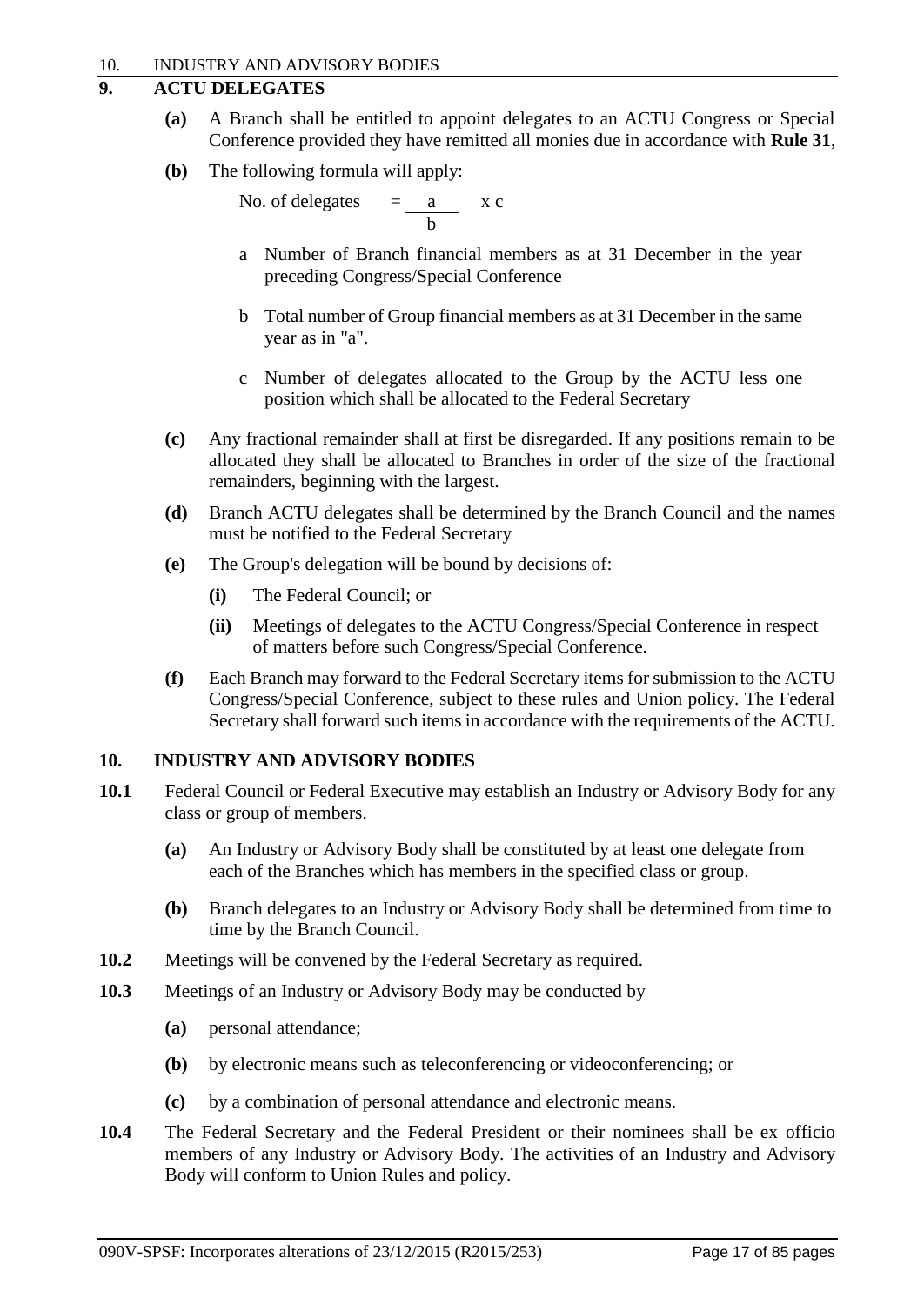## <span id="page-19-0"></span>**9. ACTU DELEGATES**

- **(a)** A Branch shall be entitled to appoint delegates to an ACTU Congress or Special Conference provided they have remitted all monies due in accordance with **Rule 31**,
- **(b)** The following formula will apply:

No. of delegates  $=\frac{a}{b}$  x c

- a Number of Branch financial members as at 31 December in the year preceding Congress/Special Conference
- b Total number of Group financial members as at 31 December in the same year as in "a".
- c Number of delegates allocated to the Group by the ACTU less one position which shall be allocated to the Federal Secretary
- **(c)** Any fractional remainder shall at first be disregarded. If any positions remain to be allocated they shall be allocated to Branches in order of the size of the fractional remainders, beginning with the largest.
- **(d)** Branch ACTU delegates shall be determined by the Branch Council and the names must be notified to the Federal Secretary
- **(e)** The Group's delegation will be bound by decisions of:
	- **(i)** The Federal Council; or
	- **(ii)** Meetings of delegates to the ACTU Congress/Special Conference in respect of matters before such Congress/Special Conference.
- **(f)** Each Branch may forward to the Federal Secretary items for submission to the ACTU Congress/Special Conference, subject to these rules and Union policy. The Federal Secretary shall forward such items in accordance with the requirements of the ACTU.

## <span id="page-19-1"></span>**10. INDUSTRY AND ADVISORY BODIES**

- **10.1** Federal Council or Federal Executive may establish an Industry or Advisory Body for any class or group of members.
	- **(a)** An Industry or Advisory Body shall be constituted by at least one delegate from each of the Branches which has members in the specified class or group.
	- **(b)** Branch delegates to an Industry or Advisory Body shall be determined from time to time by the Branch Council.
- **10.2** Meetings will be convened by the Federal Secretary as required.
- **10.3** Meetings of an Industry or Advisory Body may be conducted by
	- **(a)** personal attendance;
	- **(b)** by electronic means such as teleconferencing or videoconferencing; or
	- **(c)** by a combination of personal attendance and electronic means.
- **10.4** The Federal Secretary and the Federal President or their nominees shall be ex officio members of any Industry or Advisory Body. The activities of an Industry and Advisory Body will conform to Union Rules and policy.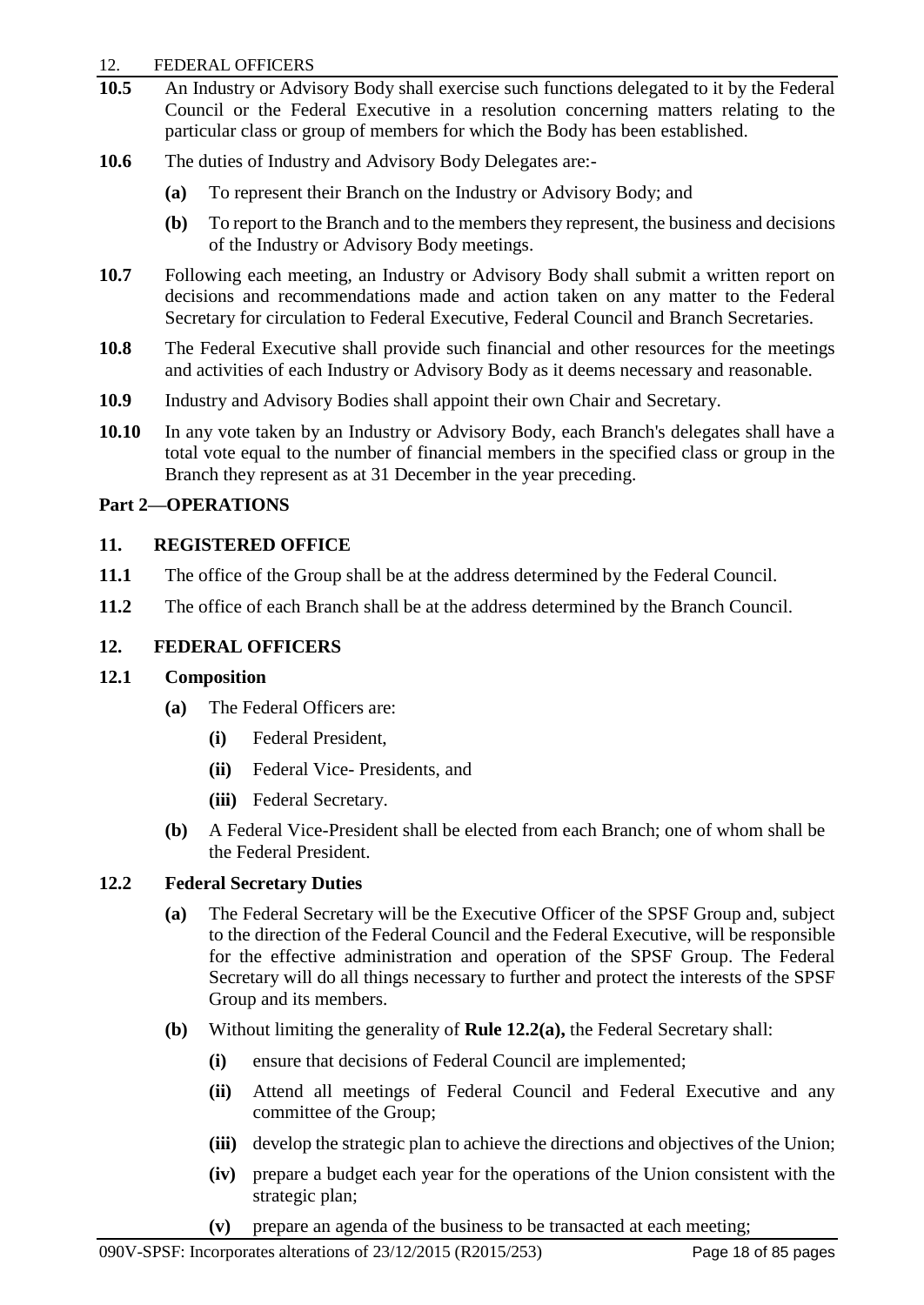#### 12. FEDERAL OFFICERS

- **10.5** An Industry or Advisory Body shall exercise such functions delegated to it by the Federal Council or the Federal Executive in a resolution concerning matters relating to the particular class or group of members for which the Body has been established.
- **10.6** The duties of Industry and Advisory Body Delegates are:-
	- **(a)** To represent their Branch on the Industry or Advisory Body; and
	- **(b)** To report to the Branch and to the members they represent, the business and decisions of the Industry or Advisory Body meetings.
- **10.7** Following each meeting, an Industry or Advisory Body shall submit a written report on decisions and recommendations made and action taken on any matter to the Federal Secretary for circulation to Federal Executive, Federal Council and Branch Secretaries.
- **10.8** The Federal Executive shall provide such financial and other resources for the meetings and activities of each Industry or Advisory Body as it deems necessary and reasonable.
- **10.9** Industry and Advisory Bodies shall appoint their own Chair and Secretary.
- **10.10** In any vote taken by an Industry or Advisory Body, each Branch's delegates shall have a total vote equal to the number of financial members in the specified class or group in the Branch they represent as at 31 December in the year preceding.

## <span id="page-20-0"></span>**Part 2—OPERATIONS**

## <span id="page-20-1"></span>**11. REGISTERED OFFICE**

- **11.1** The office of the Group shall be at the address determined by the Federal Council.
- **11.2** The office of each Branch shall be at the address determined by the Branch Council.

## <span id="page-20-2"></span>**12. FEDERAL OFFICERS**

## **12.1 Composition**

- **(a)** The Federal Officers are:
	- **(i)** Federal President,
	- **(ii)** Federal Vice- Presidents, and
	- **(iii)** Federal Secretary.
- **(b)** A Federal Vice-President shall be elected from each Branch; one of whom shall be the Federal President.

## **12.2 Federal Secretary Duties**

- **(a)** The Federal Secretary will be the Executive Officer of the SPSF Group and, subject to the direction of the Federal Council and the Federal Executive, will be responsible for the effective administration and operation of the SPSF Group. The Federal Secretary will do all things necessary to further and protect the interests of the SPSF Group and its members.
- **(b)** Without limiting the generality of **Rule 12.2(a),** the Federal Secretary shall:
	- **(i)** ensure that decisions of Federal Council are implemented;
	- **(ii)** Attend all meetings of Federal Council and Federal Executive and any committee of the Group;
	- **(iii)** develop the strategic plan to achieve the directions and objectives of the Union;
	- **(iv)** prepare a budget each year for the operations of the Union consistent with the strategic plan;
	- **(v)** prepare an agenda of the business to be transacted at each meeting;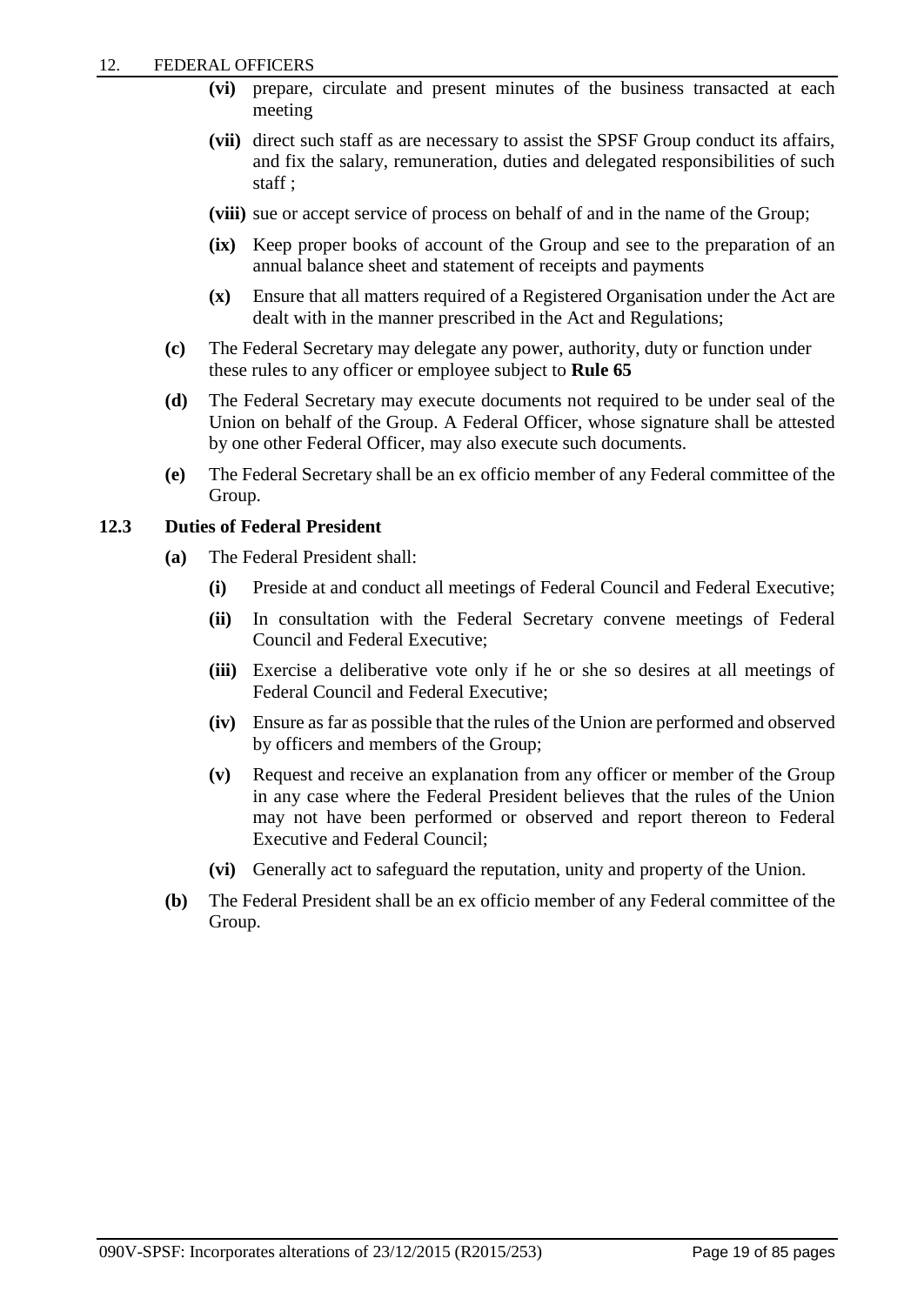- **(vi)** prepare, circulate and present minutes of the business transacted at each meeting
- **(vii)** direct such staff as are necessary to assist the SPSF Group conduct its affairs, and fix the salary, remuneration, duties and delegated responsibilities of such staff ;
- **(viii)** sue or accept service of process on behalf of and in the name of the Group;
- **(ix)** Keep proper books of account of the Group and see to the preparation of an annual balance sheet and statement of receipts and payments
- **(x)** Ensure that all matters required of a Registered Organisation under the Act are dealt with in the manner prescribed in the Act and Regulations;
- **(c)** The Federal Secretary may delegate any power, authority, duty or function under these rules to any officer or employee subject to **Rule 65**
- **(d)** The Federal Secretary may execute documents not required to be under seal of the Union on behalf of the Group. A Federal Officer, whose signature shall be attested by one other Federal Officer, may also execute such documents.
- **(e)** The Federal Secretary shall be an ex officio member of any Federal committee of the Group.

#### **12.3 Duties of Federal President**

- **(a)** The Federal President shall:
	- **(i)** Preside at and conduct all meetings of Federal Council and Federal Executive;
	- **(ii)** In consultation with the Federal Secretary convene meetings of Federal Council and Federal Executive;
	- **(iii)** Exercise a deliberative vote only if he or she so desires at all meetings of Federal Council and Federal Executive;
	- **(iv)** Ensure as far as possible that the rules of the Union are performed and observed by officers and members of the Group;
	- **(v)** Request and receive an explanation from any officer or member of the Group in any case where the Federal President believes that the rules of the Union may not have been performed or observed and report thereon to Federal Executive and Federal Council;
	- **(vi)** Generally act to safeguard the reputation, unity and property of the Union.
- **(b)** The Federal President shall be an ex officio member of any Federal committee of the Group.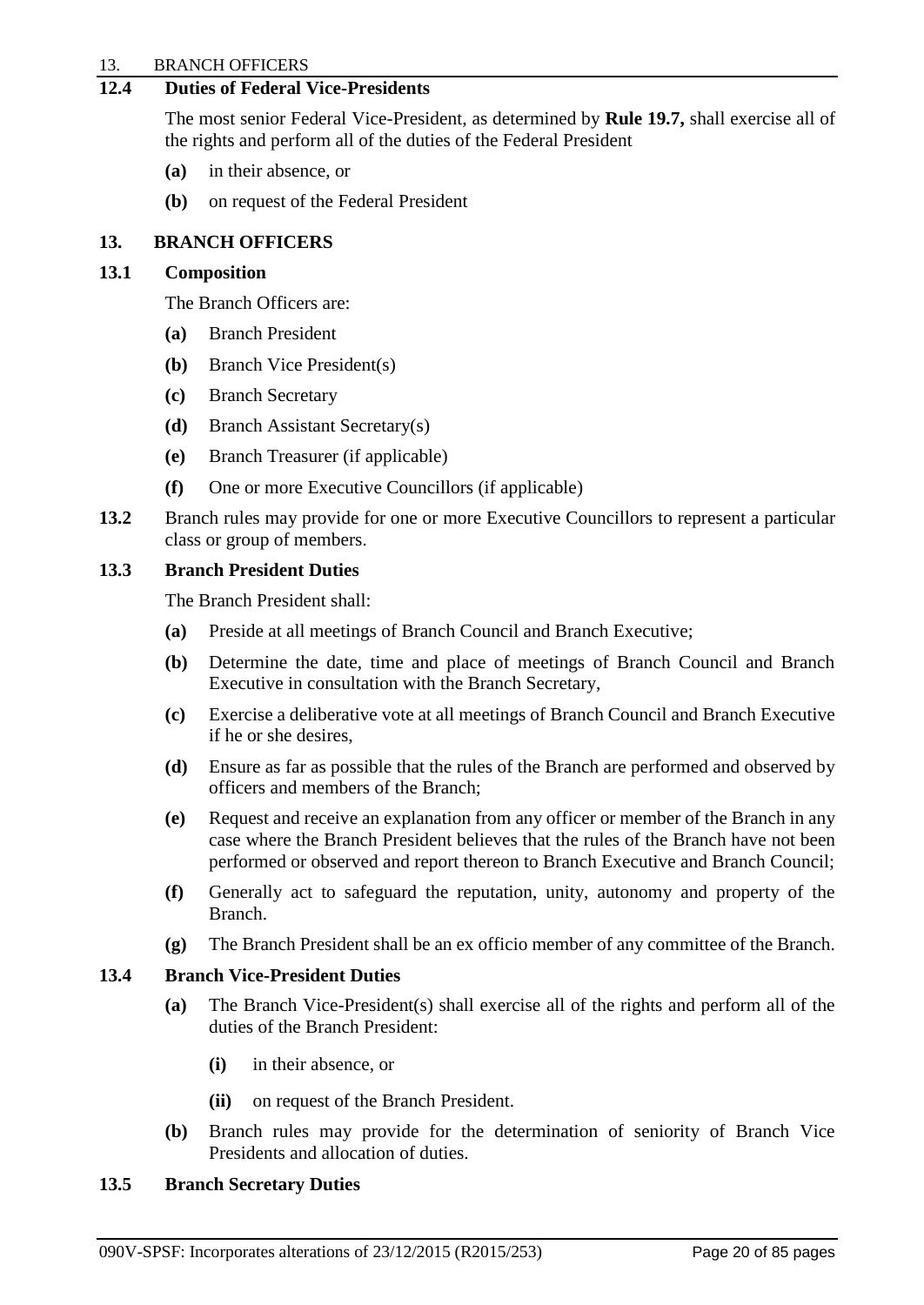#### 13. BRANCH OFFICERS

## **12.4 Duties of Federal Vice-Presidents**

The most senior Federal Vice-President, as determined by **Rule 19.7,** shall exercise all of the rights and perform all of the duties of the Federal President

- **(a)** in their absence, or
- **(b)** on request of the Federal President

## <span id="page-22-0"></span>**13. BRANCH OFFICERS**

#### **13.1 Composition**

The Branch Officers are:

- **(a)** Branch President
- **(b)** Branch Vice President(s)
- **(c)** Branch Secretary
- **(d)** Branch Assistant Secretary(s)
- **(e)** Branch Treasurer (if applicable)
- **(f)** One or more Executive Councillors (if applicable)
- **13.2** Branch rules may provide for one or more Executive Councillors to represent a particular class or group of members.

#### **13.3 Branch President Duties**

The Branch President shall:

- **(a)** Preside at all meetings of Branch Council and Branch Executive;
- **(b)** Determine the date, time and place of meetings of Branch Council and Branch Executive in consultation with the Branch Secretary,
- **(c)** Exercise a deliberative vote at all meetings of Branch Council and Branch Executive if he or she desires,
- **(d)** Ensure as far as possible that the rules of the Branch are performed and observed by officers and members of the Branch;
- **(e)** Request and receive an explanation from any officer or member of the Branch in any case where the Branch President believes that the rules of the Branch have not been performed or observed and report thereon to Branch Executive and Branch Council;
- **(f)** Generally act to safeguard the reputation, unity, autonomy and property of the Branch.
- **(g)** The Branch President shall be an ex officio member of any committee of the Branch.

## **13.4 Branch Vice-President Duties**

- **(a)** The Branch Vice-President(s) shall exercise all of the rights and perform all of the duties of the Branch President:
	- **(i)** in their absence, or
	- **(ii)** on request of the Branch President.
- **(b)** Branch rules may provide for the determination of seniority of Branch Vice Presidents and allocation of duties.

#### **13.5 Branch Secretary Duties**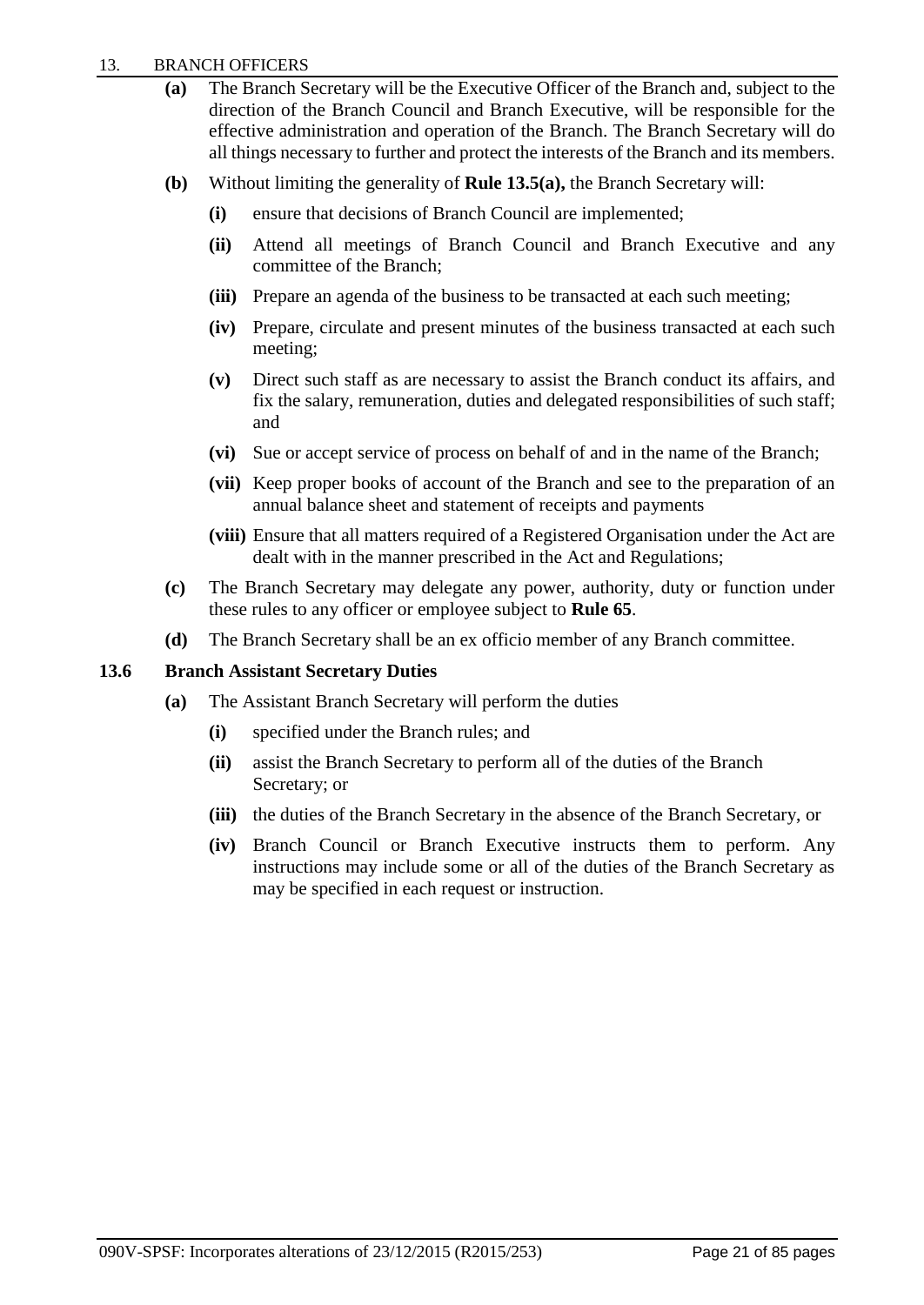- **(a)** The Branch Secretary will be the Executive Officer of the Branch and, subject to the direction of the Branch Council and Branch Executive, will be responsible for the effective administration and operation of the Branch. The Branch Secretary will do all things necessary to further and protect the interests of the Branch and its members.
- **(b)** Without limiting the generality of **Rule 13.5(a),** the Branch Secretary will:
	- **(i)** ensure that decisions of Branch Council are implemented;
	- **(ii)** Attend all meetings of Branch Council and Branch Executive and any committee of the Branch;
	- **(iii)** Prepare an agenda of the business to be transacted at each such meeting;
	- **(iv)** Prepare, circulate and present minutes of the business transacted at each such meeting;
	- **(v)** Direct such staff as are necessary to assist the Branch conduct its affairs, and fix the salary, remuneration, duties and delegated responsibilities of such staff; and
	- **(vi)** Sue or accept service of process on behalf of and in the name of the Branch;
	- **(vii)** Keep proper books of account of the Branch and see to the preparation of an annual balance sheet and statement of receipts and payments
	- **(viii)** Ensure that all matters required of a Registered Organisation under the Act are dealt with in the manner prescribed in the Act and Regulations;
- **(c)** The Branch Secretary may delegate any power, authority, duty or function under these rules to any officer or employee subject to **Rule 65**.
- **(d)** The Branch Secretary shall be an ex officio member of any Branch committee.

## **13.6 Branch Assistant Secretary Duties**

- **(a)** The Assistant Branch Secretary will perform the duties
	- **(i)** specified under the Branch rules; and
	- **(ii)** assist the Branch Secretary to perform all of the duties of the Branch Secretary; or
	- **(iii)** the duties of the Branch Secretary in the absence of the Branch Secretary, or
	- **(iv)** Branch Council or Branch Executive instructs them to perform. Any instructions may include some or all of the duties of the Branch Secretary as may be specified in each request or instruction.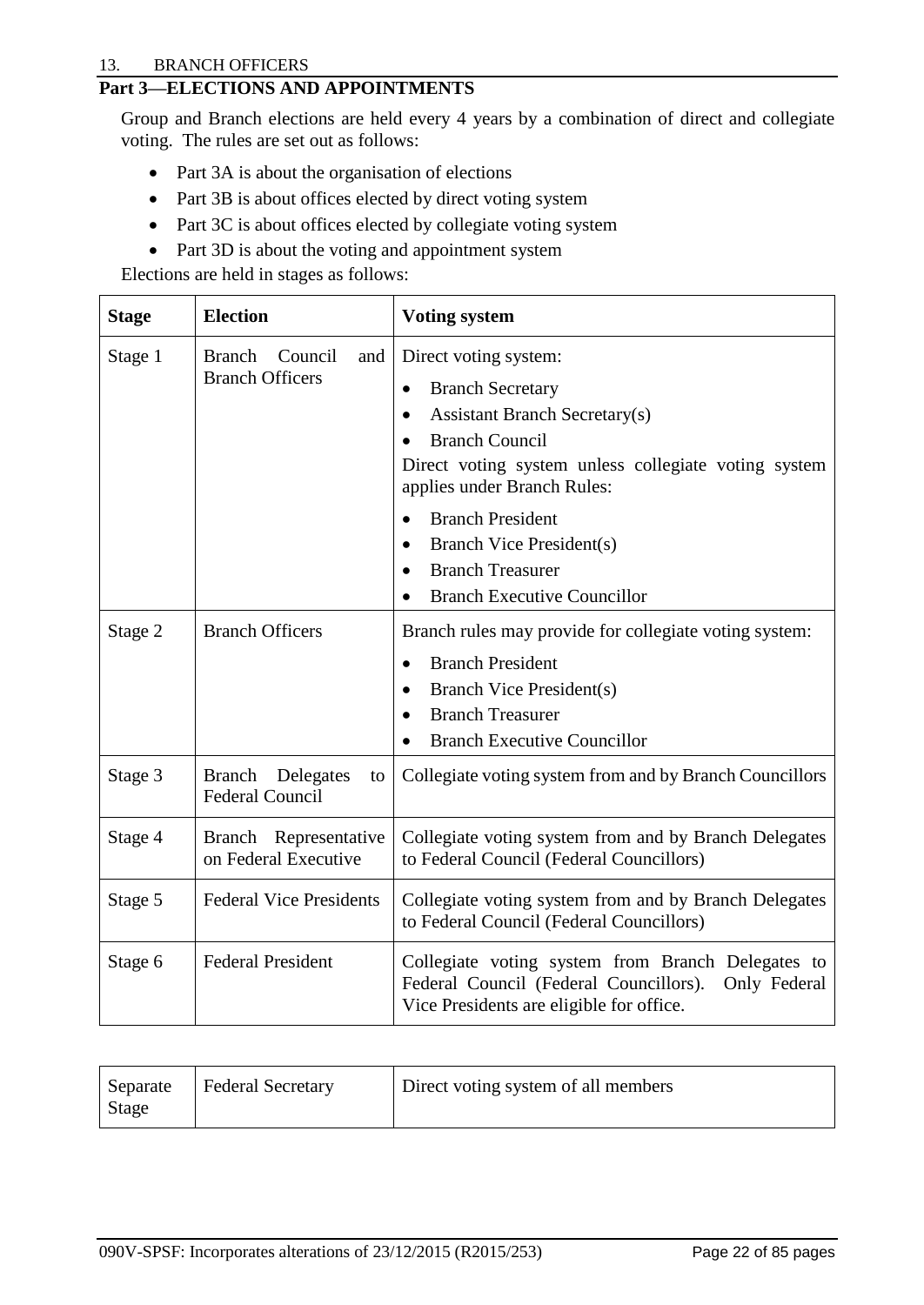#### 13. BRANCH OFFICERS

## <span id="page-24-0"></span>**Part 3—ELECTIONS AND APPOINTMENTS**

Group and Branch elections are held every 4 years by a combination of direct and collegiate voting. The rules are set out as follows:

- Part 3A is about the organisation of elections
- Part 3B is about offices elected by direct voting system
- Part 3C is about offices elected by collegiate voting system
- Part 3D is about the voting and appointment system

Elections are held in stages as follows:

| <b>Stage</b> | <b>Election</b>                                           | <b>Voting system</b>                                                                                                                                                                                     |
|--------------|-----------------------------------------------------------|----------------------------------------------------------------------------------------------------------------------------------------------------------------------------------------------------------|
| Stage 1      | <b>Branch</b><br>Council<br>and<br><b>Branch Officers</b> | Direct voting system:<br><b>Branch Secretary</b><br><b>Assistant Branch Secretary(s)</b><br><b>Branch Council</b><br>Direct voting system unless collegiate voting system<br>applies under Branch Rules: |
|              |                                                           | <b>Branch President</b><br><b>Branch Vice President(s)</b><br><b>Branch Treasurer</b><br><b>Branch Executive Councillor</b>                                                                              |
| Stage 2      | <b>Branch Officers</b>                                    | Branch rules may provide for collegiate voting system:<br><b>Branch President</b><br>$\bullet$<br>Branch Vice President(s)<br><b>Branch Treasurer</b><br>$\bullet$<br><b>Branch Executive Councillor</b> |
| Stage 3      | Branch Delegates<br>to<br><b>Federal Council</b>          | Collegiate voting system from and by Branch Councillors                                                                                                                                                  |
| Stage 4      | Branch Representative<br>on Federal Executive             | Collegiate voting system from and by Branch Delegates<br>to Federal Council (Federal Councillors)                                                                                                        |
| Stage 5      | <b>Federal Vice Presidents</b>                            | Collegiate voting system from and by Branch Delegates<br>to Federal Council (Federal Councillors)                                                                                                        |
| Stage 6      | <b>Federal President</b>                                  | Collegiate voting system from Branch Delegates to<br>Federal Council (Federal Councillors).<br>Only Federal<br>Vice Presidents are eligible for office.                                                  |

| <b>Federal Secretary</b><br>Separate<br>Stage | Direct voting system of all members |
|-----------------------------------------------|-------------------------------------|
|-----------------------------------------------|-------------------------------------|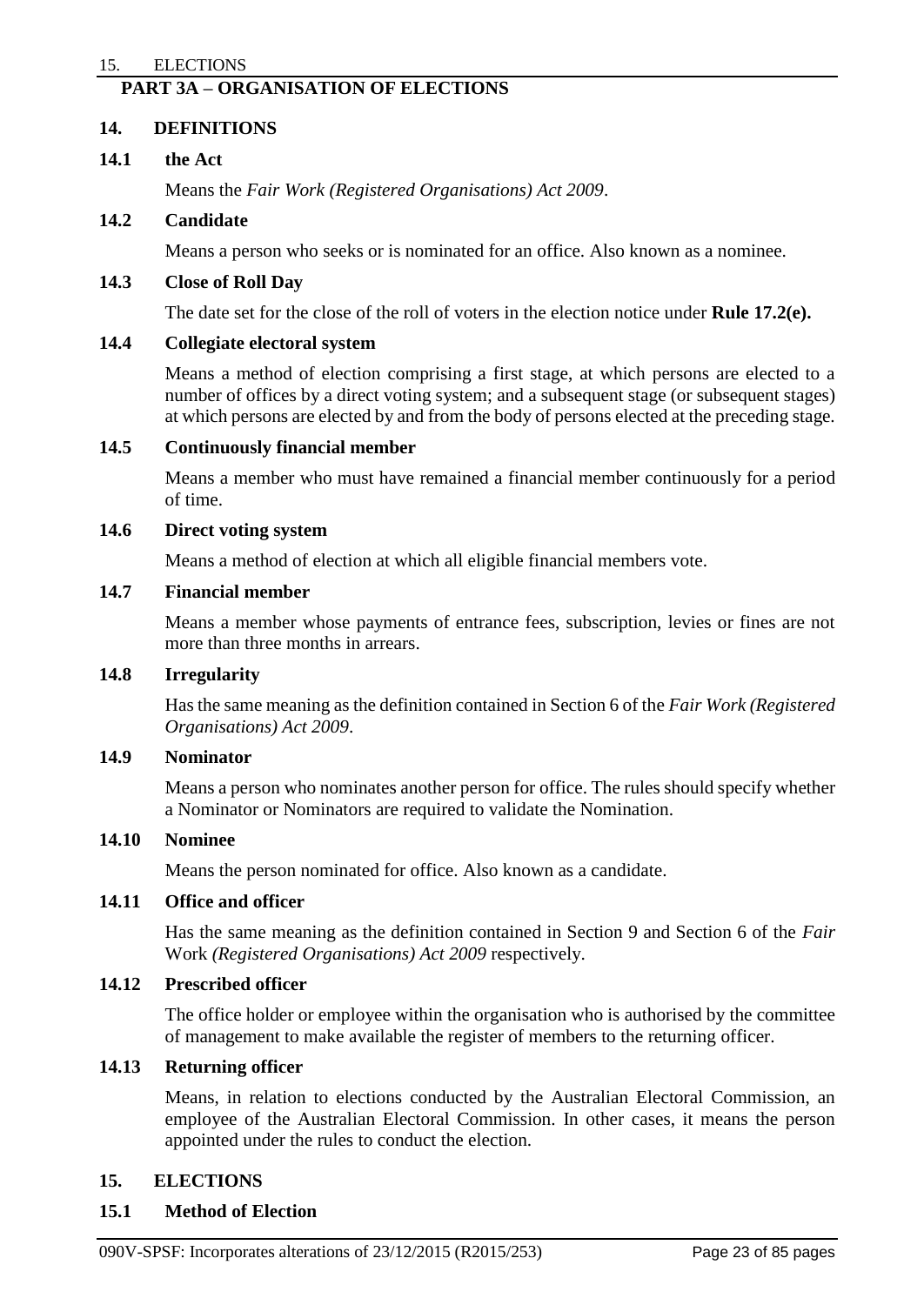#### <span id="page-25-0"></span>15. ELECTIONS

## **PART 3A – ORGANISATION OF ELECTIONS**

#### <span id="page-25-1"></span>**14. DEFINITIONS**

#### **14.1 the Act**

Means the *Fair Work (Registered Organisations) Act 2009*.

#### **14.2 Candidate**

Means a person who seeks or is nominated for an office. Also known as a nominee.

#### **14.3 Close of Roll Day**

The date set for the close of the roll of voters in the election notice under **Rule 17.2(e).**

#### **14.4 Collegiate electoral system**

Means a method of election comprising a first stage, at which persons are elected to a number of offices by a direct voting system; and a subsequent stage (or subsequent stages) at which persons are elected by and from the body of persons elected at the preceding stage.

#### **14.5 Continuously financial member**

Means a member who must have remained a financial member continuously for a period of time.

#### **14.6 Direct voting system**

Means a method of election at which all eligible financial members vote.

#### **14.7 Financial member**

Means a member whose payments of entrance fees, subscription, levies or fines are not more than three months in arrears.

## **14.8 Irregularity**

Has the same meaning as the definition contained in Section 6 of the *Fair Work (Registered Organisations) Act 2009*.

#### **14.9 Nominator**

Means a person who nominates another person for office. The rules should specify whether a Nominator or Nominators are required to validate the Nomination.

## **14.10 Nominee**

Means the person nominated for office. Also known as a candidate.

#### **14.11 Office and officer**

Has the same meaning as the definition contained in Section 9 and Section 6 of the *Fair*  Work *(Registered Organisations) Act 2009* respectively.

#### **14.12 Prescribed officer**

The office holder or employee within the organisation who is authorised by the committee of management to make available the register of members to the returning officer.

#### **14.13 Returning officer**

Means, in relation to elections conducted by the Australian Electoral Commission, an employee of the Australian Electoral Commission. In other cases, it means the person appointed under the rules to conduct the election.

#### <span id="page-25-2"></span>**15. ELECTIONS**

#### **15.1 Method of Election**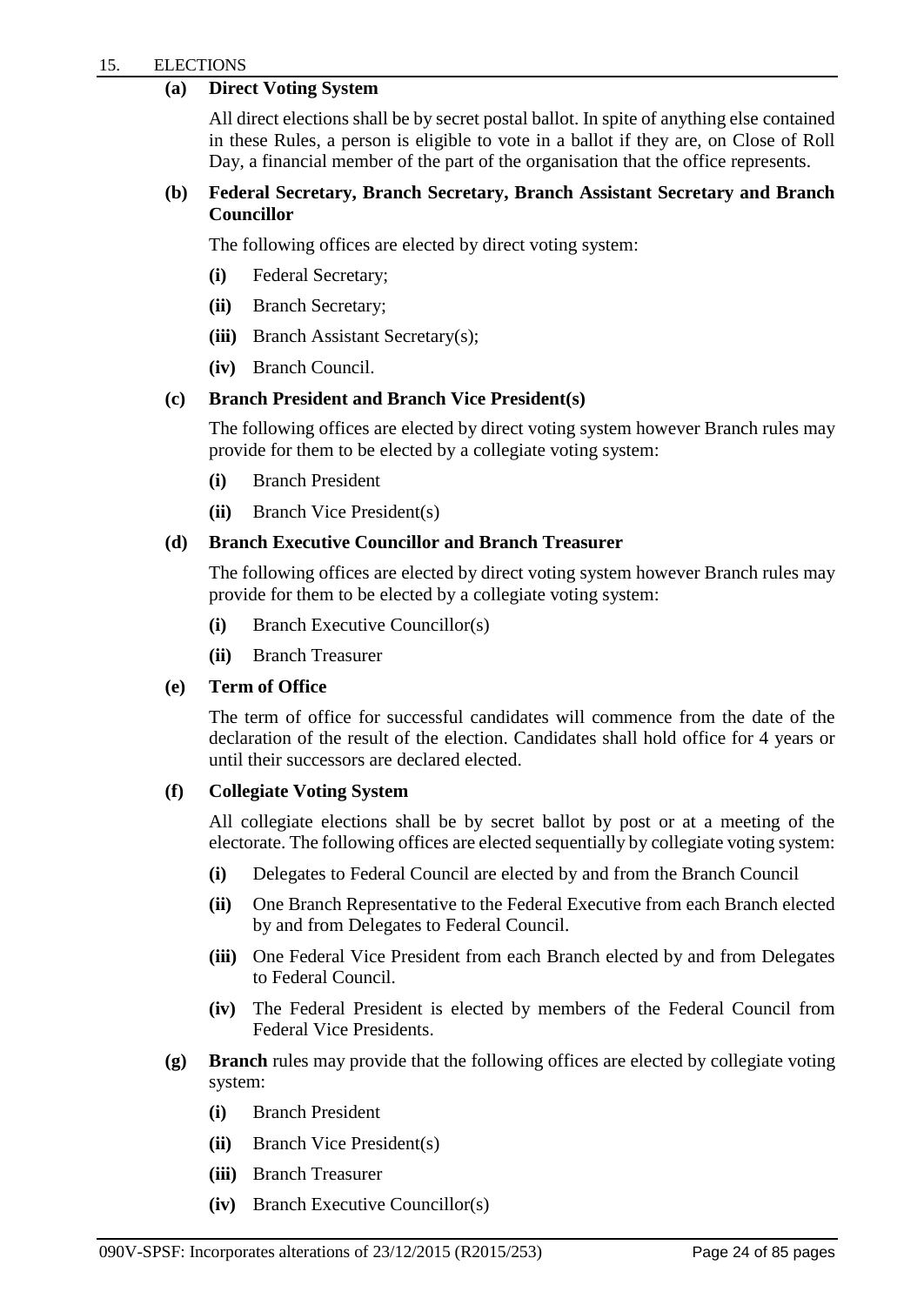## **(a) Direct Voting System**

All direct elections shall be by secret postal ballot. In spite of anything else contained in these Rules, a person is eligible to vote in a ballot if they are, on Close of Roll Day, a financial member of the part of the organisation that the office represents.

## **(b) Federal Secretary, Branch Secretary, Branch Assistant Secretary and Branch Councillor**

The following offices are elected by direct voting system:

- **(i)** Federal Secretary;
- **(ii)** Branch Secretary;
- **(iii)** Branch Assistant Secretary(s);
- **(iv)** Branch Council.

## **(c) Branch President and Branch Vice President(s)**

The following offices are elected by direct voting system however Branch rules may provide for them to be elected by a collegiate voting system:

- **(i)** Branch President
- **(ii)** Branch Vice President(s)

## **(d) Branch Executive Councillor and Branch Treasurer**

The following offices are elected by direct voting system however Branch rules may provide for them to be elected by a collegiate voting system:

- **(i)** Branch Executive Councillor(s)
- **(ii)** Branch Treasurer

#### **(e) Term of Office**

The term of office for successful candidates will commence from the date of the declaration of the result of the election. Candidates shall hold office for 4 years or until their successors are declared elected.

#### **(f) Collegiate Voting System**

All collegiate elections shall be by secret ballot by post or at a meeting of the electorate. The following offices are elected sequentially by collegiate voting system:

- **(i)** Delegates to Federal Council are elected by and from the Branch Council
- **(ii)** One Branch Representative to the Federal Executive from each Branch elected by and from Delegates to Federal Council.
- **(iii)** One Federal Vice President from each Branch elected by and from Delegates to Federal Council.
- **(iv)** The Federal President is elected by members of the Federal Council from Federal Vice Presidents.
- **(g) Branch** rules may provide that the following offices are elected by collegiate voting system:
	- **(i)** Branch President
	- **(ii)** Branch Vice President(s)
	- **(iii)** Branch Treasurer
	- **(iv)** Branch Executive Councillor(s)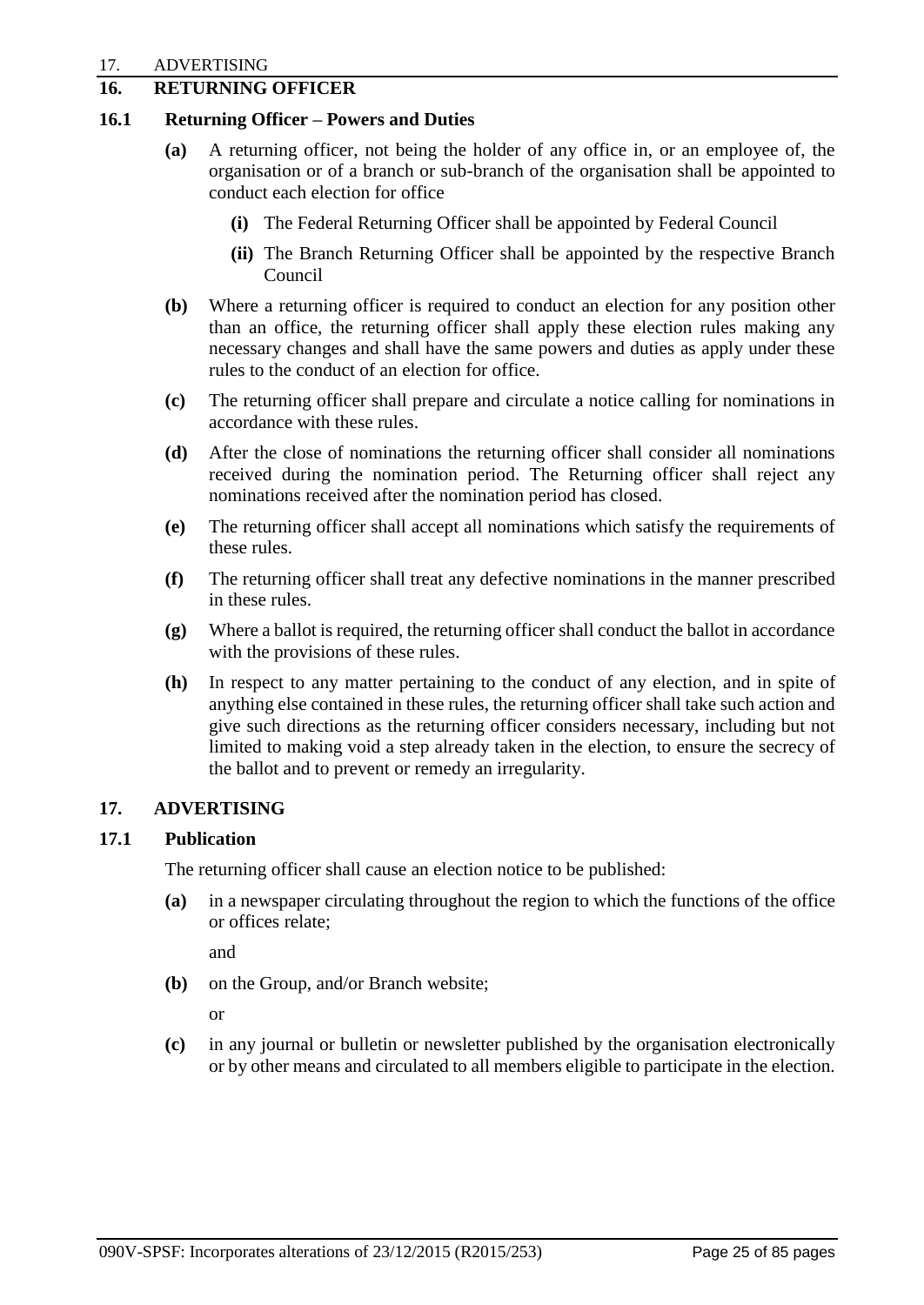## <span id="page-27-0"></span>**16. RETURNING OFFICER**

#### **16.1 Returning Officer – Powers and Duties**

- **(a)** A returning officer, not being the holder of any office in, or an employee of, the organisation or of a branch or sub-branch of the organisation shall be appointed to conduct each election for office
	- **(i)** The Federal Returning Officer shall be appointed by Federal Council
	- **(ii)** The Branch Returning Officer shall be appointed by the respective Branch Council
- **(b)** Where a returning officer is required to conduct an election for any position other than an office, the returning officer shall apply these election rules making any necessary changes and shall have the same powers and duties as apply under these rules to the conduct of an election for office.
- **(c)** The returning officer shall prepare and circulate a notice calling for nominations in accordance with these rules.
- **(d)** After the close of nominations the returning officer shall consider all nominations received during the nomination period. The Returning officer shall reject any nominations received after the nomination period has closed.
- **(e)** The returning officer shall accept all nominations which satisfy the requirements of these rules.
- **(f)** The returning officer shall treat any defective nominations in the manner prescribed in these rules.
- **(g)** Where a ballot is required, the returning officer shall conduct the ballot in accordance with the provisions of these rules.
- **(h)** In respect to any matter pertaining to the conduct of any election, and in spite of anything else contained in these rules, the returning officer shall take such action and give such directions as the returning officer considers necessary, including but not limited to making void a step already taken in the election, to ensure the secrecy of the ballot and to prevent or remedy an irregularity.

## <span id="page-27-1"></span>**17. ADVERTISING**

## **17.1 Publication**

The returning officer shall cause an election notice to be published:

**(a)** in a newspaper circulating throughout the region to which the functions of the office or offices relate;

and

**(b)** on the Group, and/or Branch website;

or

**(c)** in any journal or bulletin or newsletter published by the organisation electronically or by other means and circulated to all members eligible to participate in the election.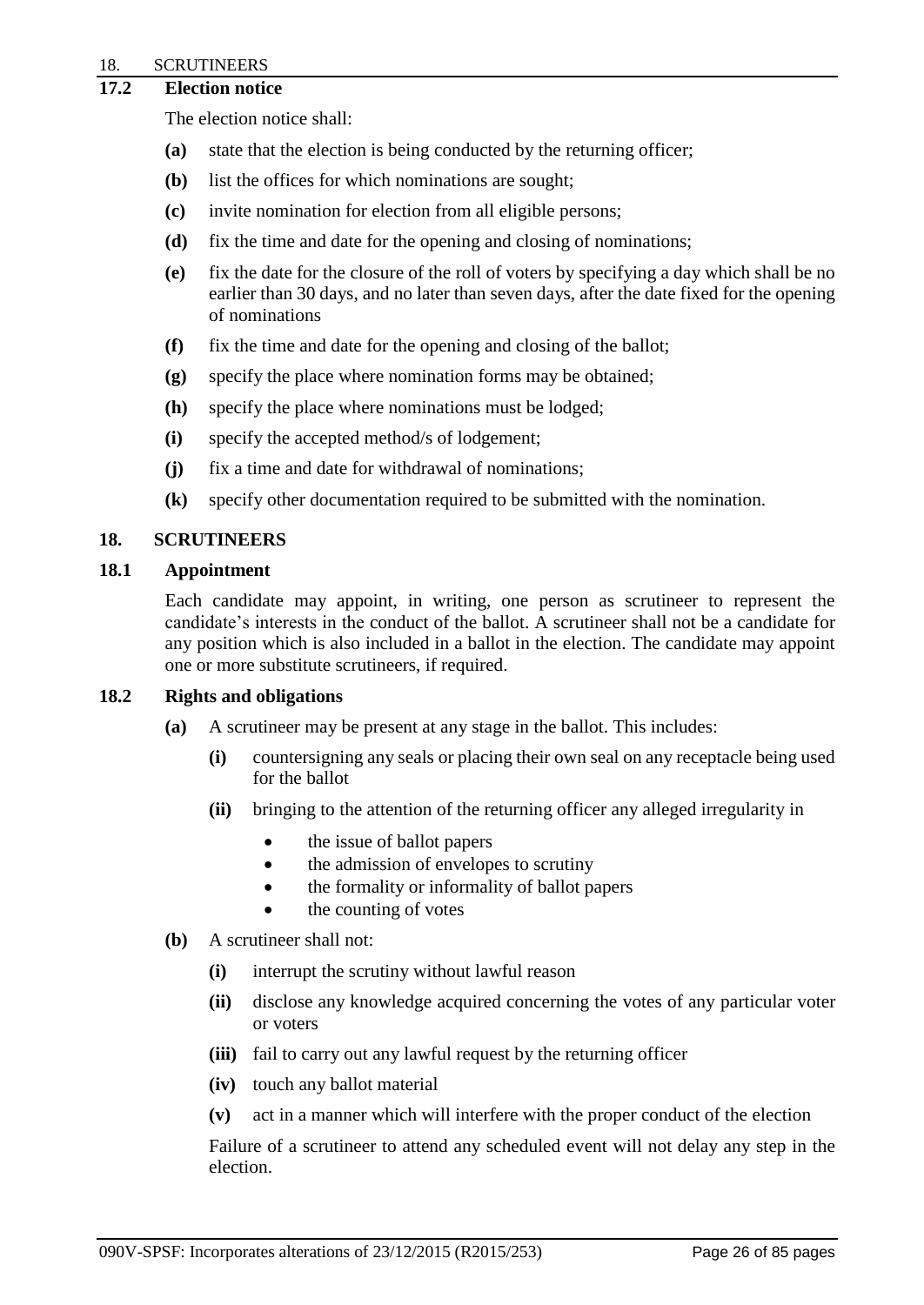#### 18. SCRUTINEERS

## **17.2 Election notice**

The election notice shall:

- **(a)** state that the election is being conducted by the returning officer;
- **(b)** list the offices for which nominations are sought;
- **(c)** invite nomination for election from all eligible persons;
- **(d)** fix the time and date for the opening and closing of nominations;
- **(e)** fix the date for the closure of the roll of voters by specifying a day which shall be no earlier than 30 days, and no later than seven days, after the date fixed for the opening of nominations
- **(f)** fix the time and date for the opening and closing of the ballot;
- **(g)** specify the place where nomination forms may be obtained;
- **(h)** specify the place where nominations must be lodged;
- **(i)** specify the accepted method/s of lodgement;
- **(j)** fix a time and date for withdrawal of nominations;
- **(k)** specify other documentation required to be submitted with the nomination.

## <span id="page-28-0"></span>**18. SCRUTINEERS**

#### **18.1 Appointment**

Each candidate may appoint, in writing, one person as scrutineer to represent the candidate's interests in the conduct of the ballot. A scrutineer shall not be a candidate for any position which is also included in a ballot in the election. The candidate may appoint one or more substitute scrutineers, if required.

#### **18.2 Rights and obligations**

- **(a)** A scrutineer may be present at any stage in the ballot. This includes:
	- **(i)** countersigning any seals or placing their own seal on any receptacle being used for the ballot
	- **(ii)** bringing to the attention of the returning officer any alleged irregularity in
		- the issue of ballot papers
		- the admission of envelopes to scrutiny
		- the formality or informality of ballot papers
		- the counting of votes
- **(b)** A scrutineer shall not:
	- **(i)** interrupt the scrutiny without lawful reason
	- **(ii)** disclose any knowledge acquired concerning the votes of any particular voter or voters
	- **(iii)** fail to carry out any lawful request by the returning officer
	- **(iv)** touch any ballot material
	- **(v)** act in a manner which will interfere with the proper conduct of the election

<span id="page-28-1"></span>Failure of a scrutineer to attend any scheduled event will not delay any step in the election.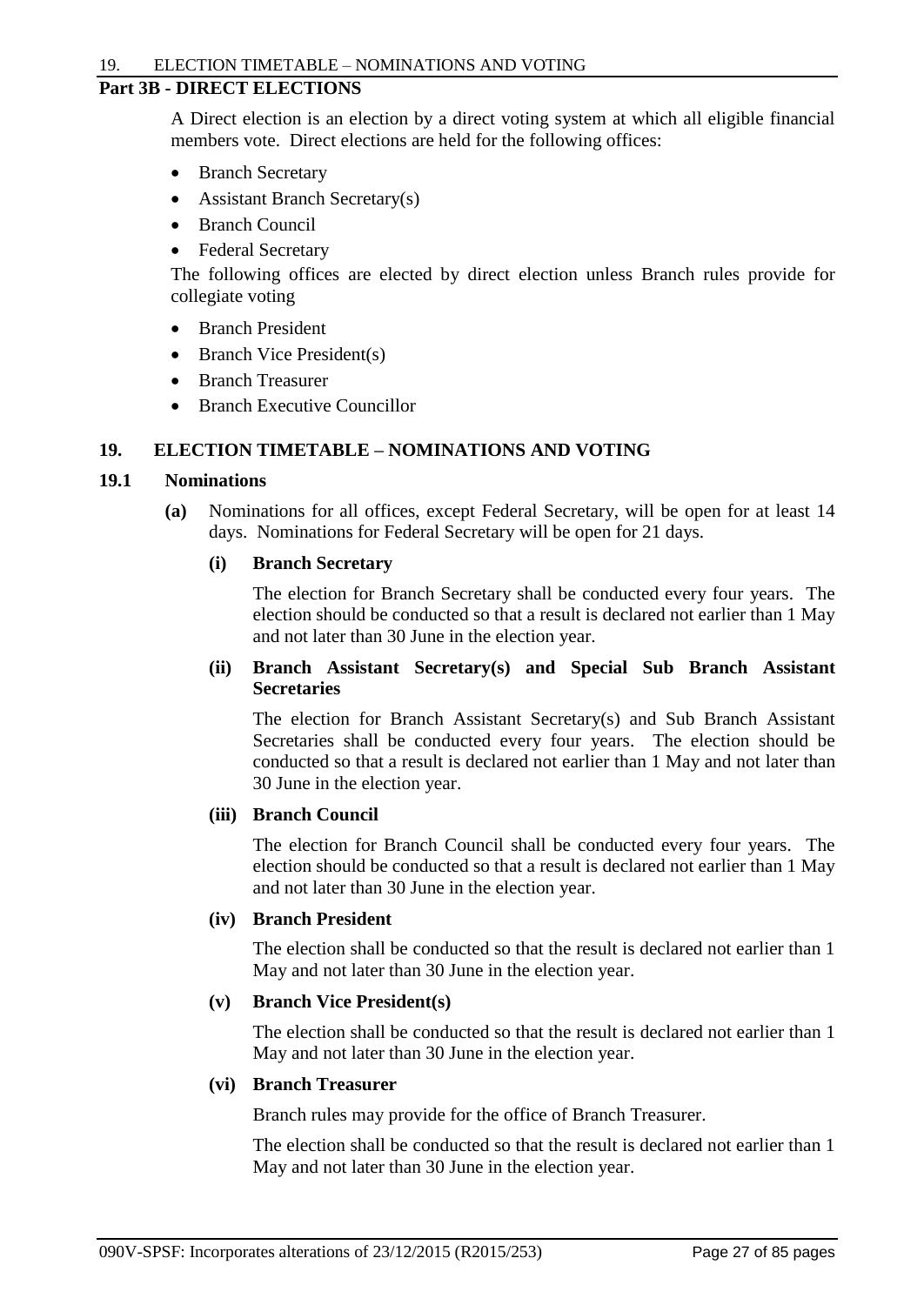#### **Part 3B - DIRECT ELECTIONS**

A Direct election is an election by a direct voting system at which all eligible financial members vote. Direct elections are held for the following offices:

- Branch Secretary
- Assistant Branch Secretary(s)
- Branch Council
- Federal Secretary

The following offices are elected by direct election unless Branch rules provide for collegiate voting

- Branch President
- Branch Vice President(s)
- Branch Treasurer
- Branch Executive Councillor

#### <span id="page-29-0"></span>**19. ELECTION TIMETABLE – NOMINATIONS AND VOTING**

#### **19.1 Nominations**

**(a)** Nominations for all offices, except Federal Secretary, will be open for at least 14 days. Nominations for Federal Secretary will be open for 21 days.

#### **(i) Branch Secretary**

The election for Branch Secretary shall be conducted every four years. The election should be conducted so that a result is declared not earlier than 1 May and not later than 30 June in the election year.

#### **(ii) Branch Assistant Secretary(s) and Special Sub Branch Assistant Secretaries**

The election for Branch Assistant Secretary(s) and Sub Branch Assistant Secretaries shall be conducted every four years. The election should be conducted so that a result is declared not earlier than 1 May and not later than 30 June in the election year.

## **(iii) Branch Council**

The election for Branch Council shall be conducted every four years. The election should be conducted so that a result is declared not earlier than 1 May and not later than 30 June in the election year.

## **(iv) Branch President**

The election shall be conducted so that the result is declared not earlier than 1 May and not later than 30 June in the election year.

#### **(v) Branch Vice President(s)**

The election shall be conducted so that the result is declared not earlier than 1 May and not later than 30 June in the election year.

## **(vi) Branch Treasurer**

Branch rules may provide for the office of Branch Treasurer.

The election shall be conducted so that the result is declared not earlier than 1 May and not later than 30 June in the election year.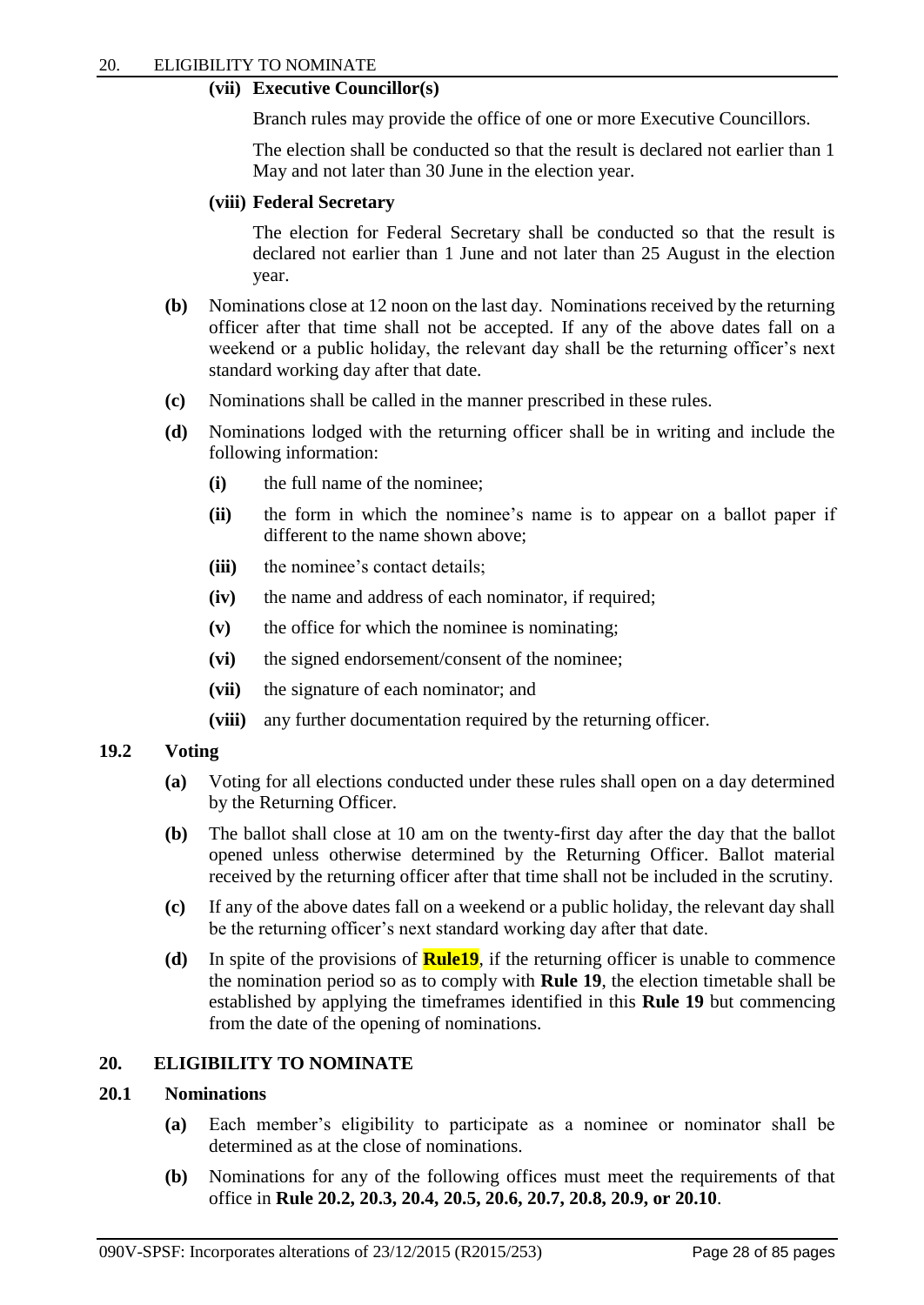#### **(vii) Executive Councillor(s)**

Branch rules may provide the office of one or more Executive Councillors.

The election shall be conducted so that the result is declared not earlier than 1 May and not later than 30 June in the election year.

#### **(viii) Federal Secretary**

The election for Federal Secretary shall be conducted so that the result is declared not earlier than 1 June and not later than 25 August in the election year.

- **(b)** Nominations close at 12 noon on the last day. Nominations received by the returning officer after that time shall not be accepted. If any of the above dates fall on a weekend or a public holiday, the relevant day shall be the returning officer's next standard working day after that date.
- **(c)** Nominations shall be called in the manner prescribed in these rules.
- **(d)** Nominations lodged with the returning officer shall be in writing and include the following information:
	- **(i)** the full name of the nominee;
	- **(ii)** the form in which the nominee's name is to appear on a ballot paper if different to the name shown above;
	- **(iii)** the nominee's contact details;
	- **(iv)** the name and address of each nominator, if required;
	- **(v)** the office for which the nominee is nominating;
	- **(vi)** the signed endorsement/consent of the nominee;
	- **(vii)** the signature of each nominator; and
	- **(viii)** any further documentation required by the returning officer.

#### **19.2 Voting**

- **(a)** Voting for all elections conducted under these rules shall open on a day determined by the Returning Officer.
- **(b)** The ballot shall close at 10 am on the twenty-first day after the day that the ballot opened unless otherwise determined by the Returning Officer. Ballot material received by the returning officer after that time shall not be included in the scrutiny.
- **(c)** If any of the above dates fall on a weekend or a public holiday, the relevant day shall be the returning officer's next standard working day after that date.
- **(d)** In spite of the provisions of **Rule19**, if the returning officer is unable to commence the nomination period so as to comply with **Rule 19**, the election timetable shall be established by applying the timeframes identified in this **Rule 19** but commencing from the date of the opening of nominations.

## <span id="page-30-0"></span>**20. ELIGIBILITY TO NOMINATE**

#### **20.1 Nominations**

- **(a)** Each member's eligibility to participate as a nominee or nominator shall be determined as at the close of nominations.
- **(b)** Nominations for any of the following offices must meet the requirements of that office in **Rule 20.2, 20.3, 20.4, 20.5, 20.6, 20.7, 20.8, 20.9, or 20.10**.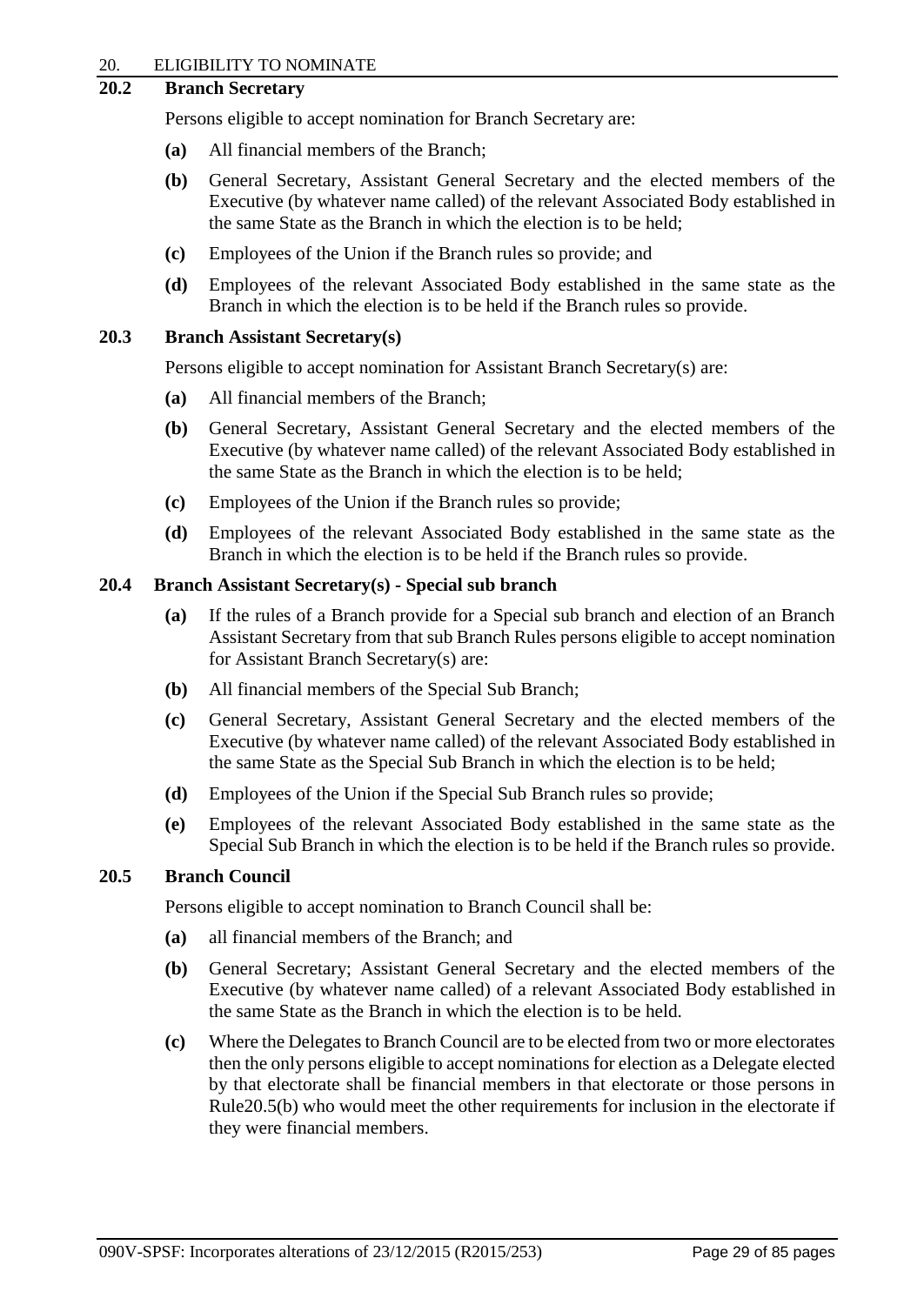#### 20. ELIGIBILITY TO NOMINATE

## **20.2 Branch Secretary**

Persons eligible to accept nomination for Branch Secretary are:

- **(a)** All financial members of the Branch;
- **(b)** General Secretary, Assistant General Secretary and the elected members of the Executive (by whatever name called) of the relevant Associated Body established in the same State as the Branch in which the election is to be held;
- **(c)** Employees of the Union if the Branch rules so provide; and
- **(d)** Employees of the relevant Associated Body established in the same state as the Branch in which the election is to be held if the Branch rules so provide.

#### **20.3 Branch Assistant Secretary(s)**

Persons eligible to accept nomination for Assistant Branch Secretary(s) are:

- **(a)** All financial members of the Branch;
- **(b)** General Secretary, Assistant General Secretary and the elected members of the Executive (by whatever name called) of the relevant Associated Body established in the same State as the Branch in which the election is to be held;
- **(c)** Employees of the Union if the Branch rules so provide;
- **(d)** Employees of the relevant Associated Body established in the same state as the Branch in which the election is to be held if the Branch rules so provide.

#### **20.4 Branch Assistant Secretary(s) - Special sub branch**

- **(a)** If the rules of a Branch provide for a Special sub branch and election of an Branch Assistant Secretary from that sub Branch Rules persons eligible to accept nomination for Assistant Branch Secretary(s) are:
- **(b)** All financial members of the Special Sub Branch;
- **(c)** General Secretary, Assistant General Secretary and the elected members of the Executive (by whatever name called) of the relevant Associated Body established in the same State as the Special Sub Branch in which the election is to be held;
- **(d)** Employees of the Union if the Special Sub Branch rules so provide;
- **(e)** Employees of the relevant Associated Body established in the same state as the Special Sub Branch in which the election is to be held if the Branch rules so provide.

#### **20.5 Branch Council**

Persons eligible to accept nomination to Branch Council shall be:

- **(a)** all financial members of the Branch; and
- **(b)** General Secretary; Assistant General Secretary and the elected members of the Executive (by whatever name called) of a relevant Associated Body established in the same State as the Branch in which the election is to be held.
- **(c)** Where the Delegates to Branch Council are to be elected from two or more electorates then the only persons eligible to accept nominations for election as a Delegate elected by that electorate shall be financial members in that electorate or those persons in Rule20.5(b) who would meet the other requirements for inclusion in the electorate if they were financial members.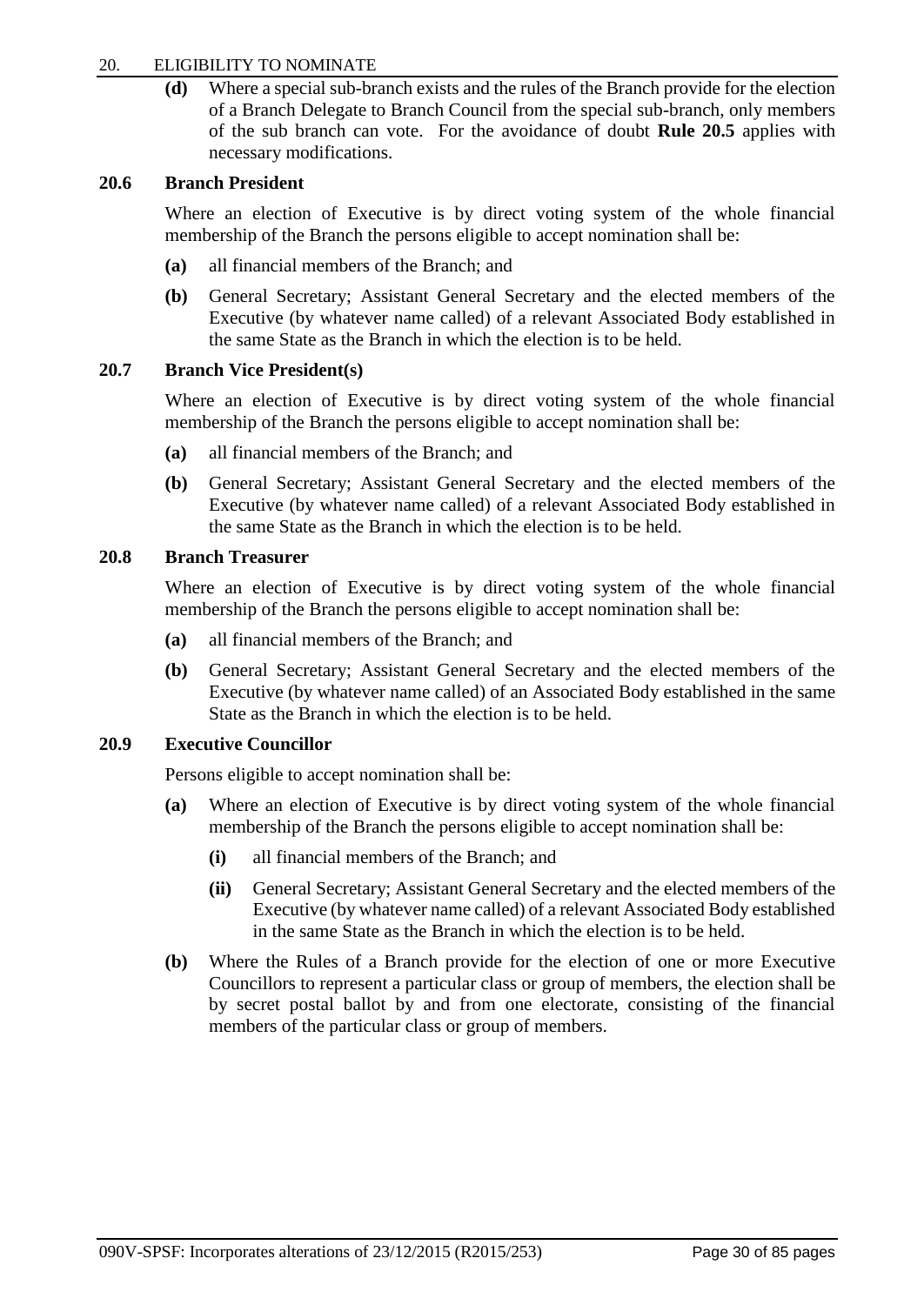#### 20. ELIGIBILITY TO NOMINATE

**(d)** Where a special sub-branch exists and the rules of the Branch provide for the election of a Branch Delegate to Branch Council from the special sub-branch, only members of the sub branch can vote. For the avoidance of doubt **Rule 20.5** applies with necessary modifications.

#### **20.6 Branch President**

Where an election of Executive is by direct voting system of the whole financial membership of the Branch the persons eligible to accept nomination shall be:

- **(a)** all financial members of the Branch; and
- **(b)** General Secretary; Assistant General Secretary and the elected members of the Executive (by whatever name called) of a relevant Associated Body established in the same State as the Branch in which the election is to be held.

## **20.7 Branch Vice President(s)**

Where an election of Executive is by direct voting system of the whole financial membership of the Branch the persons eligible to accept nomination shall be:

- **(a)** all financial members of the Branch; and
- **(b)** General Secretary; Assistant General Secretary and the elected members of the Executive (by whatever name called) of a relevant Associated Body established in the same State as the Branch in which the election is to be held.

## **20.8 Branch Treasurer**

Where an election of Executive is by direct voting system of the whole financial membership of the Branch the persons eligible to accept nomination shall be:

- **(a)** all financial members of the Branch; and
- **(b)** General Secretary; Assistant General Secretary and the elected members of the Executive (by whatever name called) of an Associated Body established in the same State as the Branch in which the election is to be held.

#### **20.9 Executive Councillor**

Persons eligible to accept nomination shall be:

- **(a)** Where an election of Executive is by direct voting system of the whole financial membership of the Branch the persons eligible to accept nomination shall be:
	- **(i)** all financial members of the Branch; and
	- **(ii)** General Secretary; Assistant General Secretary and the elected members of the Executive (by whatever name called) of a relevant Associated Body established in the same State as the Branch in which the election is to be held.
- **(b)** Where the Rules of a Branch provide for the election of one or more Executive Councillors to represent a particular class or group of members, the election shall be by secret postal ballot by and from one electorate, consisting of the financial members of the particular class or group of members.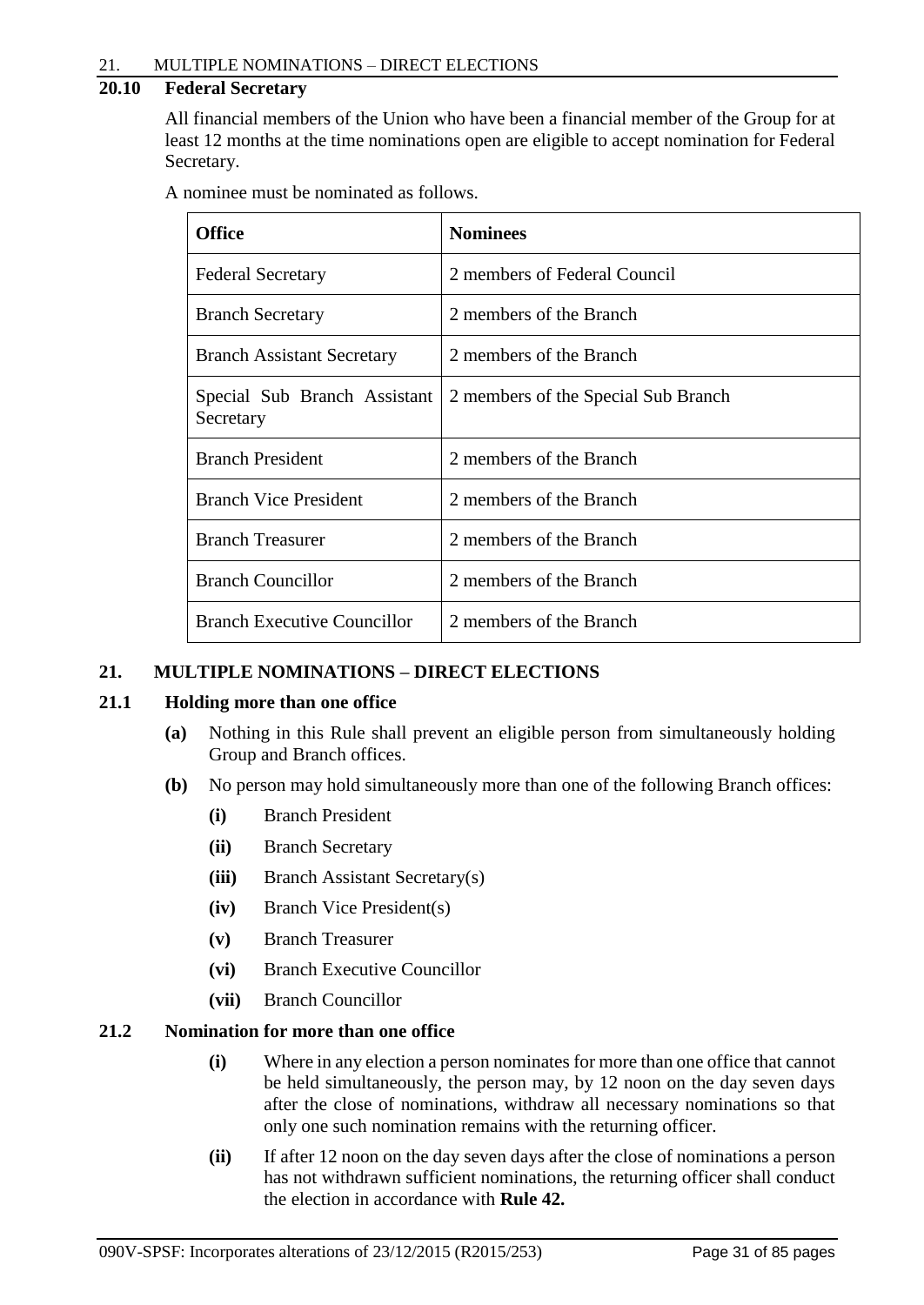## **20.10 Federal Secretary**

All financial members of the Union who have been a financial member of the Group for at least 12 months at the time nominations open are eligible to accept nomination for Federal Secretary.

A nominee must be nominated as follows.

| <b>Office</b>                             | <b>Nominees</b>                     |
|-------------------------------------------|-------------------------------------|
| <b>Federal Secretary</b>                  | 2 members of Federal Council        |
| <b>Branch Secretary</b>                   | 2 members of the Branch             |
| <b>Branch Assistant Secretary</b>         | 2 members of the Branch             |
| Special Sub Branch Assistant<br>Secretary | 2 members of the Special Sub Branch |
| <b>Branch President</b>                   | 2 members of the Branch             |
| <b>Branch Vice President</b>              | 2 members of the Branch             |
| <b>Branch Treasurer</b>                   | 2 members of the Branch             |
| <b>Branch Councillor</b>                  | 2 members of the Branch             |
| <b>Branch Executive Councillor</b>        | 2 members of the Branch             |

## <span id="page-33-0"></span>**21. MULTIPLE NOMINATIONS – DIRECT ELECTIONS**

#### **21.1 Holding more than one office**

- **(a)** Nothing in this Rule shall prevent an eligible person from simultaneously holding Group and Branch offices.
- **(b)** No person may hold simultaneously more than one of the following Branch offices:
	- **(i)** Branch President
	- **(ii)** Branch Secretary
	- **(iii)** Branch Assistant Secretary(s)
	- **(iv)** Branch Vice President(s)
	- **(v)** Branch Treasurer
	- **(vi)** Branch Executive Councillor
	- **(vii)** Branch Councillor

## **21.2 Nomination for more than one office**

- **(i)** Where in any election a person nominates for more than one office that cannot be held simultaneously, the person may, by 12 noon on the day seven days after the close of nominations, withdraw all necessary nominations so that only one such nomination remains with the returning officer.
- **(ii)** If after 12 noon on the day seven days after the close of nominations a person has not withdrawn sufficient nominations, the returning officer shall conduct the election in accordance with **Rule 42.**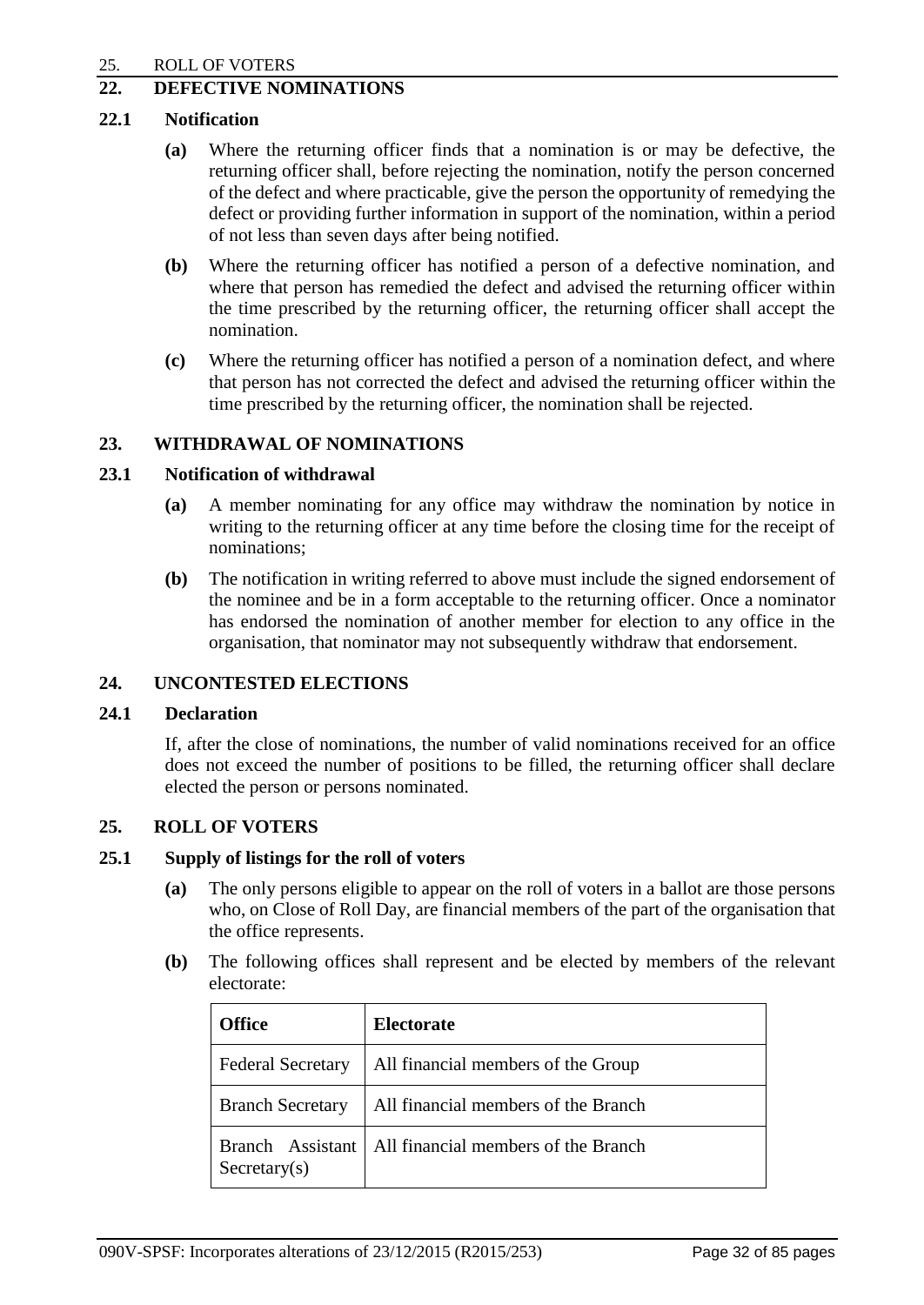## <span id="page-34-0"></span>**22. DEFECTIVE NOMINATIONS**

## **22.1 Notification**

- **(a)** Where the returning officer finds that a nomination is or may be defective, the returning officer shall, before rejecting the nomination, notify the person concerned of the defect and where practicable, give the person the opportunity of remedying the defect or providing further information in support of the nomination, within a period of not less than seven days after being notified.
- **(b)** Where the returning officer has notified a person of a defective nomination, and where that person has remedied the defect and advised the returning officer within the time prescribed by the returning officer, the returning officer shall accept the nomination.
- **(c)** Where the returning officer has notified a person of a nomination defect, and where that person has not corrected the defect and advised the returning officer within the time prescribed by the returning officer, the nomination shall be rejected.

## <span id="page-34-1"></span>**23. WITHDRAWAL OF NOMINATIONS**

#### **23.1 Notification of withdrawal**

- **(a)** A member nominating for any office may withdraw the nomination by notice in writing to the returning officer at any time before the closing time for the receipt of nominations;
- **(b)** The notification in writing referred to above must include the signed endorsement of the nominee and be in a form acceptable to the returning officer. Once a nominator has endorsed the nomination of another member for election to any office in the organisation, that nominator may not subsequently withdraw that endorsement.

## <span id="page-34-2"></span>**24. UNCONTESTED ELECTIONS**

#### **24.1 Declaration**

If, after the close of nominations, the number of valid nominations received for an office does not exceed the number of positions to be filled, the returning officer shall declare elected the person or persons nominated.

#### <span id="page-34-3"></span>**25. ROLL OF VOTERS**

### **25.1 Supply of listings for the roll of voters**

- **(a)** The only persons eligible to appear on the roll of voters in a ballot are those persons who, on Close of Roll Day, are financial members of the part of the organisation that the office represents.
- **(b)** The following offices shall represent and be elected by members of the relevant electorate:

| <b>Office</b>                              | <b>Electorate</b>                   |
|--------------------------------------------|-------------------------------------|
| <b>Federal Secretary</b>                   | All financial members of the Group  |
| <b>Branch Secretary</b>                    | All financial members of the Branch |
| Branch Assistant<br>$S \text{ecretary}(s)$ | All financial members of the Branch |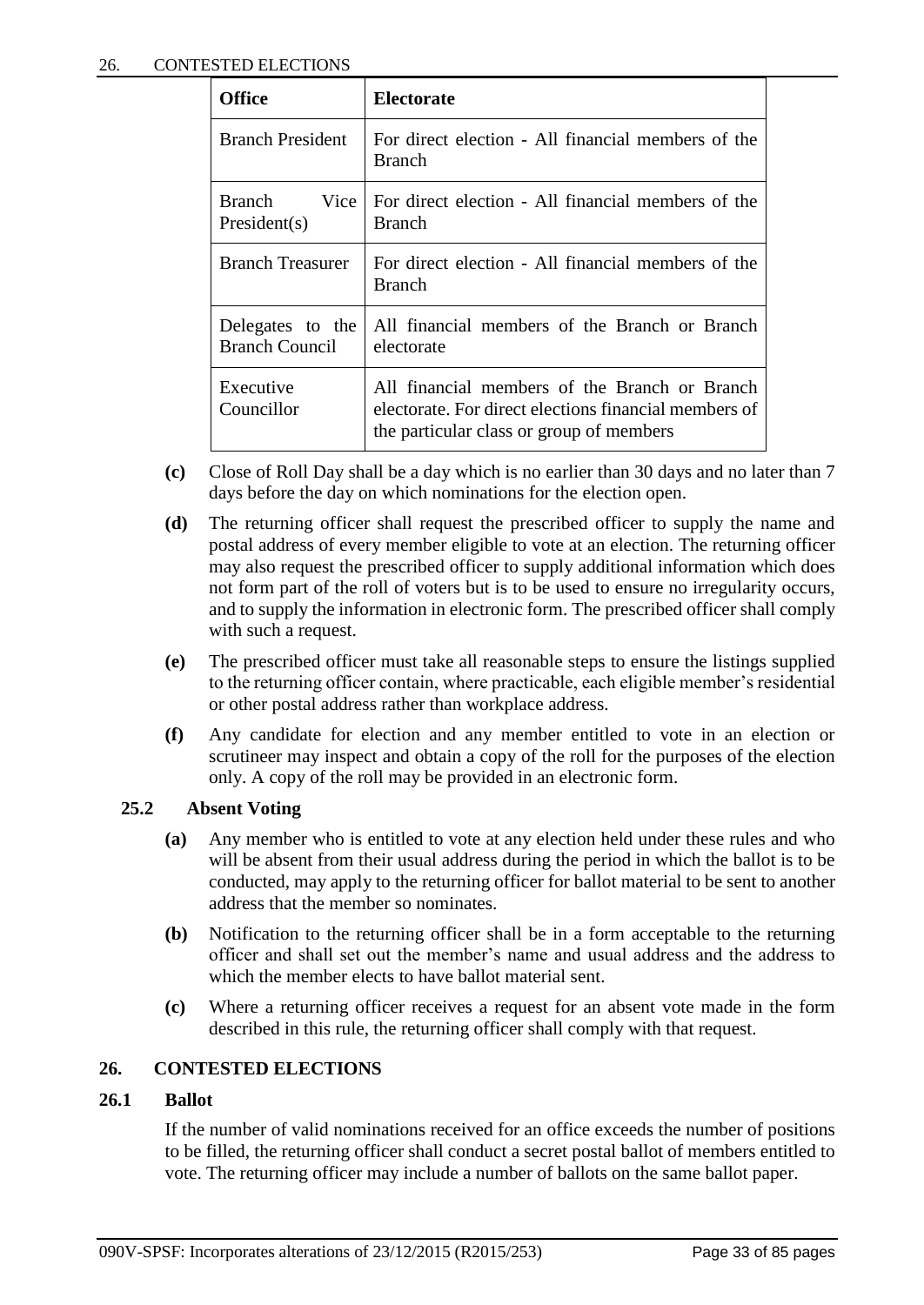| Office                                    | <b>Electorate</b>                                                                                                                                  |
|-------------------------------------------|----------------------------------------------------------------------------------------------------------------------------------------------------|
| <b>Branch President</b>                   | For direct election - All financial members of the<br><b>Branch</b>                                                                                |
| Branch<br>Vice<br>President(s)            | For direct election - All financial members of the<br><b>Branch</b>                                                                                |
| Branch Treasurer                          | For direct election - All financial members of the<br><b>Branch</b>                                                                                |
| Delegates to the<br><b>Branch Council</b> | All financial members of the Branch or Branch<br>electorate                                                                                        |
| Executive<br>Councillor                   | All financial members of the Branch or Branch<br>electorate. For direct elections financial members of<br>the particular class or group of members |

- **(c)** Close of Roll Day shall be a day which is no earlier than 30 days and no later than 7 days before the day on which nominations for the election open.
- **(d)** The returning officer shall request the prescribed officer to supply the name and postal address of every member eligible to vote at an election. The returning officer may also request the prescribed officer to supply additional information which does not form part of the roll of voters but is to be used to ensure no irregularity occurs, and to supply the information in electronic form. The prescribed officer shall comply with such a request.
- **(e)** The prescribed officer must take all reasonable steps to ensure the listings supplied to the returning officer contain, where practicable, each eligible member's residential or other postal address rather than workplace address.
- **(f)** Any candidate for election and any member entitled to vote in an election or scrutineer may inspect and obtain a copy of the roll for the purposes of the election only. A copy of the roll may be provided in an electronic form.

#### **25.2 Absent Voting**

- **(a)** Any member who is entitled to vote at any election held under these rules and who will be absent from their usual address during the period in which the ballot is to be conducted, may apply to the returning officer for ballot material to be sent to another address that the member so nominates.
- **(b)** Notification to the returning officer shall be in a form acceptable to the returning officer and shall set out the member's name and usual address and the address to which the member elects to have ballot material sent.
- **(c)** Where a returning officer receives a request for an absent vote made in the form described in this rule, the returning officer shall comply with that request.

## <span id="page-35-0"></span>**26. CONTESTED ELECTIONS**

#### **26.1 Ballot**

If the number of valid nominations received for an office exceeds the number of positions to be filled, the returning officer shall conduct a secret postal ballot of members entitled to vote. The returning officer may include a number of ballots on the same ballot paper.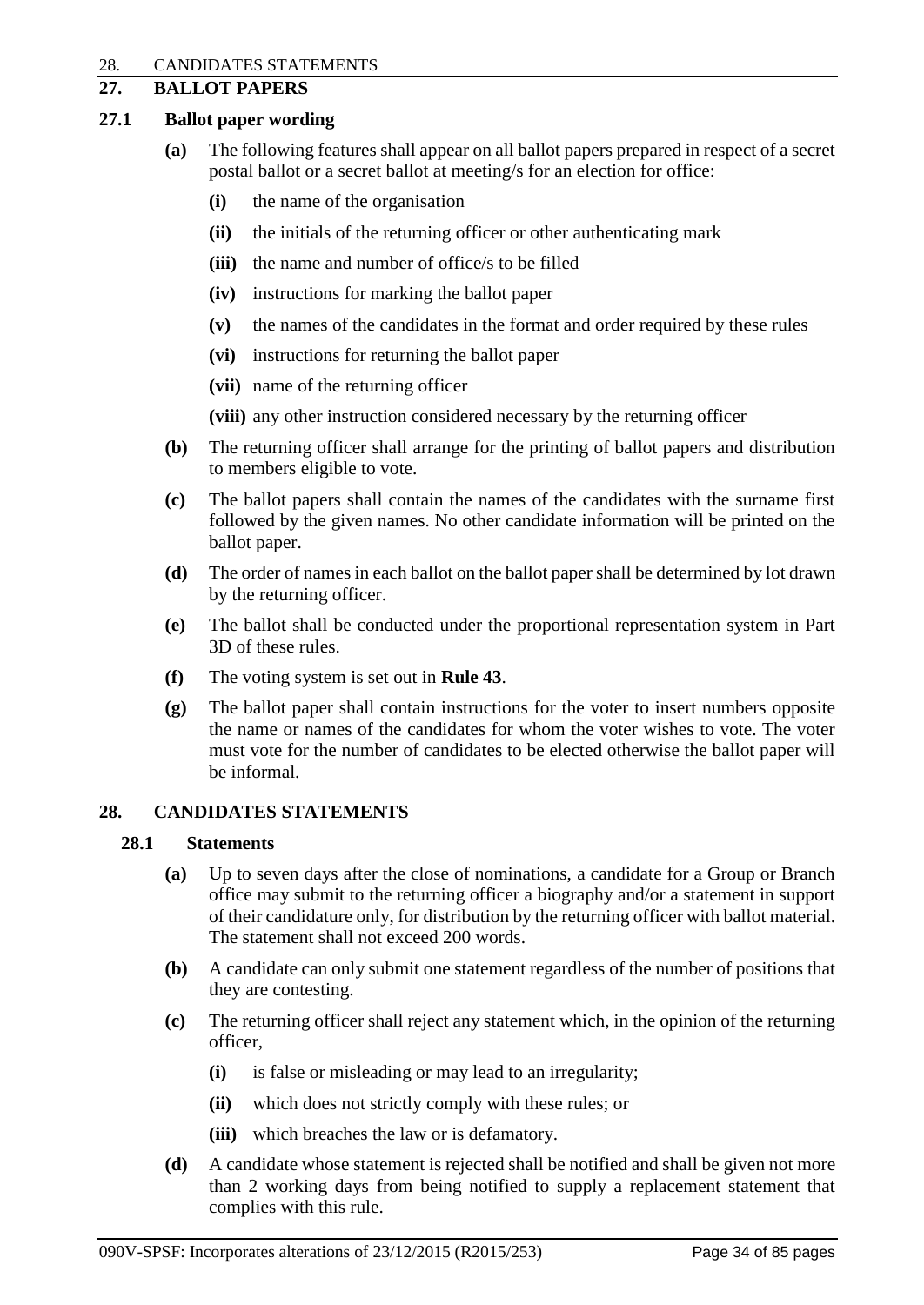# **27. BALLOT PAPERS**

## **27.1 Ballot paper wording**

- **(a)** The following features shall appear on all ballot papers prepared in respect of a secret postal ballot or a secret ballot at meeting/s for an election for office:
	- **(i)** the name of the organisation
	- **(ii)** the initials of the returning officer or other authenticating mark
	- **(iii)** the name and number of office/s to be filled
	- **(iv)** instructions for marking the ballot paper
	- **(v)** the names of the candidates in the format and order required by these rules
	- **(vi)** instructions for returning the ballot paper
	- **(vii)** name of the returning officer
	- **(viii)** any other instruction considered necessary by the returning officer
- **(b)** The returning officer shall arrange for the printing of ballot papers and distribution to members eligible to vote.
- **(c)** The ballot papers shall contain the names of the candidates with the surname first followed by the given names. No other candidate information will be printed on the ballot paper.
- **(d)** The order of names in each ballot on the ballot paper shall be determined by lot drawn by the returning officer.
- **(e)** The ballot shall be conducted under the proportional representation system in Part 3D of these rules.
- **(f)** The voting system is set out in **Rule 43**.
- **(g)** The ballot paper shall contain instructions for the voter to insert numbers opposite the name or names of the candidates for whom the voter wishes to vote. The voter must vote for the number of candidates to be elected otherwise the ballot paper will be informal.

# **28. CANDIDATES STATEMENTS**

# **28.1 Statements**

- **(a)** Up to seven days after the close of nominations, a candidate for a Group or Branch office may submit to the returning officer a biography and/or a statement in support of their candidature only, for distribution by the returning officer with ballot material. The statement shall not exceed 200 words.
- **(b)** A candidate can only submit one statement regardless of the number of positions that they are contesting.
- **(c)** The returning officer shall reject any statement which, in the opinion of the returning officer,
	- **(i)** is false or misleading or may lead to an irregularity;
	- **(ii)** which does not strictly comply with these rules; or
	- **(iii)** which breaches the law or is defamatory.
- **(d)** A candidate whose statement is rejected shall be notified and shall be given not more than 2 working days from being notified to supply a replacement statement that complies with this rule.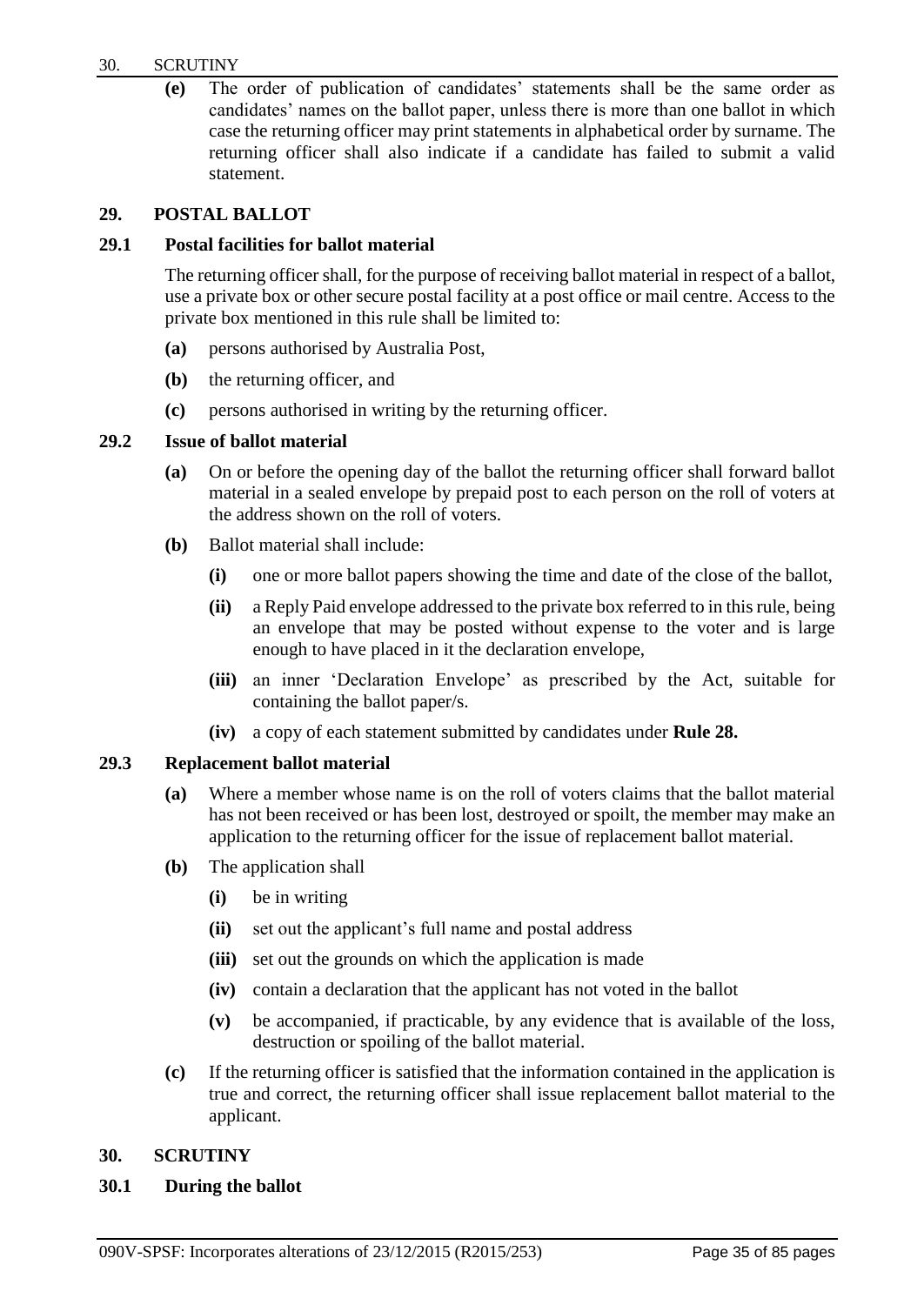#### 30. SCRUTINY

**(e)** The order of publication of candidates' statements shall be the same order as candidates' names on the ballot paper, unless there is more than one ballot in which case the returning officer may print statements in alphabetical order by surname. The returning officer shall also indicate if a candidate has failed to submit a valid statement.

## **29. POSTAL BALLOT**

## **29.1 Postal facilities for ballot material**

The returning officer shall, for the purpose of receiving ballot material in respect of a ballot, use a private box or other secure postal facility at a post office or mail centre. Access to the private box mentioned in this rule shall be limited to:

- **(a)** persons authorised by Australia Post,
- **(b)** the returning officer, and
- **(c)** persons authorised in writing by the returning officer.

## **29.2 Issue of ballot material**

- **(a)** On or before the opening day of the ballot the returning officer shall forward ballot material in a sealed envelope by prepaid post to each person on the roll of voters at the address shown on the roll of voters.
- **(b)** Ballot material shall include:
	- **(i)** one or more ballot papers showing the time and date of the close of the ballot,
	- **(ii)** a Reply Paid envelope addressed to the private box referred to in this rule, being an envelope that may be posted without expense to the voter and is large enough to have placed in it the declaration envelope,
	- **(iii)** an inner 'Declaration Envelope' as prescribed by the Act, suitable for containing the ballot paper/s.
	- **(iv)** a copy of each statement submitted by candidates under **Rule 28.**

## **29.3 Replacement ballot material**

- **(a)** Where a member whose name is on the roll of voters claims that the ballot material has not been received or has been lost, destroyed or spoilt, the member may make an application to the returning officer for the issue of replacement ballot material.
- **(b)** The application shall
	- **(i)** be in writing
	- **(ii)** set out the applicant's full name and postal address
	- **(iii)** set out the grounds on which the application is made
	- **(iv)** contain a declaration that the applicant has not voted in the ballot
	- **(v)** be accompanied, if practicable, by any evidence that is available of the loss, destruction or spoiling of the ballot material.
- **(c)** If the returning officer is satisfied that the information contained in the application is true and correct, the returning officer shall issue replacement ballot material to the applicant.

# **30. SCRUTINY**

## **30.1 During the ballot**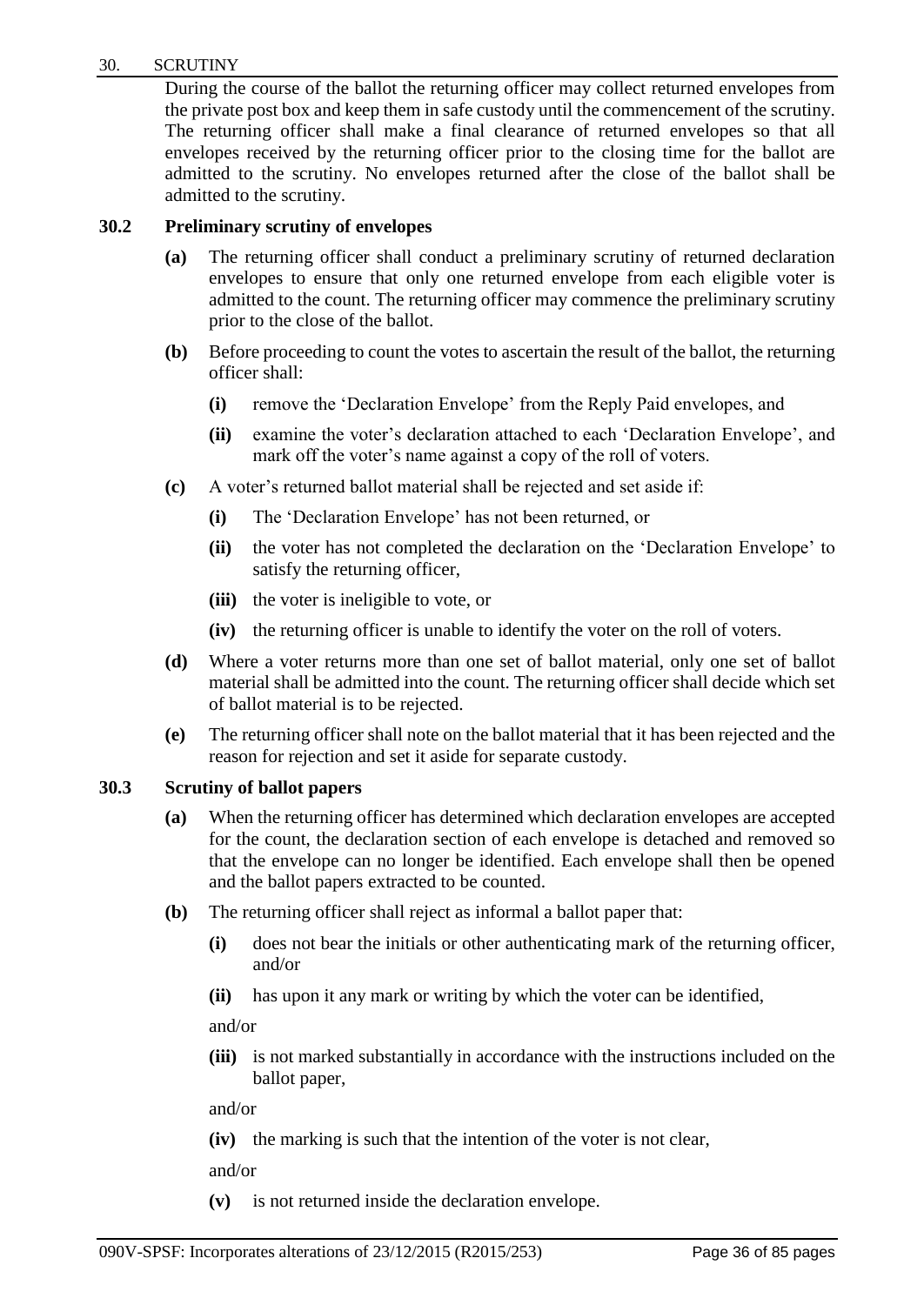#### 30. SCRUTINY

During the course of the ballot the returning officer may collect returned envelopes from the private post box and keep them in safe custody until the commencement of the scrutiny. The returning officer shall make a final clearance of returned envelopes so that all envelopes received by the returning officer prior to the closing time for the ballot are admitted to the scrutiny. No envelopes returned after the close of the ballot shall be admitted to the scrutiny.

# **30.2 Preliminary scrutiny of envelopes**

- **(a)** The returning officer shall conduct a preliminary scrutiny of returned declaration envelopes to ensure that only one returned envelope from each eligible voter is admitted to the count. The returning officer may commence the preliminary scrutiny prior to the close of the ballot.
- **(b)** Before proceeding to count the votes to ascertain the result of the ballot, the returning officer shall:
	- **(i)** remove the 'Declaration Envelope' from the Reply Paid envelopes, and
	- **(ii)** examine the voter's declaration attached to each 'Declaration Envelope', and mark off the voter's name against a copy of the roll of voters.
- **(c)** A voter's returned ballot material shall be rejected and set aside if:
	- **(i)** The 'Declaration Envelope' has not been returned, or
	- **(ii)** the voter has not completed the declaration on the 'Declaration Envelope' to satisfy the returning officer,
	- **(iii)** the voter is ineligible to vote, or
	- **(iv)** the returning officer is unable to identify the voter on the roll of voters.
- **(d)** Where a voter returns more than one set of ballot material, only one set of ballot material shall be admitted into the count. The returning officer shall decide which set of ballot material is to be rejected.
- **(e)** The returning officer shall note on the ballot material that it has been rejected and the reason for rejection and set it aside for separate custody.

## **30.3 Scrutiny of ballot papers**

- **(a)** When the returning officer has determined which declaration envelopes are accepted for the count, the declaration section of each envelope is detached and removed so that the envelope can no longer be identified. Each envelope shall then be opened and the ballot papers extracted to be counted.
- **(b)** The returning officer shall reject as informal a ballot paper that:
	- **(i)** does not bear the initials or other authenticating mark of the returning officer, and/or
	- **(ii)** has upon it any mark or writing by which the voter can be identified,

and/or

**(iii)** is not marked substantially in accordance with the instructions included on the ballot paper,

and/or

**(iv)** the marking is such that the intention of the voter is not clear,

and/or

**(v)** is not returned inside the declaration envelope.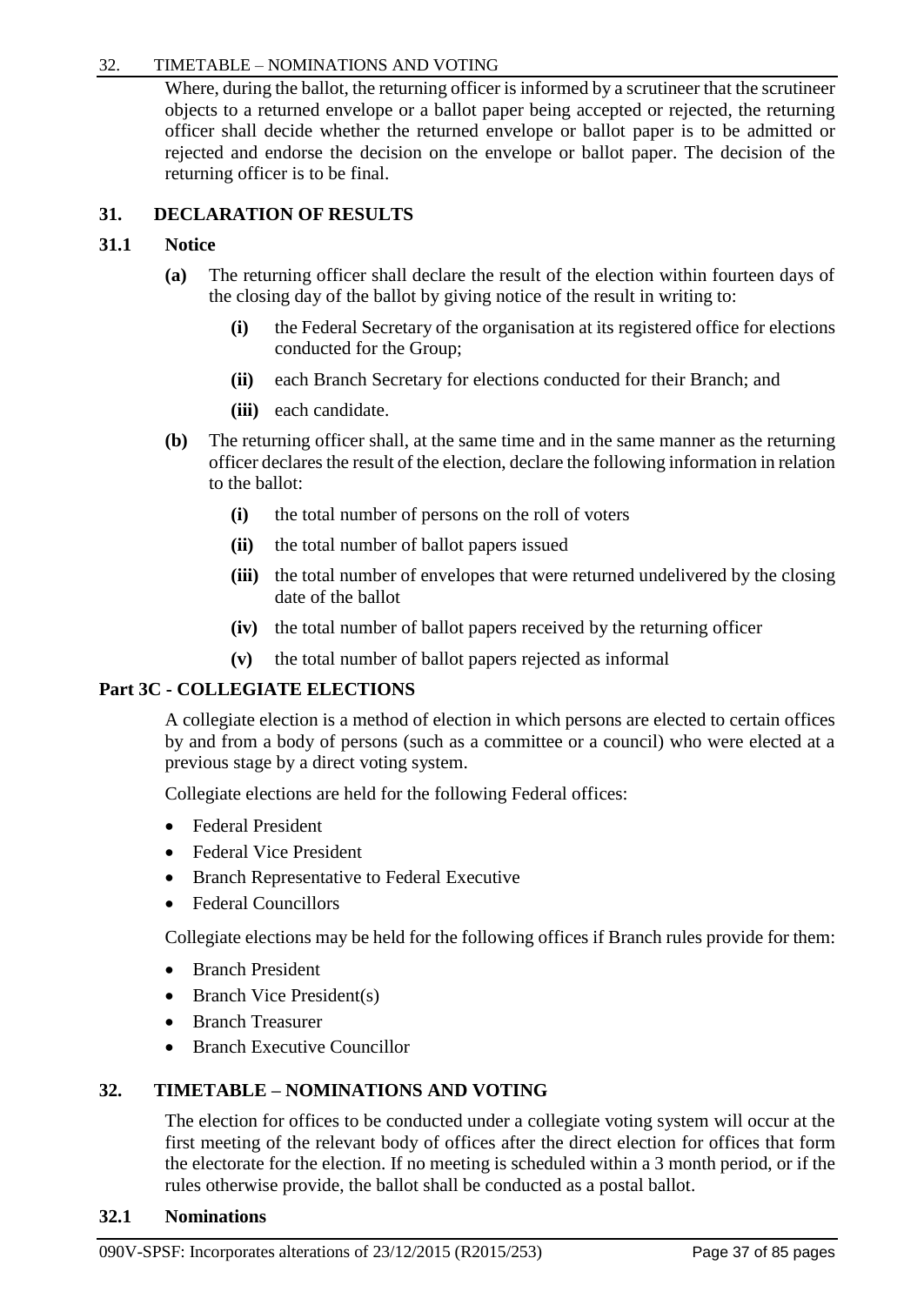## 32. TIMETABLE – NOMINATIONS AND VOTING

Where, during the ballot, the returning officer is informed by a scrutineer that the scrutineer objects to a returned envelope or a ballot paper being accepted or rejected, the returning officer shall decide whether the returned envelope or ballot paper is to be admitted or rejected and endorse the decision on the envelope or ballot paper. The decision of the returning officer is to be final.

# **31. DECLARATION OF RESULTS**

# **31.1 Notice**

- **(a)** The returning officer shall declare the result of the election within fourteen days of the closing day of the ballot by giving notice of the result in writing to:
	- **(i)** the Federal Secretary of the organisation at its registered office for elections conducted for the Group;
	- **(ii)** each Branch Secretary for elections conducted for their Branch; and
	- **(iii)** each candidate.
- **(b)** The returning officer shall, at the same time and in the same manner as the returning officer declares the result of the election, declare the following information in relation to the ballot:
	- **(i)** the total number of persons on the roll of voters
	- **(ii)** the total number of ballot papers issued
	- **(iii)** the total number of envelopes that were returned undelivered by the closing date of the ballot
	- **(iv)** the total number of ballot papers received by the returning officer
	- **(v)** the total number of ballot papers rejected as informal

# **Part 3C - COLLEGIATE ELECTIONS**

A collegiate election is a method of election in which persons are elected to certain offices by and from a body of persons (such as a committee or a council) who were elected at a previous stage by a direct voting system.

Collegiate elections are held for the following Federal offices:

- Federal President
- Federal Vice President
- Branch Representative to Federal Executive
- Federal Councillors

Collegiate elections may be held for the following offices if Branch rules provide for them:

- Branch President
- Branch Vice President(s)
- Branch Treasurer
- Branch Executive Councillor

# **32. TIMETABLE – NOMINATIONS AND VOTING**

The election for offices to be conducted under a collegiate voting system will occur at the first meeting of the relevant body of offices after the direct election for offices that form the electorate for the election. If no meeting is scheduled within a 3 month period, or if the rules otherwise provide, the ballot shall be conducted as a postal ballot.

## **32.1 Nominations**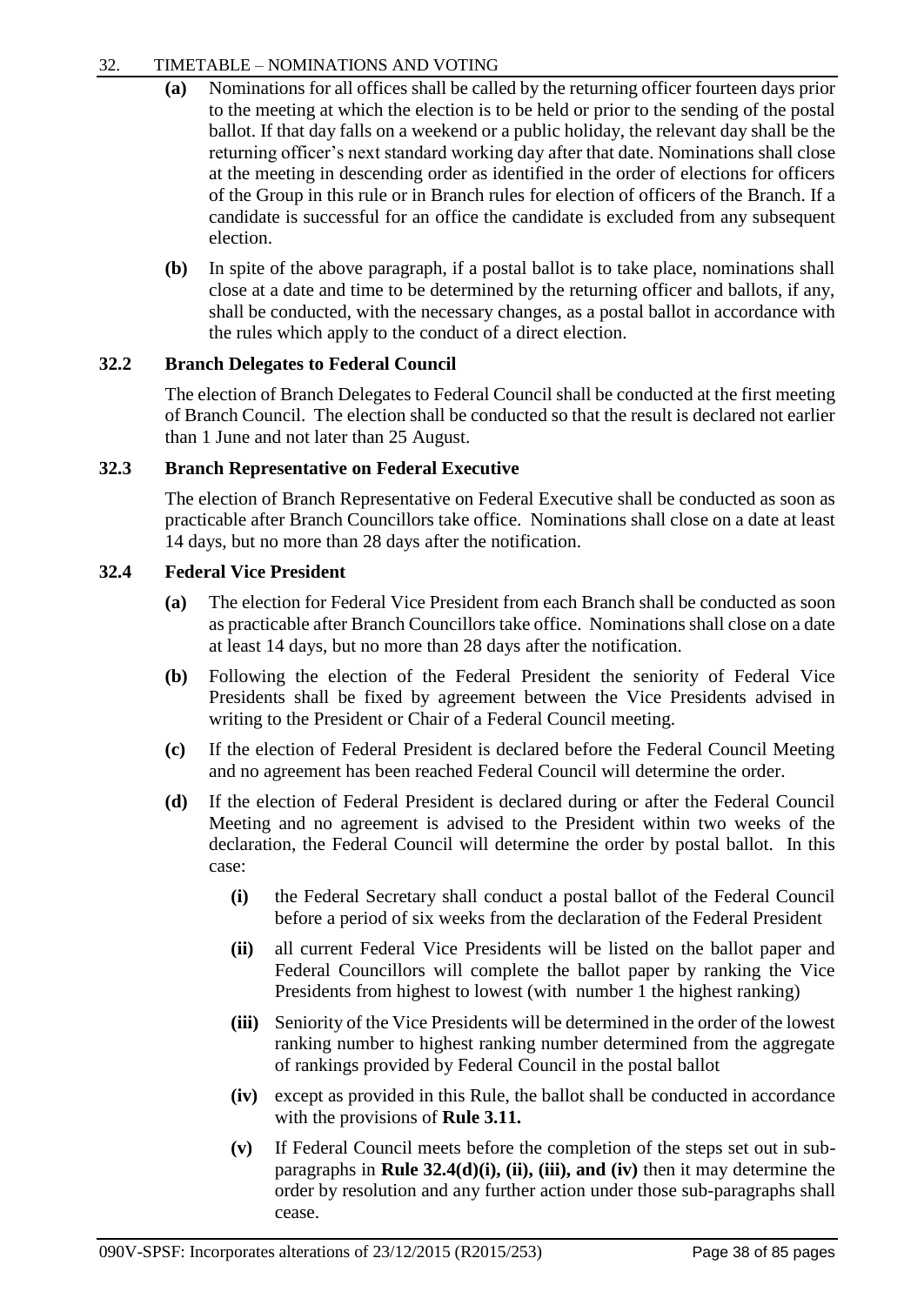# 32. TIMETABLE – NOMINATIONS AND VOTING

- **(a)** Nominations for all offices shall be called by the returning officer fourteen days prior to the meeting at which the election is to be held or prior to the sending of the postal ballot. If that day falls on a weekend or a public holiday, the relevant day shall be the returning officer's next standard working day after that date. Nominations shall close at the meeting in descending order as identified in the order of elections for officers of the Group in this rule or in Branch rules for election of officers of the Branch. If a candidate is successful for an office the candidate is excluded from any subsequent election.
- **(b)** In spite of the above paragraph, if a postal ballot is to take place, nominations shall close at a date and time to be determined by the returning officer and ballots, if any, shall be conducted, with the necessary changes, as a postal ballot in accordance with the rules which apply to the conduct of a direct election.

# **32.2 Branch Delegates to Federal Council**

The election of Branch Delegates to Federal Council shall be conducted at the first meeting of Branch Council. The election shall be conducted so that the result is declared not earlier than 1 June and not later than 25 August.

## **32.3 Branch Representative on Federal Executive**

The election of Branch Representative on Federal Executive shall be conducted as soon as practicable after Branch Councillors take office. Nominations shall close on a date at least 14 days, but no more than 28 days after the notification.

## **32.4 Federal Vice President**

- **(a)** The election for Federal Vice President from each Branch shall be conducted as soon as practicable after Branch Councillors take office. Nominations shall close on a date at least 14 days, but no more than 28 days after the notification.
- **(b)** Following the election of the Federal President the seniority of Federal Vice Presidents shall be fixed by agreement between the Vice Presidents advised in writing to the President or Chair of a Federal Council meeting.
- **(c)** If the election of Federal President is declared before the Federal Council Meeting and no agreement has been reached Federal Council will determine the order.
- **(d)** If the election of Federal President is declared during or after the Federal Council Meeting and no agreement is advised to the President within two weeks of the declaration, the Federal Council will determine the order by postal ballot. In this case:
	- **(i)** the Federal Secretary shall conduct a postal ballot of the Federal Council before a period of six weeks from the declaration of the Federal President
	- **(ii)** all current Federal Vice Presidents will be listed on the ballot paper and Federal Councillors will complete the ballot paper by ranking the Vice Presidents from highest to lowest (with number 1 the highest ranking)
	- **(iii)** Seniority of the Vice Presidents will be determined in the order of the lowest ranking number to highest ranking number determined from the aggregate of rankings provided by Federal Council in the postal ballot
	- **(iv)** except as provided in this Rule, the ballot shall be conducted in accordance with the provisions of **Rule 3.11.**
	- **(v)** If Federal Council meets before the completion of the steps set out in subparagraphs in **Rule 32.4(d)(i), (ii), (iii), and (iv)** then it may determine the order by resolution and any further action under those sub-paragraphs shall cease.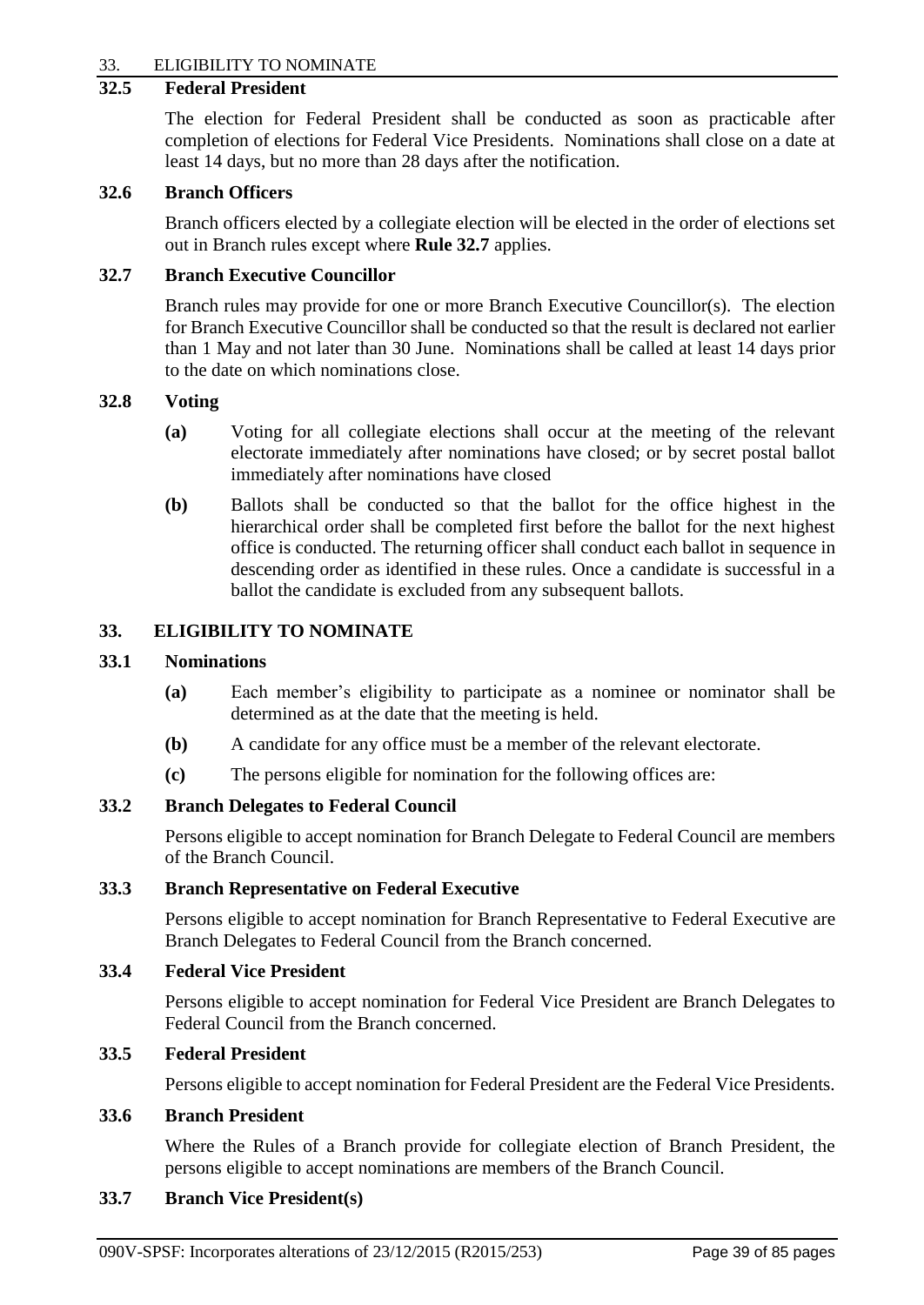## 33. ELIGIBILITY TO NOMINATE

## **32.5 Federal President**

The election for Federal President shall be conducted as soon as practicable after completion of elections for Federal Vice Presidents. Nominations shall close on a date at least 14 days, but no more than 28 days after the notification.

#### **32.6 Branch Officers**

Branch officers elected by a collegiate election will be elected in the order of elections set out in Branch rules except where **Rule 32.7** applies.

#### **32.7 Branch Executive Councillor**

Branch rules may provide for one or more Branch Executive Councillor(s). The election for Branch Executive Councillor shall be conducted so that the result is declared not earlier than 1 May and not later than 30 June. Nominations shall be called at least 14 days prior to the date on which nominations close.

#### **32.8 Voting**

- **(a)** Voting for all collegiate elections shall occur at the meeting of the relevant electorate immediately after nominations have closed; or by secret postal ballot immediately after nominations have closed
- **(b)** Ballots shall be conducted so that the ballot for the office highest in the hierarchical order shall be completed first before the ballot for the next highest office is conducted. The returning officer shall conduct each ballot in sequence in descending order as identified in these rules. Once a candidate is successful in a ballot the candidate is excluded from any subsequent ballots.

## **33. ELIGIBILITY TO NOMINATE**

### **33.1 Nominations**

- **(a)** Each member's eligibility to participate as a nominee or nominator shall be determined as at the date that the meeting is held.
- **(b)** A candidate for any office must be a member of the relevant electorate.
- **(c)** The persons eligible for nomination for the following offices are:

#### **33.2 Branch Delegates to Federal Council**

Persons eligible to accept nomination for Branch Delegate to Federal Council are members of the Branch Council.

## **33.3 Branch Representative on Federal Executive**

Persons eligible to accept nomination for Branch Representative to Federal Executive are Branch Delegates to Federal Council from the Branch concerned.

#### **33.4 Federal Vice President**

Persons eligible to accept nomination for Federal Vice President are Branch Delegates to Federal Council from the Branch concerned.

#### **33.5 Federal President**

Persons eligible to accept nomination for Federal President are the Federal Vice Presidents.

## **33.6 Branch President**

Where the Rules of a Branch provide for collegiate election of Branch President, the persons eligible to accept nominations are members of the Branch Council.

#### **33.7 Branch Vice President(s)**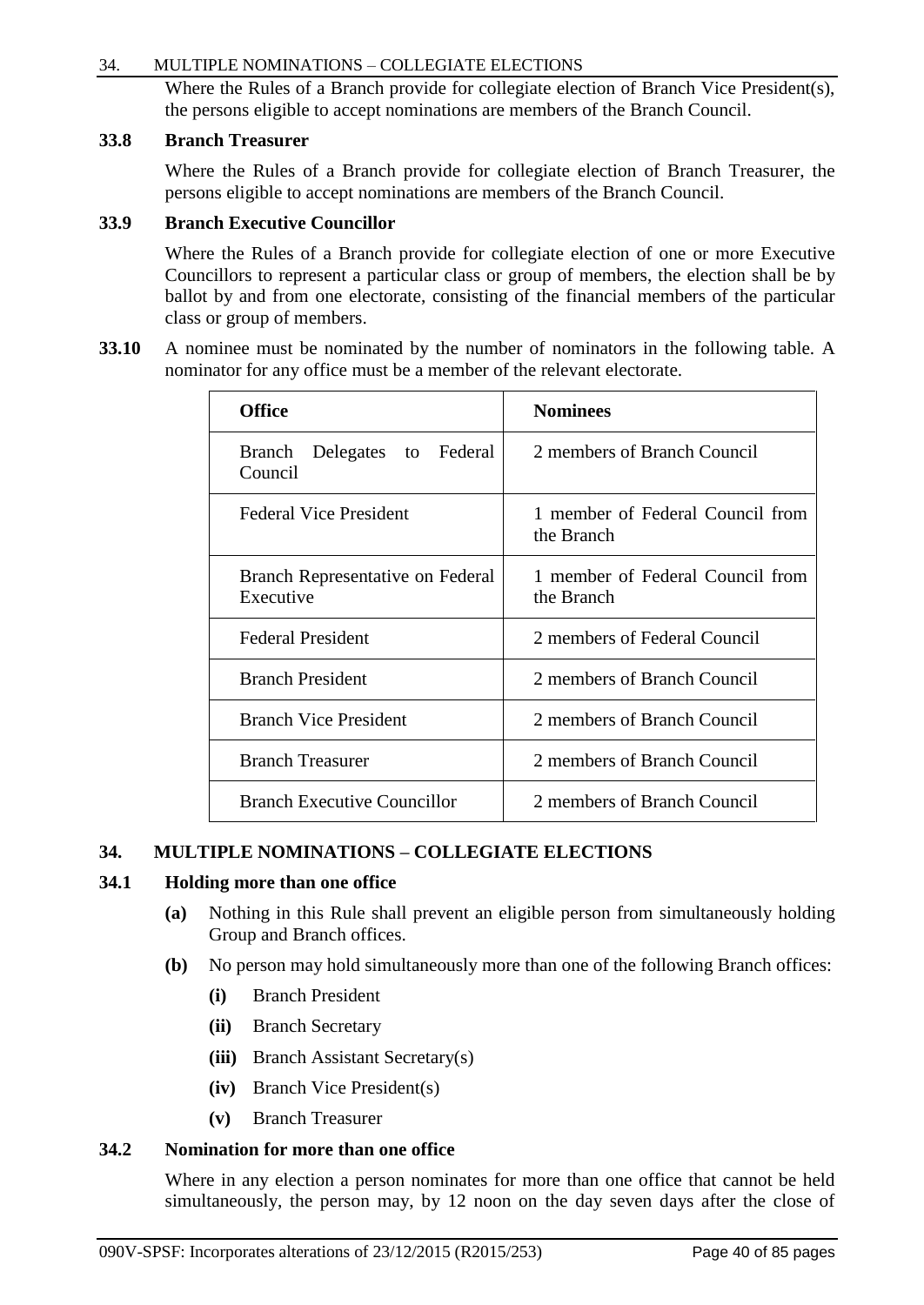## 34. MULTIPLE NOMINATIONS – COLLEGIATE ELECTIONS

Where the Rules of a Branch provide for collegiate election of Branch Vice President(s), the persons eligible to accept nominations are members of the Branch Council.

## **33.8 Branch Treasurer**

Where the Rules of a Branch provide for collegiate election of Branch Treasurer, the persons eligible to accept nominations are members of the Branch Council.

# **33.9 Branch Executive Councillor**

Where the Rules of a Branch provide for collegiate election of one or more Executive Councillors to represent a particular class or group of members, the election shall be by ballot by and from one electorate, consisting of the financial members of the particular class or group of members.

**33.10** A nominee must be nominated by the number of nominators in the following table. A nominator for any office must be a member of the relevant electorate.

| <b>Office</b>                                 | <b>Nominees</b>                                |
|-----------------------------------------------|------------------------------------------------|
| Branch Delegates to Federal<br>Council        | 2 members of Branch Council                    |
| <b>Federal Vice President</b>                 | 1 member of Federal Council from<br>the Branch |
| Branch Representative on Federal<br>Executive | 1 member of Federal Council from<br>the Branch |
| <b>Federal President</b>                      | 2 members of Federal Council                   |
| <b>Branch President</b>                       | 2 members of Branch Council                    |
| <b>Branch Vice President</b>                  | 2 members of Branch Council                    |
| <b>Branch Treasurer</b>                       | 2 members of Branch Council                    |
| <b>Branch Executive Councillor</b>            | 2 members of Branch Council                    |

# **34. MULTIPLE NOMINATIONS – COLLEGIATE ELECTIONS**

# **34.1 Holding more than one office**

- **(a)** Nothing in this Rule shall prevent an eligible person from simultaneously holding Group and Branch offices.
- **(b)** No person may hold simultaneously more than one of the following Branch offices:
	- **(i)** Branch President
	- **(ii)** Branch Secretary
	- **(iii)** Branch Assistant Secretary(s)
	- **(iv)** Branch Vice President(s)
	- **(v)** Branch Treasurer

# **34.2 Nomination for more than one office**

Where in any election a person nominates for more than one office that cannot be held simultaneously, the person may, by 12 noon on the day seven days after the close of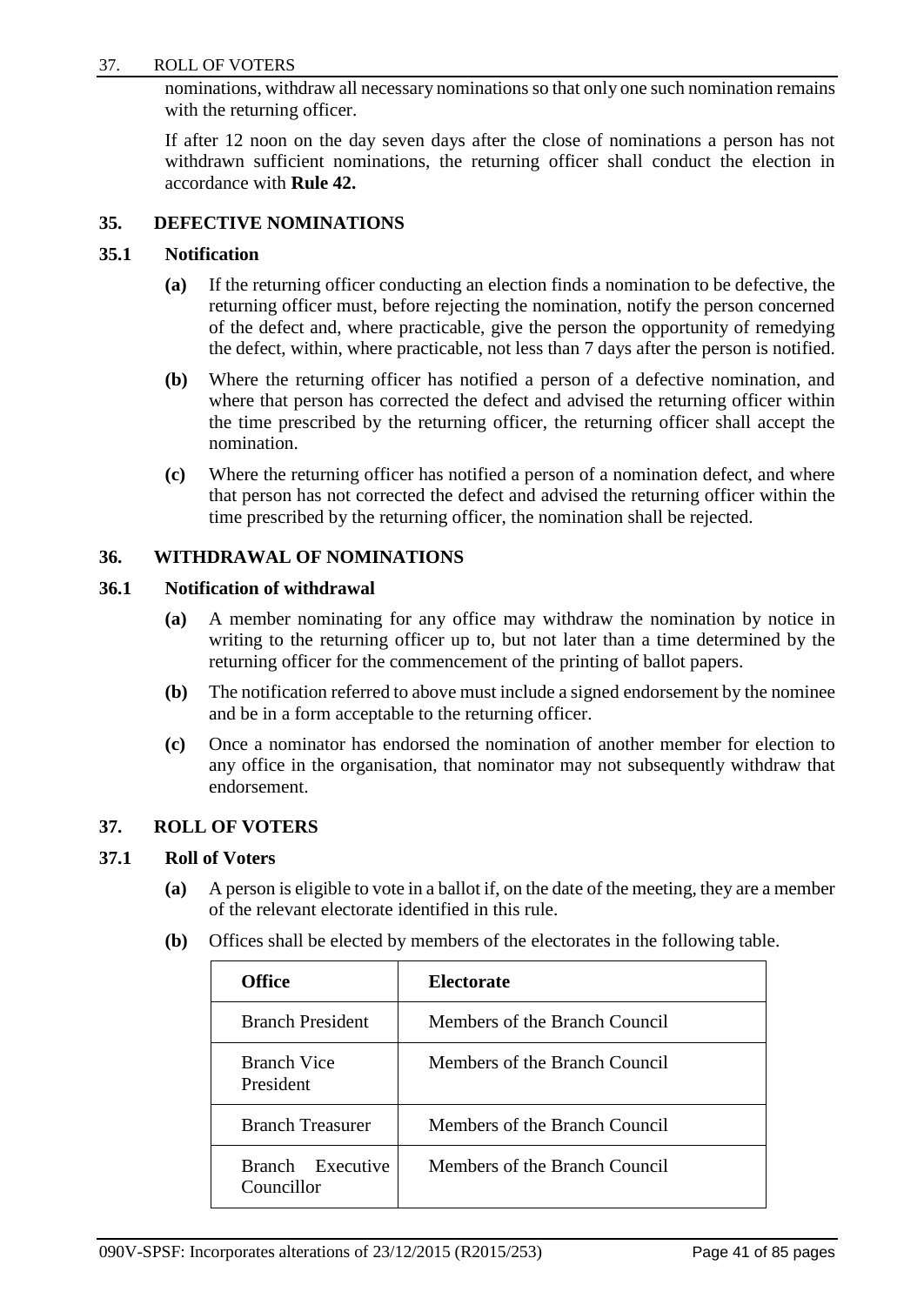#### 37. ROLL OF VOTERS

nominations, withdraw all necessary nominations so that only one such nomination remains with the returning officer.

If after 12 noon on the day seven days after the close of nominations a person has not withdrawn sufficient nominations, the returning officer shall conduct the election in accordance with **Rule 42.**

## **35. DEFECTIVE NOMINATIONS**

## **35.1 Notification**

- **(a)** If the returning officer conducting an election finds a nomination to be defective, the returning officer must, before rejecting the nomination, notify the person concerned of the defect and, where practicable, give the person the opportunity of remedying the defect, within, where practicable, not less than 7 days after the person is notified.
- **(b)** Where the returning officer has notified a person of a defective nomination, and where that person has corrected the defect and advised the returning officer within the time prescribed by the returning officer, the returning officer shall accept the nomination.
- **(c)** Where the returning officer has notified a person of a nomination defect, and where that person has not corrected the defect and advised the returning officer within the time prescribed by the returning officer, the nomination shall be rejected.

# **36. WITHDRAWAL OF NOMINATIONS**

## **36.1 Notification of withdrawal**

- **(a)** A member nominating for any office may withdraw the nomination by notice in writing to the returning officer up to, but not later than a time determined by the returning officer for the commencement of the printing of ballot papers.
- **(b)** The notification referred to above must include a signed endorsement by the nominee and be in a form acceptable to the returning officer.
- **(c)** Once a nominator has endorsed the nomination of another member for election to any office in the organisation, that nominator may not subsequently withdraw that endorsement.

## **37. ROLL OF VOTERS**

## **37.1 Roll of Voters**

- **(a)** A person is eligible to vote in a ballot if, on the date of the meeting, they are a member of the relevant electorate identified in this rule.
- **(b)** Offices shall be elected by members of the electorates in the following table.

| <b>Office</b>                   | Electorate                    |
|---------------------------------|-------------------------------|
| <b>Branch President</b>         | Members of the Branch Council |
| <b>Branch Vice</b><br>President | Members of the Branch Council |
| <b>Branch Treasurer</b>         | Members of the Branch Council |
| Branch Executive<br>Councillor  | Members of the Branch Council |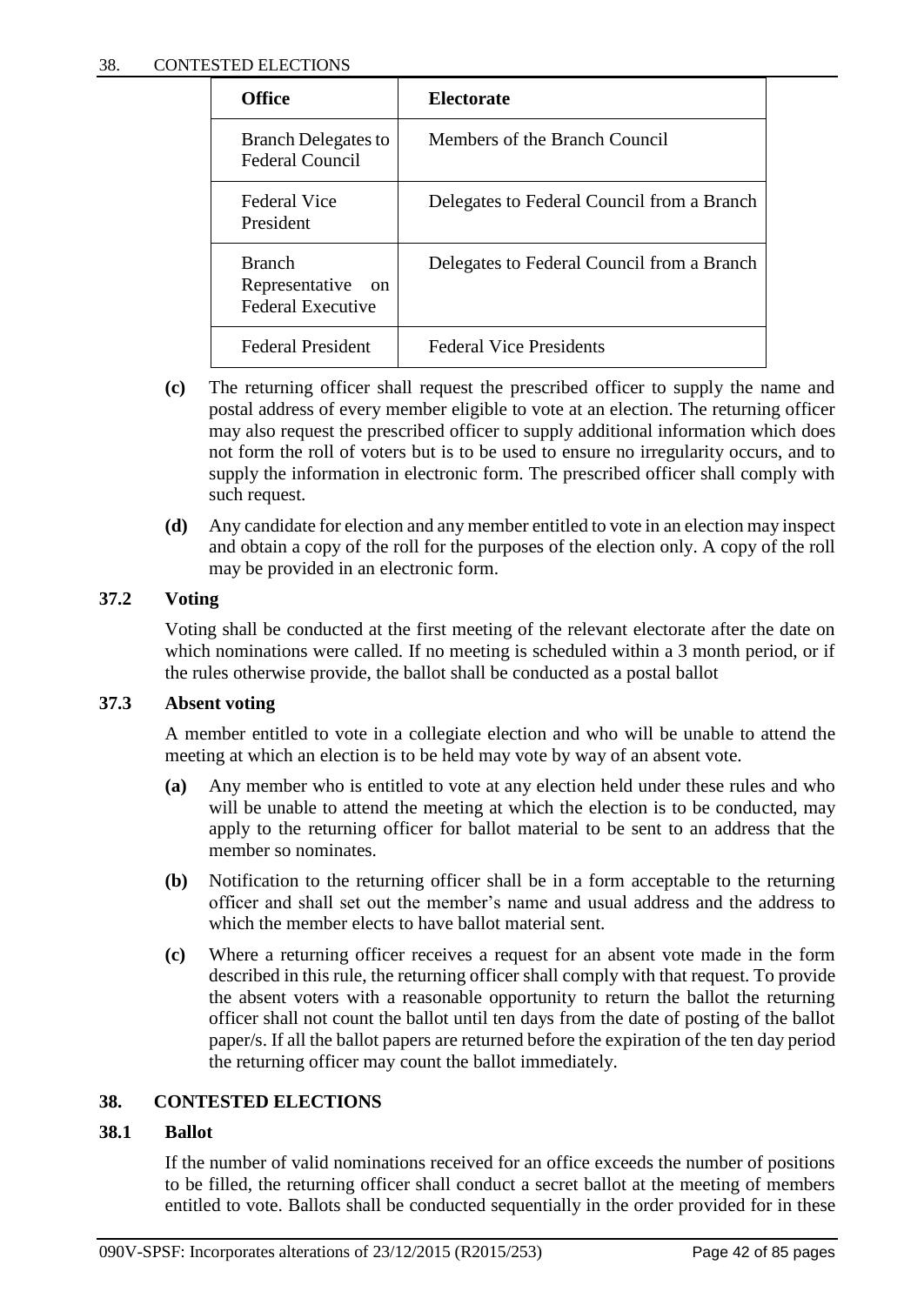| <b>Office</b>                                                                | Electorate                                 |
|------------------------------------------------------------------------------|--------------------------------------------|
| <b>Branch Delegates to</b><br><b>Federal Council</b>                         | Members of the Branch Council              |
| Federal Vice<br>President                                                    | Delegates to Federal Council from a Branch |
| <b>Branch</b><br>Representative<br><sub>on</sub><br><b>Federal Executive</b> | Delegates to Federal Council from a Branch |
| <b>Federal President</b>                                                     | <b>Federal Vice Presidents</b>             |

- **(c)** The returning officer shall request the prescribed officer to supply the name and postal address of every member eligible to vote at an election. The returning officer may also request the prescribed officer to supply additional information which does not form the roll of voters but is to be used to ensure no irregularity occurs, and to supply the information in electronic form. The prescribed officer shall comply with such request.
- **(d)** Any candidate for election and any member entitled to vote in an election may inspect and obtain a copy of the roll for the purposes of the election only. A copy of the roll may be provided in an electronic form.

# **37.2 Voting**

Voting shall be conducted at the first meeting of the relevant electorate after the date on which nominations were called. If no meeting is scheduled within a 3 month period, or if the rules otherwise provide, the ballot shall be conducted as a postal ballot

# **37.3 Absent voting**

A member entitled to vote in a collegiate election and who will be unable to attend the meeting at which an election is to be held may vote by way of an absent vote.

- **(a)** Any member who is entitled to vote at any election held under these rules and who will be unable to attend the meeting at which the election is to be conducted, may apply to the returning officer for ballot material to be sent to an address that the member so nominates.
- **(b)** Notification to the returning officer shall be in a form acceptable to the returning officer and shall set out the member's name and usual address and the address to which the member elects to have ballot material sent.
- **(c)** Where a returning officer receives a request for an absent vote made in the form described in this rule, the returning officer shall comply with that request. To provide the absent voters with a reasonable opportunity to return the ballot the returning officer shall not count the ballot until ten days from the date of posting of the ballot paper/s. If all the ballot papers are returned before the expiration of the ten day period the returning officer may count the ballot immediately.

# **38. CONTESTED ELECTIONS**

# **38.1 Ballot**

If the number of valid nominations received for an office exceeds the number of positions to be filled, the returning officer shall conduct a secret ballot at the meeting of members entitled to vote. Ballots shall be conducted sequentially in the order provided for in these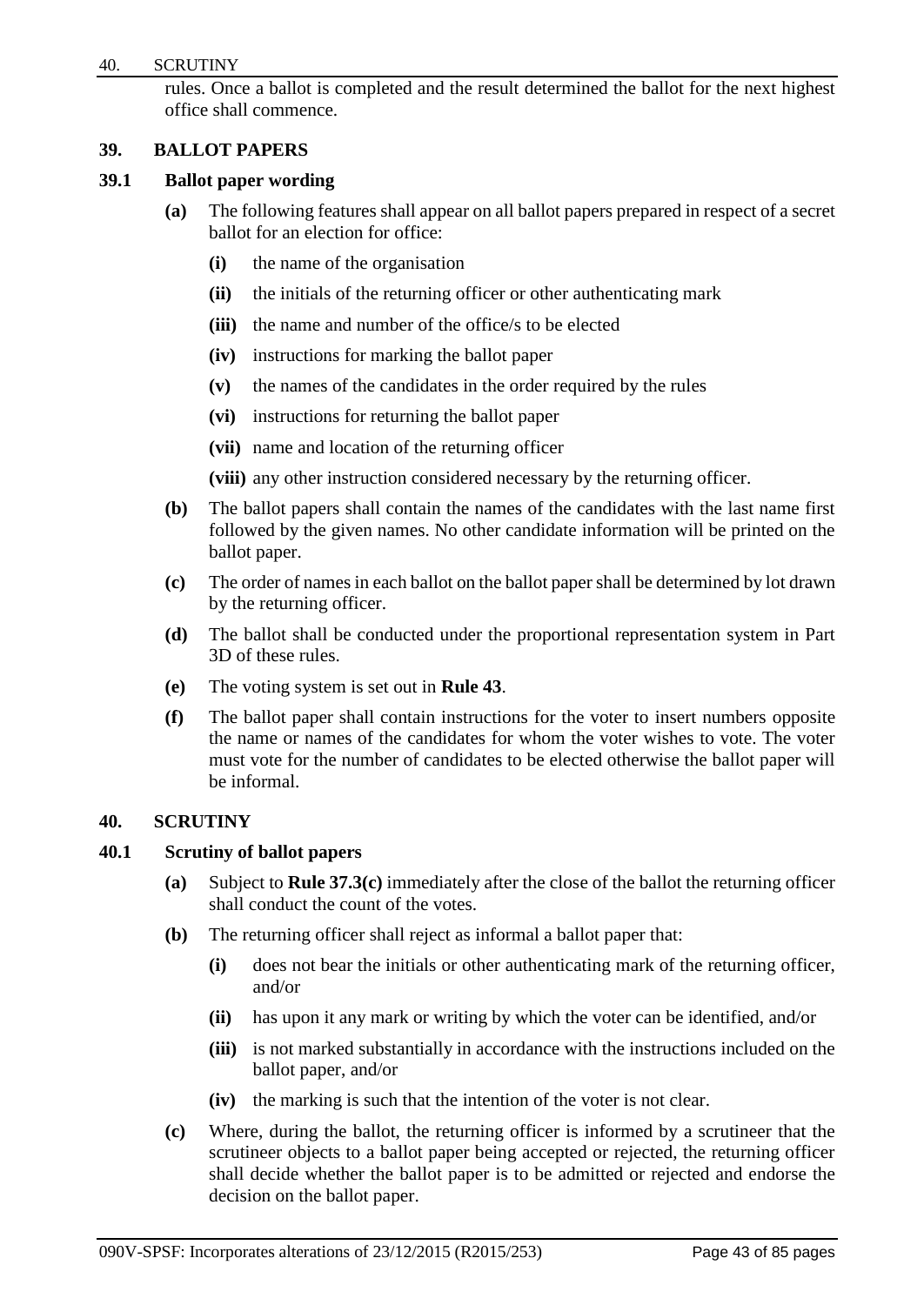rules. Once a ballot is completed and the result determined the ballot for the next highest office shall commence.

# **39. BALLOT PAPERS**

## **39.1 Ballot paper wording**

- **(a)** The following features shall appear on all ballot papers prepared in respect of a secret ballot for an election for office:
	- **(i)** the name of the organisation
	- **(ii)** the initials of the returning officer or other authenticating mark
	- **(iii)** the name and number of the office/s to be elected
	- **(iv)** instructions for marking the ballot paper
	- **(v)** the names of the candidates in the order required by the rules
	- **(vi)** instructions for returning the ballot paper
	- **(vii)** name and location of the returning officer

**(viii)** any other instruction considered necessary by the returning officer.

- **(b)** The ballot papers shall contain the names of the candidates with the last name first followed by the given names. No other candidate information will be printed on the ballot paper.
- **(c)** The order of names in each ballot on the ballot paper shall be determined by lot drawn by the returning officer.
- **(d)** The ballot shall be conducted under the proportional representation system in Part 3D of these rules.
- **(e)** The voting system is set out in **Rule 43**.
- **(f)** The ballot paper shall contain instructions for the voter to insert numbers opposite the name or names of the candidates for whom the voter wishes to vote. The voter must vote for the number of candidates to be elected otherwise the ballot paper will be informal.

## **40. SCRUTINY**

## **40.1 Scrutiny of ballot papers**

- **(a)** Subject to **Rule 37.3(c)** immediately after the close of the ballot the returning officer shall conduct the count of the votes.
- **(b)** The returning officer shall reject as informal a ballot paper that:
	- **(i)** does not bear the initials or other authenticating mark of the returning officer, and/or
	- **(ii)** has upon it any mark or writing by which the voter can be identified, and/or
	- **(iii)** is not marked substantially in accordance with the instructions included on the ballot paper, and/or
	- **(iv)** the marking is such that the intention of the voter is not clear.
- **(c)** Where, during the ballot, the returning officer is informed by a scrutineer that the scrutineer objects to a ballot paper being accepted or rejected, the returning officer shall decide whether the ballot paper is to be admitted or rejected and endorse the decision on the ballot paper.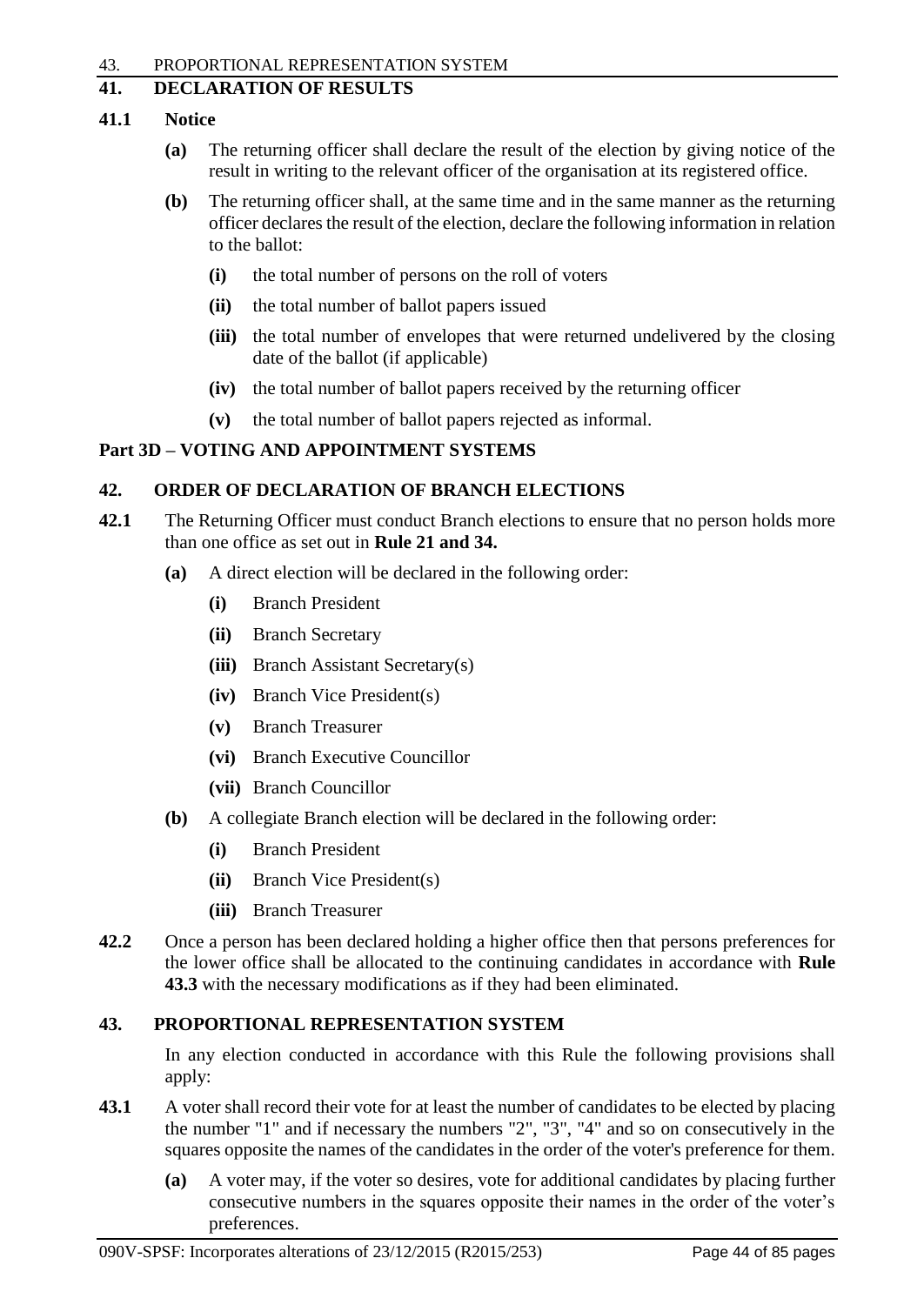## **41. DECLARATION OF RESULTS**

# **41.1 Notice**

- **(a)** The returning officer shall declare the result of the election by giving notice of the result in writing to the relevant officer of the organisation at its registered office.
- **(b)** The returning officer shall, at the same time and in the same manner as the returning officer declares the result of the election, declare the following information in relation to the ballot:
	- **(i)** the total number of persons on the roll of voters
	- **(ii)** the total number of ballot papers issued
	- **(iii)** the total number of envelopes that were returned undelivered by the closing date of the ballot (if applicable)
	- **(iv)** the total number of ballot papers received by the returning officer
	- **(v)** the total number of ballot papers rejected as informal.

# **Part 3D – VOTING AND APPOINTMENT SYSTEMS**

# **42. ORDER OF DECLARATION OF BRANCH ELECTIONS**

- **42.1** The Returning Officer must conduct Branch elections to ensure that no person holds more than one office as set out in **Rule 21 and 34.**
	- **(a)** A direct election will be declared in the following order:
		- **(i)** Branch President
		- **(ii)** Branch Secretary
		- **(iii)** Branch Assistant Secretary(s)
		- **(iv)** Branch Vice President(s)
		- **(v)** Branch Treasurer
		- **(vi)** Branch Executive Councillor
		- **(vii)** Branch Councillor
	- **(b)** A collegiate Branch election will be declared in the following order:
		- **(i)** Branch President
		- **(ii)** Branch Vice President(s)
		- **(iii)** Branch Treasurer
- **42.2** Once a person has been declared holding a higher office then that persons preferences for the lower office shall be allocated to the continuing candidates in accordance with **Rule 43.3** with the necessary modifications as if they had been eliminated.

# **43. PROPORTIONAL REPRESENTATION SYSTEM**

In any election conducted in accordance with this Rule the following provisions shall apply:

- **43.1** A voter shall record their vote for at least the number of candidates to be elected by placing the number "1" and if necessary the numbers "2", "3", "4" and so on consecutively in the squares opposite the names of the candidates in the order of the voter's preference for them.
	- **(a)** A voter may, if the voter so desires, vote for additional candidates by placing further consecutive numbers in the squares opposite their names in the order of the voter's preferences.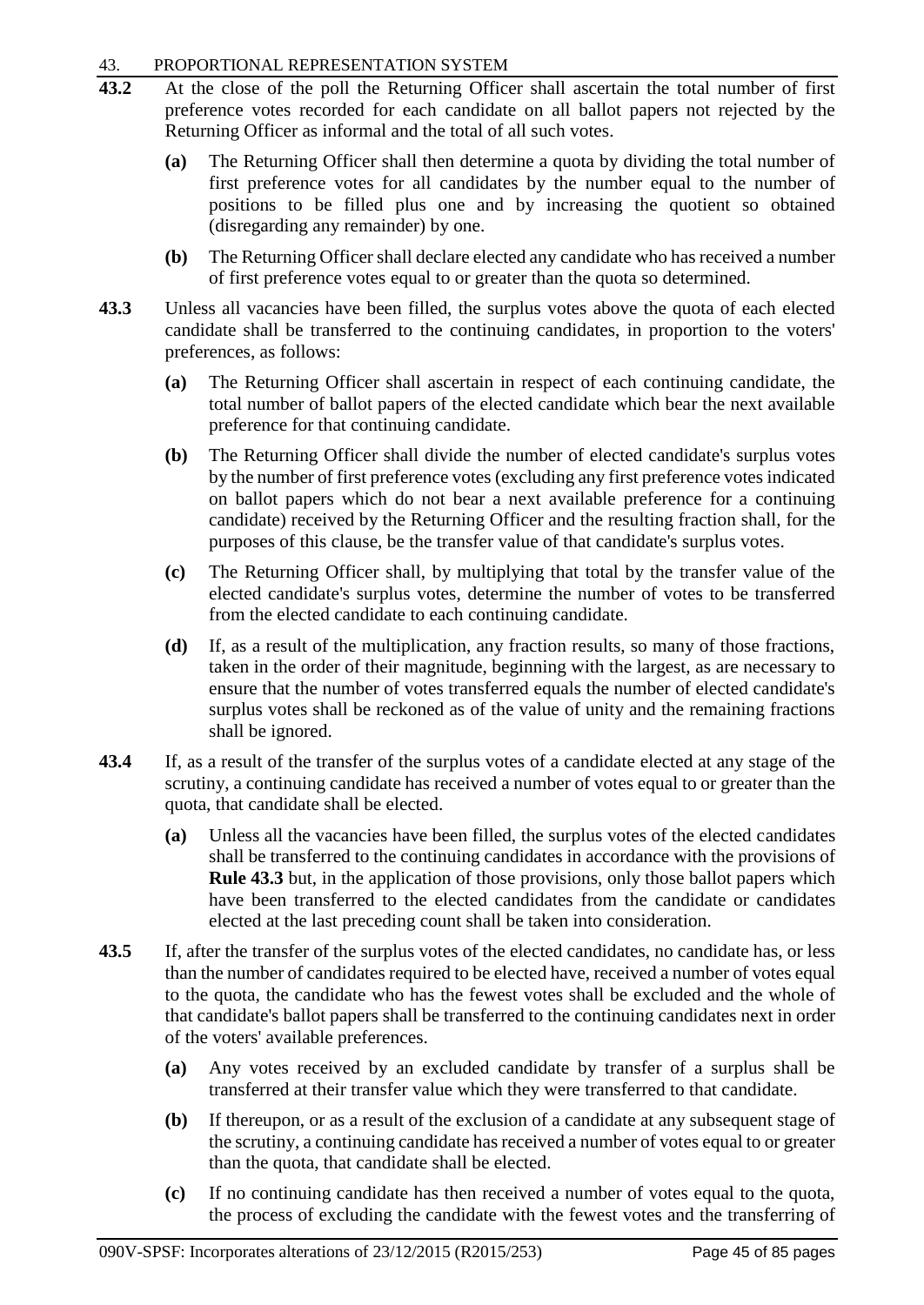## 43. PROPORTIONAL REPRESENTATION SYSTEM

- **43.2** At the close of the poll the Returning Officer shall ascertain the total number of first preference votes recorded for each candidate on all ballot papers not rejected by the Returning Officer as informal and the total of all such votes.
	- **(a)** The Returning Officer shall then determine a quota by dividing the total number of first preference votes for all candidates by the number equal to the number of positions to be filled plus one and by increasing the quotient so obtained (disregarding any remainder) by one.
	- **(b)** The Returning Officer shall declare elected any candidate who has received a number of first preference votes equal to or greater than the quota so determined.
- **43.3** Unless all vacancies have been filled, the surplus votes above the quota of each elected candidate shall be transferred to the continuing candidates, in proportion to the voters' preferences, as follows:
	- **(a)** The Returning Officer shall ascertain in respect of each continuing candidate, the total number of ballot papers of the elected candidate which bear the next available preference for that continuing candidate.
	- **(b)** The Returning Officer shall divide the number of elected candidate's surplus votes by the number of first preference votes (excluding any first preference votes indicated on ballot papers which do not bear a next available preference for a continuing candidate) received by the Returning Officer and the resulting fraction shall, for the purposes of this clause, be the transfer value of that candidate's surplus votes.
	- **(c)** The Returning Officer shall, by multiplying that total by the transfer value of the elected candidate's surplus votes, determine the number of votes to be transferred from the elected candidate to each continuing candidate.
	- **(d)** If, as a result of the multiplication, any fraction results, so many of those fractions, taken in the order of their magnitude, beginning with the largest, as are necessary to ensure that the number of votes transferred equals the number of elected candidate's surplus votes shall be reckoned as of the value of unity and the remaining fractions shall be ignored.
- **43.4** If, as a result of the transfer of the surplus votes of a candidate elected at any stage of the scrutiny, a continuing candidate has received a number of votes equal to or greater than the quota, that candidate shall be elected.
	- **(a)** Unless all the vacancies have been filled, the surplus votes of the elected candidates shall be transferred to the continuing candidates in accordance with the provisions of **Rule 43.3** but, in the application of those provisions, only those ballot papers which have been transferred to the elected candidates from the candidate or candidates elected at the last preceding count shall be taken into consideration.
- **43.5** If, after the transfer of the surplus votes of the elected candidates, no candidate has, or less than the number of candidates required to be elected have, received a number of votes equal to the quota, the candidate who has the fewest votes shall be excluded and the whole of that candidate's ballot papers shall be transferred to the continuing candidates next in order of the voters' available preferences.
	- **(a)** Any votes received by an excluded candidate by transfer of a surplus shall be transferred at their transfer value which they were transferred to that candidate.
	- **(b)** If thereupon, or as a result of the exclusion of a candidate at any subsequent stage of the scrutiny, a continuing candidate has received a number of votes equal to or greater than the quota, that candidate shall be elected.
	- **(c)** If no continuing candidate has then received a number of votes equal to the quota, the process of excluding the candidate with the fewest votes and the transferring of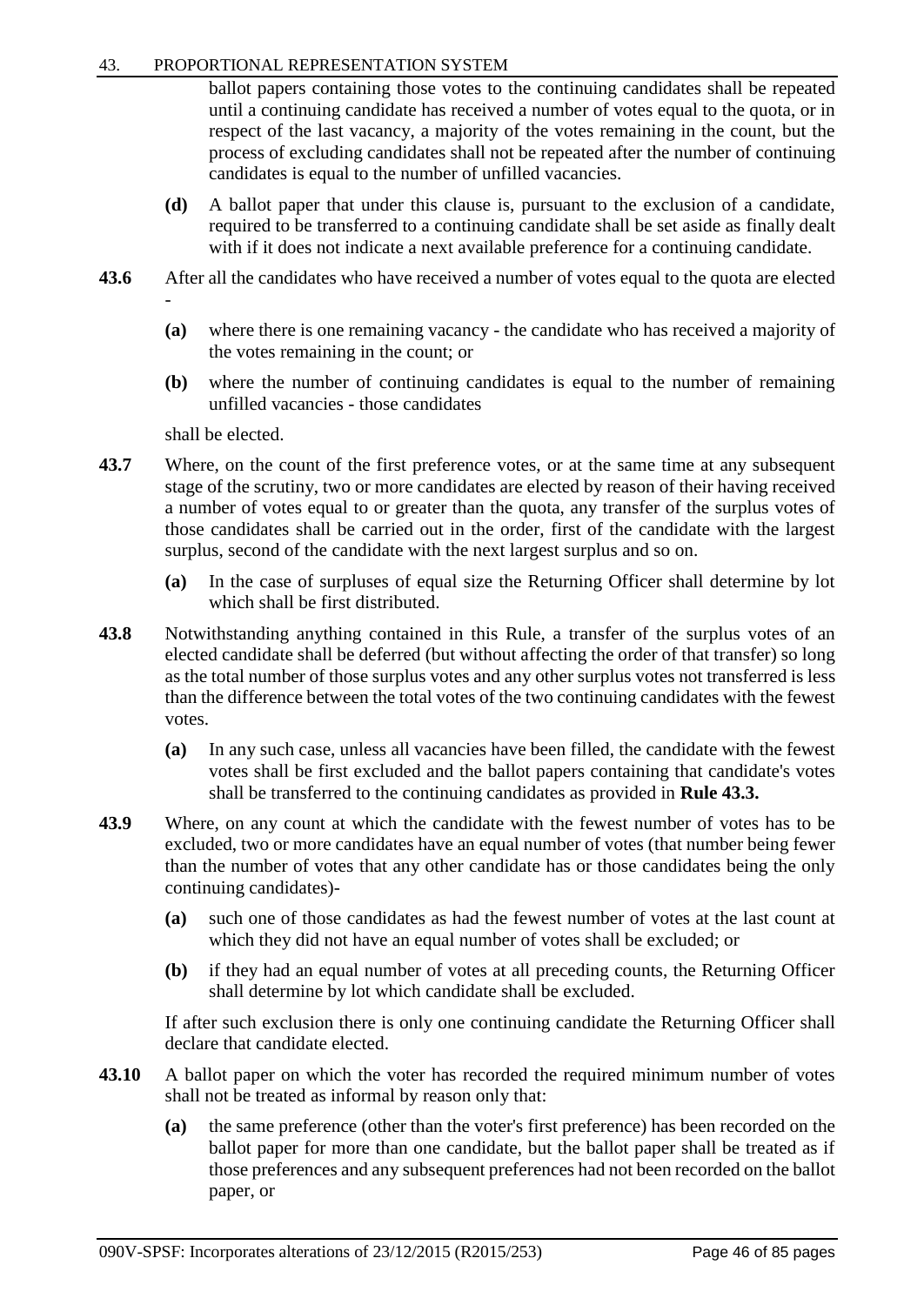## 43. PROPORTIONAL REPRESENTATION SYSTEM

ballot papers containing those votes to the continuing candidates shall be repeated until a continuing candidate has received a number of votes equal to the quota, or in respect of the last vacancy, a majority of the votes remaining in the count, but the process of excluding candidates shall not be repeated after the number of continuing candidates is equal to the number of unfilled vacancies.

- **(d)** A ballot paper that under this clause is, pursuant to the exclusion of a candidate, required to be transferred to a continuing candidate shall be set aside as finally dealt with if it does not indicate a next available preference for a continuing candidate.
- **43.6** After all the candidates who have received a number of votes equal to the quota are elected -
	- **(a)** where there is one remaining vacancy the candidate who has received a majority of the votes remaining in the count; or
	- **(b)** where the number of continuing candidates is equal to the number of remaining unfilled vacancies - those candidates

shall be elected.

- **43.7** Where, on the count of the first preference votes, or at the same time at any subsequent stage of the scrutiny, two or more candidates are elected by reason of their having received a number of votes equal to or greater than the quota, any transfer of the surplus votes of those candidates shall be carried out in the order, first of the candidate with the largest surplus, second of the candidate with the next largest surplus and so on.
	- **(a)** In the case of surpluses of equal size the Returning Officer shall determine by lot which shall be first distributed.
- **43.8** Notwithstanding anything contained in this Rule, a transfer of the surplus votes of an elected candidate shall be deferred (but without affecting the order of that transfer) so long as the total number of those surplus votes and any other surplus votes not transferred is less than the difference between the total votes of the two continuing candidates with the fewest votes.
	- **(a)** In any such case, unless all vacancies have been filled, the candidate with the fewest votes shall be first excluded and the ballot papers containing that candidate's votes shall be transferred to the continuing candidates as provided in **Rule 43.3.**
- **43.9** Where, on any count at which the candidate with the fewest number of votes has to be excluded, two or more candidates have an equal number of votes (that number being fewer than the number of votes that any other candidate has or those candidates being the only continuing candidates)-
	- **(a)** such one of those candidates as had the fewest number of votes at the last count at which they did not have an equal number of votes shall be excluded; or
	- **(b)** if they had an equal number of votes at all preceding counts, the Returning Officer shall determine by lot which candidate shall be excluded.

If after such exclusion there is only one continuing candidate the Returning Officer shall declare that candidate elected.

- **43.10** A ballot paper on which the voter has recorded the required minimum number of votes shall not be treated as informal by reason only that:
	- **(a)** the same preference (other than the voter's first preference) has been recorded on the ballot paper for more than one candidate, but the ballot paper shall be treated as if those preferences and any subsequent preferences had not been recorded on the ballot paper, or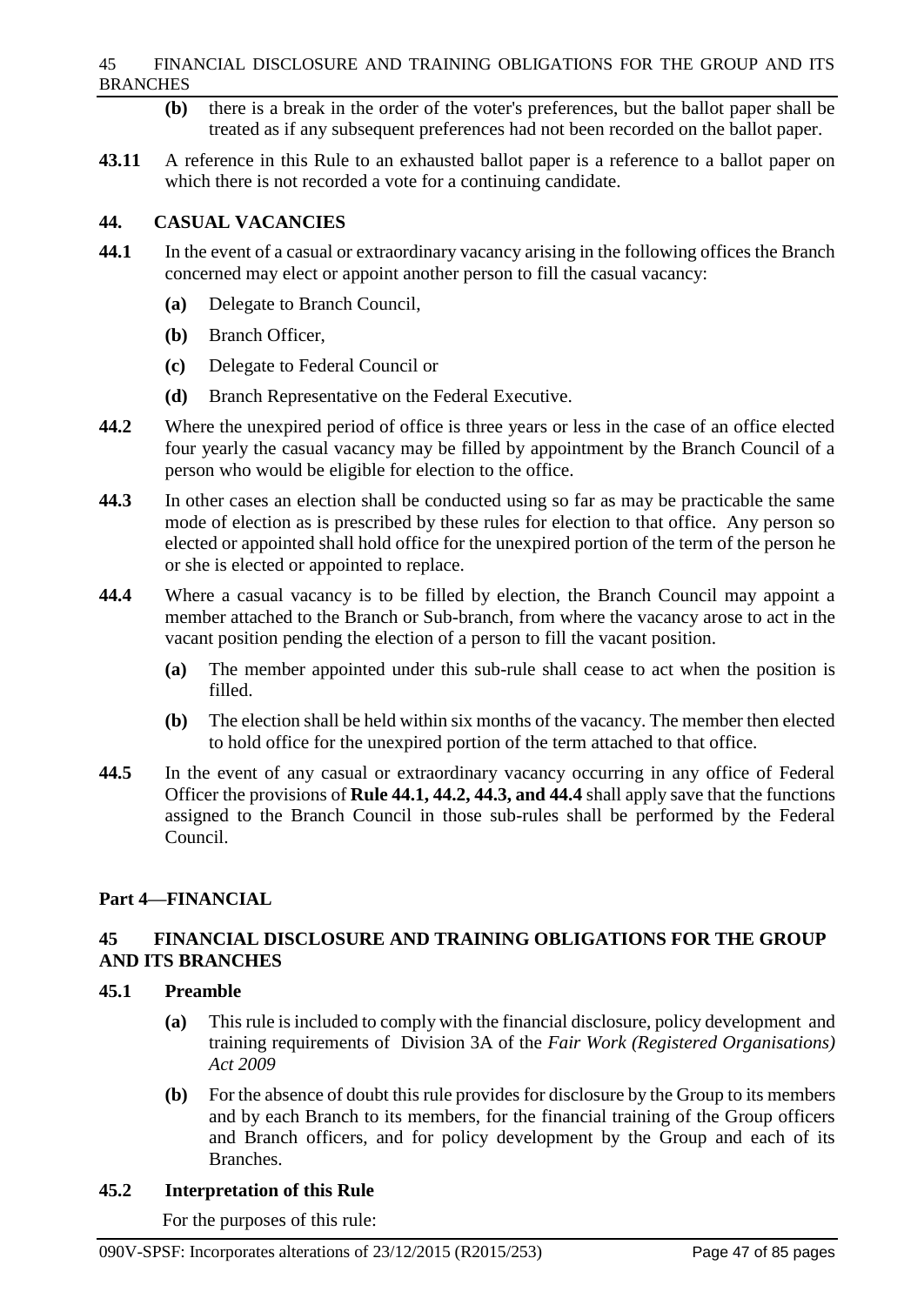## 45 FINANCIAL DISCLOSURE AND TRAINING OBLIGATIONS FOR THE GROUP AND ITS BRANCHES

- **(b)** there is a break in the order of the voter's preferences, but the ballot paper shall be treated as if any subsequent preferences had not been recorded on the ballot paper.
- **43.11** A reference in this Rule to an exhausted ballot paper is a reference to a ballot paper on which there is not recorded a vote for a continuing candidate.

# **44. CASUAL VACANCIES**

- **44.1** In the event of a casual or extraordinary vacancy arising in the following offices the Branch concerned may elect or appoint another person to fill the casual vacancy:
	- **(a)** Delegate to Branch Council,
	- **(b)** Branch Officer,
	- **(c)** Delegate to Federal Council or
	- **(d)** Branch Representative on the Federal Executive.
- **44.2** Where the unexpired period of office is three years or less in the case of an office elected four yearly the casual vacancy may be filled by appointment by the Branch Council of a person who would be eligible for election to the office.
- **44.3** In other cases an election shall be conducted using so far as may be practicable the same mode of election as is prescribed by these rules for election to that office. Any person so elected or appointed shall hold office for the unexpired portion of the term of the person he or she is elected or appointed to replace.
- **44.4** Where a casual vacancy is to be filled by election, the Branch Council may appoint a member attached to the Branch or Sub-branch, from where the vacancy arose to act in the vacant position pending the election of a person to fill the vacant position.
	- **(a)** The member appointed under this sub-rule shall cease to act when the position is filled.
	- **(b)** The election shall be held within six months of the vacancy. The member then elected to hold office for the unexpired portion of the term attached to that office.
- **44.5** In the event of any casual or extraordinary vacancy occurring in any office of Federal Officer the provisions of **Rule 44.1, 44.2, 44.3, and 44.4** shall apply save that the functions assigned to the Branch Council in those sub-rules shall be performed by the Federal Council.

# **Part 4—FINANCIAL**

# **45 FINANCIAL DISCLOSURE AND TRAINING OBLIGATIONS FOR THE GROUP AND ITS BRANCHES**

# **45.1 Preamble**

- **(a)** This rule is included to comply with the financial disclosure, policy development and training requirements of Division 3A of the *Fair Work (Registered Organisations) Act 2009*
- **(b)** For the absence of doubt this rule provides for disclosure by the Group to its members and by each Branch to its members, for the financial training of the Group officers and Branch officers, and for policy development by the Group and each of its Branches.

# **45.2 Interpretation of this Rule**

For the purposes of this rule: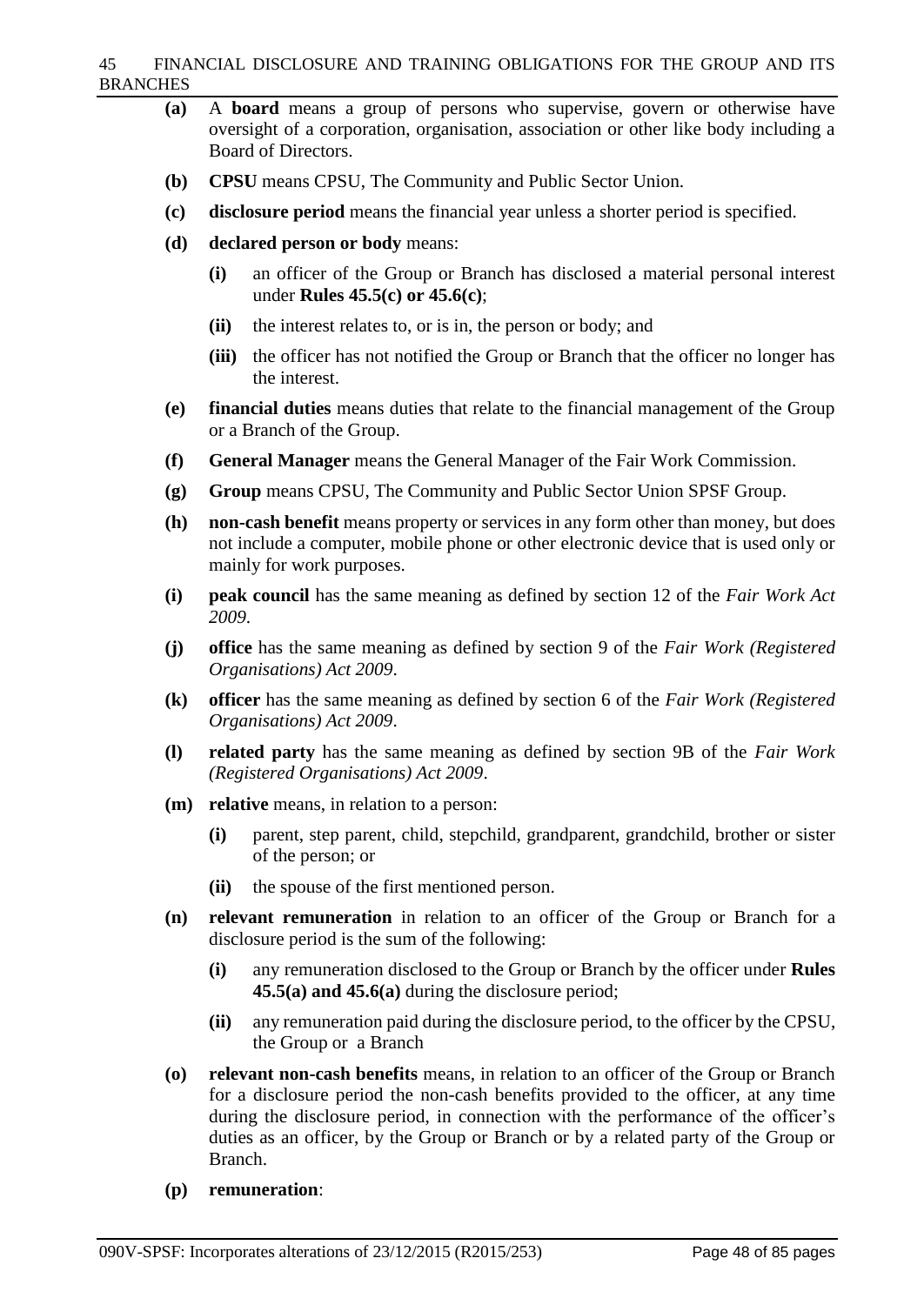#### 45 FINANCIAL DISCLOSURE AND TRAINING OBLIGATIONS FOR THE GROUP AND ITS BRANCHES

- **(a)** A **board** means a group of persons who supervise, govern or otherwise have oversight of a corporation, organisation, association or other like body including a Board of Directors.
- **(b) CPSU** means CPSU, The Community and Public Sector Union.
- **(c) disclosure period** means the financial year unless a shorter period is specified.
- **(d) declared person or body** means:
	- **(i)** an officer of the Group or Branch has disclosed a material personal interest under **Rules 45.5(c) or 45.6(c)**;
	- **(ii)** the interest relates to, or is in, the person or body; and
	- **(iii)** the officer has not notified the Group or Branch that the officer no longer has the interest.
- **(e) financial duties** means duties that relate to the financial management of the Group or a Branch of the Group.
- **(f) General Manager** means the General Manager of the Fair Work Commission.
- **(g) Group** means CPSU, The Community and Public Sector Union SPSF Group.
- **(h) non-cash benefit** means property or services in any form other than money, but does not include a computer, mobile phone or other electronic device that is used only or mainly for work purposes.
- **(i) peak council** has the same meaning as defined by section 12 of the *Fair Work Act 2009*.
- **(j) office** has the same meaning as defined by section 9 of the *Fair Work (Registered Organisations) Act 2009*.
- **(k) officer** has the same meaning as defined by section 6 of the *Fair Work (Registered Organisations) Act 2009*.
- **(l) related party** has the same meaning as defined by section 9B of the *Fair Work (Registered Organisations) Act 2009*.
- **(m) relative** means, in relation to a person:
	- **(i)** parent, step parent, child, stepchild, grandparent, grandchild, brother or sister of the person; or
	- **(ii)** the spouse of the first mentioned person.
- **(n) relevant remuneration** in relation to an officer of the Group or Branch for a disclosure period is the sum of the following:
	- **(i)** any remuneration disclosed to the Group or Branch by the officer under **Rules 45.5(a) and 45.6(a)** during the disclosure period;
	- **(ii)** any remuneration paid during the disclosure period, to the officer by the CPSU, the Group or a Branch
- **(o) relevant non-cash benefits** means, in relation to an officer of the Group or Branch for a disclosure period the non-cash benefits provided to the officer, at any time during the disclosure period, in connection with the performance of the officer's duties as an officer, by the Group or Branch or by a related party of the Group or Branch.
- **(p) remuneration**: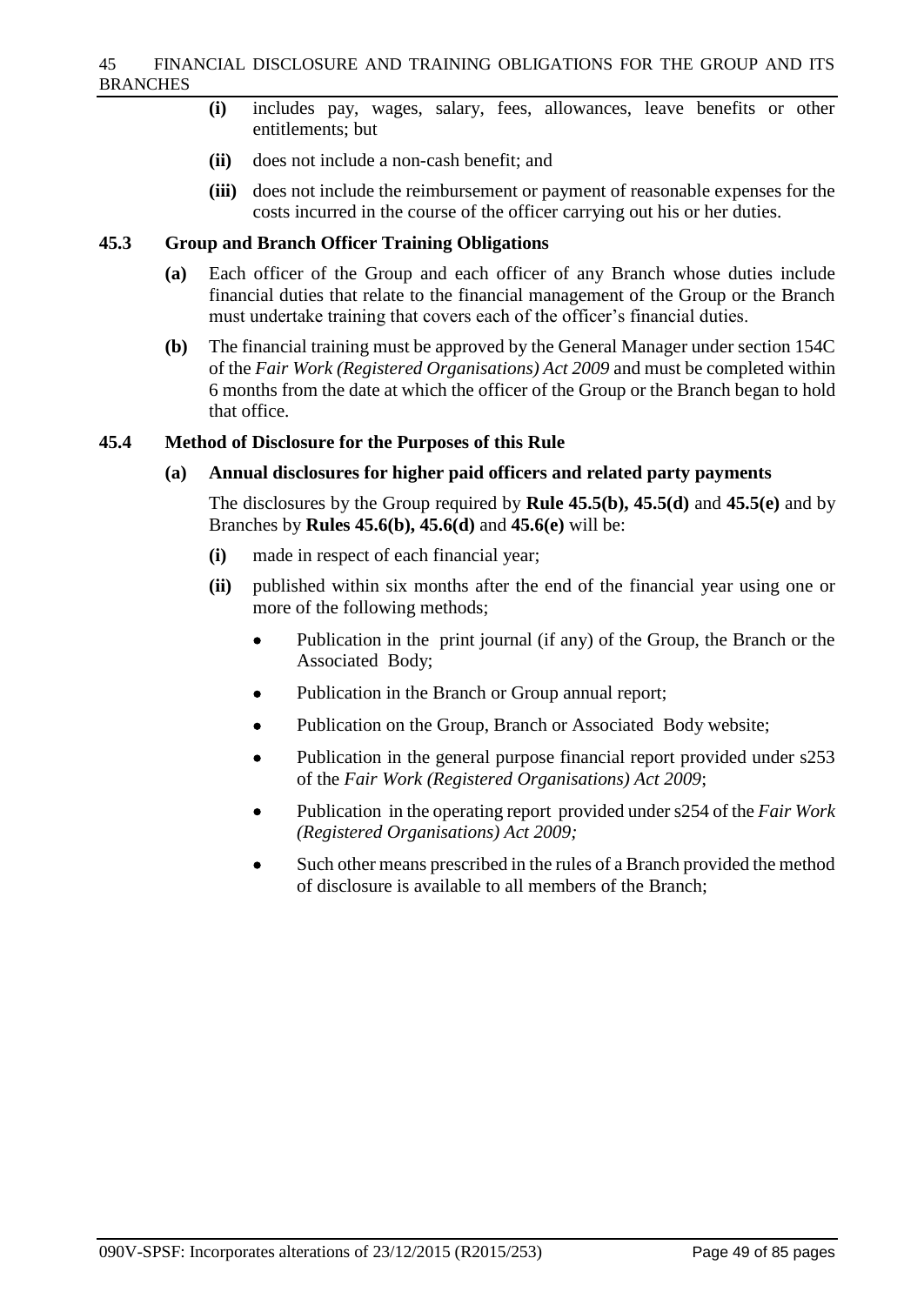- **(i)** includes pay, wages, salary, fees, allowances, leave benefits or other entitlements; but
- **(ii)** does not include a non-cash benefit; and
- **(iii)** does not include the reimbursement or payment of reasonable expenses for the costs incurred in the course of the officer carrying out his or her duties.

## **45.3 Group and Branch Officer Training Obligations**

- **(a)** Each officer of the Group and each officer of any Branch whose duties include financial duties that relate to the financial management of the Group or the Branch must undertake training that covers each of the officer's financial duties.
- **(b)** The financial training must be approved by the General Manager under section 154C of the *Fair Work (Registered Organisations) Act 2009* and must be completed within 6 months from the date at which the officer of the Group or the Branch began to hold that office.

## **45.4 Method of Disclosure for the Purposes of this Rule**

## **(a) Annual disclosures for higher paid officers and related party payments**

The disclosures by the Group required by **Rule 45.5(b), 45.5(d)** and **45.5(e)** and by Branches by **Rules 45.6(b), 45.6(d)** and **45.6(e)** will be:

- **(i)** made in respect of each financial year;
- **(ii)** published within six months after the end of the financial year using one or more of the following methods;
	- Publication in the print journal (if any) of the Group, the Branch or the Associated Body;
	- Publication in the Branch or Group annual report;
	- Publication on the Group, Branch or Associated Body website;
	- Publication in the general purpose financial report provided under s253 of the *Fair Work (Registered Organisations) Act 2009*;
	- Publication in the operating report provided under s254 of the *Fair Work (Registered Organisations) Act 2009;*
	- Such other means prescribed in the rules of a Branch provided the method of disclosure is available to all members of the Branch;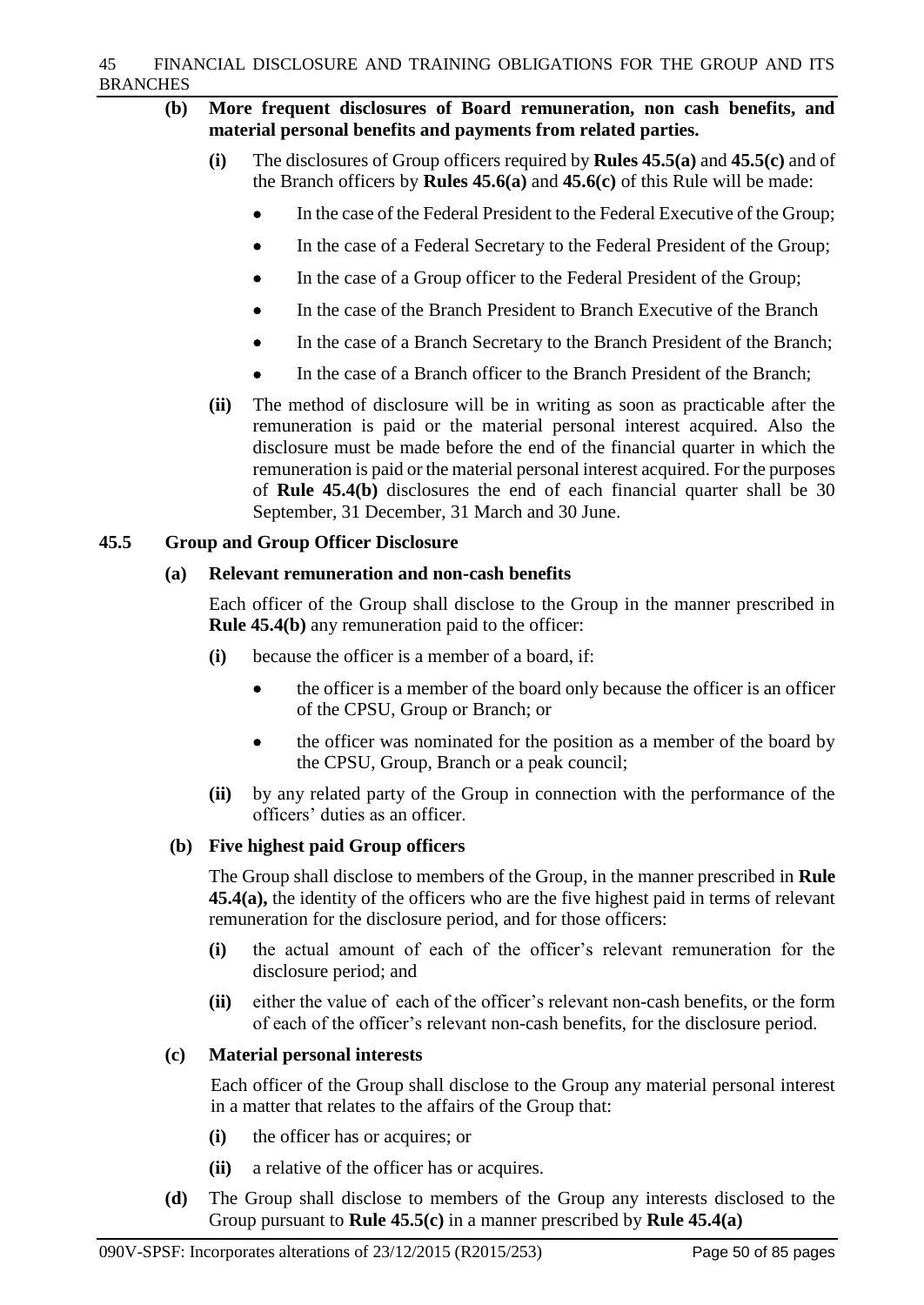- **(b) More frequent disclosures of Board remuneration, non cash benefits, and material personal benefits and payments from related parties.**
	- **(i)** The disclosures of Group officers required by **Rules 45.5(a)** and **45.5(c)** and of the Branch officers by **Rules 45.6(a)** and **45.6(c)** of this Rule will be made:
		- In the case of the Federal President to the Federal Executive of the Group;
		- In the case of a Federal Secretary to the Federal President of the Group;
		- In the case of a Group officer to the Federal President of the Group;
		- In the case of the Branch President to Branch Executive of the Branch
		- In the case of a Branch Secretary to the Branch President of the Branch;
		- In the case of a Branch officer to the Branch President of the Branch;
	- **(ii)** The method of disclosure will be in writing as soon as practicable after the remuneration is paid or the material personal interest acquired. Also the disclosure must be made before the end of the financial quarter in which the remuneration is paid or the material personal interest acquired. For the purposes of **Rule 45.4(b)** disclosures the end of each financial quarter shall be 30 September, 31 December, 31 March and 30 June.

# **45.5 Group and Group Officer Disclosure**

## **(a) Relevant remuneration and non-cash benefits**

Each officer of the Group shall disclose to the Group in the manner prescribed in **Rule 45.4(b)** any remuneration paid to the officer:

- **(i)** because the officer is a member of a board, if:
	- the officer is a member of the board only because the officer is an officer of the CPSU, Group or Branch; or
	- the officer was nominated for the position as a member of the board by the CPSU, Group, Branch or a peak council;
- **(ii)** by any related party of the Group in connection with the performance of the officers' duties as an officer.

# **(b) Five highest paid Group officers**

The Group shall disclose to members of the Group, in the manner prescribed in **Rule 45.4(a),** the identity of the officers who are the five highest paid in terms of relevant remuneration for the disclosure period, and for those officers:

- **(i)** the actual amount of each of the officer's relevant remuneration for the disclosure period; and
- **(ii)** either the value of each of the officer's relevant non-cash benefits, or the form of each of the officer's relevant non-cash benefits, for the disclosure period.

# **(c) Material personal interests**

Each officer of the Group shall disclose to the Group any material personal interest in a matter that relates to the affairs of the Group that:

- **(i)** the officer has or acquires; or
- **(ii)** a relative of the officer has or acquires.
- **(d)** The Group shall disclose to members of the Group any interests disclosed to the Group pursuant to **Rule 45.5(c)** in a manner prescribed by **Rule 45.4(a)**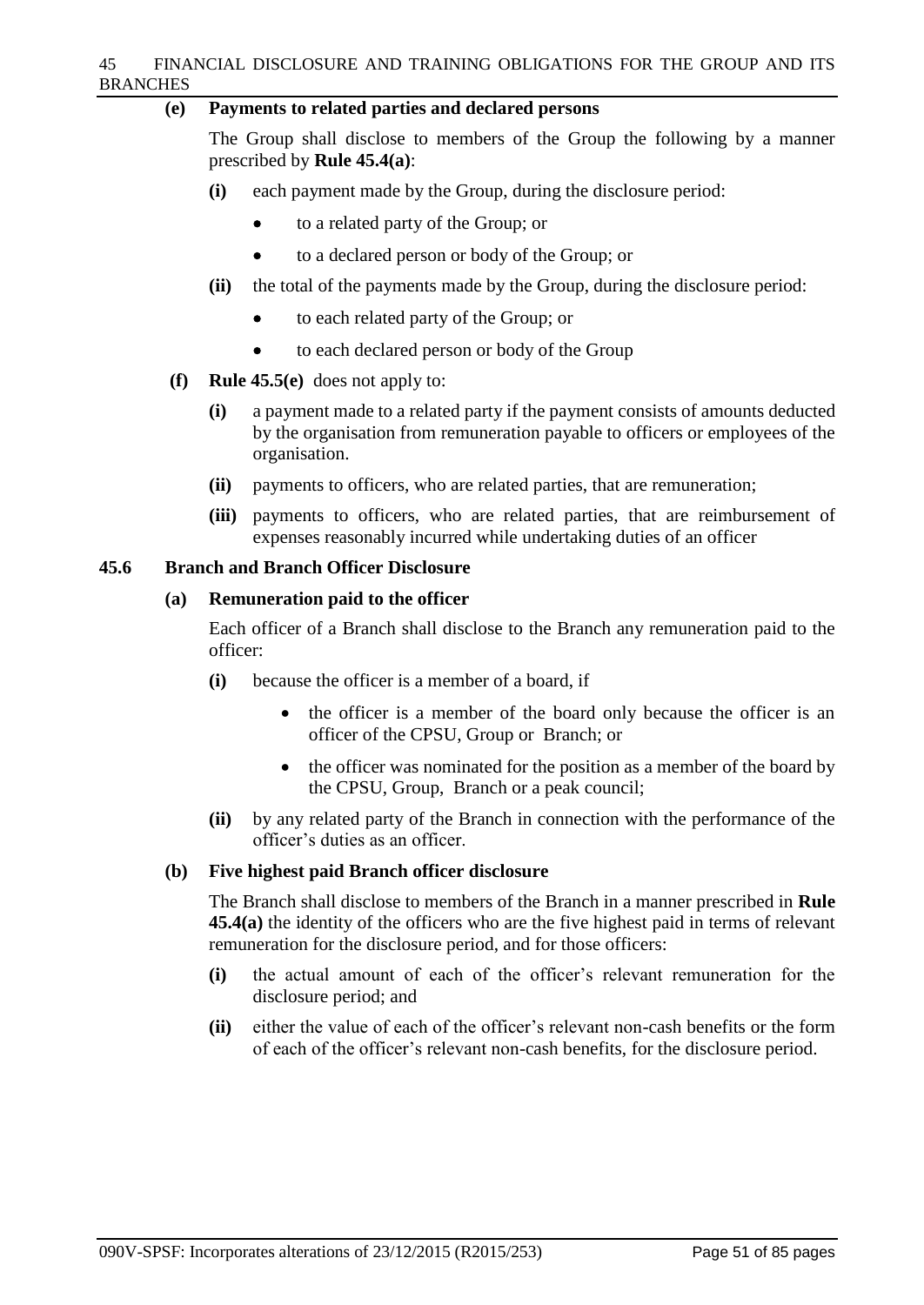### 45 FINANCIAL DISCLOSURE AND TRAINING OBLIGATIONS FOR THE GROUP AND ITS BRANCHES

## **(e) Payments to related parties and declared persons**

The Group shall disclose to members of the Group the following by a manner prescribed by **Rule 45.4(a)**:

- **(i)** each payment made by the Group, during the disclosure period:
	- to a related party of the Group; or
	- to a declared person or body of the Group; or
- **(ii)** the total of the payments made by the Group, during the disclosure period:
	- to each related party of the Group; or
	- to each declared person or body of the Group
- **(f) Rule 45.5(e)** does not apply to:
	- **(i)** a payment made to a related party if the payment consists of amounts deducted by the organisation from remuneration payable to officers or employees of the organisation.
	- **(ii)** payments to officers, who are related parties, that are remuneration;
	- **(iii)** payments to officers, who are related parties, that are reimbursement of expenses reasonably incurred while undertaking duties of an officer

## **45.6 Branch and Branch Officer Disclosure**

## **(a) Remuneration paid to the officer**

Each officer of a Branch shall disclose to the Branch any remuneration paid to the officer:

- **(i)** because the officer is a member of a board, if
	- the officer is a member of the board only because the officer is an officer of the CPSU, Group or Branch; or
	- the officer was nominated for the position as a member of the board by the CPSU, Group, Branch or a peak council;
- **(ii)** by any related party of the Branch in connection with the performance of the officer's duties as an officer.

## **(b) Five highest paid Branch officer disclosure**

The Branch shall disclose to members of the Branch in a manner prescribed in **Rule 45.4(a)** the identity of the officers who are the five highest paid in terms of relevant remuneration for the disclosure period, and for those officers:

- **(i)** the actual amount of each of the officer's relevant remuneration for the disclosure period; and
- **(ii)** either the value of each of the officer's relevant non-cash benefits or the form of each of the officer's relevant non-cash benefits, for the disclosure period.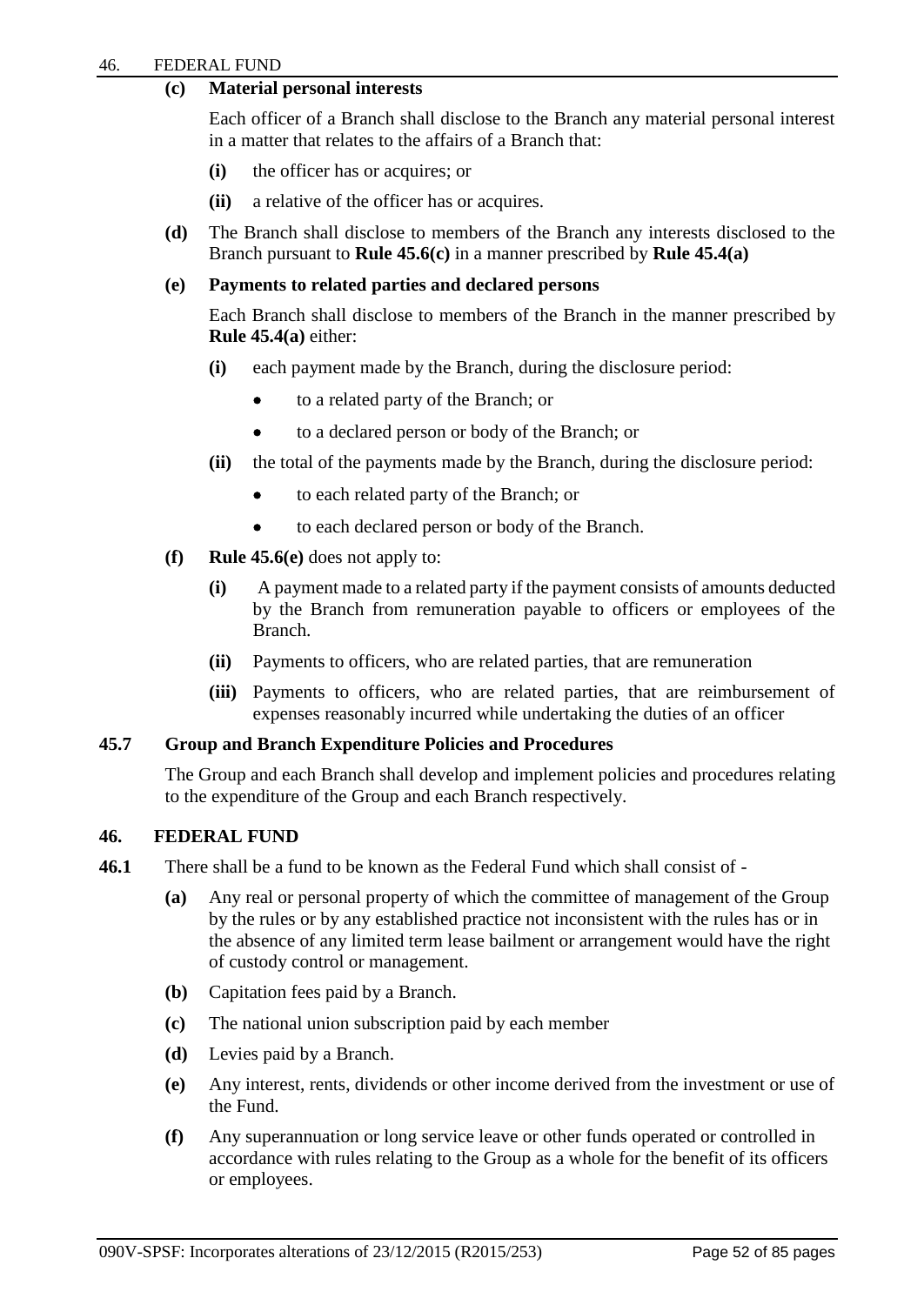# **(c) Material personal interests**

Each officer of a Branch shall disclose to the Branch any material personal interest in a matter that relates to the affairs of a Branch that:

- **(i)** the officer has or acquires; or
- **(ii)** a relative of the officer has or acquires.
- **(d)** The Branch shall disclose to members of the Branch any interests disclosed to the Branch pursuant to **Rule 45.6(c)** in a manner prescribed by **Rule 45.4(a)**

## **(e) Payments to related parties and declared persons**

Each Branch shall disclose to members of the Branch in the manner prescribed by **Rule 45.4(a)** either:

- **(i)** each payment made by the Branch, during the disclosure period:
	- to a related party of the Branch; or
	- to a declared person or body of the Branch; or
- **(ii)** the total of the payments made by the Branch, during the disclosure period:
	- to each related party of the Branch; or
	- to each declared person or body of the Branch.
- **(f) Rule 45.6(e)** does not apply to:
	- **(i)** A payment made to a related party if the payment consists of amounts deducted by the Branch from remuneration payable to officers or employees of the Branch.
	- **(ii)** Payments to officers, who are related parties, that are remuneration
	- **(iii)** Payments to officers, who are related parties, that are reimbursement of expenses reasonably incurred while undertaking the duties of an officer

# **45.7 Group and Branch Expenditure Policies and Procedures**

The Group and each Branch shall develop and implement policies and procedures relating to the expenditure of the Group and each Branch respectively.

## **46. FEDERAL FUND**

- **46.1** There shall be a fund to be known as the Federal Fund which shall consist of
	- **(a)** Any real or personal property of which the committee of management of the Group by the rules or by any established practice not inconsistent with the rules has or in the absence of any limited term lease bailment or arrangement would have the right of custody control or management.
	- **(b)** Capitation fees paid by a Branch.
	- **(c)** The national union subscription paid by each member
	- **(d)** Levies paid by a Branch.
	- **(e)** Any interest, rents, dividends or other income derived from the investment or use of the Fund.
	- **(f)** Any superannuation or long service leave or other funds operated or controlled in accordance with rules relating to the Group as a whole for the benefit of its officers or employees.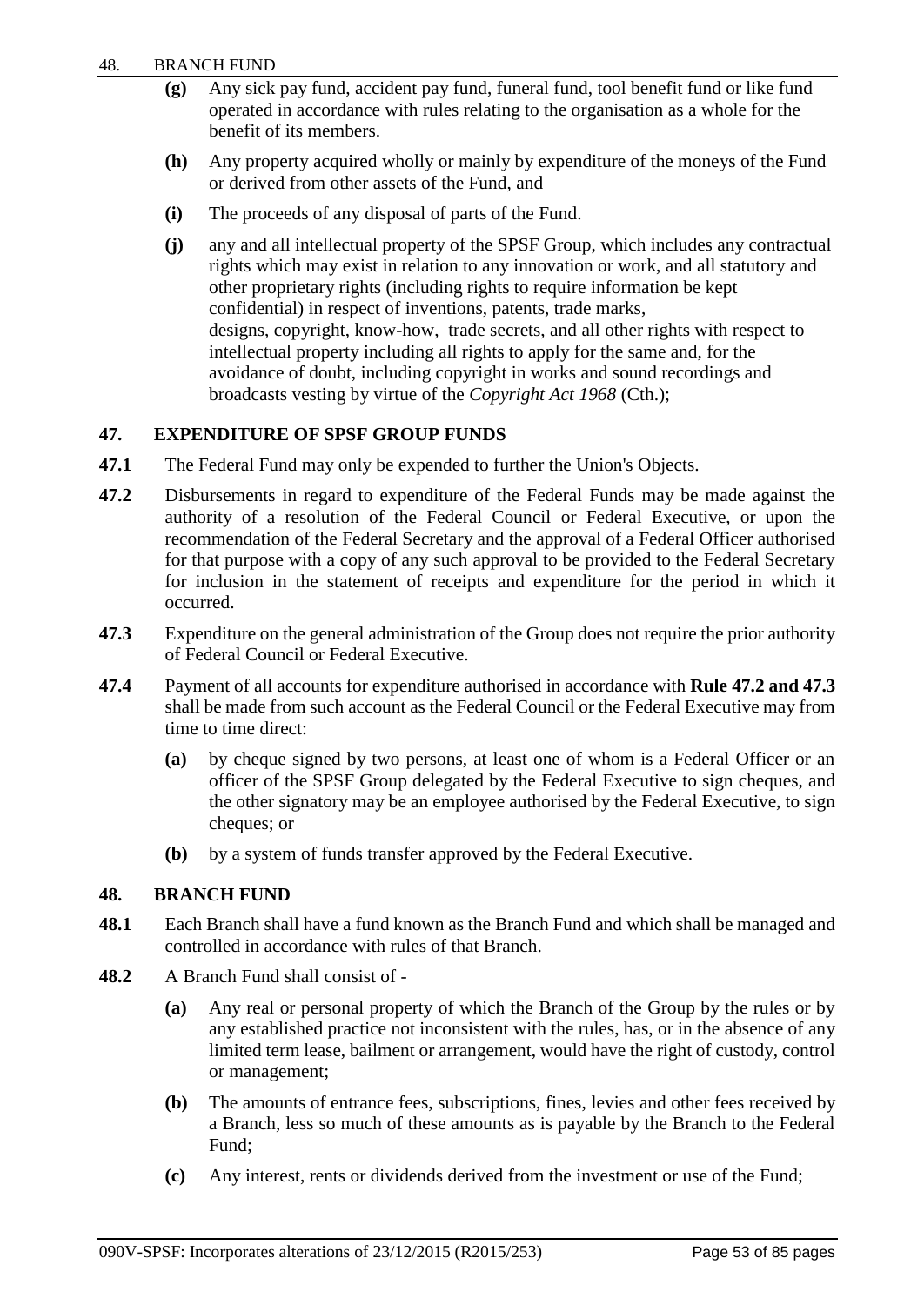- **(g)** Any sick pay fund, accident pay fund, funeral fund, tool benefit fund or like fund operated in accordance with rules relating to the organisation as a whole for the benefit of its members.
- **(h)** Any property acquired wholly or mainly by expenditure of the moneys of the Fund or derived from other assets of the Fund, and
- **(i)** The proceeds of any disposal of parts of the Fund.
- **(j)** any and all intellectual property of the SPSF Group, which includes any contractual rights which may exist in relation to any innovation or work, and all statutory and other proprietary rights (including rights to require information be kept confidential) in respect of inventions, patents, trade marks, designs, copyright, know-how, trade secrets, and all other rights with respect to intellectual property including all rights to apply for the same and, for the avoidance of doubt, including copyright in works and sound recordings and broadcasts vesting by virtue of the *Copyright Act 1968* (Cth.);

# **47. EXPENDITURE OF SPSF GROUP FUNDS**

- **47.1** The Federal Fund may only be expended to further the Union's Objects.
- **47.2** Disbursements in regard to expenditure of the Federal Funds may be made against the authority of a resolution of the Federal Council or Federal Executive, or upon the recommendation of the Federal Secretary and the approval of a Federal Officer authorised for that purpose with a copy of any such approval to be provided to the Federal Secretary for inclusion in the statement of receipts and expenditure for the period in which it occurred.
- **47.3** Expenditure on the general administration of the Group does not require the prior authority of Federal Council or Federal Executive.
- **47.4** Payment of all accounts for expenditure authorised in accordance with **Rule 47.2 and 47.3** shall be made from such account as the Federal Council or the Federal Executive may from time to time direct:
	- **(a)** by cheque signed by two persons, at least one of whom is a Federal Officer or an officer of the SPSF Group delegated by the Federal Executive to sign cheques, and the other signatory may be an employee authorised by the Federal Executive, to sign cheques; or
	- **(b)** by a system of funds transfer approved by the Federal Executive.

# **48. BRANCH FUND**

- **48.1** Each Branch shall have a fund known as the Branch Fund and which shall be managed and controlled in accordance with rules of that Branch.
- **48.2** A Branch Fund shall consist of
	- **(a)** Any real or personal property of which the Branch of the Group by the rules or by any established practice not inconsistent with the rules, has, or in the absence of any limited term lease, bailment or arrangement, would have the right of custody, control or management;
	- **(b)** The amounts of entrance fees, subscriptions, fines, levies and other fees received by a Branch, less so much of these amounts as is payable by the Branch to the Federal Fund;
	- **(c)** Any interest, rents or dividends derived from the investment or use of the Fund;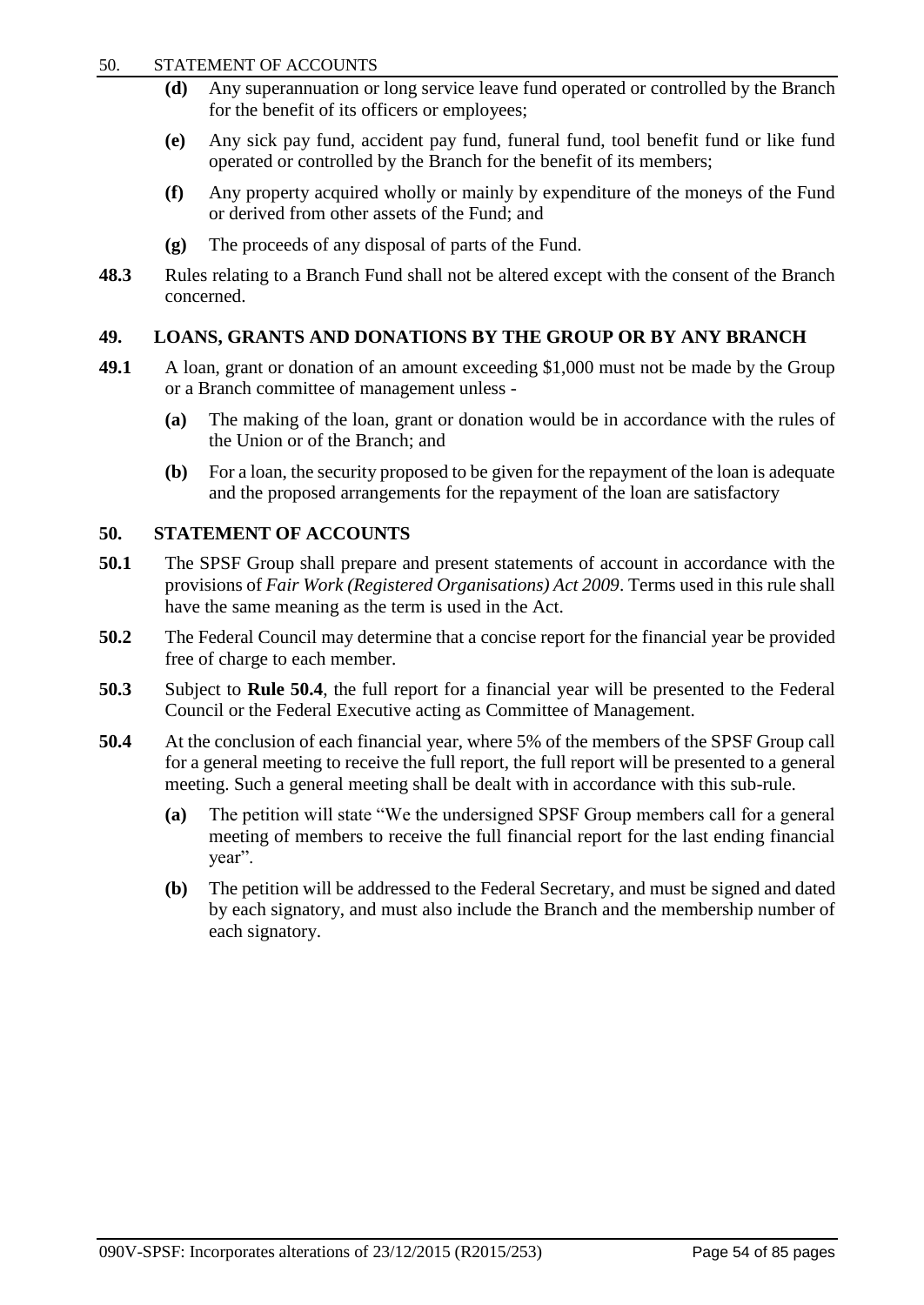#### 50. STATEMENT OF ACCOUNTS

- **(d)** Any superannuation or long service leave fund operated or controlled by the Branch for the benefit of its officers or employees;
- **(e)** Any sick pay fund, accident pay fund, funeral fund, tool benefit fund or like fund operated or controlled by the Branch for the benefit of its members;
- **(f)** Any property acquired wholly or mainly by expenditure of the moneys of the Fund or derived from other assets of the Fund; and
- **(g)** The proceeds of any disposal of parts of the Fund.
- **48.3** Rules relating to a Branch Fund shall not be altered except with the consent of the Branch concerned.

# **49. LOANS, GRANTS AND DONATIONS BY THE GROUP OR BY ANY BRANCH**

- **49.1** A loan, grant or donation of an amount exceeding \$1,000 must not be made by the Group or a Branch committee of management unless -
	- **(a)** The making of the loan, grant or donation would be in accordance with the rules of the Union or of the Branch; and
	- **(b)** For a loan, the security proposed to be given for the repayment of the loan is adequate and the proposed arrangements for the repayment of the loan are satisfactory

# **50. STATEMENT OF ACCOUNTS**

- **50.1** The SPSF Group shall prepare and present statements of account in accordance with the provisions of *Fair Work (Registered Organisations) Act 2009*. Terms used in this rule shall have the same meaning as the term is used in the Act.
- **50.2** The Federal Council may determine that a concise report for the financial year be provided free of charge to each member.
- **50.3** Subject to **Rule 50.4**, the full report for a financial year will be presented to the Federal Council or the Federal Executive acting as Committee of Management.
- **50.4** At the conclusion of each financial year, where 5% of the members of the SPSF Group call for a general meeting to receive the full report, the full report will be presented to a general meeting. Such a general meeting shall be dealt with in accordance with this sub-rule.
	- **(a)** The petition will state "We the undersigned SPSF Group members call for a general meeting of members to receive the full financial report for the last ending financial year".
	- **(b)** The petition will be addressed to the Federal Secretary, and must be signed and dated by each signatory, and must also include the Branch and the membership number of each signatory.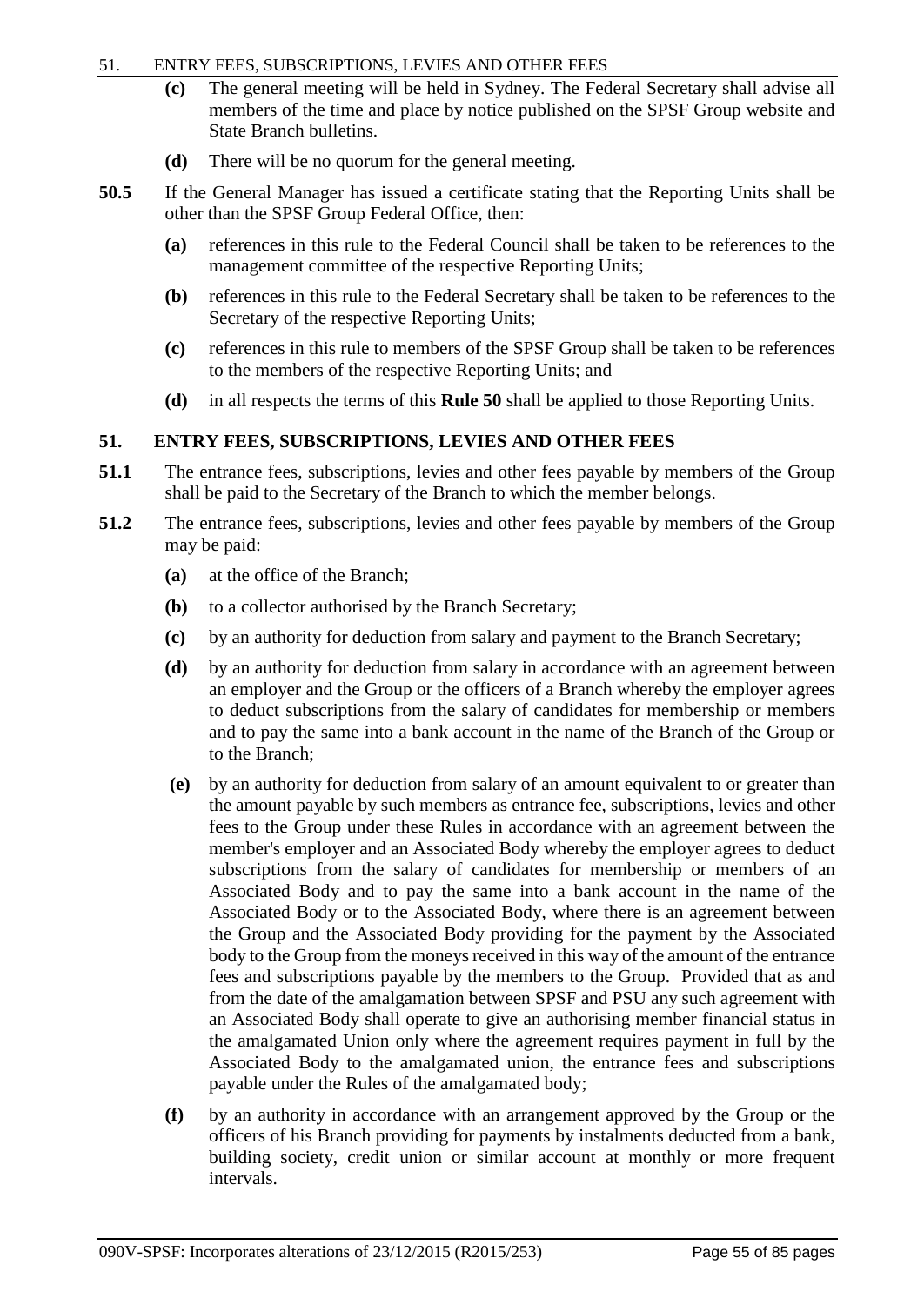## 51. ENTRY FEES, SUBSCRIPTIONS, LEVIES AND OTHER FEES

- **(c)** The general meeting will be held in Sydney. The Federal Secretary shall advise all members of the time and place by notice published on the SPSF Group website and State Branch bulletins.
- **(d)** There will be no quorum for the general meeting.
- **50.5** If the General Manager has issued a certificate stating that the Reporting Units shall be other than the SPSF Group Federal Office, then:
	- **(a)** references in this rule to the Federal Council shall be taken to be references to the management committee of the respective Reporting Units;
	- **(b)** references in this rule to the Federal Secretary shall be taken to be references to the Secretary of the respective Reporting Units;
	- **(c)** references in this rule to members of the SPSF Group shall be taken to be references to the members of the respective Reporting Units; and
	- **(d)** in all respects the terms of this **Rule 50** shall be applied to those Reporting Units.

## **51. ENTRY FEES, SUBSCRIPTIONS, LEVIES AND OTHER FEES**

- **51.1** The entrance fees, subscriptions, levies and other fees payable by members of the Group shall be paid to the Secretary of the Branch to which the member belongs.
- **51.2** The entrance fees, subscriptions, levies and other fees payable by members of the Group may be paid:
	- **(a)** at the office of the Branch;
	- **(b)** to a collector authorised by the Branch Secretary;
	- **(c)** by an authority for deduction from salary and payment to the Branch Secretary;
	- **(d)** by an authority for deduction from salary in accordance with an agreement between an employer and the Group or the officers of a Branch whereby the employer agrees to deduct subscriptions from the salary of candidates for membership or members and to pay the same into a bank account in the name of the Branch of the Group or to the Branch;
	- **(e)** by an authority for deduction from salary of an amount equivalent to or greater than the amount payable by such members as entrance fee, subscriptions, levies and other fees to the Group under these Rules in accordance with an agreement between the member's employer and an Associated Body whereby the employer agrees to deduct subscriptions from the salary of candidates for membership or members of an Associated Body and to pay the same into a bank account in the name of the Associated Body or to the Associated Body, where there is an agreement between the Group and the Associated Body providing for the payment by the Associated body to the Group from the moneys received in this way of the amount of the entrance fees and subscriptions payable by the members to the Group. Provided that as and from the date of the amalgamation between SPSF and PSU any such agreement with an Associated Body shall operate to give an authorising member financial status in the amalgamated Union only where the agreement requires payment in full by the Associated Body to the amalgamated union, the entrance fees and subscriptions payable under the Rules of the amalgamated body;
	- **(f)** by an authority in accordance with an arrangement approved by the Group or the officers of his Branch providing for payments by instalments deducted from a bank, building society, credit union or similar account at monthly or more frequent intervals.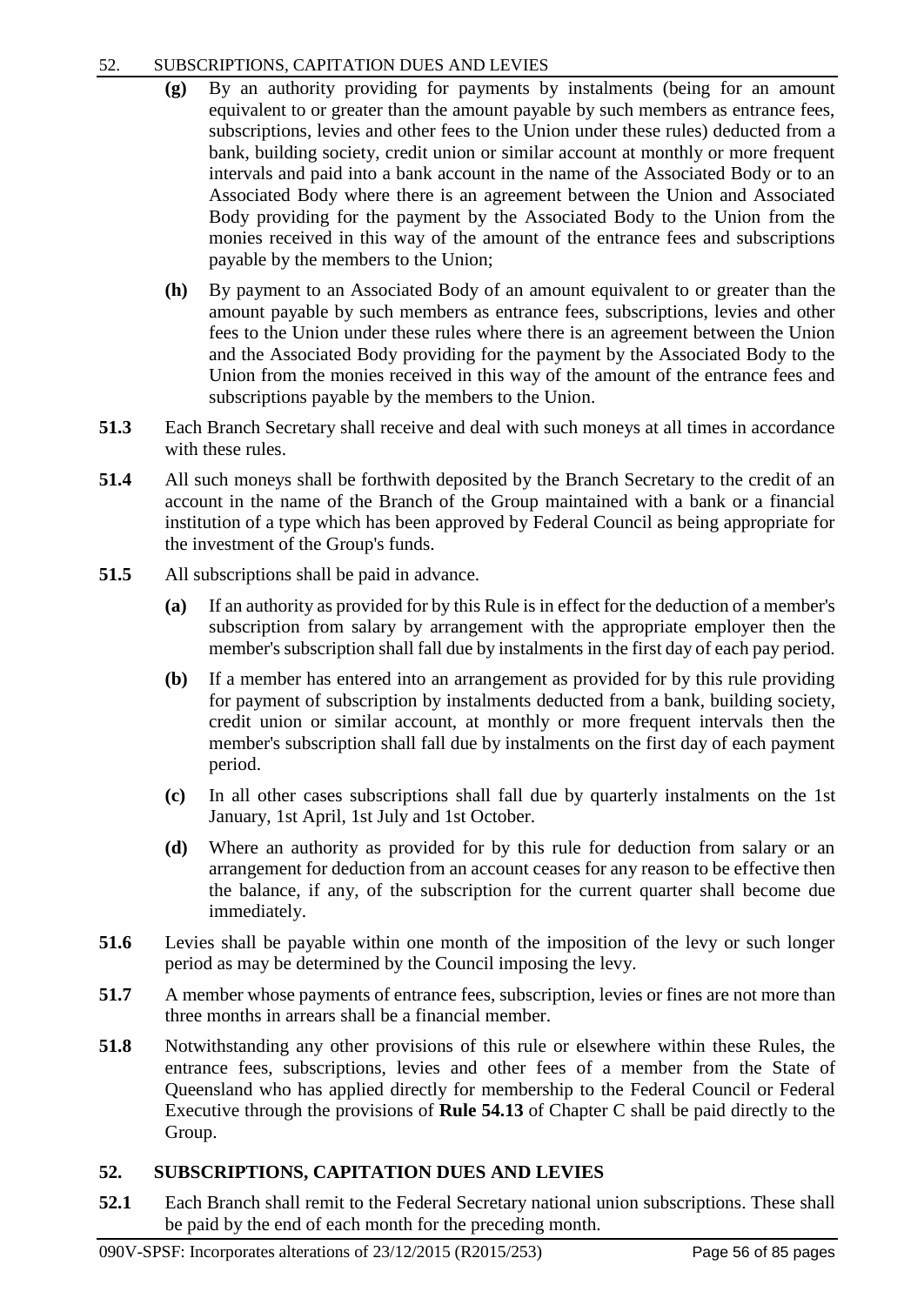# 52. SUBSCRIPTIONS, CAPITATION DUES AND LEVIES

- **(g)** By an authority providing for payments by instalments (being for an amount equivalent to or greater than the amount payable by such members as entrance fees, subscriptions, levies and other fees to the Union under these rules) deducted from a bank, building society, credit union or similar account at monthly or more frequent intervals and paid into a bank account in the name of the Associated Body or to an Associated Body where there is an agreement between the Union and Associated Body providing for the payment by the Associated Body to the Union from the monies received in this way of the amount of the entrance fees and subscriptions payable by the members to the Union;
- **(h)** By payment to an Associated Body of an amount equivalent to or greater than the amount payable by such members as entrance fees, subscriptions, levies and other fees to the Union under these rules where there is an agreement between the Union and the Associated Body providing for the payment by the Associated Body to the Union from the monies received in this way of the amount of the entrance fees and subscriptions payable by the members to the Union.
- **51.3** Each Branch Secretary shall receive and deal with such moneys at all times in accordance with these rules.
- **51.4** All such moneys shall be forthwith deposited by the Branch Secretary to the credit of an account in the name of the Branch of the Group maintained with a bank or a financial institution of a type which has been approved by Federal Council as being appropriate for the investment of the Group's funds.
- **51.5** All subscriptions shall be paid in advance.
	- **(a)** If an authority as provided for by this Rule is in effect for the deduction of a member's subscription from salary by arrangement with the appropriate employer then the member's subscription shall fall due by instalments in the first day of each pay period.
	- **(b)** If a member has entered into an arrangement as provided for by this rule providing for payment of subscription by instalments deducted from a bank, building society, credit union or similar account, at monthly or more frequent intervals then the member's subscription shall fall due by instalments on the first day of each payment period.
	- **(c)** In all other cases subscriptions shall fall due by quarterly instalments on the 1st January, 1st April, 1st July and 1st October.
	- **(d)** Where an authority as provided for by this rule for deduction from salary or an arrangement for deduction from an account ceases for any reason to be effective then the balance, if any, of the subscription for the current quarter shall become due immediately.
- **51.6** Levies shall be payable within one month of the imposition of the levy or such longer period as may be determined by the Council imposing the levy.
- **51.7** A member whose payments of entrance fees, subscription, levies or fines are not more than three months in arrears shall be a financial member.
- **51.8** Notwithstanding any other provisions of this rule or elsewhere within these Rules, the entrance fees, subscriptions, levies and other fees of a member from the State of Queensland who has applied directly for membership to the Federal Council or Federal Executive through the provisions of **Rule 54.13** of Chapter C shall be paid directly to the Group.

# **52. SUBSCRIPTIONS, CAPITATION DUES AND LEVIES**

**52.1** Each Branch shall remit to the Federal Secretary national union subscriptions. These shall be paid by the end of each month for the preceding month.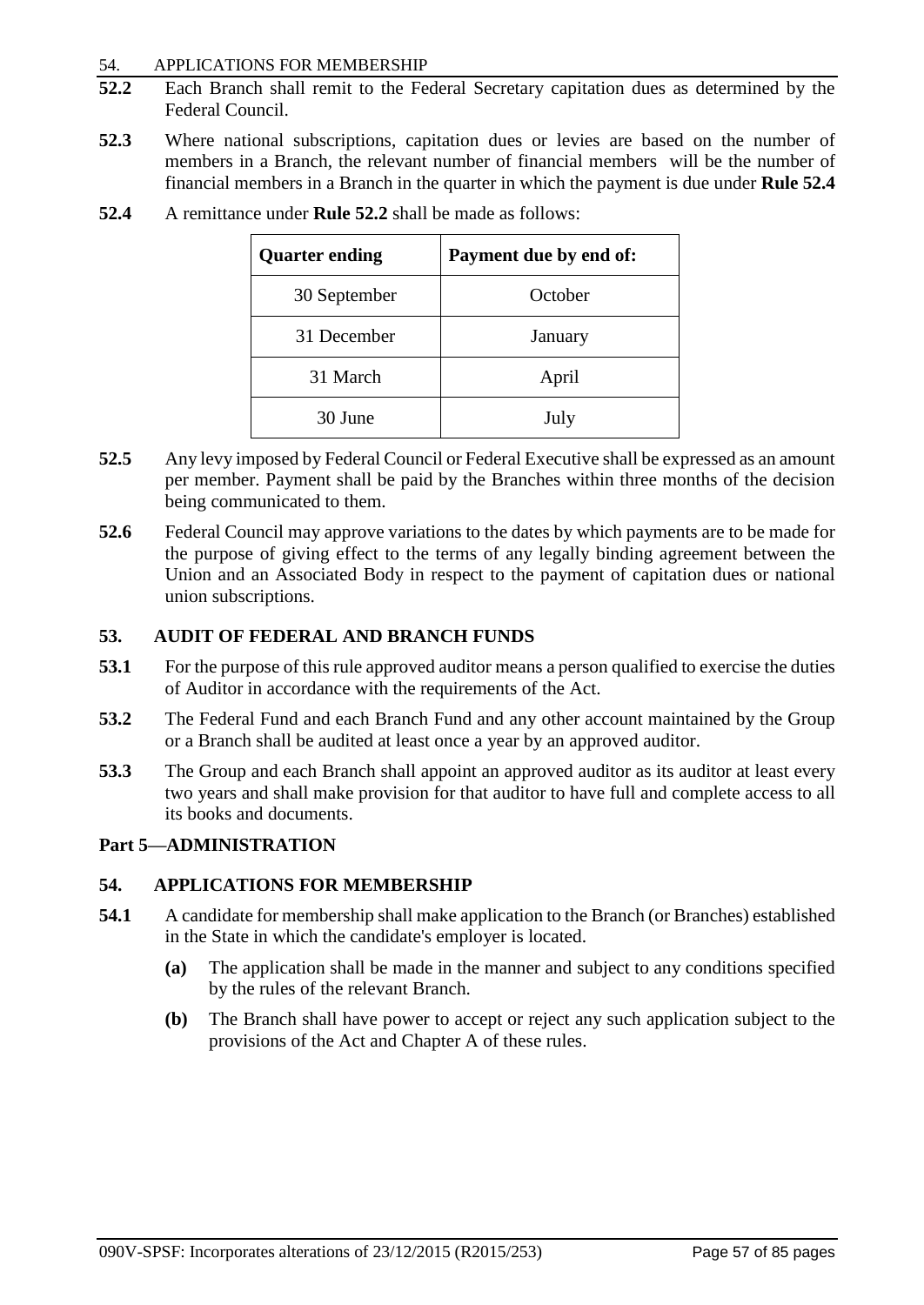## 54. APPLICATIONS FOR MEMBERSHIP

- **52.2** Each Branch shall remit to the Federal Secretary capitation dues as determined by the Federal Council.
- **52.3** Where national subscriptions, capitation dues or levies are based on the number of members in a Branch, the relevant number of financial members will be the number of financial members in a Branch in the quarter in which the payment is due under **Rule 52.4**

| <b>Quarter ending</b> | Payment due by end of: |
|-----------------------|------------------------|
| 30 September          | October                |
| 31 December           | January                |
| 31 March              | April                  |
| 30 June               | July                   |

**52.4** A remittance under **Rule 52.2** shall be made as follows:

- **52.5** Any levy imposed by Federal Council or Federal Executive shall be expressed as an amount per member. Payment shall be paid by the Branches within three months of the decision being communicated to them.
- **52.6** Federal Council may approve variations to the dates by which payments are to be made for the purpose of giving effect to the terms of any legally binding agreement between the Union and an Associated Body in respect to the payment of capitation dues or national union subscriptions.

## **53. AUDIT OF FEDERAL AND BRANCH FUNDS**

- **53.1** For the purpose of this rule approved auditor means a person qualified to exercise the duties of Auditor in accordance with the requirements of the Act.
- **53.2** The Federal Fund and each Branch Fund and any other account maintained by the Group or a Branch shall be audited at least once a year by an approved auditor.
- **53.3** The Group and each Branch shall appoint an approved auditor as its auditor at least every two years and shall make provision for that auditor to have full and complete access to all its books and documents.

# **Part 5—ADMINISTRATION**

## **54. APPLICATIONS FOR MEMBERSHIP**

- **54.1** A candidate for membership shall make application to the Branch (or Branches) established in the State in which the candidate's employer is located.
	- **(a)** The application shall be made in the manner and subject to any conditions specified by the rules of the relevant Branch.
	- **(b)** The Branch shall have power to accept or reject any such application subject to the provisions of the Act and Chapter A of these rules.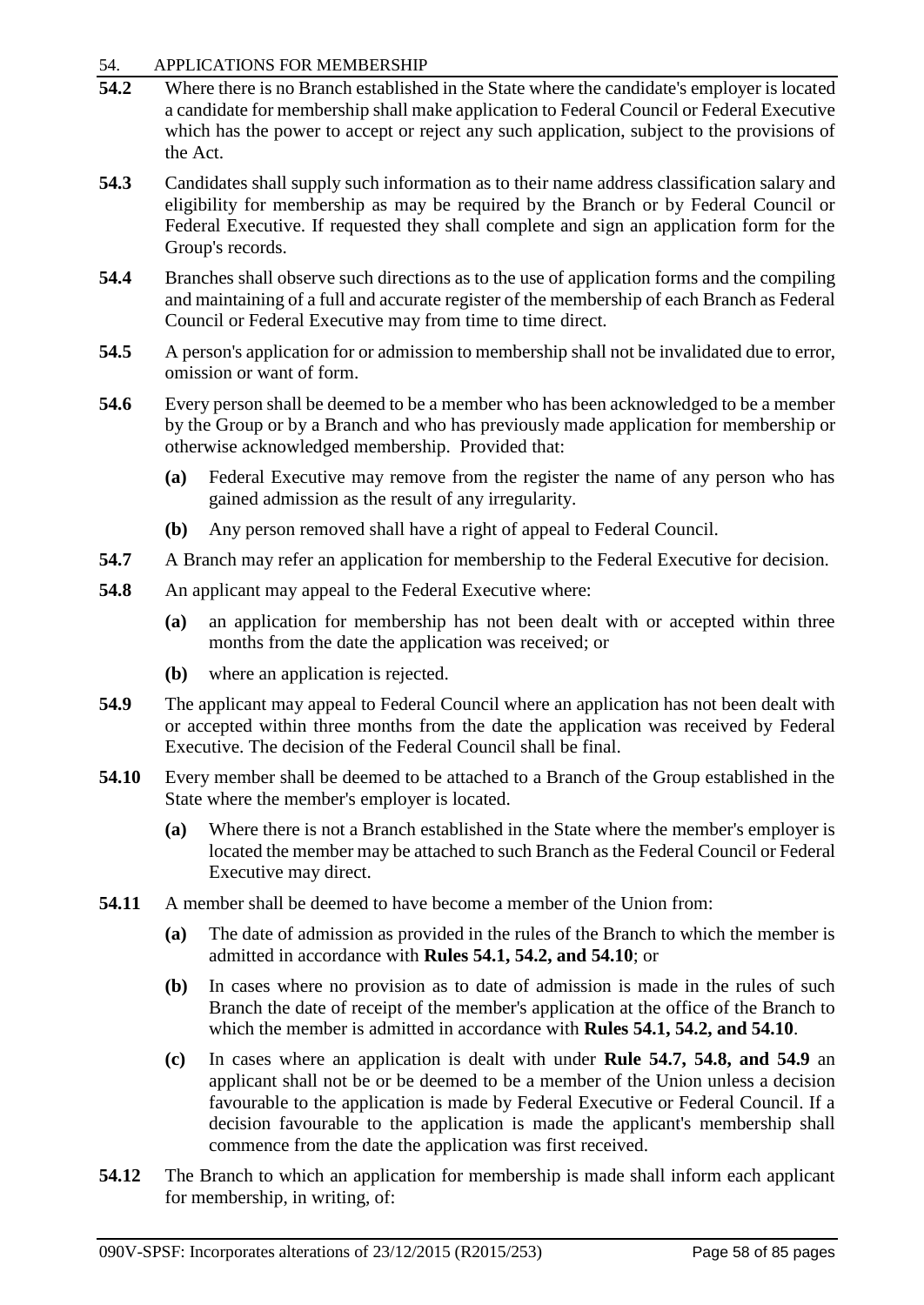## 54. APPLICATIONS FOR MEMBERSHIP

- **54.2** Where there is no Branch established in the State where the candidate's employer is located a candidate for membership shall make application to Federal Council or Federal Executive which has the power to accept or reject any such application, subject to the provisions of the Act.
- **54.3** Candidates shall supply such information as to their name address classification salary and eligibility for membership as may be required by the Branch or by Federal Council or Federal Executive. If requested they shall complete and sign an application form for the Group's records.
- **54.4** Branches shall observe such directions as to the use of application forms and the compiling and maintaining of a full and accurate register of the membership of each Branch as Federal Council or Federal Executive may from time to time direct.
- **54.5** A person's application for or admission to membership shall not be invalidated due to error, omission or want of form.
- **54.6** Every person shall be deemed to be a member who has been acknowledged to be a member by the Group or by a Branch and who has previously made application for membership or otherwise acknowledged membership. Provided that:
	- **(a)** Federal Executive may remove from the register the name of any person who has gained admission as the result of any irregularity.
	- **(b)** Any person removed shall have a right of appeal to Federal Council.
- **54.7** A Branch may refer an application for membership to the Federal Executive for decision.
- **54.8** An applicant may appeal to the Federal Executive where:
	- **(a)** an application for membership has not been dealt with or accepted within three months from the date the application was received; or
	- **(b)** where an application is rejected.
- **54.9** The applicant may appeal to Federal Council where an application has not been dealt with or accepted within three months from the date the application was received by Federal Executive. The decision of the Federal Council shall be final.
- **54.10** Every member shall be deemed to be attached to a Branch of the Group established in the State where the member's employer is located.
	- **(a)** Where there is not a Branch established in the State where the member's employer is located the member may be attached to such Branch as the Federal Council or Federal Executive may direct.
- **54.11** A member shall be deemed to have become a member of the Union from:
	- **(a)** The date of admission as provided in the rules of the Branch to which the member is admitted in accordance with **Rules 54.1, 54.2, and 54.10**; or
	- **(b)** In cases where no provision as to date of admission is made in the rules of such Branch the date of receipt of the member's application at the office of the Branch to which the member is admitted in accordance with **Rules 54.1, 54.2, and 54.10**.
	- **(c)** In cases where an application is dealt with under **Rule 54.7, 54.8, and 54.9** an applicant shall not be or be deemed to be a member of the Union unless a decision favourable to the application is made by Federal Executive or Federal Council. If a decision favourable to the application is made the applicant's membership shall commence from the date the application was first received.
- **54.12** The Branch to which an application for membership is made shall inform each applicant for membership, in writing, of: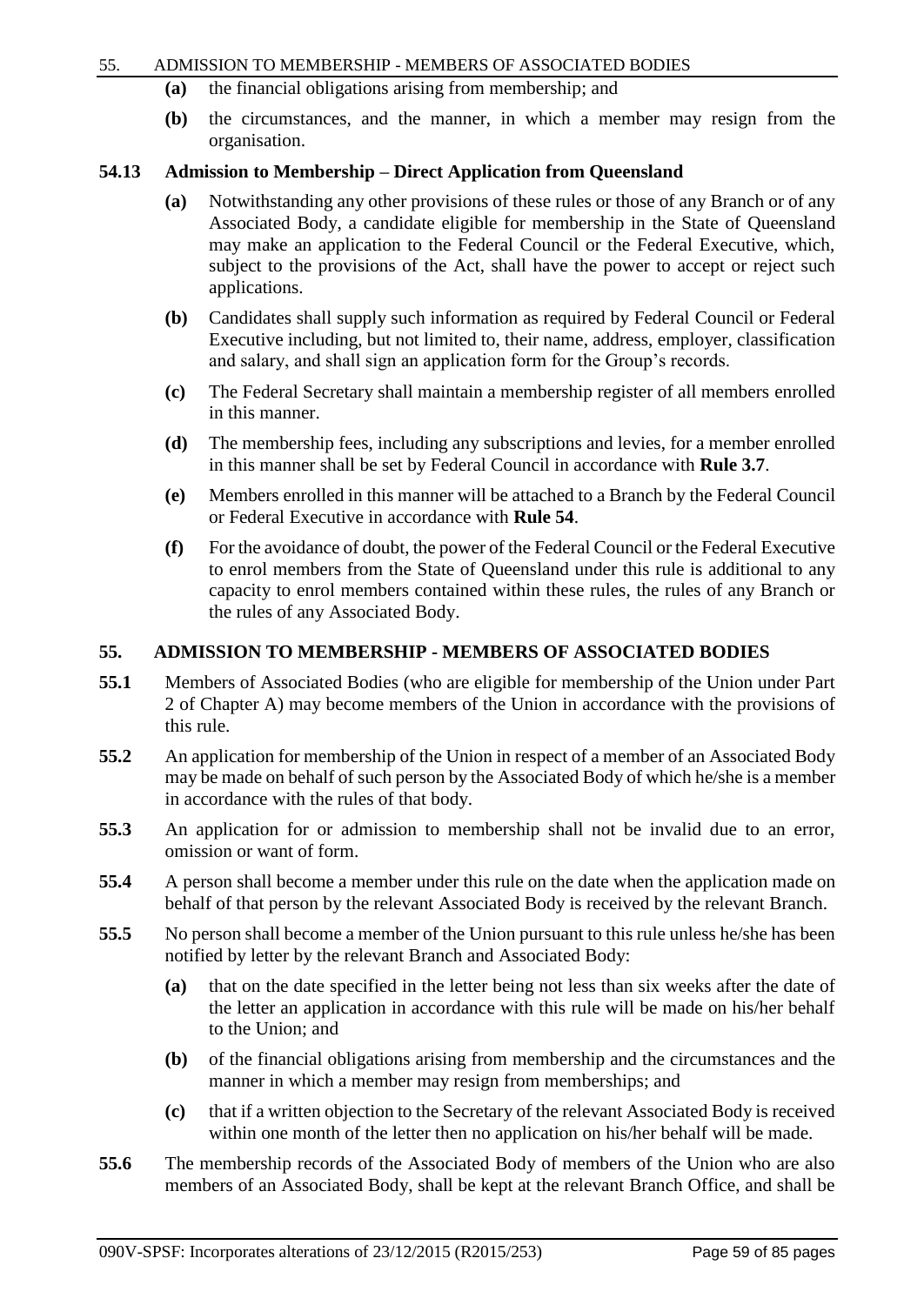#### 55. ADMISSION TO MEMBERSHIP - MEMBERS OF ASSOCIATED BODIES

- **(a)** the financial obligations arising from membership; and
- **(b)** the circumstances, and the manner, in which a member may resign from the organisation.

## **54.13 Admission to Membership – Direct Application from Queensland**

- **(a)** Notwithstanding any other provisions of these rules or those of any Branch or of any Associated Body, a candidate eligible for membership in the State of Queensland may make an application to the Federal Council or the Federal Executive, which, subject to the provisions of the Act, shall have the power to accept or reject such applications.
- **(b)** Candidates shall supply such information as required by Federal Council or Federal Executive including, but not limited to, their name, address, employer, classification and salary, and shall sign an application form for the Group's records.
- **(c)** The Federal Secretary shall maintain a membership register of all members enrolled in this manner.
- **(d)** The membership fees, including any subscriptions and levies, for a member enrolled in this manner shall be set by Federal Council in accordance with **Rule 3.7**.
- **(e)** Members enrolled in this manner will be attached to a Branch by the Federal Council or Federal Executive in accordance with **Rule 54**.
- **(f)** For the avoidance of doubt, the power of the Federal Council or the Federal Executive to enrol members from the State of Queensland under this rule is additional to any capacity to enrol members contained within these rules, the rules of any Branch or the rules of any Associated Body.

# **55. ADMISSION TO MEMBERSHIP - MEMBERS OF ASSOCIATED BODIES**

- **55.1** Members of Associated Bodies (who are eligible for membership of the Union under Part 2 of Chapter A) may become members of the Union in accordance with the provisions of this rule.
- **55.2** An application for membership of the Union in respect of a member of an Associated Body may be made on behalf of such person by the Associated Body of which he/she is a member in accordance with the rules of that body.
- **55.3** An application for or admission to membership shall not be invalid due to an error, omission or want of form.
- **55.4** A person shall become a member under this rule on the date when the application made on behalf of that person by the relevant Associated Body is received by the relevant Branch.
- **55.5** No person shall become a member of the Union pursuant to this rule unless he/she has been notified by letter by the relevant Branch and Associated Body:
	- **(a)** that on the date specified in the letter being not less than six weeks after the date of the letter an application in accordance with this rule will be made on his/her behalf to the Union; and
	- **(b)** of the financial obligations arising from membership and the circumstances and the manner in which a member may resign from memberships; and
	- **(c)** that if a written objection to the Secretary of the relevant Associated Body is received within one month of the letter then no application on his/her behalf will be made.
- **55.6** The membership records of the Associated Body of members of the Union who are also members of an Associated Body, shall be kept at the relevant Branch Office, and shall be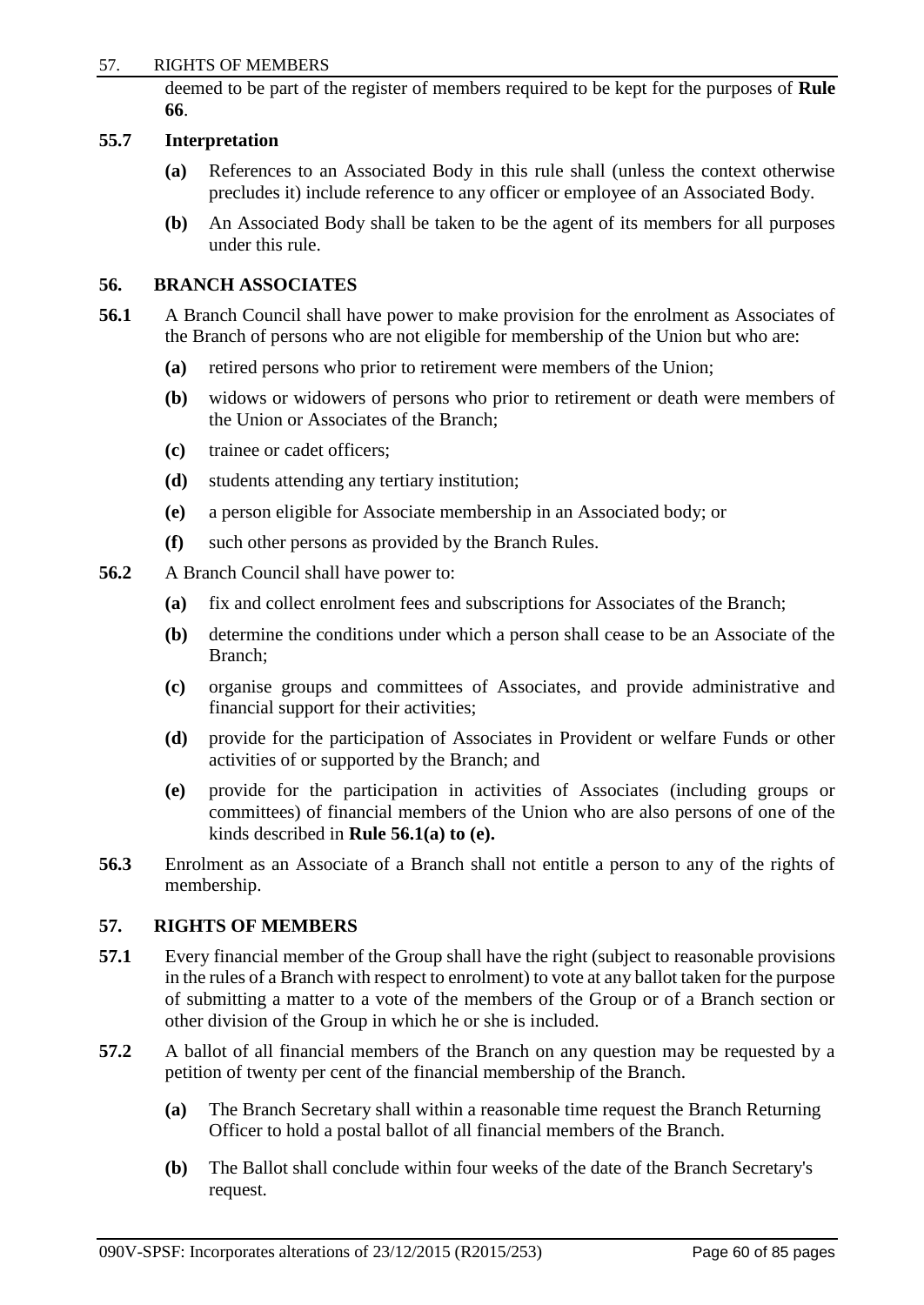### 57. RIGHTS OF MEMBERS

deemed to be part of the register of members required to be kept for the purposes of **Rule 66**.

#### **55.7 Interpretation**

- **(a)** References to an Associated Body in this rule shall (unless the context otherwise precludes it) include reference to any officer or employee of an Associated Body.
- **(b)** An Associated Body shall be taken to be the agent of its members for all purposes under this rule.

## **56. BRANCH ASSOCIATES**

- **56.1** A Branch Council shall have power to make provision for the enrolment as Associates of the Branch of persons who are not eligible for membership of the Union but who are:
	- **(a)** retired persons who prior to retirement were members of the Union;
	- **(b)** widows or widowers of persons who prior to retirement or death were members of the Union or Associates of the Branch;
	- **(c)** trainee or cadet officers;
	- **(d)** students attending any tertiary institution;
	- **(e)** a person eligible for Associate membership in an Associated body; or
	- **(f)** such other persons as provided by the Branch Rules.
- **56.2** A Branch Council shall have power to:
	- **(a)** fix and collect enrolment fees and subscriptions for Associates of the Branch;
	- **(b)** determine the conditions under which a person shall cease to be an Associate of the Branch;
	- **(c)** organise groups and committees of Associates, and provide administrative and financial support for their activities;
	- **(d)** provide for the participation of Associates in Provident or welfare Funds or other activities of or supported by the Branch; and
	- **(e)** provide for the participation in activities of Associates (including groups or committees) of financial members of the Union who are also persons of one of the kinds described in **Rule 56.1(a) to (e).**
- **56.3** Enrolment as an Associate of a Branch shall not entitle a person to any of the rights of membership.

## **57. RIGHTS OF MEMBERS**

- **57.1** Every financial member of the Group shall have the right (subject to reasonable provisions in the rules of a Branch with respect to enrolment) to vote at any ballot taken for the purpose of submitting a matter to a vote of the members of the Group or of a Branch section or other division of the Group in which he or she is included.
- **57.2** A ballot of all financial members of the Branch on any question may be requested by a petition of twenty per cent of the financial membership of the Branch.
	- **(a)** The Branch Secretary shall within a reasonable time request the Branch Returning Officer to hold a postal ballot of all financial members of the Branch.
	- **(b)** The Ballot shall conclude within four weeks of the date of the Branch Secretary's request.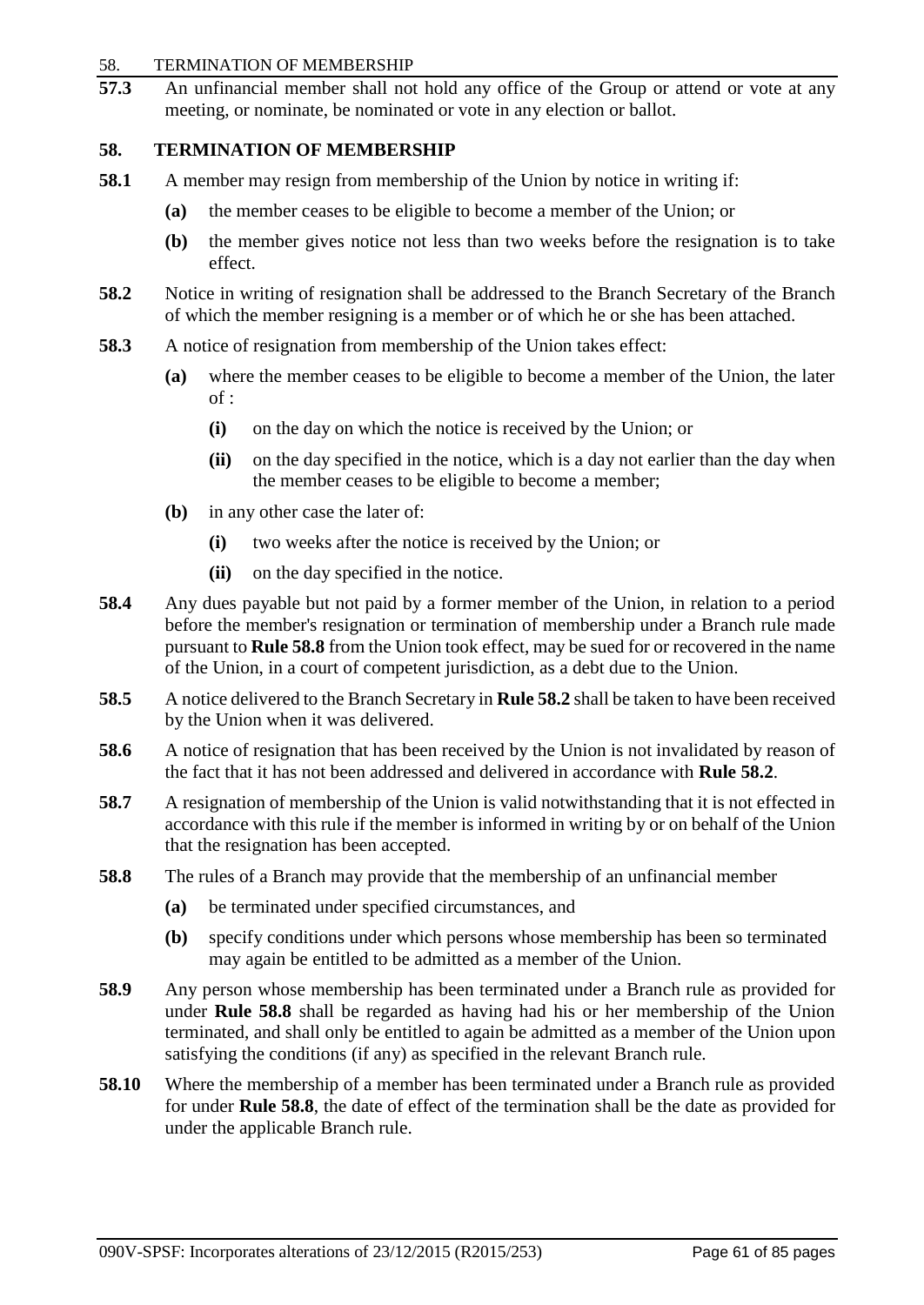#### 58. TERMINATION OF MEMBERSHIP

**57.3** An unfinancial member shall not hold any office of the Group or attend or vote at any meeting, or nominate, be nominated or vote in any election or ballot.

# **58. TERMINATION OF MEMBERSHIP**

- **58.1** A member may resign from membership of the Union by notice in writing if:
	- **(a)** the member ceases to be eligible to become a member of the Union; or
	- **(b)** the member gives notice not less than two weeks before the resignation is to take effect.
- **58.2** Notice in writing of resignation shall be addressed to the Branch Secretary of the Branch of which the member resigning is a member or of which he or she has been attached.
- **58.3** A notice of resignation from membership of the Union takes effect:
	- **(a)** where the member ceases to be eligible to become a member of the Union, the later of :
		- **(i)** on the day on which the notice is received by the Union; or
		- **(ii)** on the day specified in the notice, which is a day not earlier than the day when the member ceases to be eligible to become a member;
	- **(b)** in any other case the later of:
		- **(i)** two weeks after the notice is received by the Union; or
		- **(ii)** on the day specified in the notice.
- **58.4** Any dues payable but not paid by a former member of the Union, in relation to a period before the member's resignation or termination of membership under a Branch rule made pursuant to **Rule 58.8** from the Union took effect, may be sued for or recovered in the name of the Union, in a court of competent jurisdiction, as a debt due to the Union.
- **58.5** A notice delivered to the Branch Secretary in **Rule 58.2** shall be taken to have been received by the Union when it was delivered.
- **58.6** A notice of resignation that has been received by the Union is not invalidated by reason of the fact that it has not been addressed and delivered in accordance with **Rule 58.2**.
- **58.7** A resignation of membership of the Union is valid notwithstanding that it is not effected in accordance with this rule if the member is informed in writing by or on behalf of the Union that the resignation has been accepted.
- **58.8** The rules of a Branch may provide that the membership of an unfinancial member
	- **(a)** be terminated under specified circumstances, and
	- **(b)** specify conditions under which persons whose membership has been so terminated may again be entitled to be admitted as a member of the Union.
- **58.9** Any person whose membership has been terminated under a Branch rule as provided for under **Rule 58.8** shall be regarded as having had his or her membership of the Union terminated, and shall only be entitled to again be admitted as a member of the Union upon satisfying the conditions (if any) as specified in the relevant Branch rule.
- **58.10** Where the membership of a member has been terminated under a Branch rule as provided for under **Rule 58.8**, the date of effect of the termination shall be the date as provided for under the applicable Branch rule.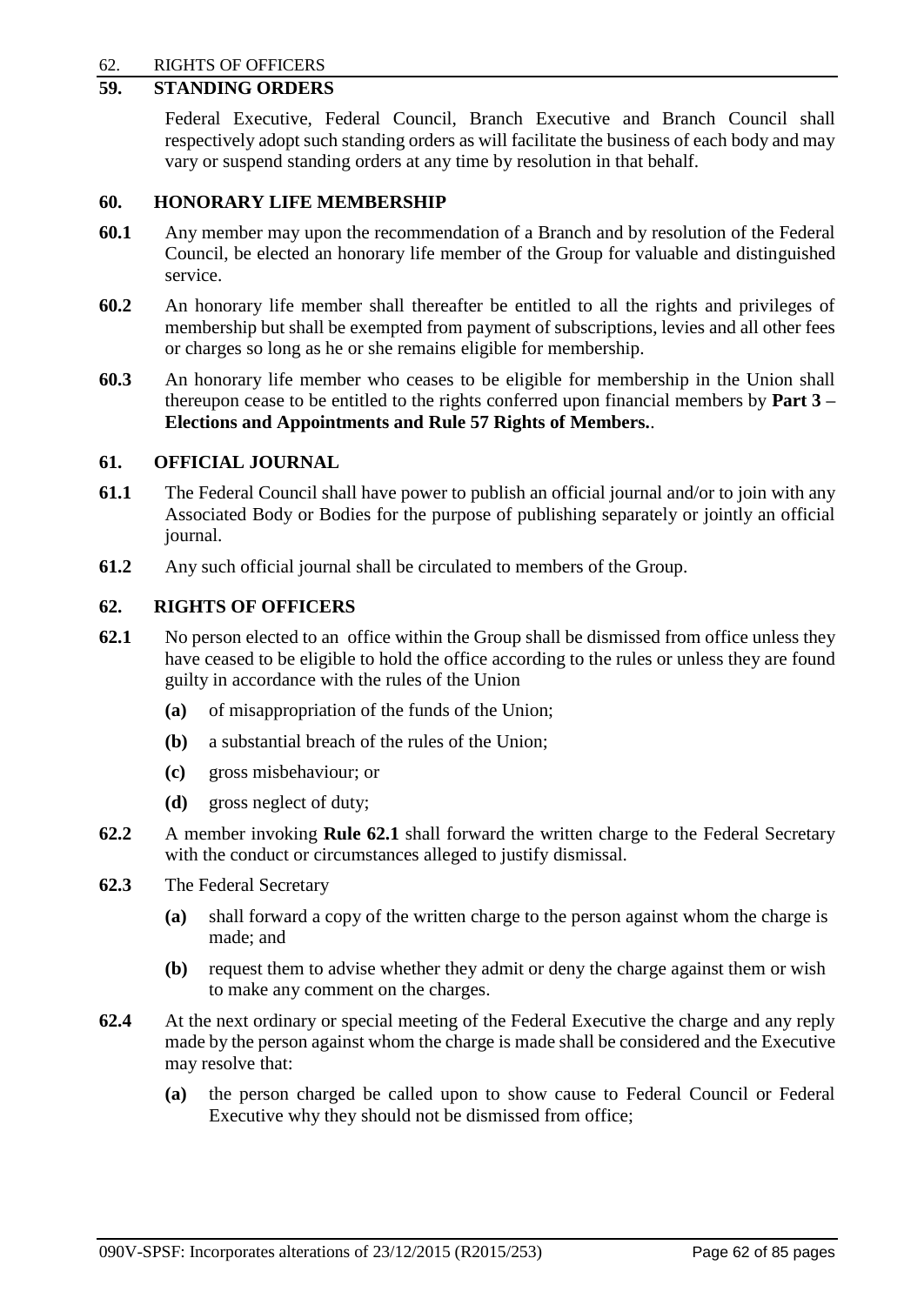## 62. RIGHTS OF OFFICERS

# **59. STANDING ORDERS**

Federal Executive, Federal Council, Branch Executive and Branch Council shall respectively adopt such standing orders as will facilitate the business of each body and may vary or suspend standing orders at any time by resolution in that behalf.

## **60. HONORARY LIFE MEMBERSHIP**

- **60.1** Any member may upon the recommendation of a Branch and by resolution of the Federal Council, be elected an honorary life member of the Group for valuable and distinguished service.
- **60.2** An honorary life member shall thereafter be entitled to all the rights and privileges of membership but shall be exempted from payment of subscriptions, levies and all other fees or charges so long as he or she remains eligible for membership.
- **60.3** An honorary life member who ceases to be eligible for membership in the Union shall thereupon cease to be entitled to the rights conferred upon financial members by **Part 3 – Elections and Appointments and Rule 57 Rights of Members.**.

## **61. OFFICIAL JOURNAL**

- **61.1** The Federal Council shall have power to publish an official journal and/or to join with any Associated Body or Bodies for the purpose of publishing separately or jointly an official journal.
- **61.2** Any such official journal shall be circulated to members of the Group.

## **62. RIGHTS OF OFFICERS**

- **62.1** No person elected to an office within the Group shall be dismissed from office unless they have ceased to be eligible to hold the office according to the rules or unless they are found guilty in accordance with the rules of the Union
	- **(a)** of misappropriation of the funds of the Union;
	- **(b)** a substantial breach of the rules of the Union;
	- **(c)** gross misbehaviour; or
	- **(d)** gross neglect of duty;
- **62.2** A member invoking **Rule 62.1** shall forward the written charge to the Federal Secretary with the conduct or circumstances alleged to justify dismissal.
- **62.3** The Federal Secretary
	- **(a)** shall forward a copy of the written charge to the person against whom the charge is made; and
	- **(b)** request them to advise whether they admit or deny the charge against them or wish to make any comment on the charges.
- **62.4** At the next ordinary or special meeting of the Federal Executive the charge and any reply made by the person against whom the charge is made shall be considered and the Executive may resolve that:
	- **(a)** the person charged be called upon to show cause to Federal Council or Federal Executive why they should not be dismissed from office;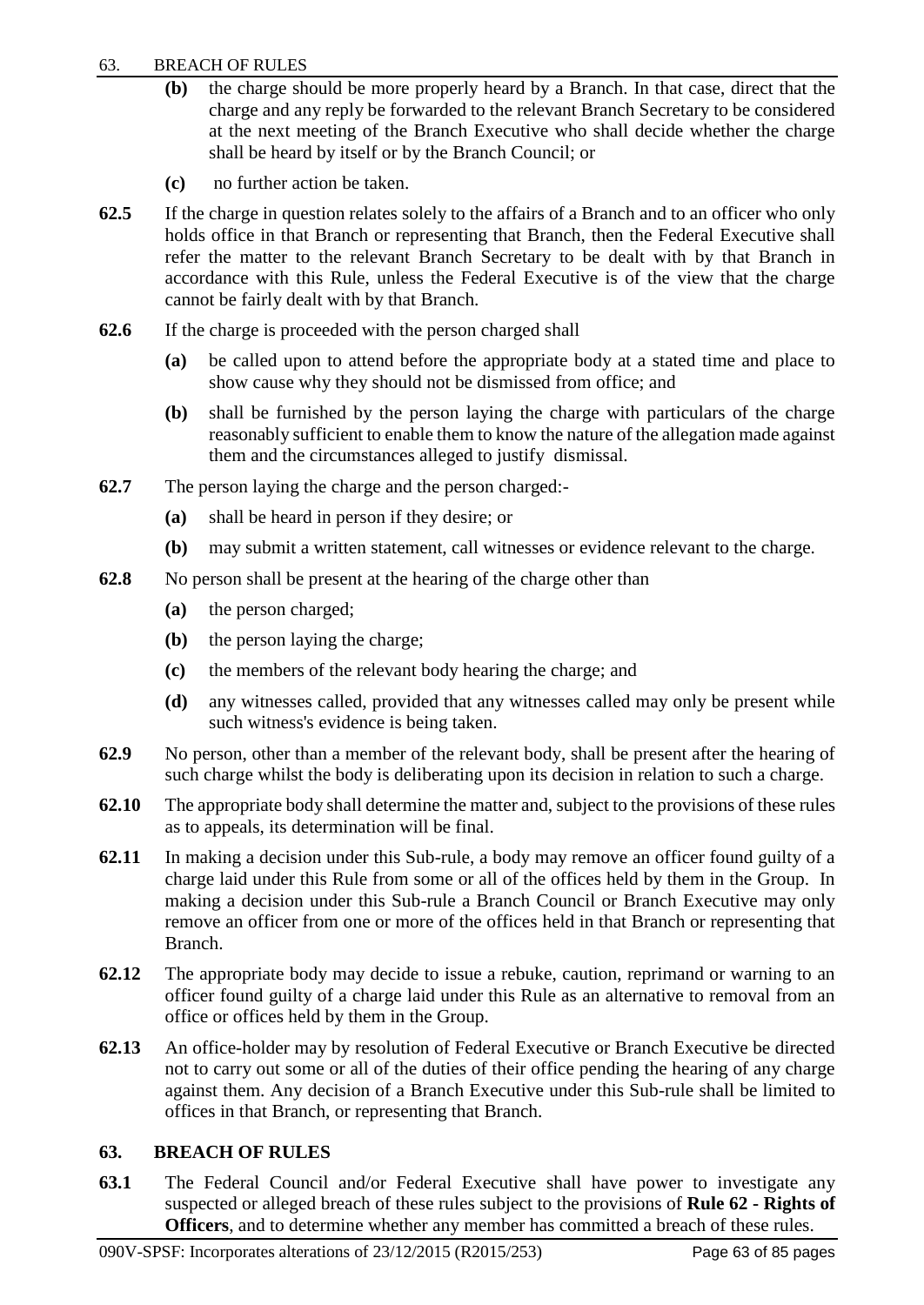## 63. BREACH OF RULES

- **(b)** the charge should be more properly heard by a Branch. In that case, direct that the charge and any reply be forwarded to the relevant Branch Secretary to be considered at the next meeting of the Branch Executive who shall decide whether the charge shall be heard by itself or by the Branch Council; or
- **(c)** no further action be taken.
- **62.5** If the charge in question relates solely to the affairs of a Branch and to an officer who only holds office in that Branch or representing that Branch, then the Federal Executive shall refer the matter to the relevant Branch Secretary to be dealt with by that Branch in accordance with this Rule, unless the Federal Executive is of the view that the charge cannot be fairly dealt with by that Branch.
- **62.6** If the charge is proceeded with the person charged shall
	- **(a)** be called upon to attend before the appropriate body at a stated time and place to show cause why they should not be dismissed from office; and
	- **(b)** shall be furnished by the person laying the charge with particulars of the charge reasonably sufficient to enable them to know the nature of the allegation made against them and the circumstances alleged to justify dismissal.
- **62.7** The person laying the charge and the person charged:-
	- **(a)** shall be heard in person if they desire; or
	- **(b)** may submit a written statement, call witnesses or evidence relevant to the charge.
- **62.8** No person shall be present at the hearing of the charge other than
	- **(a)** the person charged;
	- **(b)** the person laying the charge;
	- **(c)** the members of the relevant body hearing the charge; and
	- **(d)** any witnesses called, provided that any witnesses called may only be present while such witness's evidence is being taken.
- **62.9** No person, other than a member of the relevant body, shall be present after the hearing of such charge whilst the body is deliberating upon its decision in relation to such a charge.
- **62.10** The appropriate body shall determine the matter and, subject to the provisions of these rules as to appeals, its determination will be final.
- **62.11** In making a decision under this Sub-rule, a body may remove an officer found guilty of a charge laid under this Rule from some or all of the offices held by them in the Group. In making a decision under this Sub-rule a Branch Council or Branch Executive may only remove an officer from one or more of the offices held in that Branch or representing that Branch.
- **62.12** The appropriate body may decide to issue a rebuke, caution, reprimand or warning to an officer found guilty of a charge laid under this Rule as an alternative to removal from an office or offices held by them in the Group.
- **62.13** An office-holder may by resolution of Federal Executive or Branch Executive be directed not to carry out some or all of the duties of their office pending the hearing of any charge against them. Any decision of a Branch Executive under this Sub-rule shall be limited to offices in that Branch, or representing that Branch.

# **63. BREACH OF RULES**

**63.1** The Federal Council and/or Federal Executive shall have power to investigate any suspected or alleged breach of these rules subject to the provisions of **Rule 62 - Rights of Officers**, and to determine whether any member has committed a breach of these rules.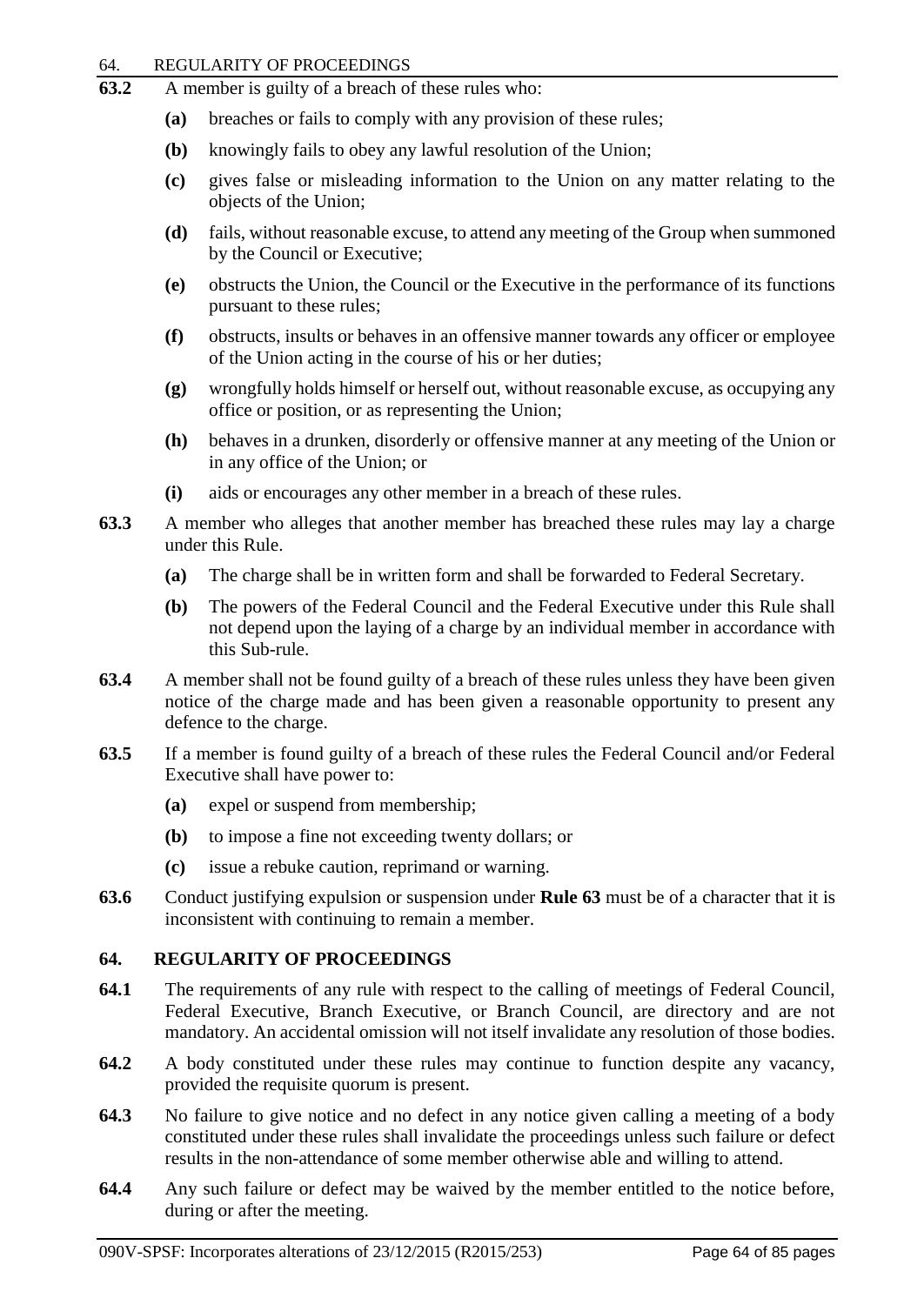#### 64. REGULARITY OF PROCEEDINGS

- **63.2** A member is guilty of a breach of these rules who:
	- **(a)** breaches or fails to comply with any provision of these rules;
	- **(b)** knowingly fails to obey any lawful resolution of the Union;
	- **(c)** gives false or misleading information to the Union on any matter relating to the objects of the Union;
	- **(d)** fails, without reasonable excuse, to attend any meeting of the Group when summoned by the Council or Executive;
	- **(e)** obstructs the Union, the Council or the Executive in the performance of its functions pursuant to these rules;
	- **(f)** obstructs, insults or behaves in an offensive manner towards any officer or employee of the Union acting in the course of his or her duties;
	- **(g)** wrongfully holds himself or herself out, without reasonable excuse, as occupying any office or position, or as representing the Union;
	- **(h)** behaves in a drunken, disorderly or offensive manner at any meeting of the Union or in any office of the Union; or
	- **(i)** aids or encourages any other member in a breach of these rules.
- **63.3** A member who alleges that another member has breached these rules may lay a charge under this Rule.
	- **(a)** The charge shall be in written form and shall be forwarded to Federal Secretary.
	- **(b)** The powers of the Federal Council and the Federal Executive under this Rule shall not depend upon the laying of a charge by an individual member in accordance with this Sub-rule.
- **63.4** A member shall not be found guilty of a breach of these rules unless they have been given notice of the charge made and has been given a reasonable opportunity to present any defence to the charge.
- **63.5** If a member is found guilty of a breach of these rules the Federal Council and/or Federal Executive shall have power to:
	- **(a)** expel or suspend from membership;
	- **(b)** to impose a fine not exceeding twenty dollars; or
	- **(c)** issue a rebuke caution, reprimand or warning.
- **63.6** Conduct justifying expulsion or suspension under **Rule 63** must be of a character that it is inconsistent with continuing to remain a member.

## **64. REGULARITY OF PROCEEDINGS**

- **64.1** The requirements of any rule with respect to the calling of meetings of Federal Council, Federal Executive, Branch Executive, or Branch Council, are directory and are not mandatory. An accidental omission will not itself invalidate any resolution of those bodies.
- **64.2** A body constituted under these rules may continue to function despite any vacancy, provided the requisite quorum is present.
- **64.3** No failure to give notice and no defect in any notice given calling a meeting of a body constituted under these rules shall invalidate the proceedings unless such failure or defect results in the non-attendance of some member otherwise able and willing to attend.
- **64.4** Any such failure or defect may be waived by the member entitled to the notice before, during or after the meeting.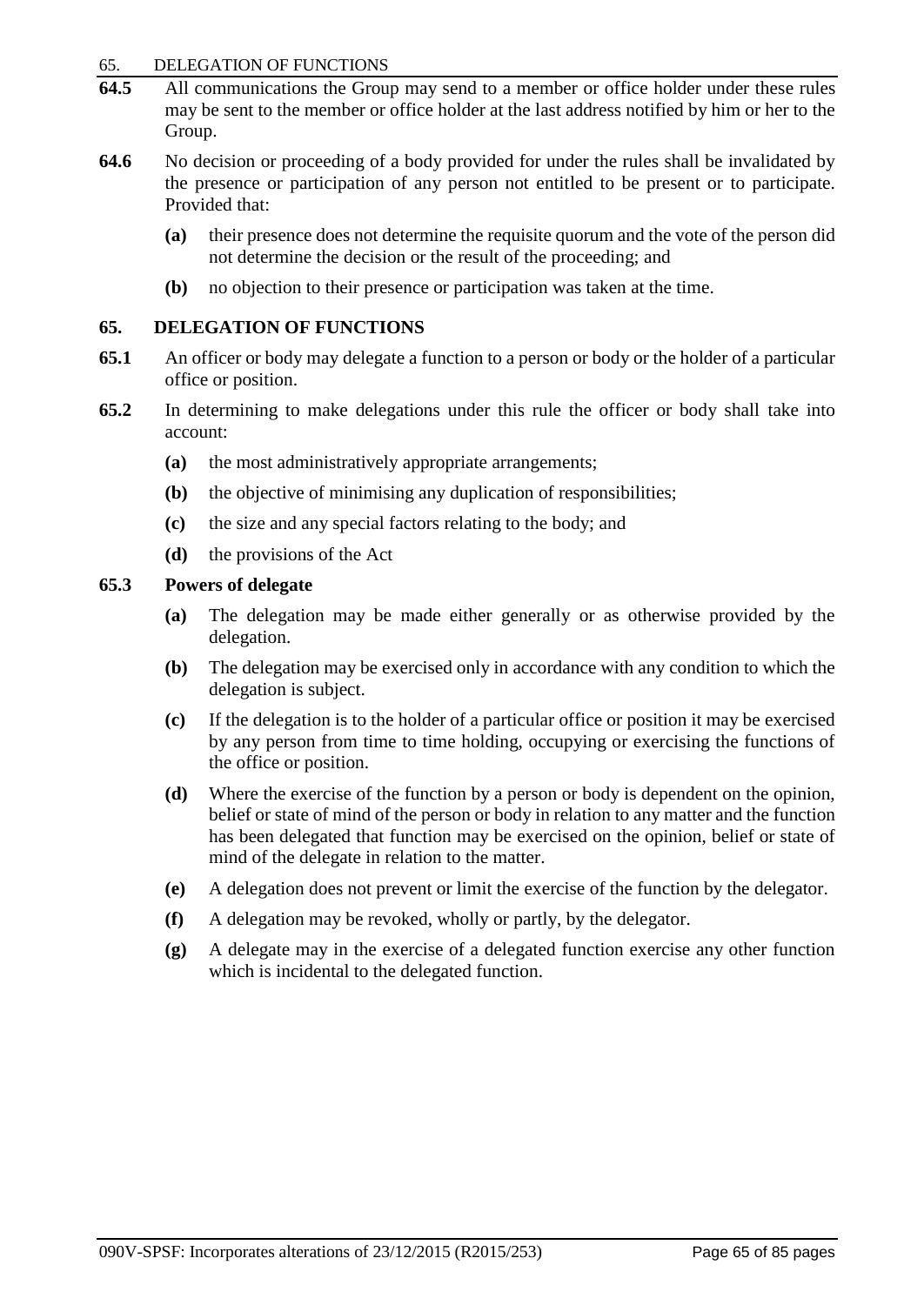#### 65. DELEGATION OF FUNCTIONS

- **64.5** All communications the Group may send to a member or office holder under these rules may be sent to the member or office holder at the last address notified by him or her to the Group.
- **64.6** No decision or proceeding of a body provided for under the rules shall be invalidated by the presence or participation of any person not entitled to be present or to participate. Provided that:
	- **(a)** their presence does not determine the requisite quorum and the vote of the person did not determine the decision or the result of the proceeding; and
	- **(b)** no objection to their presence or participation was taken at the time.

## **65. DELEGATION OF FUNCTIONS**

- **65.1** An officer or body may delegate a function to a person or body or the holder of a particular office or position.
- **65.2** In determining to make delegations under this rule the officer or body shall take into account:
	- **(a)** the most administratively appropriate arrangements;
	- **(b)** the objective of minimising any duplication of responsibilities;
	- **(c)** the size and any special factors relating to the body; and
	- **(d)** the provisions of the Act

## **65.3 Powers of delegate**

- **(a)** The delegation may be made either generally or as otherwise provided by the delegation.
- **(b)** The delegation may be exercised only in accordance with any condition to which the delegation is subject.
- **(c)** If the delegation is to the holder of a particular office or position it may be exercised by any person from time to time holding, occupying or exercising the functions of the office or position.
- **(d)** Where the exercise of the function by a person or body is dependent on the opinion, belief or state of mind of the person or body in relation to any matter and the function has been delegated that function may be exercised on the opinion, belief or state of mind of the delegate in relation to the matter.
- **(e)** A delegation does not prevent or limit the exercise of the function by the delegator.
- **(f)** A delegation may be revoked, wholly or partly, by the delegator.
- **(g)** A delegate may in the exercise of a delegated function exercise any other function which is incidental to the delegated function.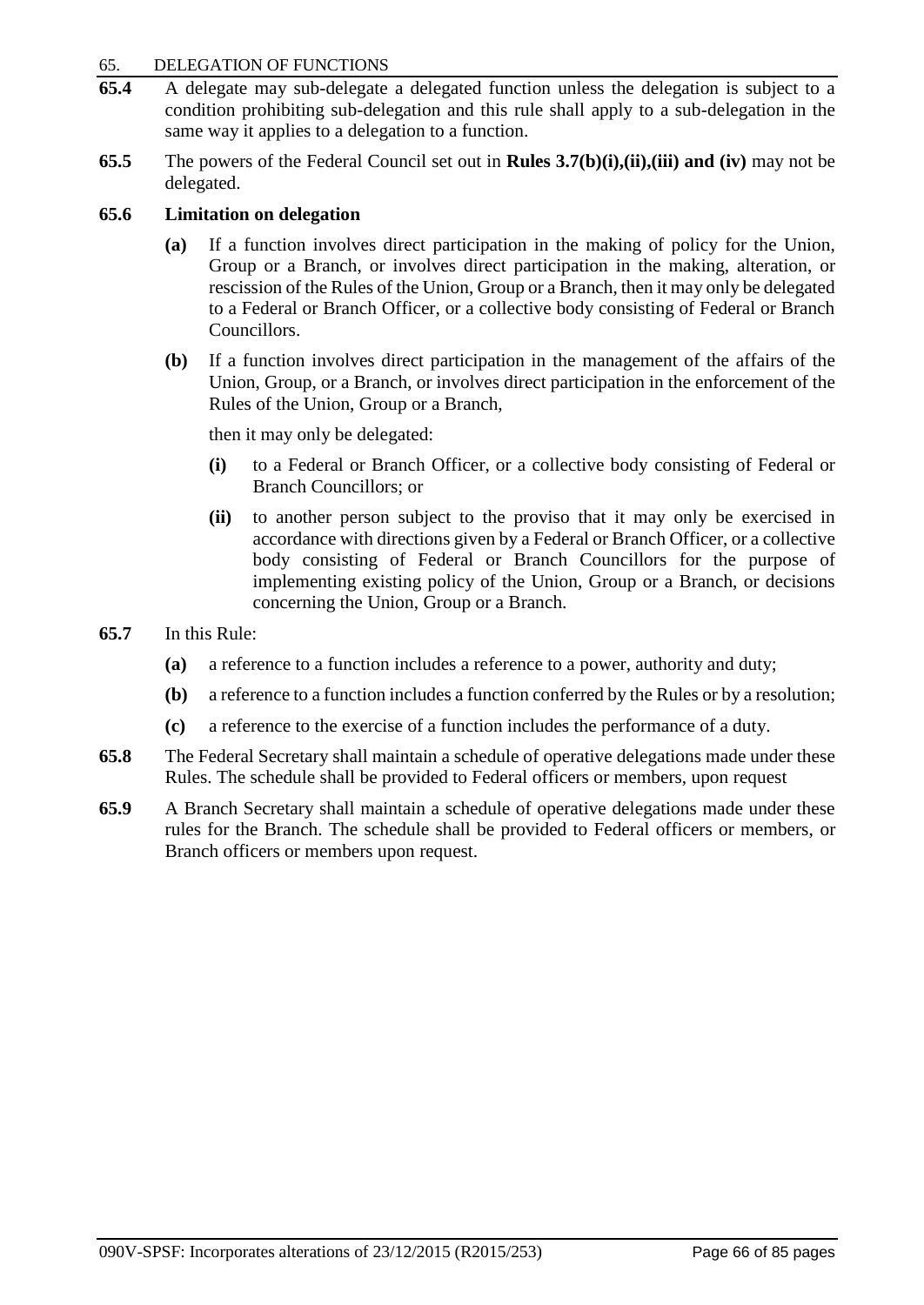#### 65. DELEGATION OF FUNCTIONS

- **65.4** A delegate may sub-delegate a delegated function unless the delegation is subject to a condition prohibiting sub-delegation and this rule shall apply to a sub-delegation in the same way it applies to a delegation to a function.
- **65.5** The powers of the Federal Council set out in **Rules 3.7(b)(i),(ii),(iii) and (iv)** may not be delegated.

## **65.6 Limitation on delegation**

- **(a)** If a function involves direct participation in the making of policy for the Union, Group or a Branch, or involves direct participation in the making, alteration, or rescission of the Rules of the Union, Group or a Branch, then it may only be delegated to a Federal or Branch Officer, or a collective body consisting of Federal or Branch Councillors.
- **(b)** If a function involves direct participation in the management of the affairs of the Union, Group, or a Branch, or involves direct participation in the enforcement of the Rules of the Union, Group or a Branch,

then it may only be delegated:

- **(i)** to a Federal or Branch Officer, or a collective body consisting of Federal or Branch Councillors; or
- **(ii)** to another person subject to the proviso that it may only be exercised in accordance with directions given by a Federal or Branch Officer, or a collective body consisting of Federal or Branch Councillors for the purpose of implementing existing policy of the Union, Group or a Branch, or decisions concerning the Union, Group or a Branch.
- **65.7** In this Rule:
	- **(a)** a reference to a function includes a reference to a power, authority and duty;
	- **(b)** a reference to a function includes a function conferred by the Rules or by a resolution;
	- **(c)** a reference to the exercise of a function includes the performance of a duty.
- **65.8** The Federal Secretary shall maintain a schedule of operative delegations made under these Rules. The schedule shall be provided to Federal officers or members, upon request
- **65.9** A Branch Secretary shall maintain a schedule of operative delegations made under these rules for the Branch. The schedule shall be provided to Federal officers or members, or Branch officers or members upon request.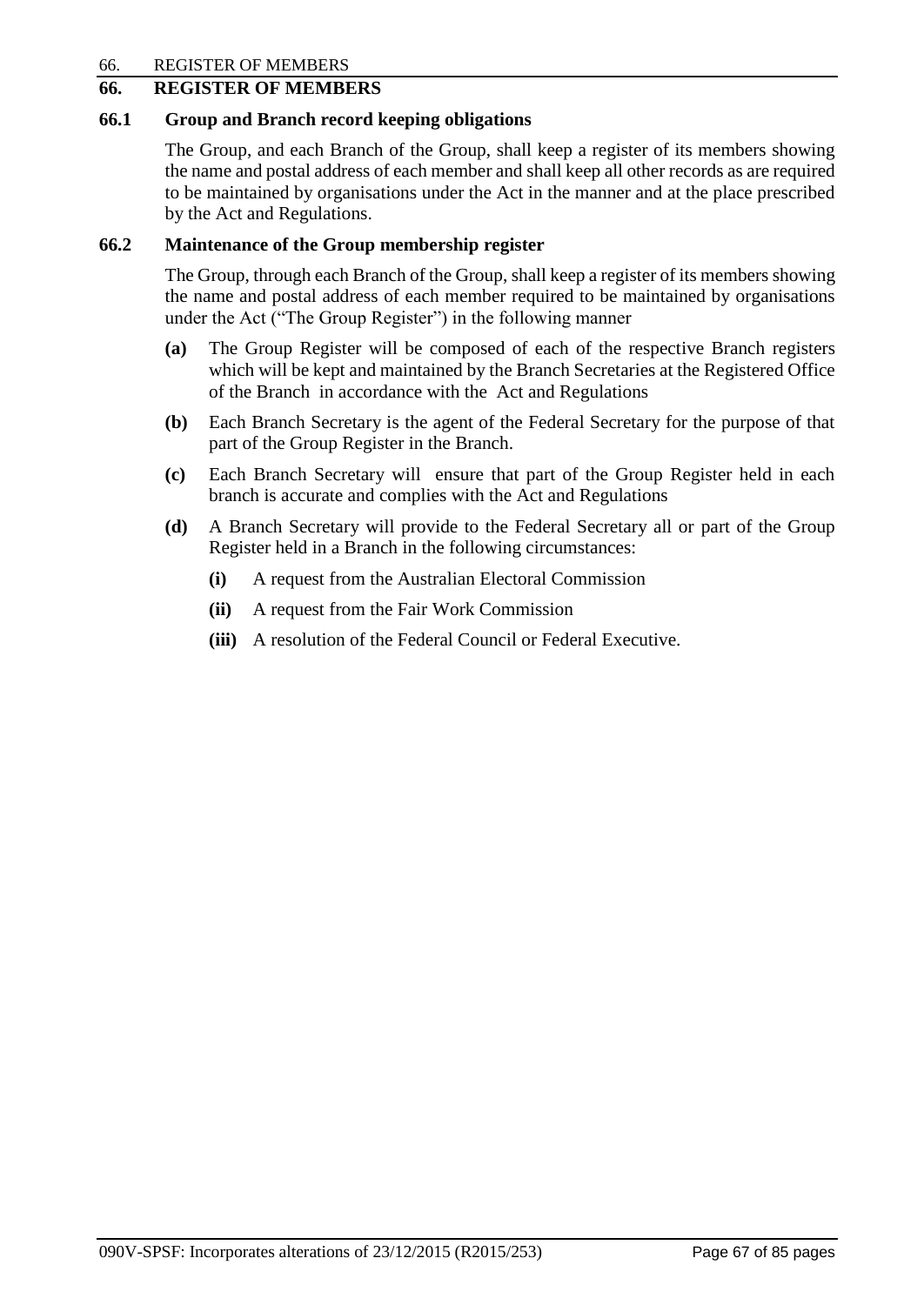66. REGISTER OF MEMBERS

# **66. REGISTER OF MEMBERS**

## **66.1 Group and Branch record keeping obligations**

The Group, and each Branch of the Group, shall keep a register of its members showing the name and postal address of each member and shall keep all other records as are required to be maintained by organisations under the Act in the manner and at the place prescribed by the Act and Regulations.

# **66.2 Maintenance of the Group membership register**

The Group, through each Branch of the Group, shall keep a register of its members showing the name and postal address of each member required to be maintained by organisations under the Act ("The Group Register") in the following manner

- **(a)** The Group Register will be composed of each of the respective Branch registers which will be kept and maintained by the Branch Secretaries at the Registered Office of the Branch in accordance with the Act and Regulations
- **(b)** Each Branch Secretary is the agent of the Federal Secretary for the purpose of that part of the Group Register in the Branch.
- **(c)** Each Branch Secretary will ensure that part of the Group Register held in each branch is accurate and complies with the Act and Regulations
- **(d)** A Branch Secretary will provide to the Federal Secretary all or part of the Group Register held in a Branch in the following circumstances:
	- **(i)** A request from the Australian Electoral Commission
	- **(ii)** A request from the Fair Work Commission
	- **(iii)** A resolution of the Federal Council or Federal Executive.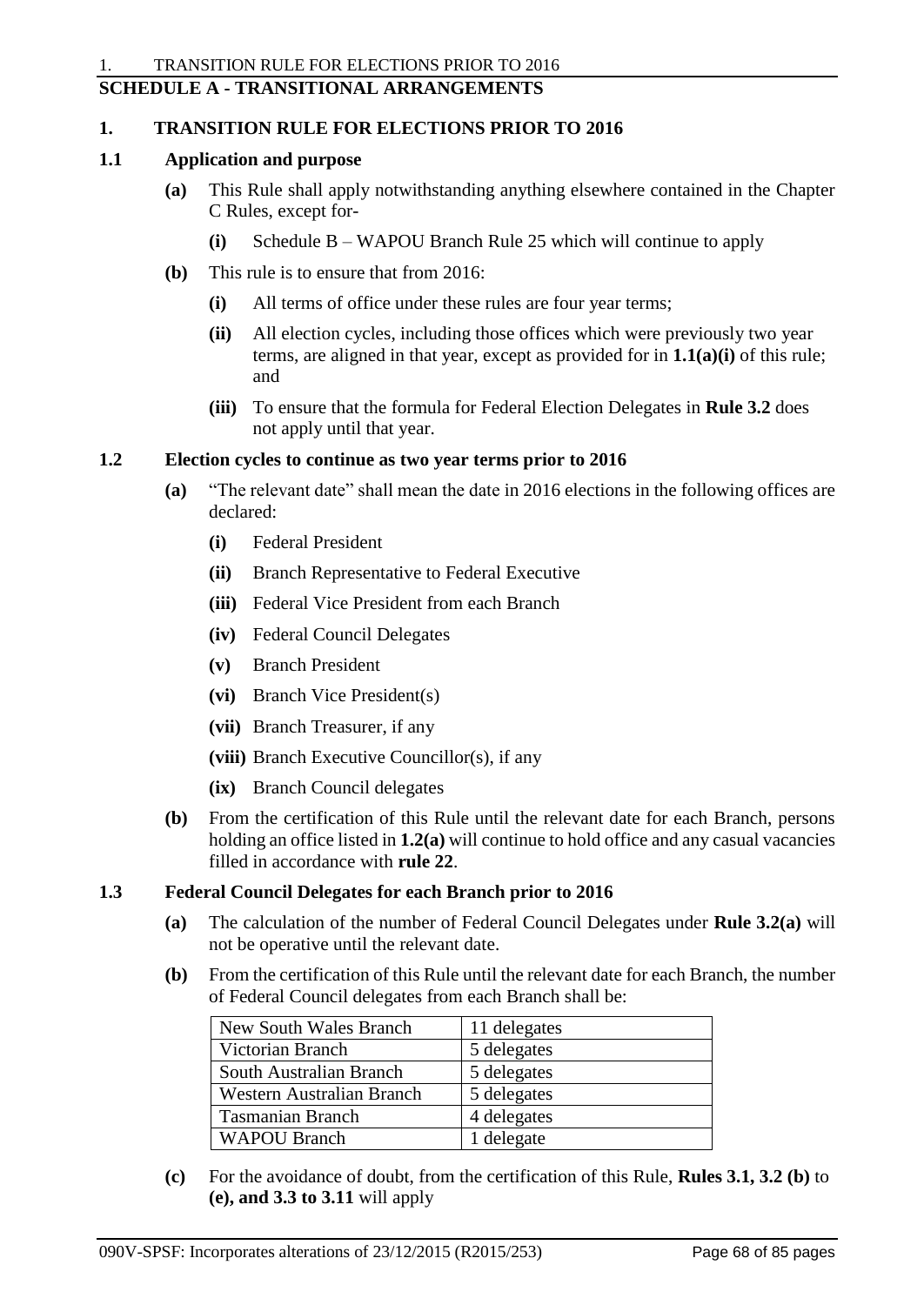# **SCHEDULE A - TRANSITIONAL ARRANGEMENTS**

## **1. TRANSITION RULE FOR ELECTIONS PRIOR TO 2016**

## **1.1 Application and purpose**

- **(a)** This Rule shall apply notwithstanding anything elsewhere contained in the Chapter C Rules, except for-
	- **(i)** Schedule B WAPOU Branch Rule 25 which will continue to apply
- **(b)** This rule is to ensure that from 2016:
	- **(i)** All terms of office under these rules are four year terms;
	- **(ii)** All election cycles, including those offices which were previously two year terms, are aligned in that year, except as provided for in **1.1(a)(i)** of this rule; and
	- **(iii)** To ensure that the formula for Federal Election Delegates in **Rule 3.2** does not apply until that year.

## **1.2 Election cycles to continue as two year terms prior to 2016**

- **(a)** "The relevant date" shall mean the date in 2016 elections in the following offices are declared:
	- **(i)** Federal President
	- **(ii)** Branch Representative to Federal Executive
	- **(iii)** Federal Vice President from each Branch
	- **(iv)** Federal Council Delegates
	- **(v)** Branch President
	- **(vi)** Branch Vice President(s)
	- **(vii)** Branch Treasurer, if any
	- **(viii)** Branch Executive Councillor(s), if any
	- **(ix)** Branch Council delegates
- **(b)** From the certification of this Rule until the relevant date for each Branch, persons holding an office listed in **1.2(a)** will continue to hold office and any casual vacancies filled in accordance with **rule 22**.

# **1.3 Federal Council Delegates for each Branch prior to 2016**

- **(a)** The calculation of the number of Federal Council Delegates under **Rule 3.2(a)** will not be operative until the relevant date.
- **(b)** From the certification of this Rule until the relevant date for each Branch, the number of Federal Council delegates from each Branch shall be:

| New South Wales Branch    | 11 delegates |
|---------------------------|--------------|
| Victorian Branch          | 5 delegates  |
| South Australian Branch   | 5 delegates  |
| Western Australian Branch | 5 delegates  |
| <b>Tasmanian Branch</b>   | 4 delegates  |
| <b>WAPOU Branch</b>       | 1 delegate   |

**(c)** For the avoidance of doubt, from the certification of this Rule, **Rules 3.1, 3.2 (b)** to **(e), and 3.3 to 3.11** will apply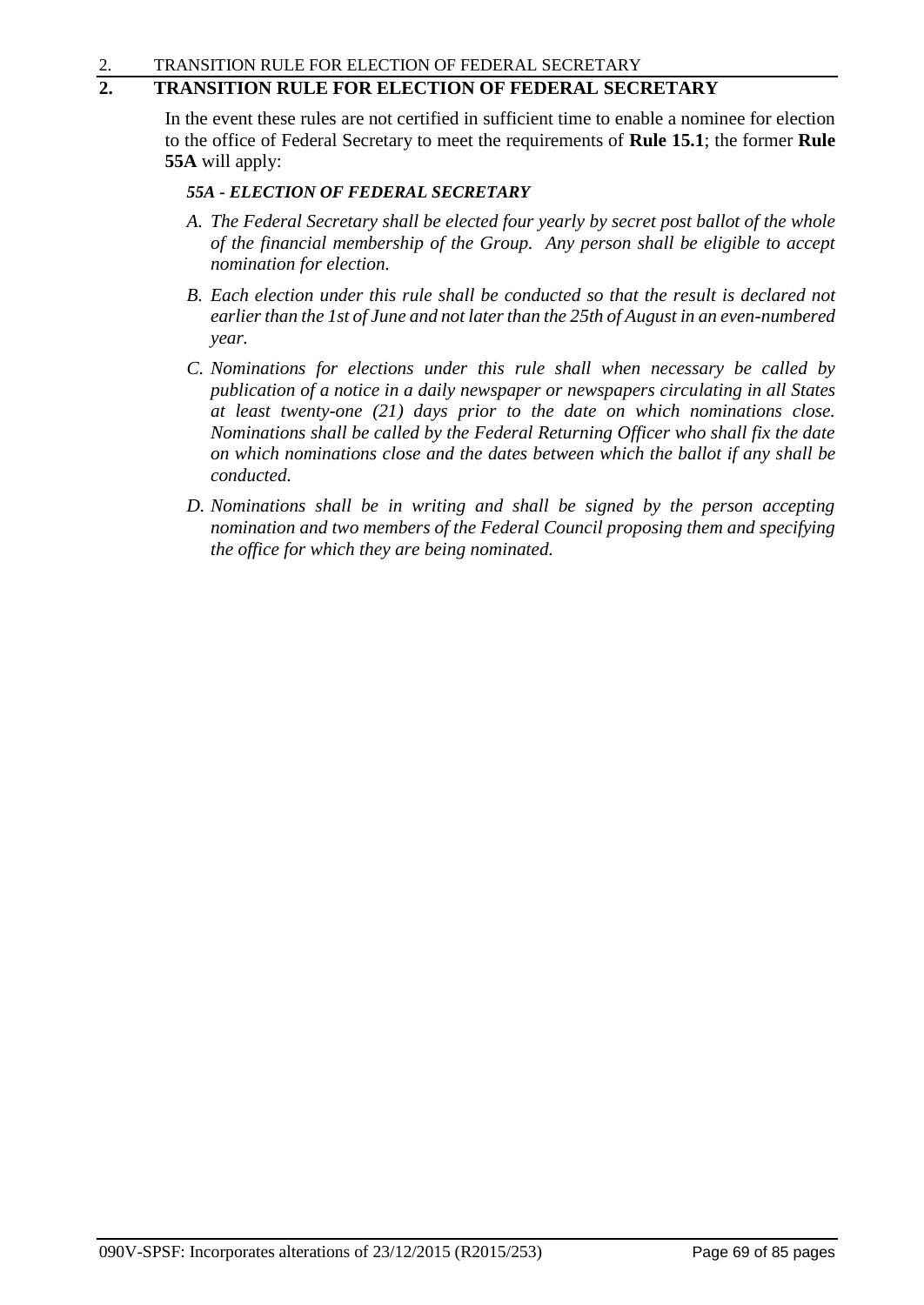# **2. TRANSITION RULE FOR ELECTION OF FEDERAL SECRETARY**

In the event these rules are not certified in sufficient time to enable a nominee for election to the office of Federal Secretary to meet the requirements of **Rule 15.1**; the former **Rule 55A** will apply:

## *55A - ELECTION OF FEDERAL SECRETARY*

- *A. The Federal Secretary shall be elected four yearly by secret post ballot of the whole of the financial membership of the Group. Any person shall be eligible to accept nomination for election.*
- *B. Each election under this rule shall be conducted so that the result is declared not earlier than the 1st of June and not later than the 25th of August in an even-numbered year.*
- *C. Nominations for elections under this rule shall when necessary be called by publication of a notice in a daily newspaper or newspapers circulating in all States at least twenty-one (21) days prior to the date on which nominations close. Nominations shall be called by the Federal Returning Officer who shall fix the date on which nominations close and the dates between which the ballot if any shall be conducted.*
- *D. Nominations shall be in writing and shall be signed by the person accepting nomination and two members of the Federal Council proposing them and specifying the office for which they are being nominated.*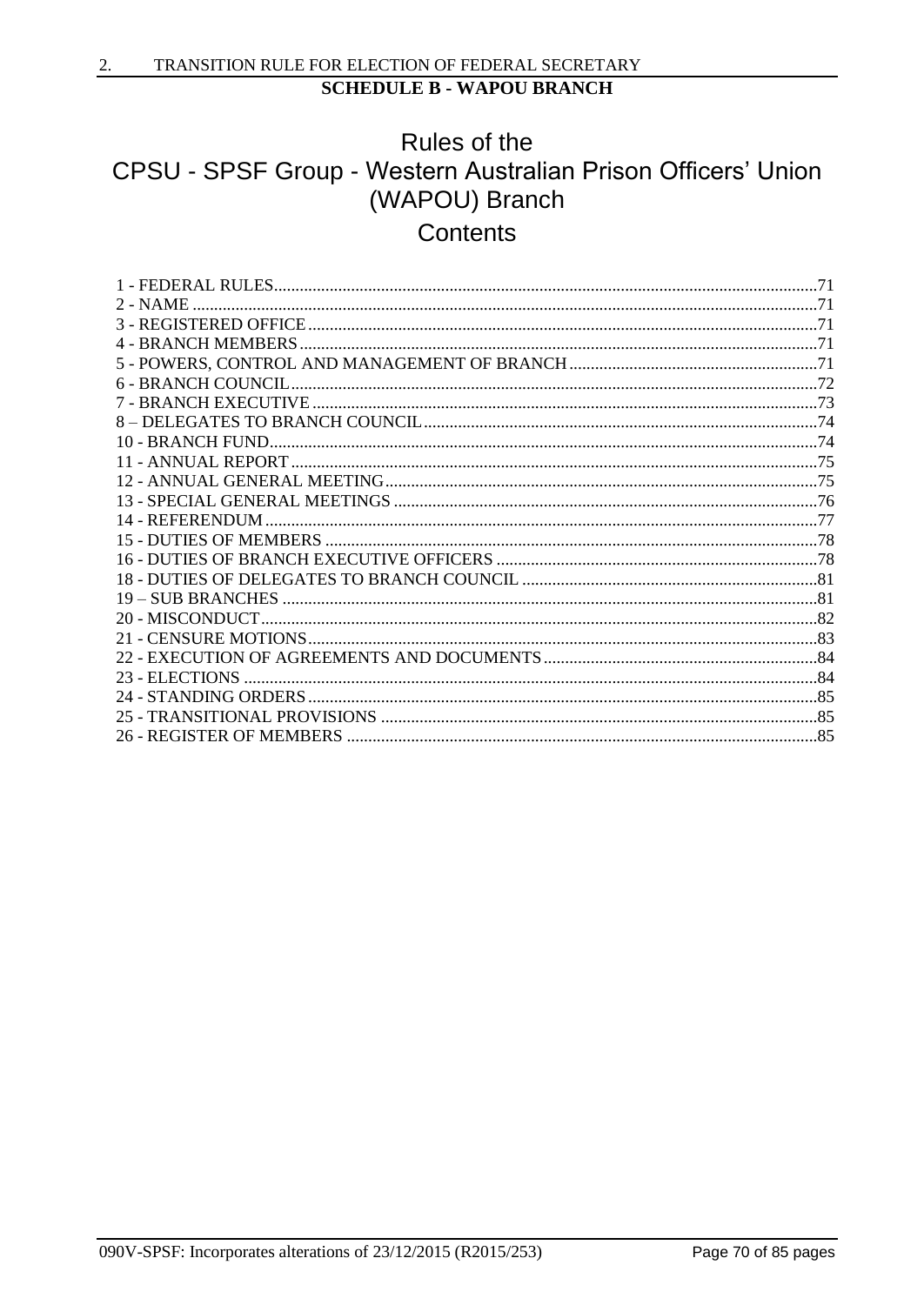# Rules of the CPSU - SPSF Group - Western Australian Prison Officers' Union (WAPOU) Branch Contents

| $2 - NAME$ |  |
|------------|--|
|            |  |
|            |  |
|            |  |
|            |  |
|            |  |
|            |  |
|            |  |
|            |  |
|            |  |
|            |  |
|            |  |
|            |  |
|            |  |
|            |  |
|            |  |
|            |  |
|            |  |
|            |  |
|            |  |
|            |  |
|            |  |
|            |  |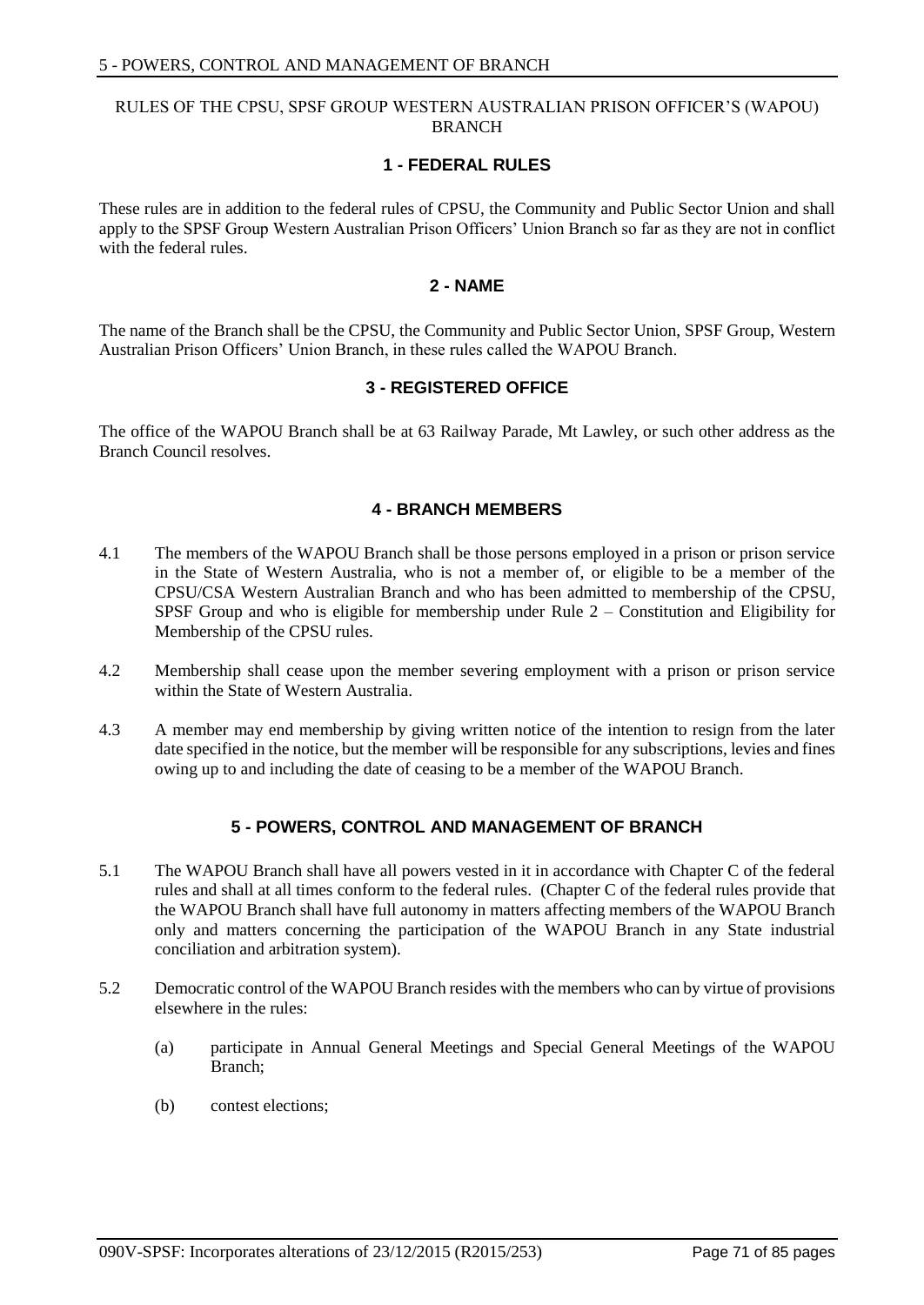### RULES OF THE CPSU, SPSF GROUP WESTERN AUSTRALIAN PRISON OFFICER'S (WAPOU) BRANCH

### **1 - FEDERAL RULES**

These rules are in addition to the federal rules of CPSU, the Community and Public Sector Union and shall apply to the SPSF Group Western Australian Prison Officers' Union Branch so far as they are not in conflict with the federal rules.

### **2 - NAME**

The name of the Branch shall be the CPSU, the Community and Public Sector Union, SPSF Group, Western Australian Prison Officers' Union Branch, in these rules called the WAPOU Branch.

# **3 - REGISTERED OFFICE**

The office of the WAPOU Branch shall be at 63 Railway Parade, Mt Lawley, or such other address as the Branch Council resolves.

### **4 - BRANCH MEMBERS**

- 4.1 The members of the WAPOU Branch shall be those persons employed in a prison or prison service in the State of Western Australia, who is not a member of, or eligible to be a member of the CPSU/CSA Western Australian Branch and who has been admitted to membership of the CPSU, SPSF Group and who is eligible for membership under Rule 2 – Constitution and Eligibility for Membership of the CPSU rules.
- 4.2 Membership shall cease upon the member severing employment with a prison or prison service within the State of Western Australia.
- 4.3 A member may end membership by giving written notice of the intention to resign from the later date specified in the notice, but the member will be responsible for any subscriptions, levies and fines owing up to and including the date of ceasing to be a member of the WAPOU Branch.

# **5 - POWERS, CONTROL AND MANAGEMENT OF BRANCH**

- 5.1 The WAPOU Branch shall have all powers vested in it in accordance with Chapter C of the federal rules and shall at all times conform to the federal rules. (Chapter C of the federal rules provide that the WAPOU Branch shall have full autonomy in matters affecting members of the WAPOU Branch only and matters concerning the participation of the WAPOU Branch in any State industrial conciliation and arbitration system).
- 5.2 Democratic control of the WAPOU Branch resides with the members who can by virtue of provisions elsewhere in the rules:
	- (a) participate in Annual General Meetings and Special General Meetings of the WAPOU Branch;
	- (b) contest elections;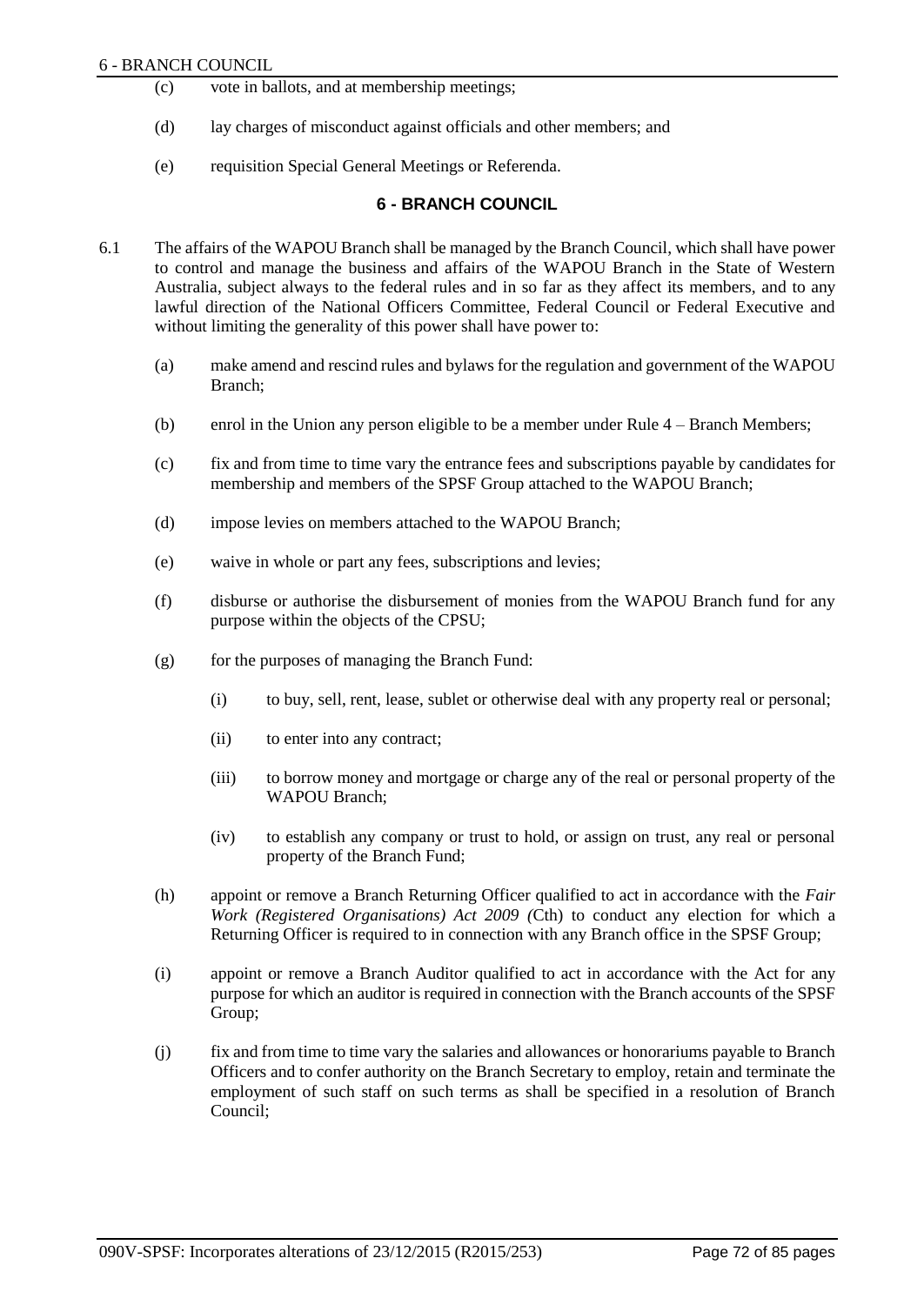- (c) vote in ballots, and at membership meetings;
- (d) lay charges of misconduct against officials and other members; and
- (e) requisition Special General Meetings or Referenda.

# **6 - BRANCH COUNCIL**

- 6.1 The affairs of the WAPOU Branch shall be managed by the Branch Council, which shall have power to control and manage the business and affairs of the WAPOU Branch in the State of Western Australia, subject always to the federal rules and in so far as they affect its members, and to any lawful direction of the National Officers Committee, Federal Council or Federal Executive and without limiting the generality of this power shall have power to:
	- (a) make amend and rescind rules and bylaws for the regulation and government of the WAPOU Branch;
	- (b) enrol in the Union any person eligible to be a member under Rule 4 Branch Members;
	- (c) fix and from time to time vary the entrance fees and subscriptions payable by candidates for membership and members of the SPSF Group attached to the WAPOU Branch;
	- (d) impose levies on members attached to the WAPOU Branch;
	- (e) waive in whole or part any fees, subscriptions and levies;
	- (f) disburse or authorise the disbursement of monies from the WAPOU Branch fund for any purpose within the objects of the CPSU;
	- $(g)$  for the purposes of managing the Branch Fund:
		- (i) to buy, sell, rent, lease, sublet or otherwise deal with any property real or personal;
		- (ii) to enter into any contract;
		- (iii) to borrow money and mortgage or charge any of the real or personal property of the WAPOU Branch;
		- (iv) to establish any company or trust to hold, or assign on trust, any real or personal property of the Branch Fund;
	- (h) appoint or remove a Branch Returning Officer qualified to act in accordance with the *Fair Work (Registered Organisations) Act 2009 (*Cth) to conduct any election for which a Returning Officer is required to in connection with any Branch office in the SPSF Group;
	- (i) appoint or remove a Branch Auditor qualified to act in accordance with the Act for any purpose for which an auditor is required in connection with the Branch accounts of the SPSF Group;
	- (j) fix and from time to time vary the salaries and allowances or honorariums payable to Branch Officers and to confer authority on the Branch Secretary to employ, retain and terminate the employment of such staff on such terms as shall be specified in a resolution of Branch Council;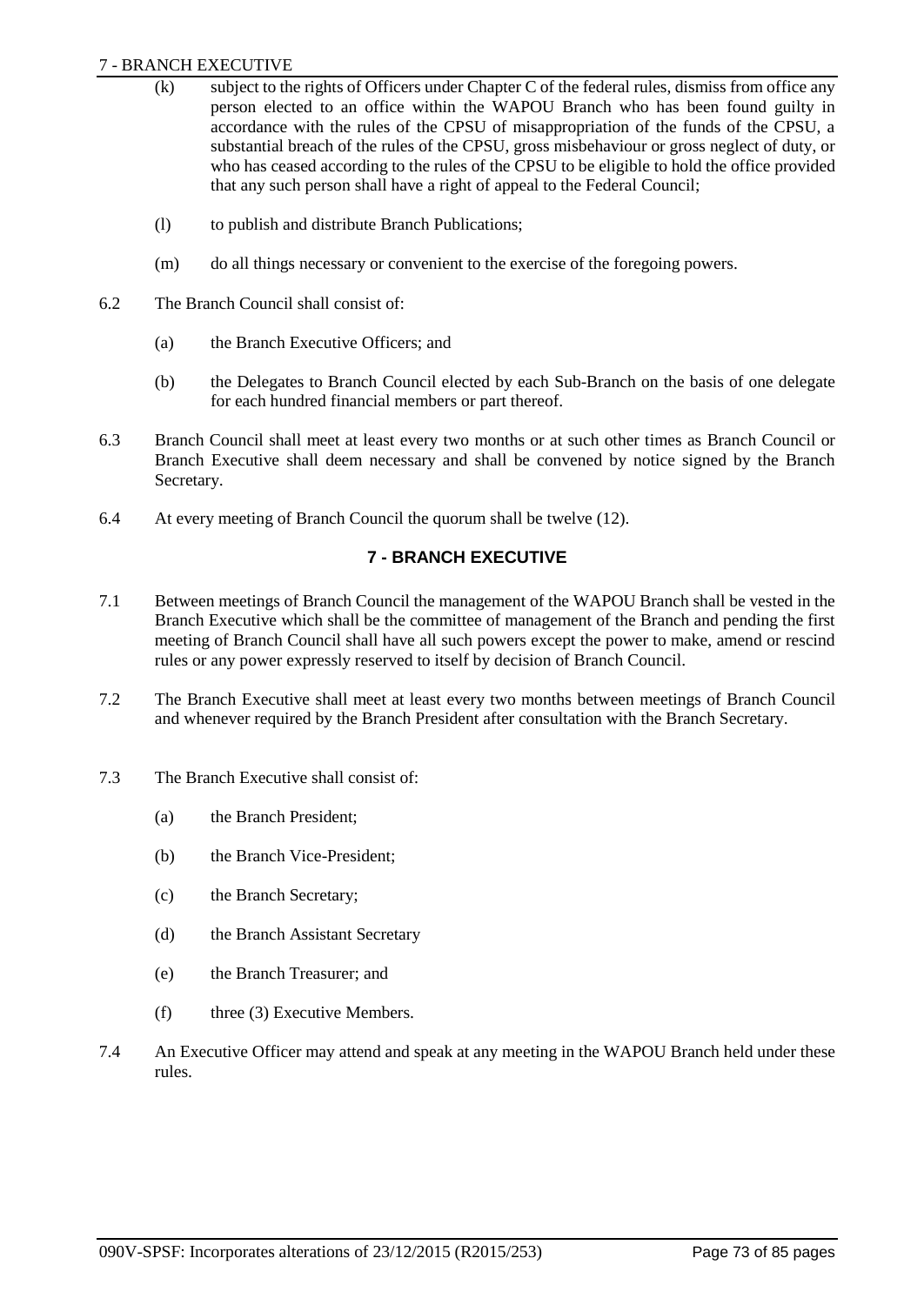### 7 - BRANCH EXECUTIVE

- (k) subject to the rights of Officers under Chapter C of the federal rules, dismiss from office any person elected to an office within the WAPOU Branch who has been found guilty in accordance with the rules of the CPSU of misappropriation of the funds of the CPSU, a substantial breach of the rules of the CPSU, gross misbehaviour or gross neglect of duty, or who has ceased according to the rules of the CPSU to be eligible to hold the office provided that any such person shall have a right of appeal to the Federal Council;
- (l) to publish and distribute Branch Publications;
- (m) do all things necessary or convenient to the exercise of the foregoing powers.
- 6.2 The Branch Council shall consist of:
	- (a) the Branch Executive Officers; and
	- (b) the Delegates to Branch Council elected by each Sub-Branch on the basis of one delegate for each hundred financial members or part thereof.
- 6.3 Branch Council shall meet at least every two months or at such other times as Branch Council or Branch Executive shall deem necessary and shall be convened by notice signed by the Branch Secretary.
- 6.4 At every meeting of Branch Council the quorum shall be twelve (12).

# **7 - BRANCH EXECUTIVE**

- 7.1 Between meetings of Branch Council the management of the WAPOU Branch shall be vested in the Branch Executive which shall be the committee of management of the Branch and pending the first meeting of Branch Council shall have all such powers except the power to make, amend or rescind rules or any power expressly reserved to itself by decision of Branch Council.
- 7.2 The Branch Executive shall meet at least every two months between meetings of Branch Council and whenever required by the Branch President after consultation with the Branch Secretary.
- 7.3 The Branch Executive shall consist of:
	- (a) the Branch President;
	- (b) the Branch Vice-President;
	- (c) the Branch Secretary;
	- (d) the Branch Assistant Secretary
	- (e) the Branch Treasurer; and
	- (f) three (3) Executive Members.
- 7.4 An Executive Officer may attend and speak at any meeting in the WAPOU Branch held under these rules.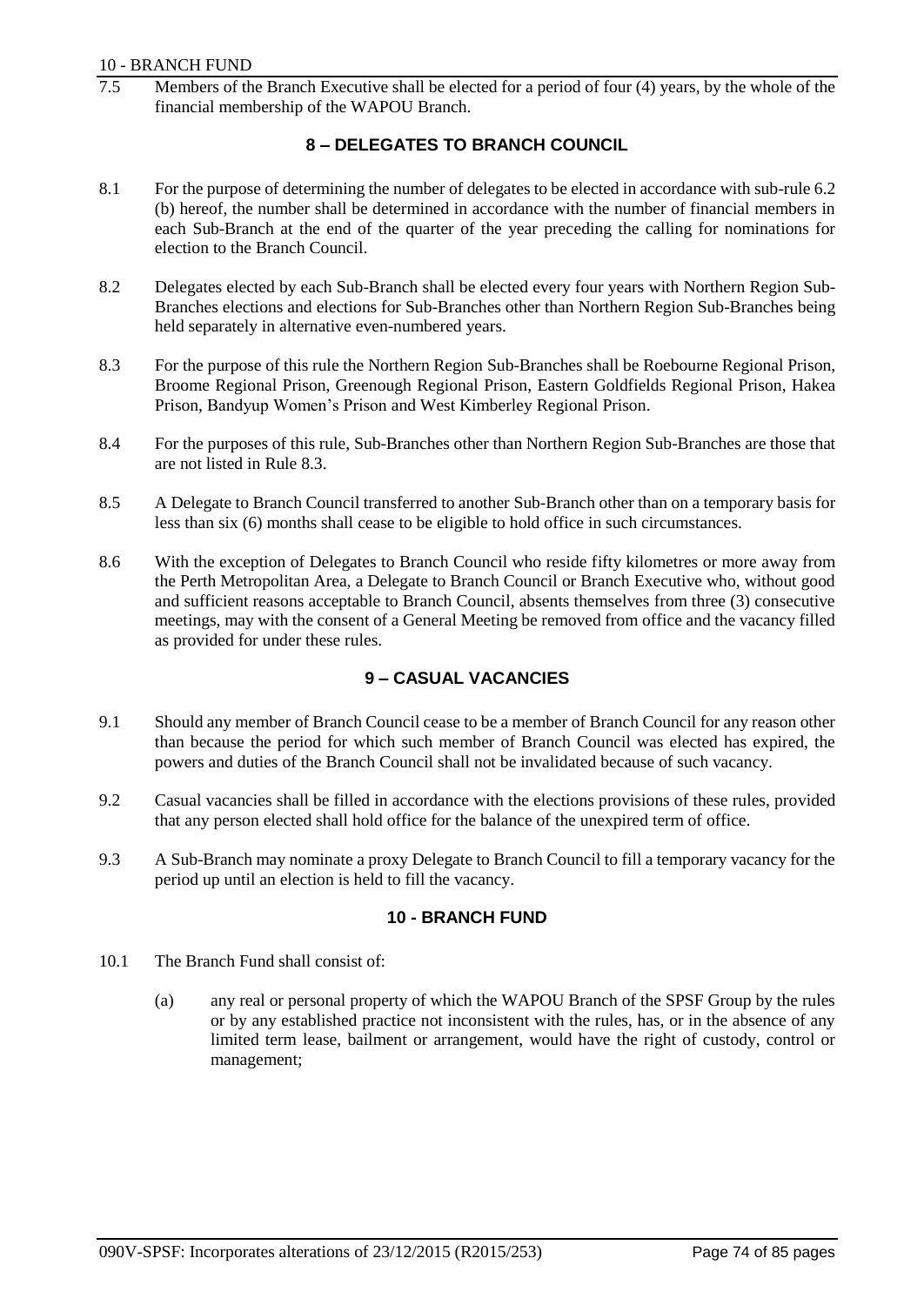### 10 - BRANCH FUND

Members of the Branch Executive shall be elected for a period of four  $(4)$  years, by the whole of the financial membership of the WAPOU Branch.

# **8 – DELEGATES TO BRANCH COUNCIL**

- 8.1 For the purpose of determining the number of delegates to be elected in accordance with sub-rule 6.2 (b) hereof, the number shall be determined in accordance with the number of financial members in each Sub-Branch at the end of the quarter of the year preceding the calling for nominations for election to the Branch Council.
- 8.2 Delegates elected by each Sub-Branch shall be elected every four years with Northern Region Sub-Branches elections and elections for Sub-Branches other than Northern Region Sub-Branches being held separately in alternative even-numbered years.
- 8.3 For the purpose of this rule the Northern Region Sub-Branches shall be Roebourne Regional Prison, Broome Regional Prison, Greenough Regional Prison, Eastern Goldfields Regional Prison, Hakea Prison, Bandyup Women's Prison and West Kimberley Regional Prison.
- 8.4 For the purposes of this rule, Sub-Branches other than Northern Region Sub-Branches are those that are not listed in Rule 8.3.
- 8.5 A Delegate to Branch Council transferred to another Sub-Branch other than on a temporary basis for less than six (6) months shall cease to be eligible to hold office in such circumstances.
- 8.6 With the exception of Delegates to Branch Council who reside fifty kilometres or more away from the Perth Metropolitan Area, a Delegate to Branch Council or Branch Executive who, without good and sufficient reasons acceptable to Branch Council, absents themselves from three (3) consecutive meetings, may with the consent of a General Meeting be removed from office and the vacancy filled as provided for under these rules.

# **9 – CASUAL VACANCIES**

- 9.1 Should any member of Branch Council cease to be a member of Branch Council for any reason other than because the period for which such member of Branch Council was elected has expired, the powers and duties of the Branch Council shall not be invalidated because of such vacancy.
- 9.2 Casual vacancies shall be filled in accordance with the elections provisions of these rules, provided that any person elected shall hold office for the balance of the unexpired term of office.
- 9.3 A Sub-Branch may nominate a proxy Delegate to Branch Council to fill a temporary vacancy for the period up until an election is held to fill the vacancy.

# **10 - BRANCH FUND**

- 10.1 The Branch Fund shall consist of:
	- (a) any real or personal property of which the WAPOU Branch of the SPSF Group by the rules or by any established practice not inconsistent with the rules, has, or in the absence of any limited term lease, bailment or arrangement, would have the right of custody, control or management;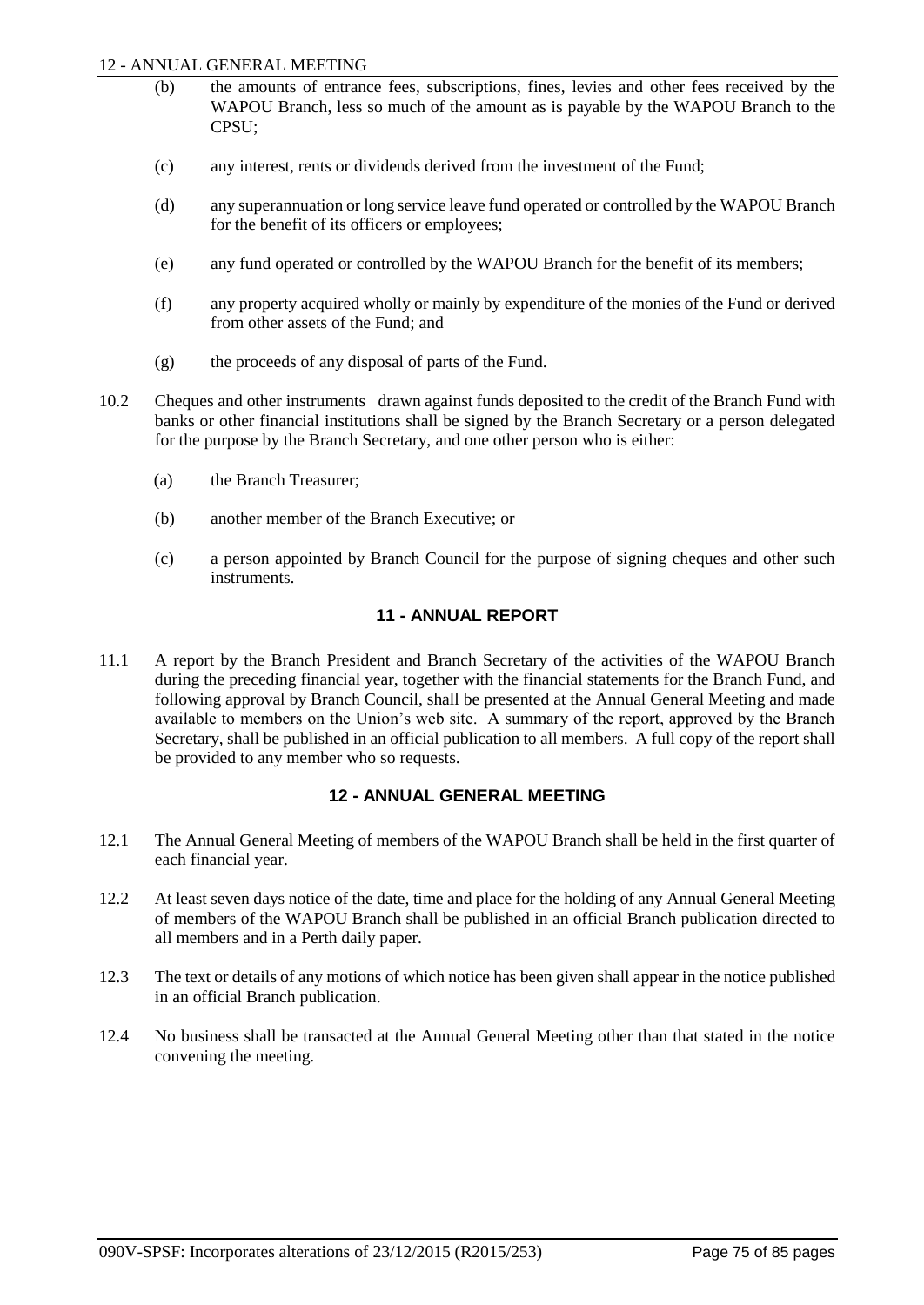### 12 - ANNUAL GENERAL MEETING

- (b) the amounts of entrance fees, subscriptions, fines, levies and other fees received by the WAPOU Branch, less so much of the amount as is payable by the WAPOU Branch to the CPSU;
- (c) any interest, rents or dividends derived from the investment of the Fund;
- (d) any superannuation or long service leave fund operated or controlled by the WAPOU Branch for the benefit of its officers or employees;
- (e) any fund operated or controlled by the WAPOU Branch for the benefit of its members;
- (f) any property acquired wholly or mainly by expenditure of the monies of the Fund or derived from other assets of the Fund; and
- (g) the proceeds of any disposal of parts of the Fund.
- 10.2 Cheques and other instruments drawn against funds deposited to the credit of the Branch Fund with banks or other financial institutions shall be signed by the Branch Secretary or a person delegated for the purpose by the Branch Secretary, and one other person who is either:
	- (a) the Branch Treasurer;
	- (b) another member of the Branch Executive; or
	- (c) a person appointed by Branch Council for the purpose of signing cheques and other such instruments.

# **11 - ANNUAL REPORT**

11.1 A report by the Branch President and Branch Secretary of the activities of the WAPOU Branch during the preceding financial year, together with the financial statements for the Branch Fund, and following approval by Branch Council, shall be presented at the Annual General Meeting and made available to members on the Union's web site. A summary of the report, approved by the Branch Secretary, shall be published in an official publication to all members. A full copy of the report shall be provided to any member who so requests.

# **12 - ANNUAL GENERAL MEETING**

- 12.1 The Annual General Meeting of members of the WAPOU Branch shall be held in the first quarter of each financial year.
- 12.2 At least seven days notice of the date, time and place for the holding of any Annual General Meeting of members of the WAPOU Branch shall be published in an official Branch publication directed to all members and in a Perth daily paper.
- 12.3 The text or details of any motions of which notice has been given shall appear in the notice published in an official Branch publication.
- 12.4 No business shall be transacted at the Annual General Meeting other than that stated in the notice convening the meeting.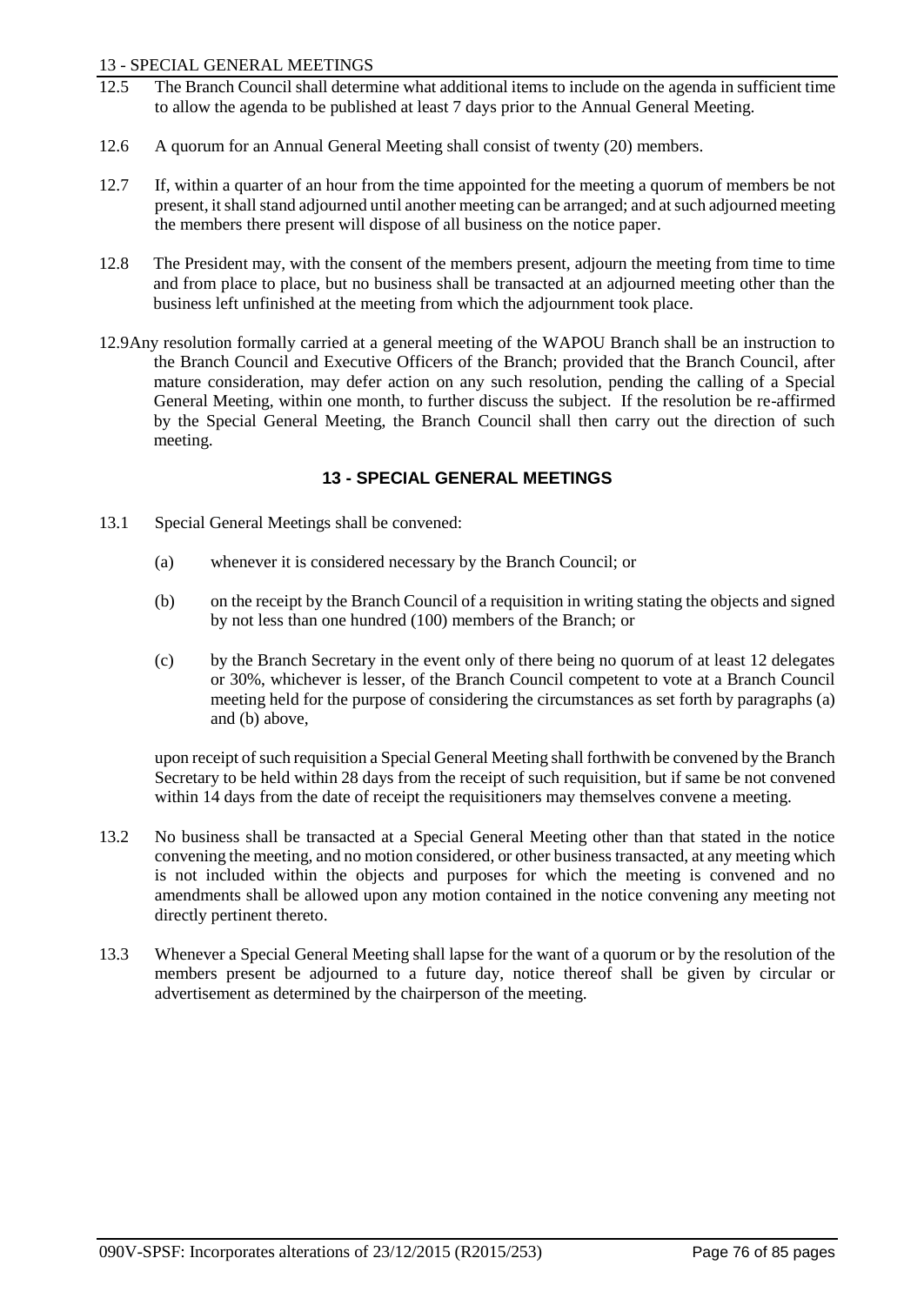### 13 - SPECIAL GENERAL MEETINGS

- 12.5 The Branch Council shall determine what additional items to include on the agenda in sufficient time to allow the agenda to be published at least 7 days prior to the Annual General Meeting.
- 12.6 A quorum for an Annual General Meeting shall consist of twenty (20) members.
- 12.7 If, within a quarter of an hour from the time appointed for the meeting a quorum of members be not present, it shall stand adjourned until another meeting can be arranged; and at such adjourned meeting the members there present will dispose of all business on the notice paper.
- 12.8 The President may, with the consent of the members present, adjourn the meeting from time to time and from place to place, but no business shall be transacted at an adjourned meeting other than the business left unfinished at the meeting from which the adjournment took place.
- 12.9Any resolution formally carried at a general meeting of the WAPOU Branch shall be an instruction to the Branch Council and Executive Officers of the Branch; provided that the Branch Council, after mature consideration, may defer action on any such resolution, pending the calling of a Special General Meeting, within one month, to further discuss the subject. If the resolution be re-affirmed by the Special General Meeting, the Branch Council shall then carry out the direction of such meeting.

# **13 - SPECIAL GENERAL MEETINGS**

- 13.1 Special General Meetings shall be convened:
	- (a) whenever it is considered necessary by the Branch Council; or
	- (b) on the receipt by the Branch Council of a requisition in writing stating the objects and signed by not less than one hundred (100) members of the Branch; or
	- (c) by the Branch Secretary in the event only of there being no quorum of at least 12 delegates or 30%, whichever is lesser, of the Branch Council competent to vote at a Branch Council meeting held for the purpose of considering the circumstances as set forth by paragraphs (a) and (b) above,

upon receipt of such requisition a Special General Meeting shall forthwith be convened by the Branch Secretary to be held within 28 days from the receipt of such requisition, but if same be not convened within 14 days from the date of receipt the requisitioners may themselves convene a meeting.

- 13.2 No business shall be transacted at a Special General Meeting other than that stated in the notice convening the meeting, and no motion considered, or other business transacted, at any meeting which is not included within the objects and purposes for which the meeting is convened and no amendments shall be allowed upon any motion contained in the notice convening any meeting not directly pertinent thereto.
- 13.3 Whenever a Special General Meeting shall lapse for the want of a quorum or by the resolution of the members present be adjourned to a future day, notice thereof shall be given by circular or advertisement as determined by the chairperson of the meeting.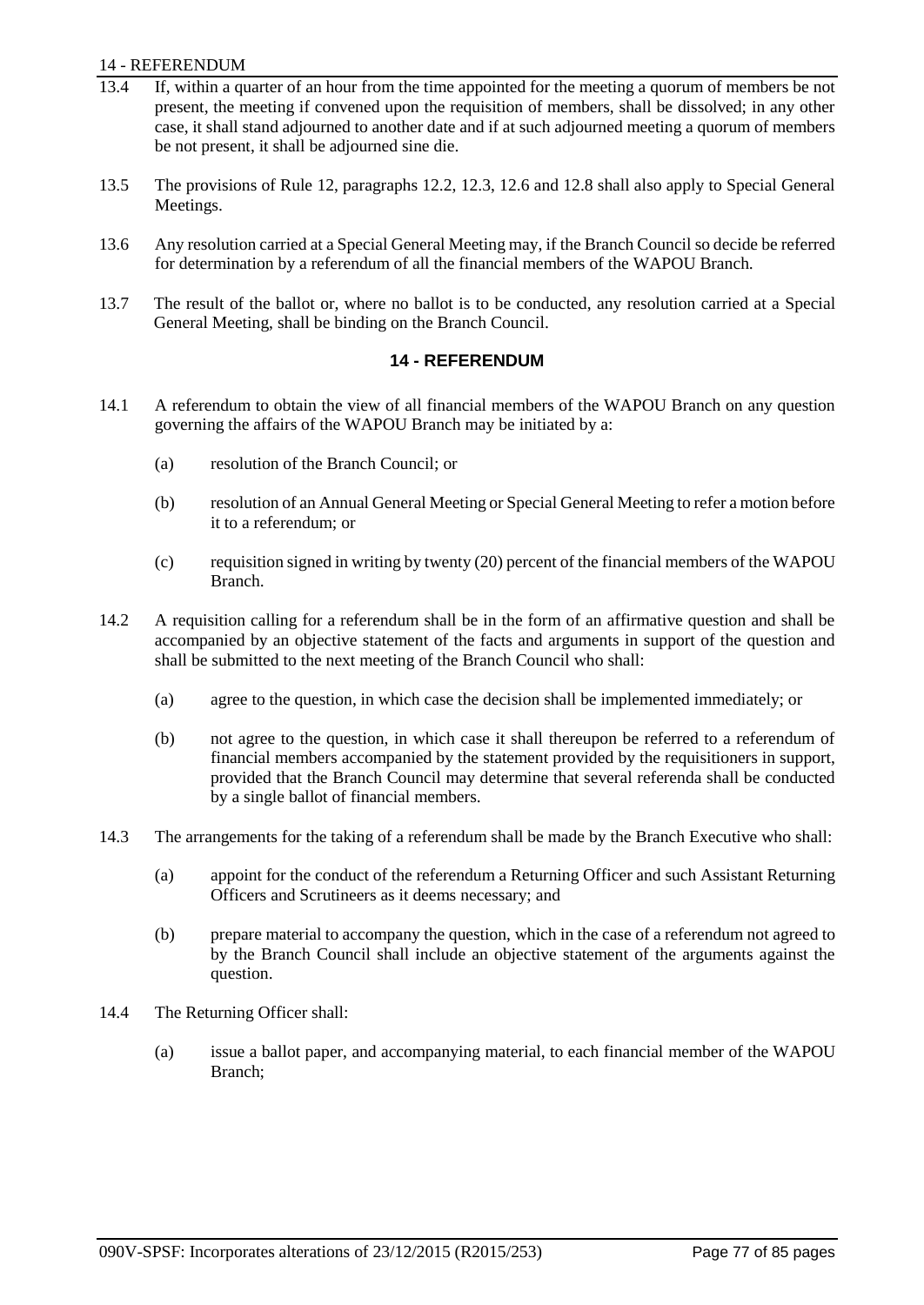### 14 - REFERENDUM

- 13.4 If, within a quarter of an hour from the time appointed for the meeting a quorum of members be not present, the meeting if convened upon the requisition of members, shall be dissolved; in any other case, it shall stand adjourned to another date and if at such adjourned meeting a quorum of members be not present, it shall be adjourned sine die.
- 13.5 The provisions of Rule 12, paragraphs 12.2, 12.3, 12.6 and 12.8 shall also apply to Special General Meetings.
- 13.6 Any resolution carried at a Special General Meeting may, if the Branch Council so decide be referred for determination by a referendum of all the financial members of the WAPOU Branch.
- 13.7 The result of the ballot or, where no ballot is to be conducted, any resolution carried at a Special General Meeting, shall be binding on the Branch Council.

### **14 - REFERENDUM**

- 14.1 A referendum to obtain the view of all financial members of the WAPOU Branch on any question governing the affairs of the WAPOU Branch may be initiated by a:
	- (a) resolution of the Branch Council; or
	- (b) resolution of an Annual General Meeting or Special General Meeting to refer a motion before it to a referendum; or
	- (c) requisition signed in writing by twenty (20) percent of the financial members of the WAPOU Branch.
- 14.2 A requisition calling for a referendum shall be in the form of an affirmative question and shall be accompanied by an objective statement of the facts and arguments in support of the question and shall be submitted to the next meeting of the Branch Council who shall:
	- (a) agree to the question, in which case the decision shall be implemented immediately; or
	- (b) not agree to the question, in which case it shall thereupon be referred to a referendum of financial members accompanied by the statement provided by the requisitioners in support, provided that the Branch Council may determine that several referenda shall be conducted by a single ballot of financial members.
- 14.3 The arrangements for the taking of a referendum shall be made by the Branch Executive who shall:
	- (a) appoint for the conduct of the referendum a Returning Officer and such Assistant Returning Officers and Scrutineers as it deems necessary; and
	- (b) prepare material to accompany the question, which in the case of a referendum not agreed to by the Branch Council shall include an objective statement of the arguments against the question.
- 14.4 The Returning Officer shall:
	- (a) issue a ballot paper, and accompanying material, to each financial member of the WAPOU Branch;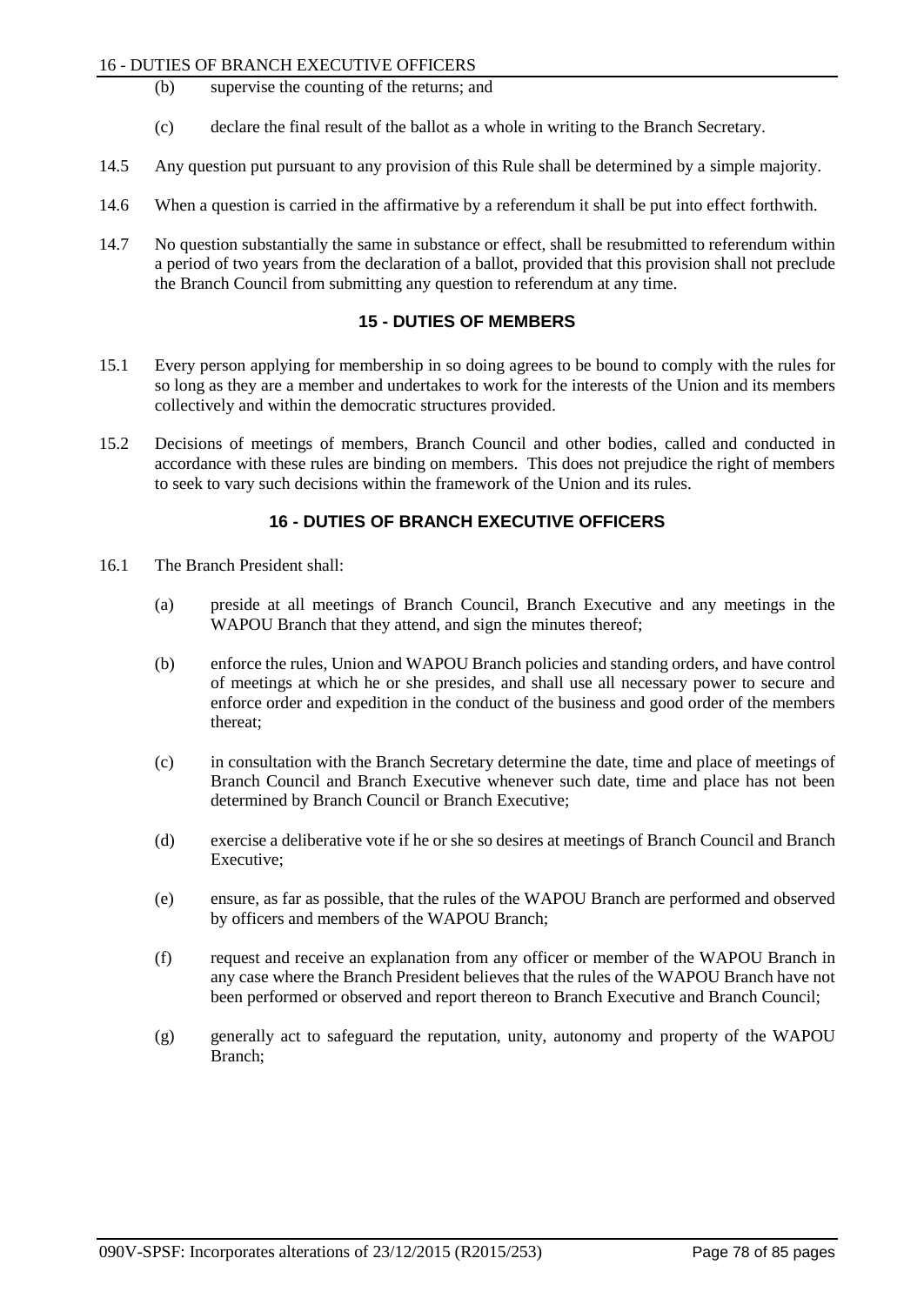### 16 - DUTIES OF BRANCH EXECUTIVE OFFICERS

- (b) supervise the counting of the returns; and
- (c) declare the final result of the ballot as a whole in writing to the Branch Secretary.
- 14.5 Any question put pursuant to any provision of this Rule shall be determined by a simple majority.
- 14.6 When a question is carried in the affirmative by a referendum it shall be put into effect forthwith.
- 14.7 No question substantially the same in substance or effect, shall be resubmitted to referendum within a period of two years from the declaration of a ballot, provided that this provision shall not preclude the Branch Council from submitting any question to referendum at any time.

# **15 - DUTIES OF MEMBERS**

- 15.1 Every person applying for membership in so doing agrees to be bound to comply with the rules for so long as they are a member and undertakes to work for the interests of the Union and its members collectively and within the democratic structures provided.
- 15.2 Decisions of meetings of members, Branch Council and other bodies, called and conducted in accordance with these rules are binding on members. This does not prejudice the right of members to seek to vary such decisions within the framework of the Union and its rules.

# **16 - DUTIES OF BRANCH EXECUTIVE OFFICERS**

- 16.1 The Branch President shall:
	- (a) preside at all meetings of Branch Council, Branch Executive and any meetings in the WAPOU Branch that they attend, and sign the minutes thereof;
	- (b) enforce the rules, Union and WAPOU Branch policies and standing orders, and have control of meetings at which he or she presides, and shall use all necessary power to secure and enforce order and expedition in the conduct of the business and good order of the members thereat;
	- (c) in consultation with the Branch Secretary determine the date, time and place of meetings of Branch Council and Branch Executive whenever such date, time and place has not been determined by Branch Council or Branch Executive;
	- (d) exercise a deliberative vote if he or she so desires at meetings of Branch Council and Branch Executive;
	- (e) ensure, as far as possible, that the rules of the WAPOU Branch are performed and observed by officers and members of the WAPOU Branch;
	- (f) request and receive an explanation from any officer or member of the WAPOU Branch in any case where the Branch President believes that the rules of the WAPOU Branch have not been performed or observed and report thereon to Branch Executive and Branch Council;
	- (g) generally act to safeguard the reputation, unity, autonomy and property of the WAPOU Branch;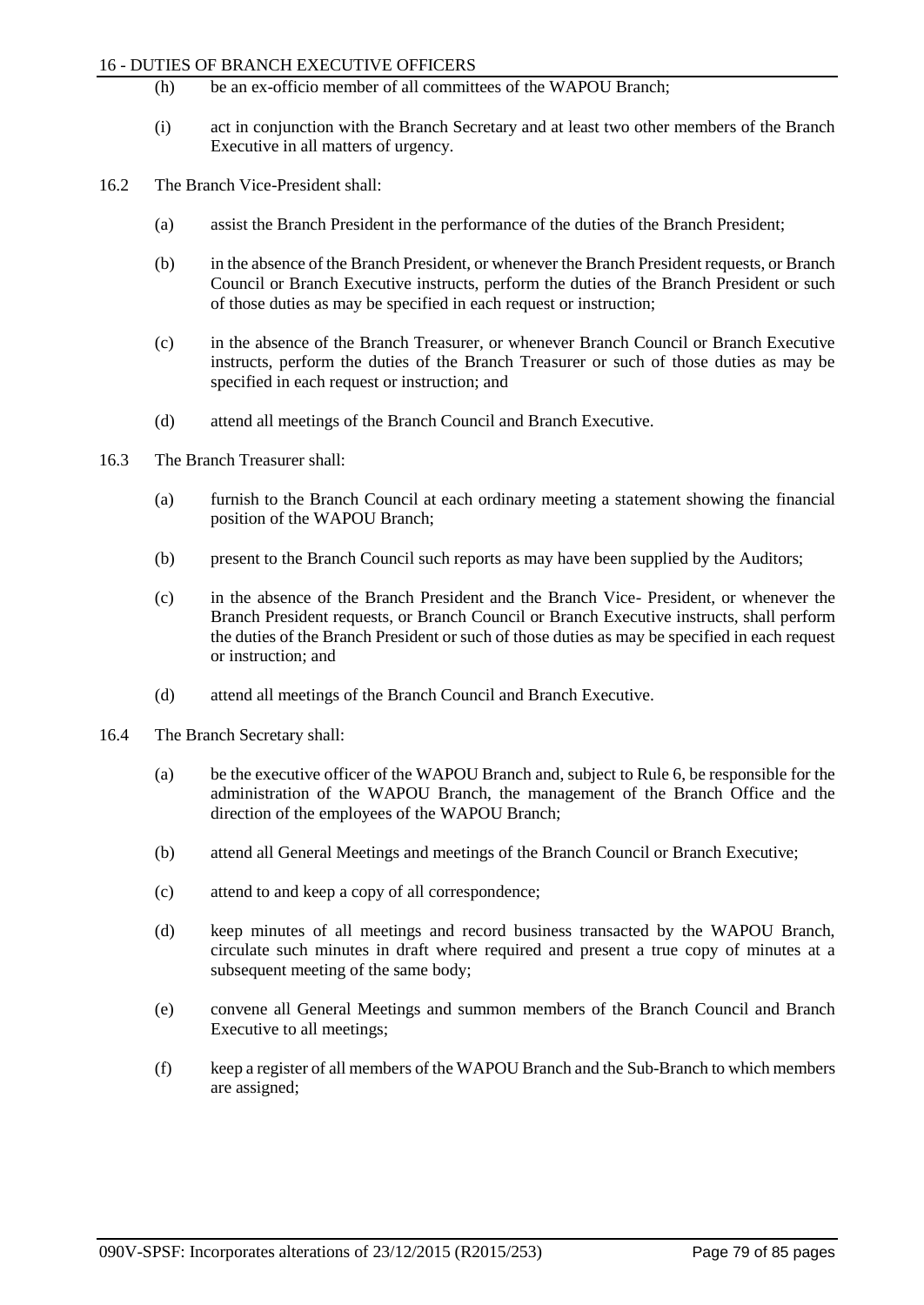#### 16 - DUTIES OF BRANCH EXECUTIVE OFFICERS

- (h) be an ex-officio member of all committees of the WAPOU Branch;
- (i) act in conjunction with the Branch Secretary and at least two other members of the Branch Executive in all matters of urgency.
- 16.2 The Branch Vice-President shall:
	- (a) assist the Branch President in the performance of the duties of the Branch President;
	- (b) in the absence of the Branch President, or whenever the Branch President requests, or Branch Council or Branch Executive instructs, perform the duties of the Branch President or such of those duties as may be specified in each request or instruction;
	- (c) in the absence of the Branch Treasurer, or whenever Branch Council or Branch Executive instructs, perform the duties of the Branch Treasurer or such of those duties as may be specified in each request or instruction; and
	- (d) attend all meetings of the Branch Council and Branch Executive.
- 16.3 The Branch Treasurer shall:
	- (a) furnish to the Branch Council at each ordinary meeting a statement showing the financial position of the WAPOU Branch;
	- (b) present to the Branch Council such reports as may have been supplied by the Auditors;
	- (c) in the absence of the Branch President and the Branch Vice- President, or whenever the Branch President requests, or Branch Council or Branch Executive instructs, shall perform the duties of the Branch President or such of those duties as may be specified in each request or instruction; and
	- (d) attend all meetings of the Branch Council and Branch Executive.
- 16.4 The Branch Secretary shall:
	- (a) be the executive officer of the WAPOU Branch and, subject to Rule 6, be responsible for the administration of the WAPOU Branch, the management of the Branch Office and the direction of the employees of the WAPOU Branch;
	- (b) attend all General Meetings and meetings of the Branch Council or Branch Executive;
	- (c) attend to and keep a copy of all correspondence;
	- (d) keep minutes of all meetings and record business transacted by the WAPOU Branch, circulate such minutes in draft where required and present a true copy of minutes at a subsequent meeting of the same body;
	- (e) convene all General Meetings and summon members of the Branch Council and Branch Executive to all meetings;
	- (f) keep a register of all members of the WAPOU Branch and the Sub-Branch to which members are assigned;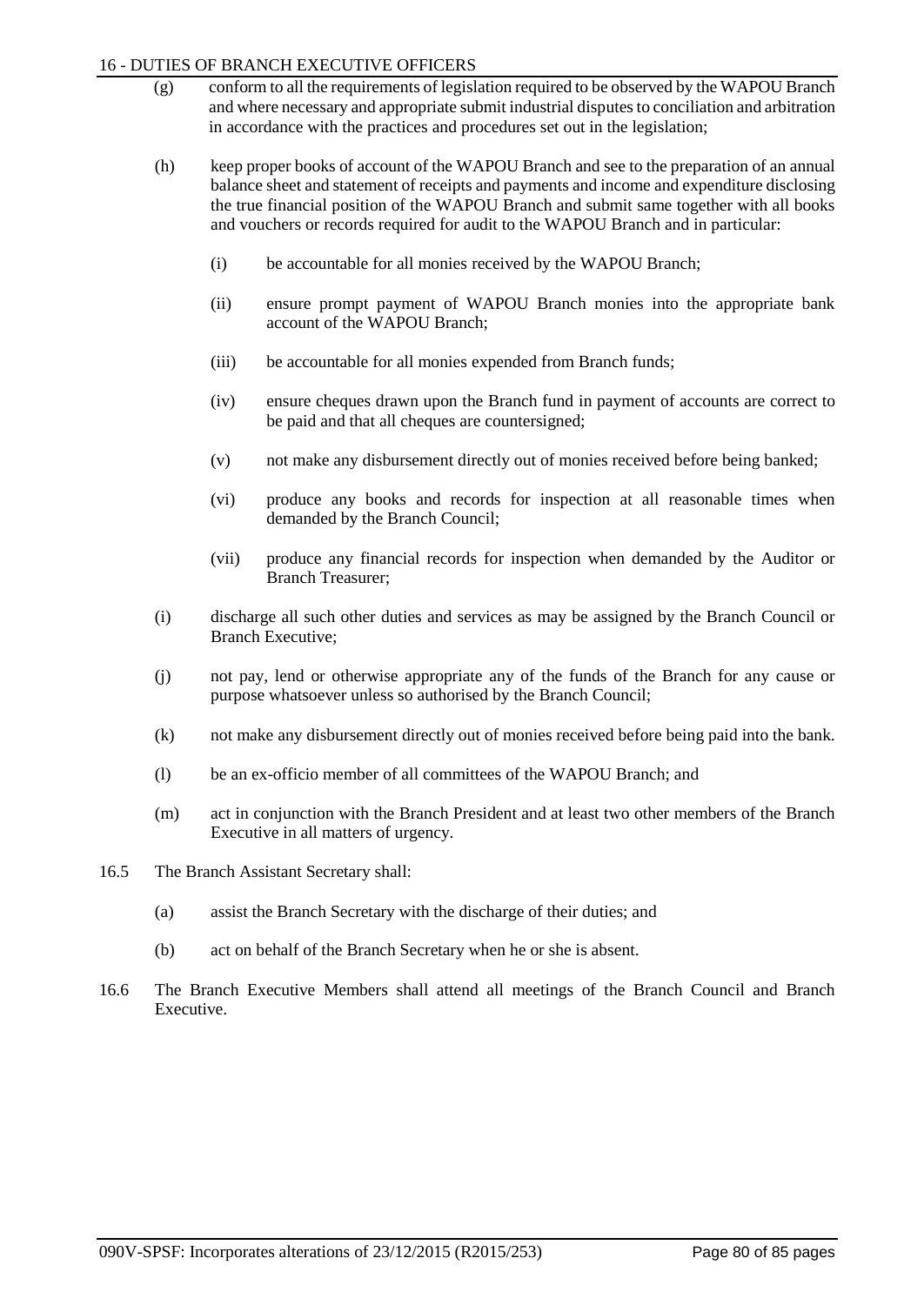### 16 - DUTIES OF BRANCH EXECUTIVE OFFICERS

- (g) conform to all the requirements of legislation required to be observed by the WAPOU Branch and where necessary and appropriate submit industrial disputes to conciliation and arbitration in accordance with the practices and procedures set out in the legislation;
- (h) keep proper books of account of the WAPOU Branch and see to the preparation of an annual balance sheet and statement of receipts and payments and income and expenditure disclosing the true financial position of the WAPOU Branch and submit same together with all books and vouchers or records required for audit to the WAPOU Branch and in particular:
	- (i) be accountable for all monies received by the WAPOU Branch;
	- (ii) ensure prompt payment of WAPOU Branch monies into the appropriate bank account of the WAPOU Branch;
	- (iii) be accountable for all monies expended from Branch funds;
	- (iv) ensure cheques drawn upon the Branch fund in payment of accounts are correct to be paid and that all cheques are countersigned;
	- (v) not make any disbursement directly out of monies received before being banked;
	- (vi) produce any books and records for inspection at all reasonable times when demanded by the Branch Council;
	- (vii) produce any financial records for inspection when demanded by the Auditor or Branch Treasurer;
- (i) discharge all such other duties and services as may be assigned by the Branch Council or Branch Executive;
- (j) not pay, lend or otherwise appropriate any of the funds of the Branch for any cause or purpose whatsoever unless so authorised by the Branch Council;
- (k) not make any disbursement directly out of monies received before being paid into the bank.
- (l) be an ex-officio member of all committees of the WAPOU Branch; and
- (m) act in conjunction with the Branch President and at least two other members of the Branch Executive in all matters of urgency.
- 16.5 The Branch Assistant Secretary shall:
	- (a) assist the Branch Secretary with the discharge of their duties; and
	- (b) act on behalf of the Branch Secretary when he or she is absent.
- 16.6 The Branch Executive Members shall attend all meetings of the Branch Council and Branch Executive.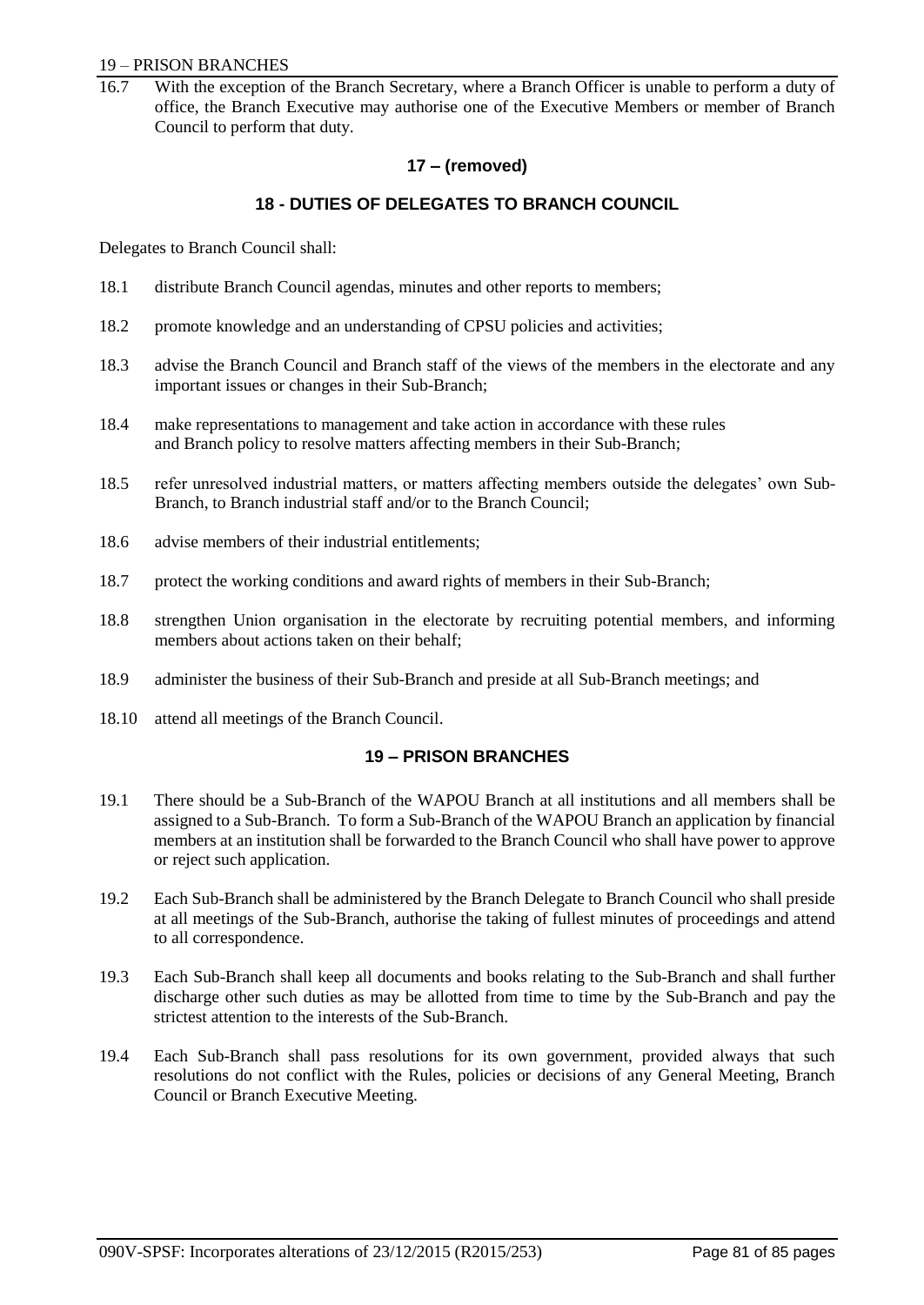#### 19 – PRISON BRANCHES

With the exception of the Branch Secretary, where a Branch Officer is unable to perform a duty of office, the Branch Executive may authorise one of the Executive Members or member of Branch Council to perform that duty.

# **17 – (removed)**

### **18 - DUTIES OF DELEGATES TO BRANCH COUNCIL**

Delegates to Branch Council shall:

- 18.1 distribute Branch Council agendas, minutes and other reports to members;
- 18.2 promote knowledge and an understanding of CPSU policies and activities;
- 18.3 advise the Branch Council and Branch staff of the views of the members in the electorate and any important issues or changes in their Sub-Branch;
- 18.4 make representations to management and take action in accordance with these rules and Branch policy to resolve matters affecting members in their Sub-Branch;
- 18.5 refer unresolved industrial matters, or matters affecting members outside the delegates' own Sub-Branch, to Branch industrial staff and/or to the Branch Council;
- 18.6 advise members of their industrial entitlements;
- 18.7 protect the working conditions and award rights of members in their Sub-Branch;
- 18.8 strengthen Union organisation in the electorate by recruiting potential members, and informing members about actions taken on their behalf;
- 18.9 administer the business of their Sub-Branch and preside at all Sub-Branch meetings; and
- 18.10 attend all meetings of the Branch Council.

### **19 – PRISON BRANCHES**

- 19.1 There should be a Sub-Branch of the WAPOU Branch at all institutions and all members shall be assigned to a Sub-Branch. To form a Sub-Branch of the WAPOU Branch an application by financial members at an institution shall be forwarded to the Branch Council who shall have power to approve or reject such application.
- 19.2 Each Sub-Branch shall be administered by the Branch Delegate to Branch Council who shall preside at all meetings of the Sub-Branch, authorise the taking of fullest minutes of proceedings and attend to all correspondence.
- 19.3 Each Sub-Branch shall keep all documents and books relating to the Sub-Branch and shall further discharge other such duties as may be allotted from time to time by the Sub-Branch and pay the strictest attention to the interests of the Sub-Branch.
- 19.4 Each Sub-Branch shall pass resolutions for its own government, provided always that such resolutions do not conflict with the Rules, policies or decisions of any General Meeting, Branch Council or Branch Executive Meeting.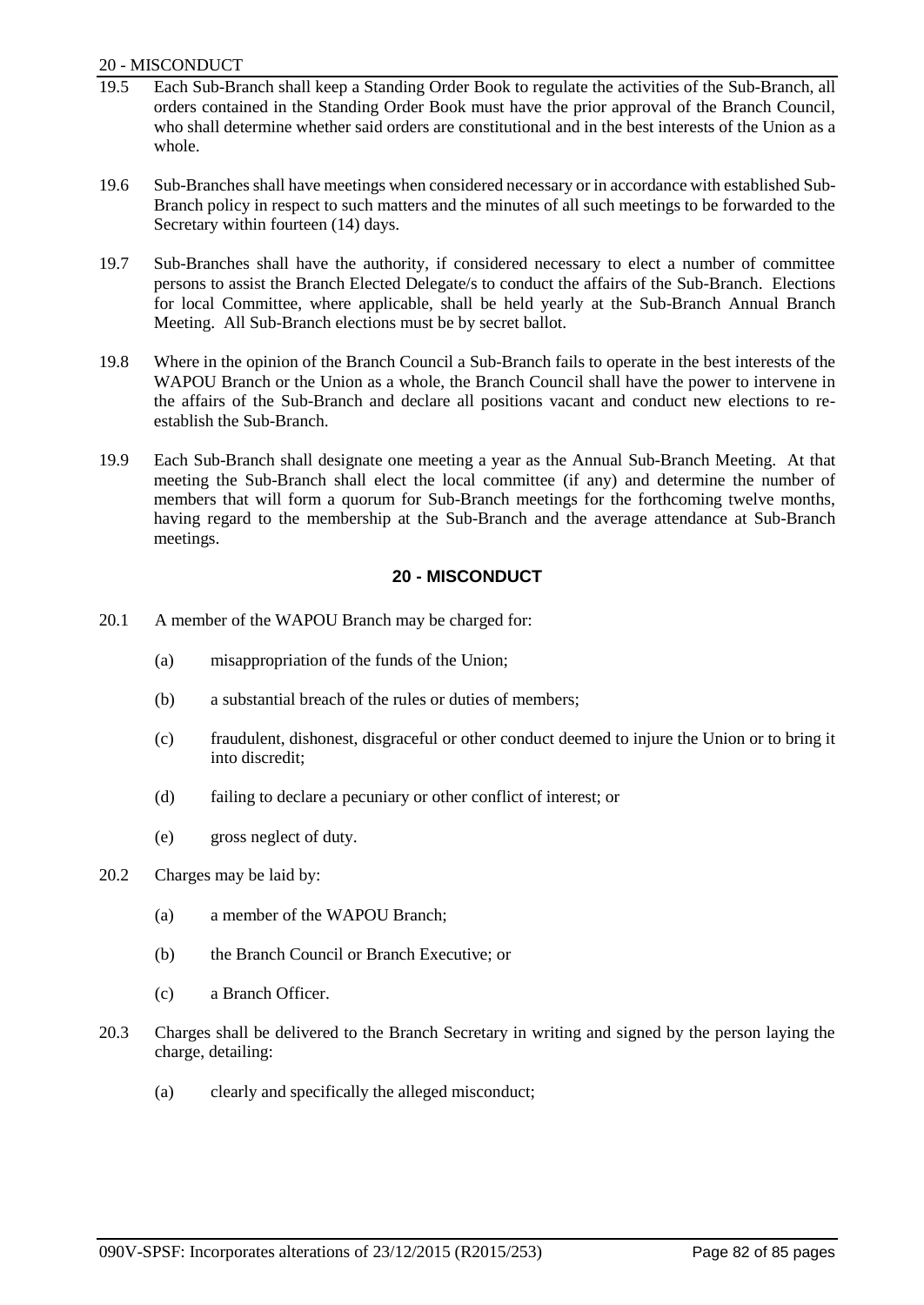### 20 - MISCONDUCT

- 19.5 Each Sub-Branch shall keep a Standing Order Book to regulate the activities of the Sub-Branch, all orders contained in the Standing Order Book must have the prior approval of the Branch Council, who shall determine whether said orders are constitutional and in the best interests of the Union as a whole.
- 19.6 Sub-Branches shall have meetings when considered necessary or in accordance with established Sub-Branch policy in respect to such matters and the minutes of all such meetings to be forwarded to the Secretary within fourteen (14) days.
- 19.7 Sub-Branches shall have the authority, if considered necessary to elect a number of committee persons to assist the Branch Elected Delegate/s to conduct the affairs of the Sub-Branch. Elections for local Committee, where applicable, shall be held yearly at the Sub-Branch Annual Branch Meeting. All Sub-Branch elections must be by secret ballot.
- 19.8 Where in the opinion of the Branch Council a Sub-Branch fails to operate in the best interests of the WAPOU Branch or the Union as a whole, the Branch Council shall have the power to intervene in the affairs of the Sub-Branch and declare all positions vacant and conduct new elections to reestablish the Sub-Branch.
- 19.9 Each Sub-Branch shall designate one meeting a year as the Annual Sub-Branch Meeting. At that meeting the Sub-Branch shall elect the local committee (if any) and determine the number of members that will form a quorum for Sub-Branch meetings for the forthcoming twelve months, having regard to the membership at the Sub-Branch and the average attendance at Sub-Branch meetings.

# **20 - MISCONDUCT**

- 20.1 A member of the WAPOU Branch may be charged for:
	- (a) misappropriation of the funds of the Union;
	- (b) a substantial breach of the rules or duties of members;
	- (c) fraudulent, dishonest, disgraceful or other conduct deemed to injure the Union or to bring it into discredit;
	- (d) failing to declare a pecuniary or other conflict of interest; or
	- (e) gross neglect of duty.
- 20.2 Charges may be laid by:
	- (a) a member of the WAPOU Branch;
	- (b) the Branch Council or Branch Executive; or
	- (c) a Branch Officer.
- 20.3 Charges shall be delivered to the Branch Secretary in writing and signed by the person laying the charge, detailing:
	- (a) clearly and specifically the alleged misconduct;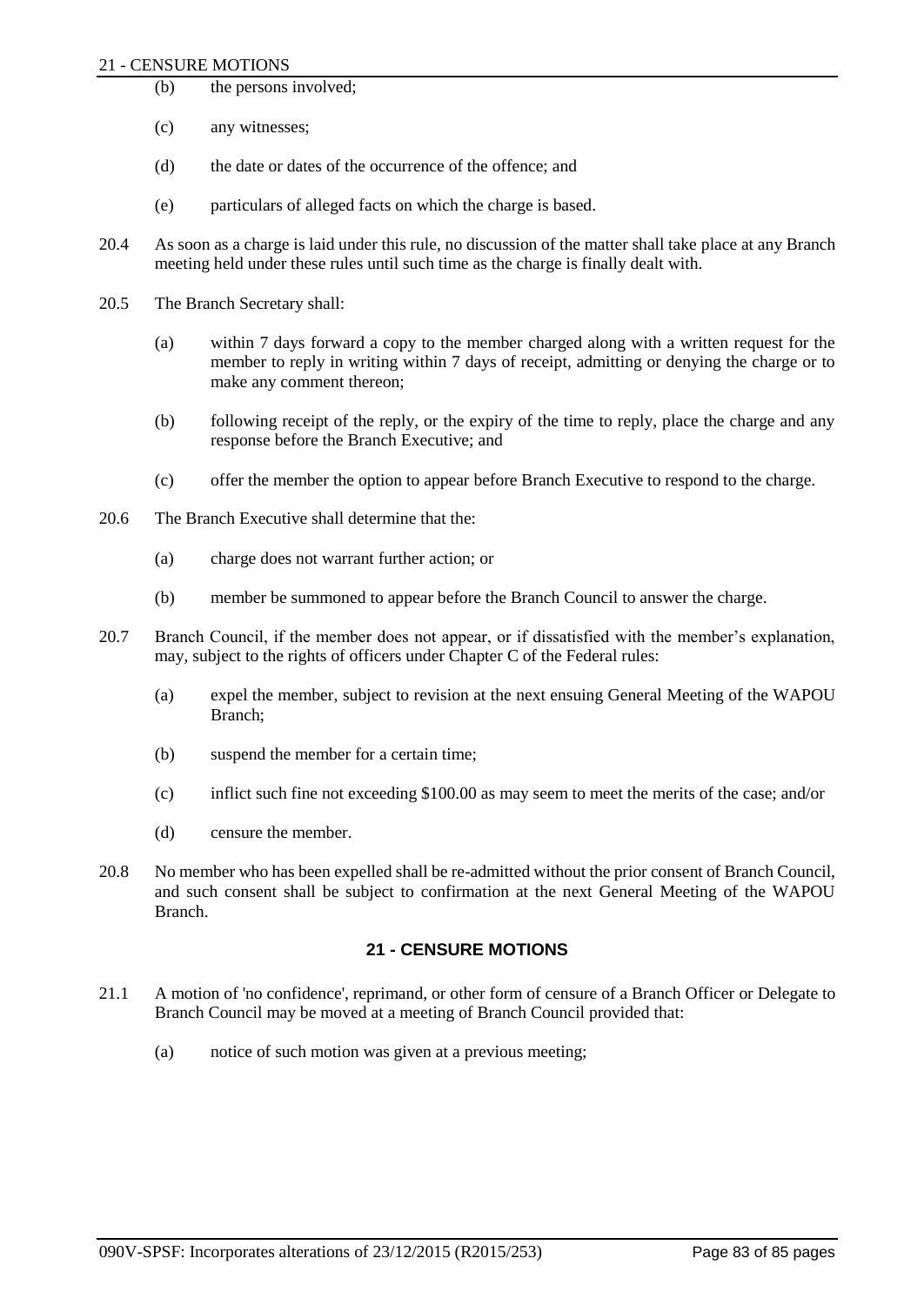#### 21 - CENSURE MOTIONS

- (b) the persons involved;
- (c) any witnesses;
- (d) the date or dates of the occurrence of the offence; and
- (e) particulars of alleged facts on which the charge is based.
- 20.4 As soon as a charge is laid under this rule, no discussion of the matter shall take place at any Branch meeting held under these rules until such time as the charge is finally dealt with.
- 20.5 The Branch Secretary shall:
	- (a) within 7 days forward a copy to the member charged along with a written request for the member to reply in writing within 7 days of receipt, admitting or denying the charge or to make any comment thereon;
	- (b) following receipt of the reply, or the expiry of the time to reply, place the charge and any response before the Branch Executive; and
	- (c) offer the member the option to appear before Branch Executive to respond to the charge.
- 20.6 The Branch Executive shall determine that the:
	- (a) charge does not warrant further action; or
	- (b) member be summoned to appear before the Branch Council to answer the charge.
- 20.7 Branch Council, if the member does not appear, or if dissatisfied with the member's explanation, may, subject to the rights of officers under Chapter C of the Federal rules:
	- (a) expel the member, subject to revision at the next ensuing General Meeting of the WAPOU Branch;
	- (b) suspend the member for a certain time;
	- (c) inflict such fine not exceeding \$100.00 as may seem to meet the merits of the case; and/or
	- (d) censure the member.
- 20.8 No member who has been expelled shall be re-admitted without the prior consent of Branch Council, and such consent shall be subject to confirmation at the next General Meeting of the WAPOU Branch.

# **21 - CENSURE MOTIONS**

- 21.1 A motion of 'no confidence', reprimand, or other form of censure of a Branch Officer or Delegate to Branch Council may be moved at a meeting of Branch Council provided that:
	- (a) notice of such motion was given at a previous meeting;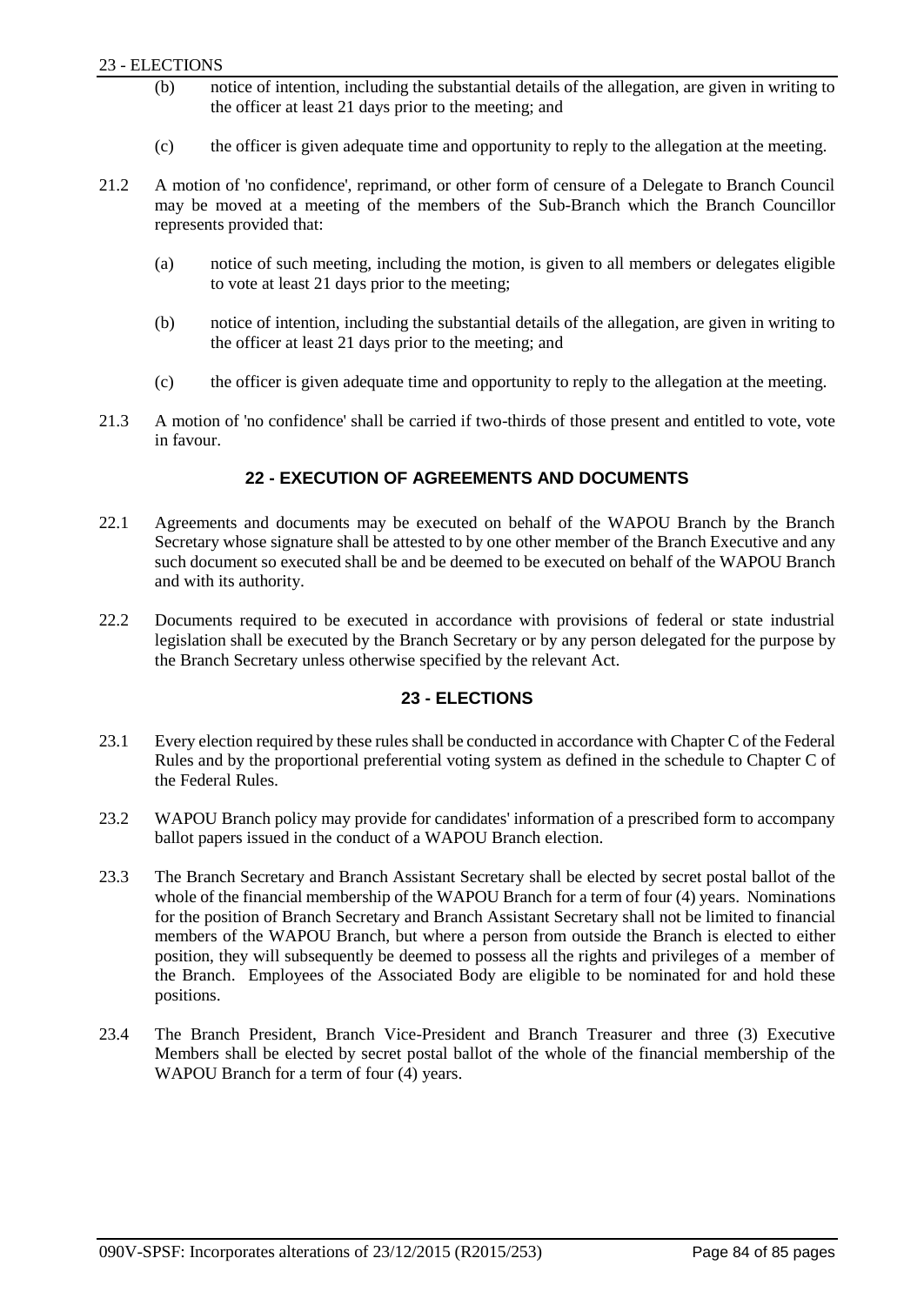### 23 - ELECTIONS

- (b) notice of intention, including the substantial details of the allegation, are given in writing to the officer at least 21 days prior to the meeting; and
- (c) the officer is given adequate time and opportunity to reply to the allegation at the meeting.
- 21.2 A motion of 'no confidence', reprimand, or other form of censure of a Delegate to Branch Council may be moved at a meeting of the members of the Sub-Branch which the Branch Councillor represents provided that:
	- (a) notice of such meeting, including the motion, is given to all members or delegates eligible to vote at least 21 days prior to the meeting;
	- (b) notice of intention, including the substantial details of the allegation, are given in writing to the officer at least 21 days prior to the meeting; and
	- (c) the officer is given adequate time and opportunity to reply to the allegation at the meeting.
- 21.3 A motion of 'no confidence' shall be carried if two-thirds of those present and entitled to vote, vote in favour.

# **22 - EXECUTION OF AGREEMENTS AND DOCUMENTS**

- 22.1 Agreements and documents may be executed on behalf of the WAPOU Branch by the Branch Secretary whose signature shall be attested to by one other member of the Branch Executive and any such document so executed shall be and be deemed to be executed on behalf of the WAPOU Branch and with its authority.
- 22.2 Documents required to be executed in accordance with provisions of federal or state industrial legislation shall be executed by the Branch Secretary or by any person delegated for the purpose by the Branch Secretary unless otherwise specified by the relevant Act.

# **23 - ELECTIONS**

- 23.1 Every election required by these rules shall be conducted in accordance with Chapter C of the Federal Rules and by the proportional preferential voting system as defined in the schedule to Chapter C of the Federal Rules.
- 23.2 WAPOU Branch policy may provide for candidates' information of a prescribed form to accompany ballot papers issued in the conduct of a WAPOU Branch election.
- 23.3 The Branch Secretary and Branch Assistant Secretary shall be elected by secret postal ballot of the whole of the financial membership of the WAPOU Branch for a term of four (4) years. Nominations for the position of Branch Secretary and Branch Assistant Secretary shall not be limited to financial members of the WAPOU Branch, but where a person from outside the Branch is elected to either position, they will subsequently be deemed to possess all the rights and privileges of a member of the Branch. Employees of the Associated Body are eligible to be nominated for and hold these positions.
- 23.4 The Branch President, Branch Vice-President and Branch Treasurer and three (3) Executive Members shall be elected by secret postal ballot of the whole of the financial membership of the WAPOU Branch for a term of four (4) years.